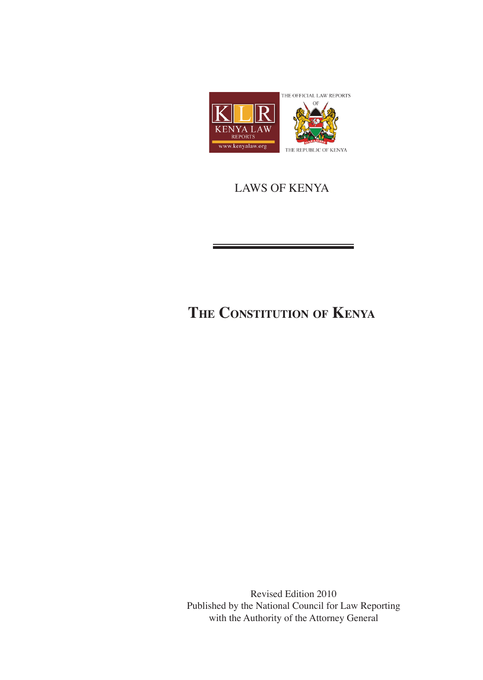

## LAWS OF KENYA

# **The Constitution of Kenya**

Revised Edition 2010 Published by the National Council for Law Reporting with the Authority of the Attorney General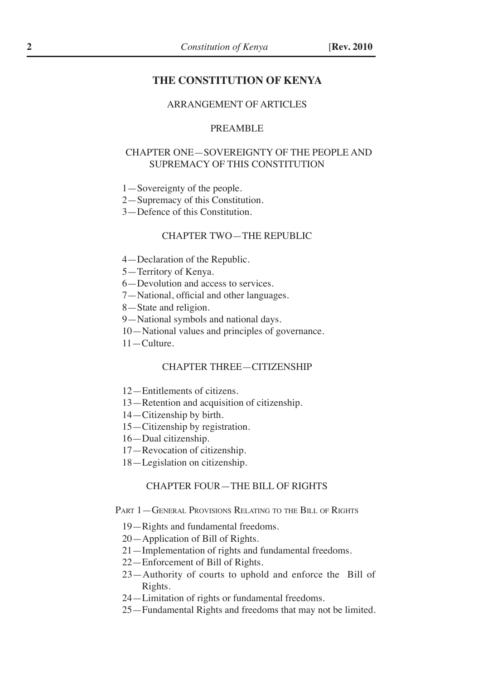## **THE CONSTITUTION OF KENYA**

#### ARRANGEMENT OF ARTICLES

#### PREAMBLE

## CHAPTER ONE—SOVEREIGNTY OF THE PEOPLE AND SUPREMACY OF THIS CONSTITUTION

- 1—Sovereignty of the people.
- 2—Supremacy of this Constitution.
- 3—Defence of this Constitution.

## CHAPTER TWO—THE REPUBLIC

- 4—Declaration of the Republic.
- 5—Territory of Kenya.
- 6—Devolution and access to services.
- 7—National, official and other languages.
- 8—State and religion.
- 9—National symbols and national days.
- 10—National values and principles of governance.
- 11—Culture.

#### CHAPTER THREE—CITIZENSHIP

- 12—Entitlements of citizens.
- 13—Retention and acquisition of citizenship.
- 14—Citizenship by birth.
- 15—Citizenship by registration.
- 16—Dual citizenship.
- 17—Revocation of citizenship.
- 18—Legislation on citizenship.

## CHAPTER FOUR—THE BILL OF RIGHTS

PART 1 - GENERAL PROVISIONS RELATING TO THE BILL OF RIGHTS

- 19—Rights and fundamental freedoms.
- 20—Application of Bill of Rights.
- 21—Implementation of rights and fundamental freedoms.
- 22—Enforcement of Bill of Rights.
- 23—Authority of courts to uphold and enforce the Bill of Rights.
- 24—Limitation of rights or fundamental freedoms.
- 25—Fundamental Rights and freedoms that may not be limited.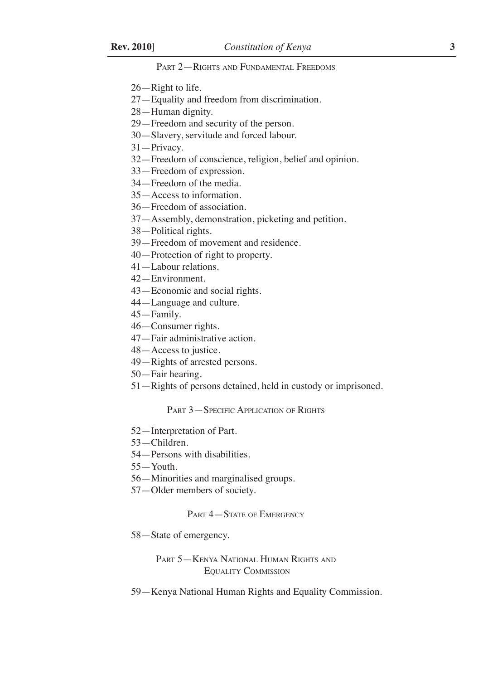## Part 2—Rights and Fundamental Freedoms

- 26—Right to life.
- 27—Equality and freedom from discrimination.
- 28—Human dignity.
- 29—Freedom and security of the person.
- 30—Slavery, servitude and forced labour.
- 31—Privacy.
- 32—Freedom of conscience, religion, belief and opinion.
- 33—Freedom of expression.
- 34—Freedom of the media.
- 35—Access to information.
- 36—Freedom of association.
- 37—Assembly, demonstration, picketing and petition.
- 38—Political rights.
- 39—Freedom of movement and residence.
- 40—Protection of right to property.
- 41—Labour relations.
- 42—Environment.
- 43—Economic and social rights.
- 44—Language and culture.
- 45—Family.
- 46—Consumer rights.
- 47—Fair administrative action.
- 48—Access to justice.
- 49—Rights of arrested persons.
- 50—Fair hearing.
- 51—Rights of persons detained, held in custody or imprisoned.

#### PART 3-SPECIFIC APPLICATION OF RIGHTS

- 52—Interpretation of Part.
- 53—Children.
- 54—Persons with disabilities.
- 55—Youth.
- 56—Minorities and marginalised groups.
- 57—Older members of society.

#### PART 4-STATE OF EMERGENCY

58—State of emergency.

## Part 5—Kenya National Human Rights and Equality Commission

59—Kenya National Human Rights and Equality Commission.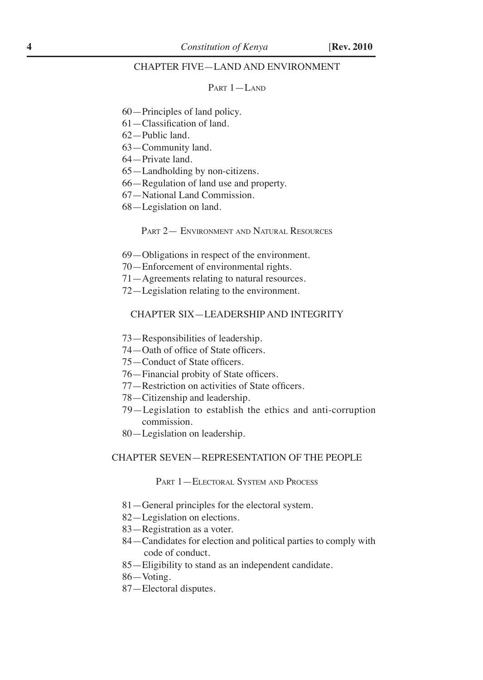## CHAPTER FIVE—LAND AND ENVIRONMENT

#### PART 1-LAND

- 60—Principles of land policy.
- 61—Classification of land.
- 62—Public land.
- 63—Community land.
- 64—Private land.
- 65—Landholding by non-citizens.
- 66—Regulation of land use and property.
- 67—National Land Commission.
- 68—Legislation on land.

## Part 2— Environment and Natural Resources

- 69—Obligations in respect of the environment.
- 70—Enforcement of environmental rights.
- 71—Agreements relating to natural resources.
- 72—Legislation relating to the environment.

## CHAPTER SIX—LEADERSHIP AND INTEGRITY

- 73—Responsibilities of leadership.
- 74—Oath of office of State officers.
- 75—Conduct of State officers.
- 76—Financial probity of State officers.
- 77—Restriction on activities of State officers.
- 78—Citizenship and leadership.
- 79—Legislation to establish the ethics and anti-corruption commission.
- 80—Legislation on leadership.

## CHAPTER SEVEN—REPRESENTATION OF THE PEOPLE

Part 1—Electoral System and Process

- 81—General principles for the electoral system.
- 82—Legislation on elections.
- 83—Registration as a voter.
- 84—Candidates for election and political parties to comply with code of conduct.
- 85—Eligibility to stand as an independent candidate.
- 86—Voting.
- 87—Electoral disputes.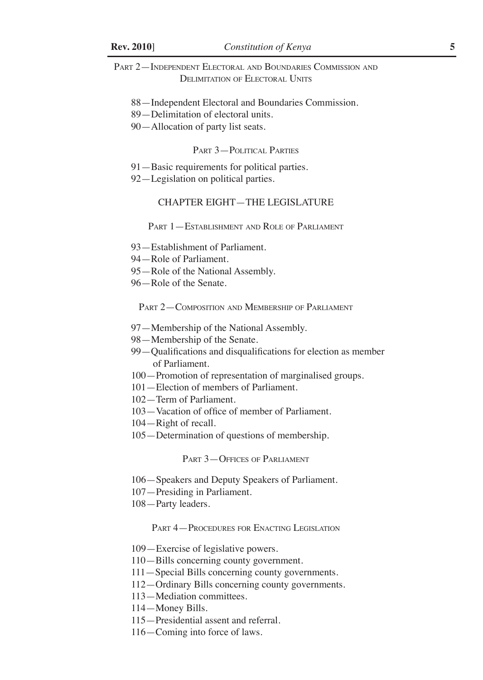Part 2—Independent Electoral and Boundaries Commission and Delimitation of Electoral Units

- 88—Independent Electoral and Boundaries Commission.
- 89—Delimitation of electoral units.
- 90—Allocation of party list seats.

#### Part 3—Political Parties

- 91—Basic requirements for political parties.
- 92—Legislation on political parties.

## CHAPTER EIGHT—THE LEGISLATURE

Part 1—Establishment and Role of Parliament

- 93—Establishment of Parliament.
- 94—Role of Parliament.
- 95—Role of the National Assembly.
- 96—Role of the Senate.

PART 2—COMPOSITION AND MEMBERSHIP OF PARLIAMENT

- 97—Membership of the National Assembly.
- 98—Membership of the Senate.
- 99—Qualifications and disqualifications for election as member of Parliament.
- 100—Promotion of representation of marginalised groups.
- 101—Election of members of Parliament.
- 102—Term of Parliament.
- 103—Vacation of office of member of Parliament.
- 104—Right of recall.
- 105—Determination of questions of membership.

## PART 3-OFFICES OF PARLIAMENT

- 106—Speakers and Deputy Speakers of Parliament.
- 107—Presiding in Parliament.
- 108—Party leaders.

## Part 4—Procedures for Enacting Legislation

- 109—Exercise of legislative powers.
- 110—Bills concerning county government.
- 111—Special Bills concerning county governments.
- 112—Ordinary Bills concerning county governments.
- 113—Mediation committees.
- 114—Money Bills.
- 115—Presidential assent and referral.
- 116—Coming into force of laws.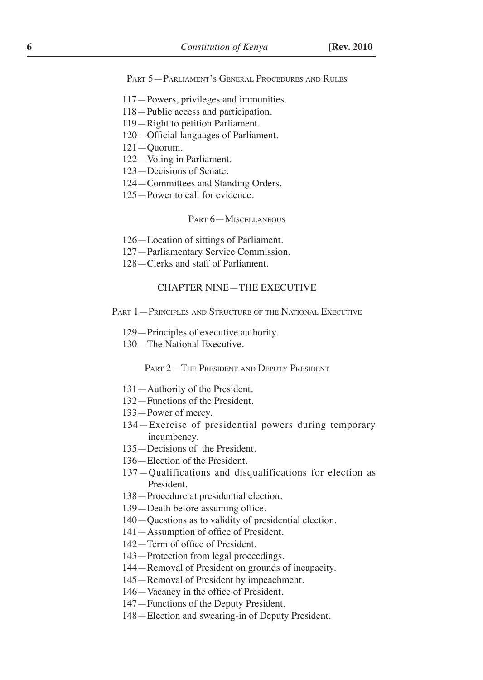Part 5—Parliament's General Procedures and Rules

- 117—Powers, privileges and immunities.
- 118—Public access and participation.
- 119—Right to petition Parliament.
- 120—Official languages of Parliament.
- 121—Quorum.
- 122—Voting in Parliament.
- 123—Decisions of Senate.
- 124—Committees and Standing Orders.
- 125—Power to call for evidence.

PART 6-MISCELLANEOUS

- 126—Location of sittings of Parliament.
- 127—Parliamentary Service Commission.
- 128—Clerks and staff of Parliament.

## CHAPTER NINE—THE EXECUTIVE

Part 1—Principles and Structure of the National Executive

- 129—Principles of executive authority.
- 130—The National Executive.

PART 2-THE PRESIDENT AND DEPUTY PRESIDENT

- 131—Authority of the President.
- 132—Functions of the President.
- 133—Power of mercy.
- 134—Exercise of presidential powers during temporary incumbency.
- 135—Decisions of the President.
- 136—Election of the President.
- 137—Qualifications and disqualifications for election as President.
- 138—Procedure at presidential election.
- 139—Death before assuming office.
- 140—Questions as to validity of presidential election.
- 141—Assumption of office of President.
- 142—Term of office of President.
- 143—Protection from legal proceedings.
- 144—Removal of President on grounds of incapacity.
- 145—Removal of President by impeachment.
- 146—Vacancy in the office of President.
- 147—Functions of the Deputy President.
- 148—Election and swearing-in of Deputy President.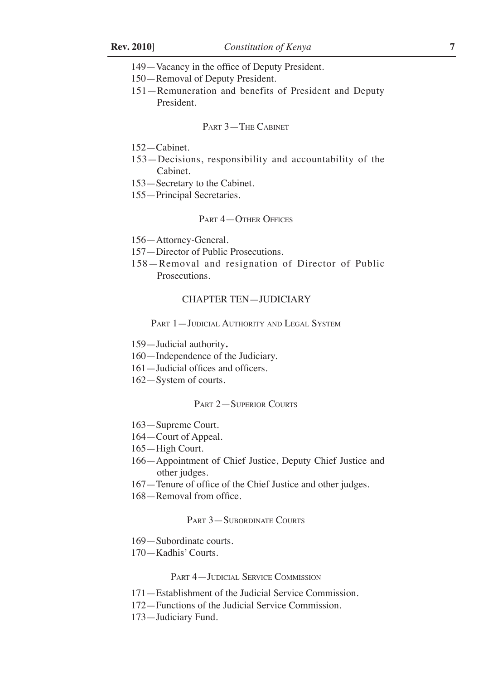- 149—Vacancy in the office of Deputy President.
- 150—Removal of Deputy President.
- 151—Remuneration and benefits of President and Deputy President.

#### PART 3-THE CABINET

- 152—Cabinet.
- 153—Decisions, responsibility and accountability of the Cabinet.
- 153—Secretary to the Cabinet.
- 155—Principal Secretaries.

#### Part 4—Other Offices

- 156—Attorney-General.
- 157—Director of Public Prosecutions.
- 158—Removal and resignation of Director of Public Prosecutions.

## CHAPTER TEN—JUDICIARY

PART 1-JUDICIAL AUTHORITY AND LEGAL SYSTEM

- 159—Judicial authority**.**
- 160—Independence of the Judiciary.
- 161—Judicial offices and officers.
- 162—System of courts.

## Part 2—Superior Courts

- 163—Supreme Court.
- 164—Court of Appeal.
- 165—High Court.
- 166—Appointment of Chief Justice, Deputy Chief Justice and other judges.
- 167—Tenure of office of the Chief Justice and other judges.
- 168—Removal from office.

## PART 3-SUBORDINATE COURTS

- 169—Subordinate courts.
- 170—Kadhis' Courts.

#### Part 4—Judicial Service Commission

- 171—Establishment of the Judicial Service Commission.
- 172—Functions of the Judicial Service Commission.
- 173—Judiciary Fund.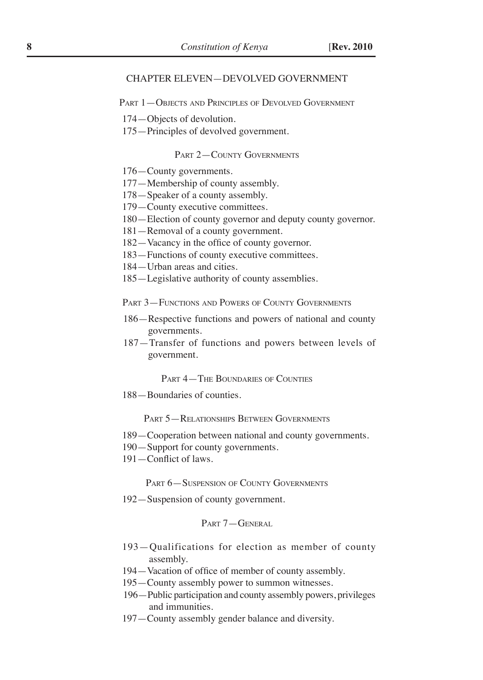#### CHAPTER ELEVEN—DEVOLVED GOVERNMENT

PART 1—OBJECTS AND PRINCIPLES OF DEVOLVED GOVERNMENT

- 174—Objects of devolution.
- 175—Principles of devolved government.

## Part 2—County Governments

176—County governments.

- 177—Membership of county assembly.
- 178—Speaker of a county assembly.
- 179—County executive committees.
- 180—Election of county governor and deputy county governor.
- 181—Removal of a county government.
- 182—Vacancy in the office of county governor.
- 183—Functions of county executive committees.

184—Urban areas and cities.

185—Legislative authority of county assemblies.

PART 3-FUNCTIONS AND POWERS OF COUNTY GOVERNMENTS

- 186—Respective functions and powers of national and county governments.
- 187—Transfer of functions and powers between levels of government.

Part 4—The Boundaries of Counties

188—Boundaries of counties.

Part 5—Relationships Between Governments

- 189—Cooperation between national and county governments.
- 190—Support for county governments.
- 191—Conflict of laws.

PART  $6-$ SUSPENSION OF COUNTY GOVERNMENTS

192—Suspension of county government.

Part 7—General

- 193—Qualifications for election as member of county assembly.
- 194—Vacation of office of member of county assembly.
- 195—County assembly power to summon witnesses.
- 196—Public participation and county assembly powers, privileges and immunities.
- 197—County assembly gender balance and diversity.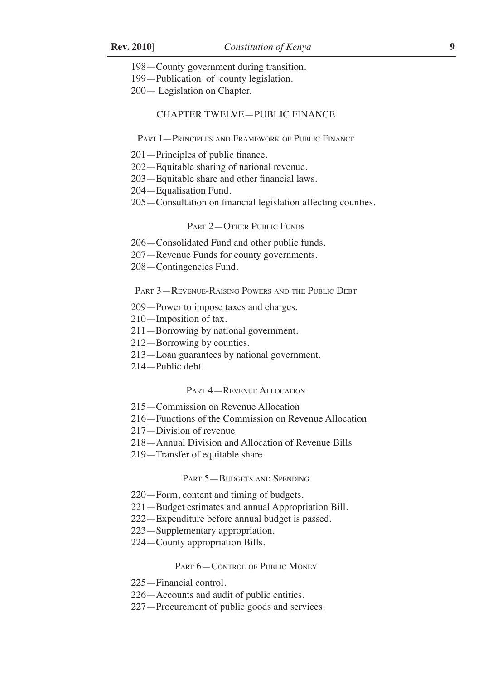- 198—County government during transition.
- 199—Publication of county legislation.
- 200— Legislation on Chapter.

#### CHAPTER TWELVE—PUBLIC FINANCE

Part I—Principles and Framework of Public Finance

- 201—Principles of public finance.
- 202—Equitable sharing of national revenue.
- 203—Equitable share and other financial laws.
- 204—Equalisation Fund.
- 205—Consultation on financial legislation affecting counties.

## Part 2—Other Public Funds

- 206—Consolidated Fund and other public funds.
- 207—Revenue Funds for county governments.
- 208—Contingencies Fund.

PART 3-REVENUE-RAISING POWERS AND THE PUBLIC DEBT

- 209—Power to impose taxes and charges.
- 210—Imposition of tax.
- 211—Borrowing by national government.
- 212—Borrowing by counties.
- 213—Loan guarantees by national government.
- 214—Public debt.

#### Part 4—Revenue Allocation

- 215—Commission on Revenue Allocation
- 216—Functions of the Commission on Revenue Allocation
- 217—Division of revenue
- 218—Annual Division and Allocation of Revenue Bills
- 219—Transfer of equitable share

#### PART 5-BUDGETS AND SPENDING

- 220—Form, content and timing of budgets.
- 221—Budget estimates and annual Appropriation Bill.
- 222—Expenditure before annual budget is passed.
- 223—Supplementary appropriation.
- 224—County appropriation Bills.

## PART  $6$ -CONTROL OF PUBLIC MONEY

- 225—Financial control.
- 226—Accounts and audit of public entities.
- 227—Procurement of public goods and services.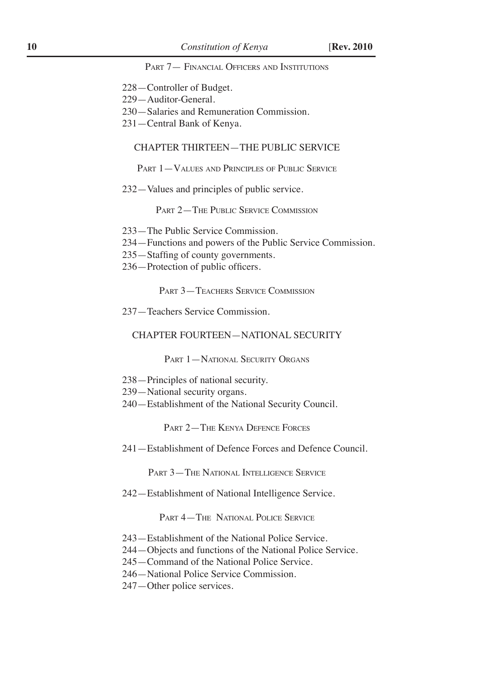#### PART 7- FINANCIAL OFFICERS AND INSTITUTIONS

- 228—Controller of Budget.
- 229—Auditor-General.
- 230—Salaries and Remuneration Commission.
- 231—Central Bank of Kenya.

#### CHAPTER THIRTEEN—THE PUBLIC SERVICE

Part 1—Values and Principles of Public Service

232—Values and principles of public service.

Part 2—The Public Service Commission

- 233—The Public Service Commission.
- 234—Functions and powers of the Public Service Commission.
- 235—Staffing of county governments.
- 236—Protection of public officers.

Part 3—Teachers Service Commission

237—Teachers Service Commission.

#### CHAPTER FOURTEEN—NATIONAL SECURITY

PART 1-NATIONAL SECURITY ORGANS

- 238—Principles of national security.
- 239—National security organs.
- 240—Establishment of the National Security Council.

Part 2—The Kenya Defence Forces

241—Establishment of Defence Forces and Defence Council.

Part 3—The National Intelligence Service

242—Establishment of National Intelligence Service.

Part 4—The National Police Service

- 243—Establishment of the National Police Service.
- 244—Objects and functions of the National Police Service.
- 245—Command of the National Police Service.
- 246—National Police Service Commission.
- 247—Other police services.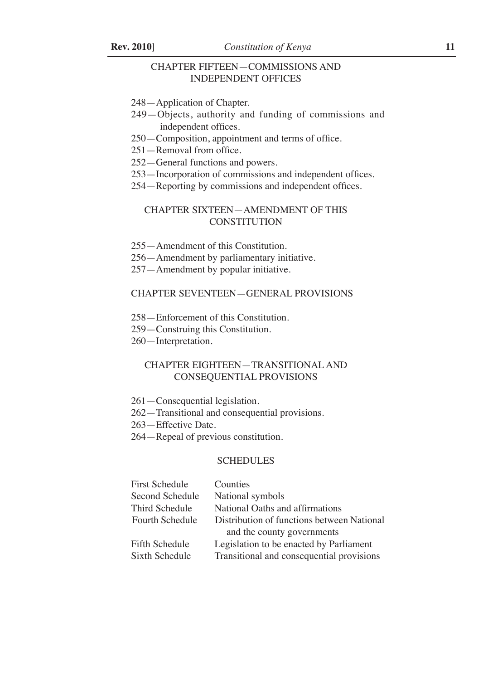## CHAPTER FIFTEEN—COMMISSIONS AND INDEPENDENT OFFICES

- 248—Application of Chapter.
- 249—Objects, authority and funding of commissions and independent offices.
- 250—Composition, appointment and terms of office.
- 251—Removal from office.
- 252—General functions and powers.
- 253—Incorporation of commissions and independent offices.
- 254—Reporting by commissions and independent offices.

## CHAPTER SIXTEEN—AMENDMENT OF THIS **CONSTITUTION**

- 255—Amendment of this Constitution.
- 256—Amendment by parliamentary initiative.
- 257—Amendment by popular initiative.

## CHAPTER SEVENTEEN—GENERAL PROVISIONS

- 258—Enforcement of this Constitution.
- 259—Construing this Constitution.
- 260—Interpretation.

## CHAPTER EIGHTEEN—TRANSITIONAL AND CONSEQUENTIAL PROVISIONS

- 261—Consequential legislation.
- 262—Transitional and consequential provisions.
- 263—Effective Date.
- 264—Repeal of previous constitution.

#### **SCHEDULES**

| <b>First Schedule</b>  | Counties                                   |
|------------------------|--------------------------------------------|
| Second Schedule        | National symbols                           |
| Third Schedule         | National Oaths and affirmations            |
| <b>Fourth Schedule</b> | Distribution of functions between National |
|                        | and the county governments                 |
| Fifth Schedule         | Legislation to be enacted by Parliament    |
| Sixth Schedule         | Transitional and consequential provisions  |
|                        |                                            |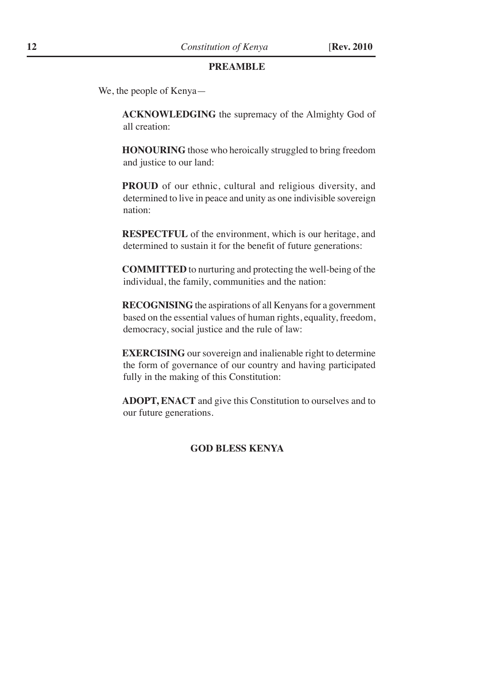#### **PREAMBLE**

We, the people of Kenya—

**ACKNOWLEDGING** the supremacy of the Almighty God of all creation:

**HONOURING** those who heroically struggled to bring freedom and justice to our land:

**PROUD** of our ethnic, cultural and religious diversity, and determined to live in peace and unity as one indivisible sovereign nation:

**RESPECTFUL** of the environment, which is our heritage, and determined to sustain it for the benefit of future generations:

**COMMITTED** to nurturing and protecting the well-being of the individual, the family, communities and the nation:

**RECOGNISING** the aspirations of all Kenyans for a government based on the essential values of human rights, equality, freedom, democracy, social justice and the rule of law:

**EXERCISING** our sovereign and inalienable right to determine the form of governance of our country and having participated fully in the making of this Constitution:

**ADOPT, ENACT** and give this Constitution to ourselves and to our future generations.

## **GOD BLESS KENYA**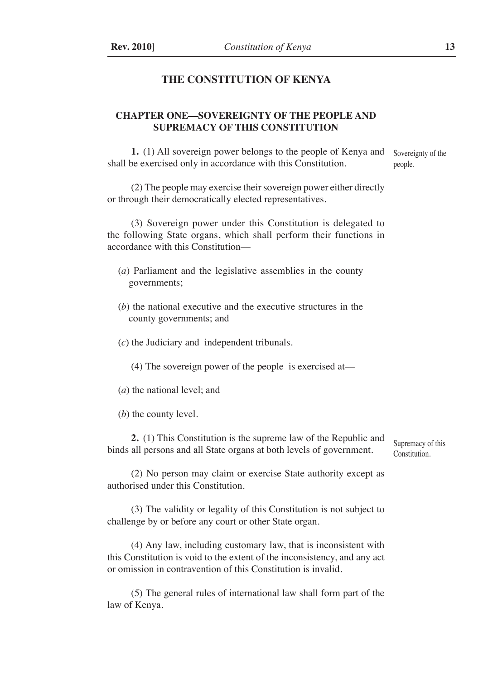## **THE CONSTITUTION OF KENYA**

## **CHAPTER ONE––SOVEREIGNTY OF THE PEOPLE AND SUPREMACY OF THIS CONSTITUTION**

**1.** (1) All sovereign power belongs to the people of Kenya and shall be exercised only in accordance with this Constitution. Sovereignty of the people.

(2) The people may exercise their sovereign power either directly or through their democratically elected representatives.

(3) Sovereign power under this Constitution is delegated to the following State organs, which shall perform their functions in accordance with this Constitution––

- (*a*) Parliament and the legislative assemblies in the county governments;
- (*b*) the national executive and the executive structures in the county governments; and
- (*c*) the Judiciary and independent tribunals.
	- (4) The sovereign power of the people is exercised at-
- (*a*) the national level; and
- (*b*) the county level.

**2.** (1) This Constitution is the supreme law of the Republic and binds all persons and all State organs at both levels of government.

Supremacy of this Constitution.

(2) No person may claim or exercise State authority except as authorised under this Constitution.

(3) The validity or legality of this Constitution is not subject to challenge by or before any court or other State organ.

(4) Any law, including customary law, that is inconsistent with this Constitution is void to the extent of the inconsistency, and any act or omission in contravention of this Constitution is invalid.

(5) The general rules of international law shall form part of the law of Kenya.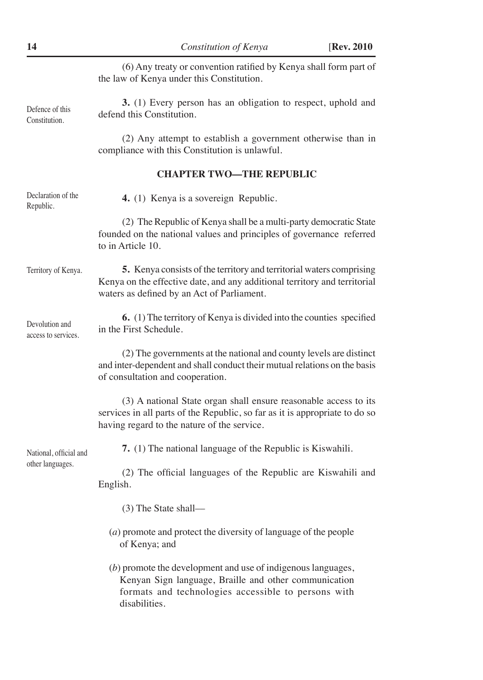| 14                                    | Constitution of Kenya                                                                                                                                                                           | [Rev. 2010] |
|---------------------------------------|-------------------------------------------------------------------------------------------------------------------------------------------------------------------------------------------------|-------------|
|                                       | (6) Any treaty or convention ratified by Kenya shall form part of<br>the law of Kenya under this Constitution.                                                                                  |             |
| Defence of this<br>Constitution.      | 3. (1) Every person has an obligation to respect, uphold and<br>defend this Constitution.                                                                                                       |             |
|                                       | (2) Any attempt to establish a government otherwise than in<br>compliance with this Constitution is unlawful.                                                                                   |             |
|                                       | <b>CHAPTER TWO-THE REPUBLIC</b>                                                                                                                                                                 |             |
| Declaration of the<br>Republic.       | 4. (1) Kenya is a sovereign Republic.                                                                                                                                                           |             |
|                                       | (2) The Republic of Kenya shall be a multi-party democratic State<br>founded on the national values and principles of governance referred<br>to in Article 10.                                  |             |
| Territory of Kenya.                   | 5. Kenya consists of the territory and territorial waters comprising<br>Kenya on the effective date, and any additional territory and territorial<br>waters as defined by an Act of Parliament. |             |
| Devolution and<br>access to services. | <b>6.</b> (1) The territory of Kenya is divided into the counties specified<br>in the First Schedule.                                                                                           |             |
|                                       | (2) The governments at the national and county levels are distinct<br>and inter-dependent and shall conduct their mutual relations on the basis<br>of consultation and cooperation.             |             |
|                                       | (3) A national State organ shall ensure reasonable access to its<br>services in all parts of the Republic, so far as it is appropriate to do so<br>having regard to the nature of the service.  |             |
| National, official and                | 7. (1) The national language of the Republic is Kiswahili.                                                                                                                                      |             |
| other languages.                      | (2) The official languages of the Republic are Kiswahili and<br>English.                                                                                                                        |             |
|                                       | (3) The State shall-                                                                                                                                                                            |             |
|                                       | (a) promote and protect the diversity of language of the people<br>of Kenya; and                                                                                                                |             |
|                                       | $(b)$ promote the development and use of indigenous languages,<br>Kenyan Sign language, Braille and other communication<br>formats and technologies accessible to persons with<br>disabilities. |             |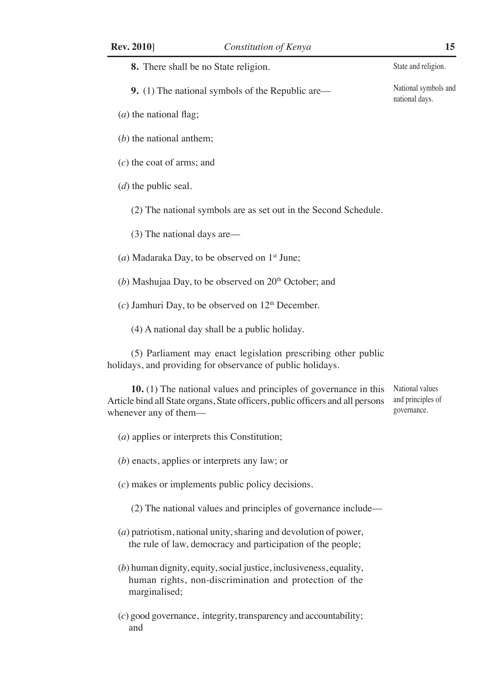- **8.** There shall be no State religion.
- **9.** (1) The national symbols of the Republic are—
- (*a*) the national flag;
- (*b*) the national anthem;
- (*c*) the coat of arms; and
- (*d*) the public seal.

(2) The national symbols are as set out in the Second Schedule.

- (3) The national days are––
- ( $a$ ) Madaraka Day, to be observed on  $1<sup>st</sup>$  June;
- $(b)$  Mashujaa Day, to be observed on  $20<sup>th</sup>$  October; and
- $(c)$  Jamhuri Day, to be observed on  $12<sup>th</sup>$  December.
	- (4) A national day shall be a public holiday.

(5) Parliament may enact legislation prescribing other public holidays, and providing for observance of public holidays.

**10.** (1) The national values and principles of governance in this Article bind all State organs, State officers, public officers and all persons whenever any of them––

National values and principles of governance.

- (*a*) applies or interprets this Constitution;
- (*b*) enacts, applies or interprets any law; or
- (*c*) makes or implements public policy decisions.
	- (2) The national values and principles of governance include––
- (*a*) patriotism, national unity, sharing and devolution of power, the rule of law, democracy and participation of the people;
- (*b*) human dignity, equity, social justice, inclusiveness, equality, human rights, non-discrimination and protection of the marginalised;
- (*c*) good governance, integrity, transparency and accountability; and

State and religion.

National symbols and national days.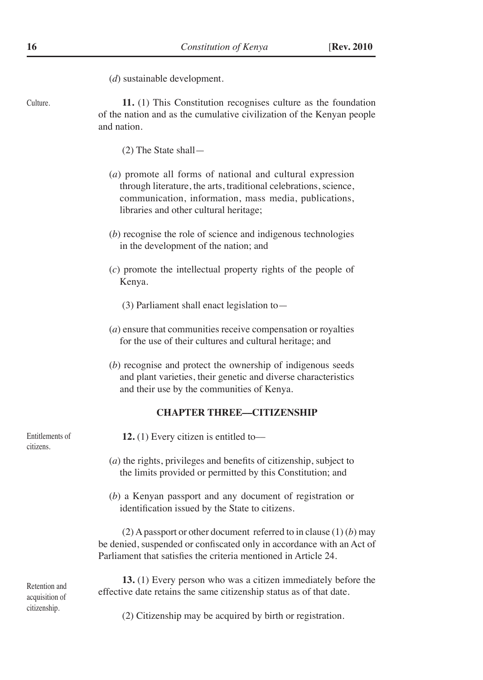(*d*) sustainable development.

**11.** (1) This Constitution recognises culture as the foundation of the nation and as the cumulative civilization of the Kenyan people and nation.

(2) The State shall—

- (*a*) promote all forms of national and cultural expression through literature, the arts, traditional celebrations, science, communication, information, mass media, publications, libraries and other cultural heritage;
- (*b*) recognise the role of science and indigenous technologies in the development of the nation; and
- (*c*) promote the intellectual property rights of the people of Kenya.
	- (3) Parliament shall enact legislation to—
- (*a*) ensure that communities receive compensation or royalties for the use of their cultures and cultural heritage; and
- (*b*) recognise and protect the ownership of indigenous seeds and plant varieties, their genetic and diverse characteristics and their use by the communities of Kenya.

## **CHAPTER THREE––CITIZENSHIP**

- **12.** (1) Every citizen is entitled to—
- (*a*) the rights, privileges and benefits of citizenship, subject to the limits provided or permitted by this Constitution; and
- (*b*) a Kenyan passport and any document of registration or identification issued by the State to citizens.

(2) A passport or other document referred to in clause (1) (*b*) may be denied, suspended or confiscated only in accordance with an Act of Parliament that satisfies the criteria mentioned in Article 24.

**13.** (1) Every person who was a citizen immediately before the effective date retains the same citizenship status as of that date.

(2) Citizenship may be acquired by birth or registration.

Entitlements of citizens.

Retention and acquisition of citizenship.

Culture.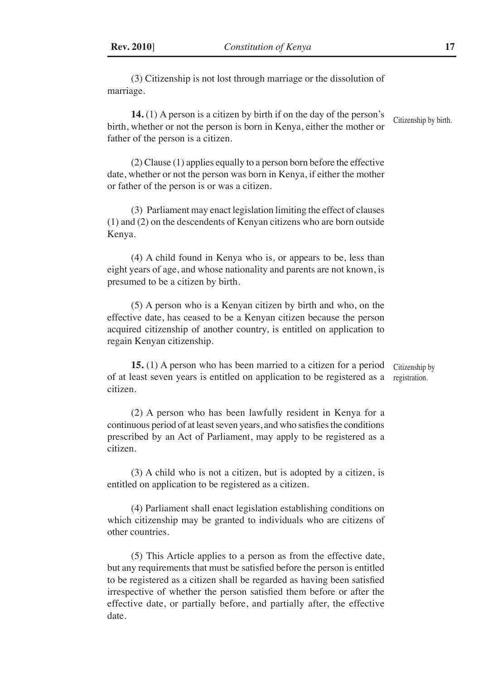(3) Citizenship is not lost through marriage or the dissolution of marriage.

**14.** (1) A person is a citizen by birth if on the day of the person's birth, whether or not the person is born in Kenya, either the mother or father of the person is a citizen. Citizenship by birth.

(2) Clause (1) applies equally to a person born before the effective date, whether or not the person was born in Kenya, if either the mother or father of the person is or was a citizen.

(3) Parliament may enact legislation limiting the effect of clauses (1) and (2) on the descendents of Kenyan citizens who are born outside Kenya.

(4) A child found in Kenya who is, or appears to be, less than eight years of age, and whose nationality and parents are not known, is presumed to be a citizen by birth.

(5) A person who is a Kenyan citizen by birth and who, on the effective date, has ceased to be a Kenyan citizen because the person acquired citizenship of another country, is entitled on application to regain Kenyan citizenship.

**15.** (1) A person who has been married to a citizen for a period Citizenship by of at least seven years is entitled on application to be registered as a citizen. registration.

(2) A person who has been lawfully resident in Kenya for a continuous period of at least seven years, and who satisfies the conditions prescribed by an Act of Parliament, may apply to be registered as a citizen.

(3) A child who is not a citizen, but is adopted by a citizen, is entitled on application to be registered as a citizen.

(4) Parliament shall enact legislation establishing conditions on which citizenship may be granted to individuals who are citizens of other countries.

(5) This Article applies to a person as from the effective date, but any requirements that must be satisfied before the person is entitled to be registered as a citizen shall be regarded as having been satisfied irrespective of whether the person satisfied them before or after the effective date, or partially before, and partially after, the effective date.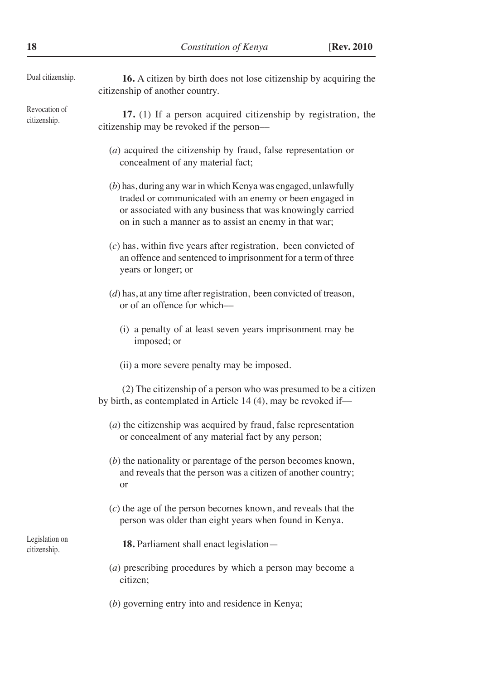| Dual citizenship.              | 16. A citizen by birth does not lose citizenship by acquiring the<br>citizenship of another country.                                                                                                                                                |
|--------------------------------|-----------------------------------------------------------------------------------------------------------------------------------------------------------------------------------------------------------------------------------------------------|
| Revocation of<br>citizenship.  | 17. (1) If a person acquired citizenship by registration, the<br>citizenship may be revoked if the person-                                                                                                                                          |
|                                | $(a)$ acquired the citizenship by fraud, false representation or<br>concealment of any material fact;                                                                                                                                               |
|                                | $(b)$ has, during any war in which Kenya was engaged, unlawfully<br>traded or communicated with an enemy or been engaged in<br>or associated with any business that was knowingly carried<br>on in such a manner as to assist an enemy in that war; |
|                                | $(c)$ has, within five years after registration, been convicted of<br>an offence and sentenced to imprisonment for a term of three<br>years or longer; or                                                                                           |
|                                | $(d)$ has, at any time after registration, been convicted of treason,<br>or of an offence for which-                                                                                                                                                |
|                                | (i) a penalty of at least seven years imprisonment may be<br>imposed; or                                                                                                                                                                            |
|                                | (ii) a more severe penalty may be imposed.                                                                                                                                                                                                          |
|                                | (2) The citizenship of a person who was presumed to be a citizen<br>by birth, as contemplated in Article 14 (4), may be revoked if—                                                                                                                 |
|                                | $(a)$ the citizenship was acquired by fraud, false representation<br>or concealment of any material fact by any person;                                                                                                                             |
|                                | $(b)$ the nationality or parentage of the person becomes known,<br>and reveals that the person was a citizen of another country;<br>or                                                                                                              |
|                                | $(c)$ the age of the person becomes known, and reveals that the<br>person was older than eight years when found in Kenya.                                                                                                                           |
| Legislation on<br>citizenship. | 18. Parliament shall enact legislation-                                                                                                                                                                                                             |
|                                | $(a)$ prescribing procedures by which a person may become a<br>citizen;                                                                                                                                                                             |
|                                | (b) governing entry into and residence in Kenya;                                                                                                                                                                                                    |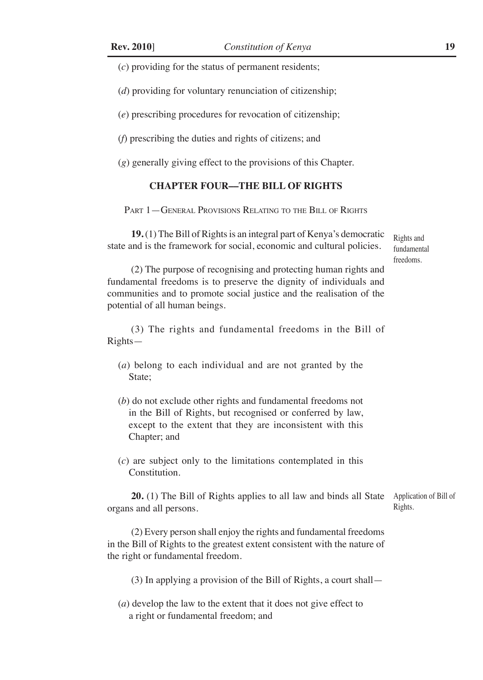(*c*) providing for the status of permanent residents;

(*d*) providing for voluntary renunciation of citizenship;

(*e*) prescribing procedures for revocation of citizenship;

(*f*) prescribing the duties and rights of citizens; and

(*g*) generally giving effect to the provisions of this Chapter.

### **CHAPTER FOUR––THE BILL OF RIGHTS**

PART 1—GENERAL PROVISIONS RELATING TO THE BILL OF RIGHTS

**19.** (1) The Bill of Rights is an integral part of Kenya's democratic state and is the framework for social, economic and cultural policies.

Rights and fundamental freedoms.

(2) The purpose of recognising and protecting human rights and fundamental freedoms is to preserve the dignity of individuals and communities and to promote social justice and the realisation of the potential of all human beings.

(3) The rights and fundamental freedoms in the Bill of Rights—

- (*a*) belong to each individual and are not granted by the State;
- (*b*) do not exclude other rights and fundamental freedoms not in the Bill of Rights, but recognised or conferred by law, except to the extent that they are inconsistent with this Chapter; and
- (*c*) are subject only to the limitations contemplated in this Constitution.

20. (1) The Bill of Rights applies to all law and binds all State Application of Bill of organs and all persons. Rights.

(2) Every person shall enjoy the rights and fundamental freedoms in the Bill of Rights to the greatest extent consistent with the nature of the right or fundamental freedom.

(3) In applying a provision of the Bill of Rights, a court shall—

(*a*) develop the law to the extent that it does not give effect to a right or fundamental freedom; and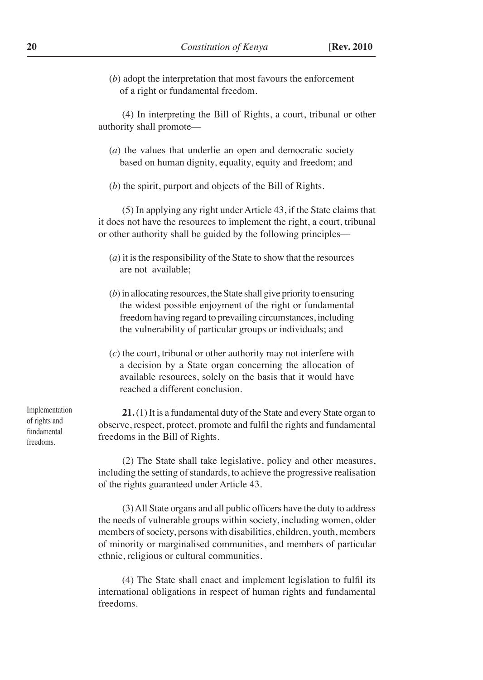(*b*) adopt the interpretation that most favours the enforcement of a right or fundamental freedom.

(4) In interpreting the Bill of Rights, a court, tribunal or other authority shall promote––

- (*a*) the values that underlie an open and democratic society based on human dignity, equality, equity and freedom; and
- (*b*) the spirit, purport and objects of the Bill of Rights.

(5) In applying any right under Article 43, if the State claims that it does not have the resources to implement the right, a court, tribunal or other authority shall be guided by the following principles––

- (*a*) it is the responsibility of the State to show that the resources are not available;
- (*b*) in allocating resources, the State shall give priority to ensuring the widest possible enjoyment of the right or fundamental freedom having regard to prevailing circumstances, including the vulnerability of particular groups or individuals; and
- (*c*) the court, tribunal or other authority may not interfere with a decision by a State organ concerning the allocation of available resources, solely on the basis that it would have reached a different conclusion.

**21.** (1) It is a fundamental duty of the State and every State organ to observe, respect, protect, promote and fulfil the rights and fundamental freedoms in the Bill of Rights.

(2) The State shall take legislative, policy and other measures, including the setting of standards, to achieve the progressive realisation of the rights guaranteed under Article 43.

(3) All State organs and all public officers have the duty to address the needs of vulnerable groups within society, including women, older members of society, persons with disabilities, children, youth, members of minority or marginalised communities, and members of particular ethnic, religious or cultural communities.

(4) The State shall enact and implement legislation to fulfil its international obligations in respect of human rights and fundamental freedoms.

Implementation of rights and fundamental freedoms.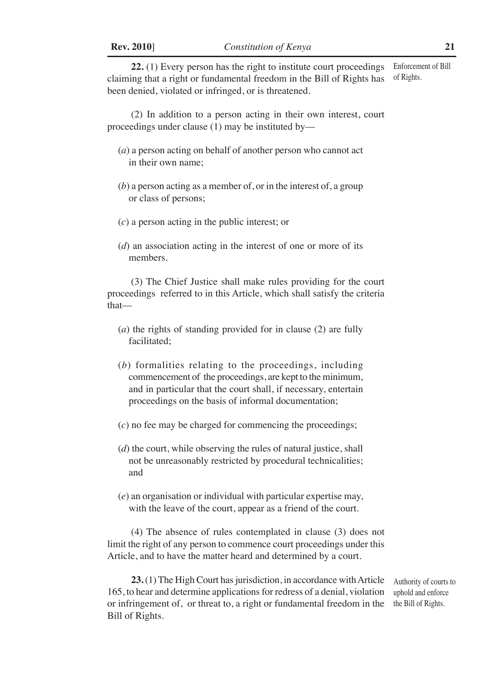**22.** (1) Every person has the right to institute court proceedings claiming that a right or fundamental freedom in the Bill of Rights has been denied, violated or infringed, or is threatened. Enforcement of Bill of Rights.

(2) In addition to a person acting in their own interest, court proceedings under clause (1) may be instituted by––

- (*a*) a person acting on behalf of another person who cannot act in their own name;
- (*b*) a person acting as a member of, or in the interest of, a group or class of persons;
- (*c*) a person acting in the public interest; or
- (*d*) an association acting in the interest of one or more of its members.

(3) The Chief Justice shall make rules providing for the court proceedings referred to in this Article, which shall satisfy the criteria that––

- (*a*) the rights of standing provided for in clause (2) are fully facilitated;
- (*b*) formalities relating to the proceedings, including commencement of the proceedings, are kept to the minimum, and in particular that the court shall, if necessary, entertain proceedings on the basis of informal documentation;
- (*c*) no fee may be charged for commencing the proceedings;
- (*d*) the court, while observing the rules of natural justice, shall not be unreasonably restricted by procedural technicalities; and
- (*e*) an organisation or individual with particular expertise may, with the leave of the court, appear as a friend of the court.

(4) The absence of rules contemplated in clause (3) does not limit the right of any person to commence court proceedings under this Article, and to have the matter heard and determined by a court.

**23.** (1) The High Court has jurisdiction, in accordance with Article 165, to hear and determine applications for redress of a denial, violation or infringement of, or threat to, a right or fundamental freedom in the Bill of Rights.

Authority of courts to uphold and enforce the Bill of Rights.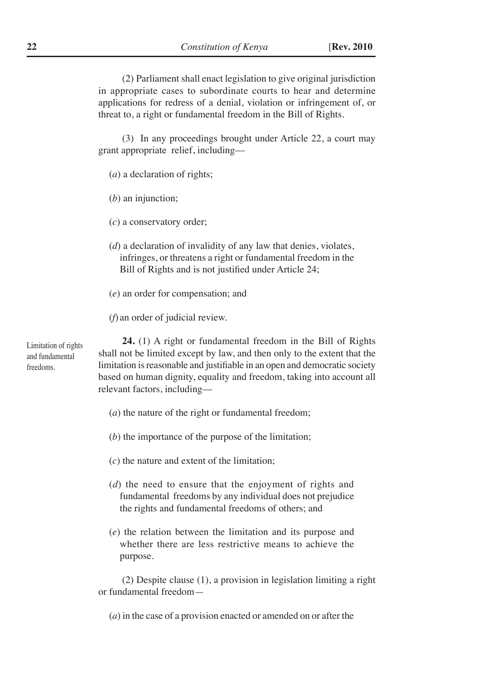(2) Parliament shall enact legislation to give original jurisdiction in appropriate cases to subordinate courts to hear and determine applications for redress of a denial, violation or infringement of, or threat to, a right or fundamental freedom in the Bill of Rights.

(3) In any proceedings brought under Article 22, a court may grant appropriate relief, including––

(*a*) a declaration of rights;

(*b*) an injunction;

- (*c*) a conservatory order;
- (*d*) a declaration of invalidity of any law that denies, violates, infringes, or threatens a right or fundamental freedom in the Bill of Rights and is not justified under Article 24;
- (*e*) an order for compensation; and

(*f*) an order of judicial review.

Limitation of rights and fundamental freedoms.

**24.** (1) A right or fundamental freedom in the Bill of Rights shall not be limited except by law, and then only to the extent that the limitation is reasonable and justifiable in an open and democratic society based on human dignity, equality and freedom, taking into account all relevant factors, including––

- (*a*) the nature of the right or fundamental freedom;
- (*b*) the importance of the purpose of the limitation;
- (*c*) the nature and extent of the limitation;
- (*d*) the need to ensure that the enjoyment of rights and fundamental freedoms by any individual does not prejudice the rights and fundamental freedoms of others; and
- (*e*) the relation between the limitation and its purpose and whether there are less restrictive means to achieve the purpose.

(2) Despite clause (1), a provision in legislation limiting a right or fundamental freedom—

(*a*) in the case of a provision enacted or amended on or after the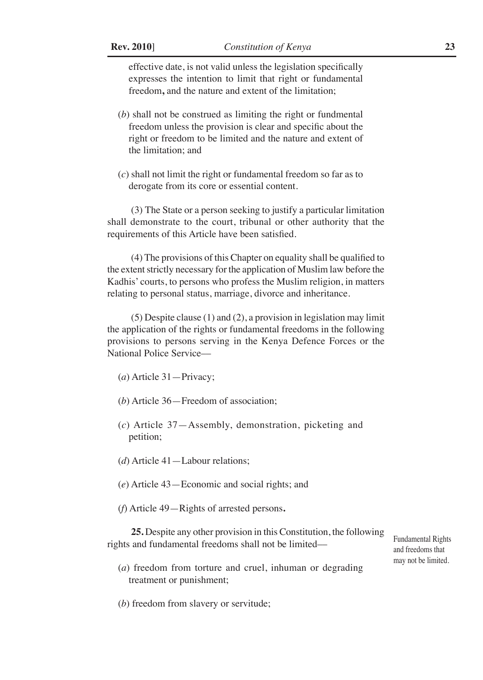effective date, is not valid unless the legislation specifically expresses the intention to limit that right or fundamental freedom**,** and the nature and extent of the limitation;

- (*b*) shall not be construed as limiting the right or fundmental freedom unless the provision is clear and specific about the right or freedom to be limited and the nature and extent of the limitation; and
- (*c*) shall not limit the right or fundamental freedom so far as to derogate from its core or essential content.

(3) The State or a person seeking to justify a particular limitation shall demonstrate to the court, tribunal or other authority that the requirements of this Article have been satisfied.

(4) The provisions of this Chapter on equality shall be qualified to the extent strictly necessary for the application of Muslim law before the Kadhis' courts, to persons who profess the Muslim religion, in matters relating to personal status, marriage, divorce and inheritance.

(5) Despite clause (1) and (2), a provision in legislation may limit the application of the rights or fundamental freedoms in the following provisions to persons serving in the Kenya Defence Forces or the National Police Service––

- (*a*) Article 31—Privacy;
- (*b*) Article 36—Freedom of association;
- (*c*) Article 37—Assembly, demonstration, picketing and petition;
- (*d*) Article 41—Labour relations;
- (*e*) Article 43—Economic and social rights; and
- (*f*) Article 49—Rights of arrested persons**.**

**25.** Despite any other provision in this Constitution, the following rights and fundamental freedoms shall not be limited––

- (*a*) freedom from torture and cruel, inhuman or degrading treatment or punishment;
- (*b*) freedom from slavery or servitude;

Fundamental Rights and freedoms that may not be limited.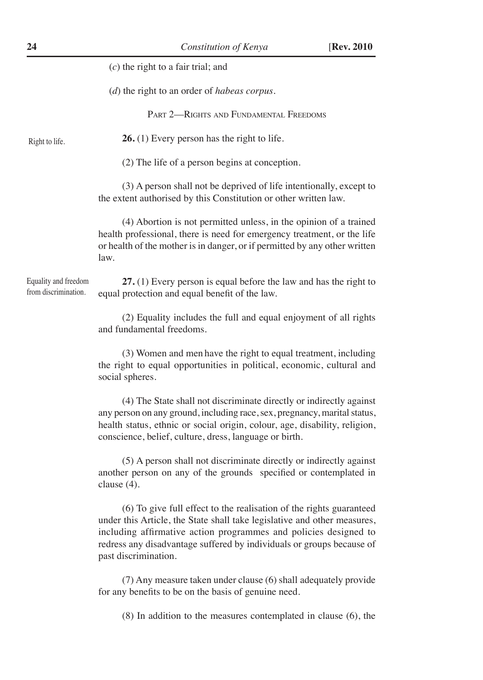| 24                                           | Constitution of Kenya                                                                                                                                                                                                                                                                                                | [Rev. 2010] |
|----------------------------------------------|----------------------------------------------------------------------------------------------------------------------------------------------------------------------------------------------------------------------------------------------------------------------------------------------------------------------|-------------|
|                                              | $(c)$ the right to a fair trial; and                                                                                                                                                                                                                                                                                 |             |
|                                              | (d) the right to an order of habeas corpus.                                                                                                                                                                                                                                                                          |             |
|                                              | PART 2-RIGHTS AND FUNDAMENTAL FREEDOMS                                                                                                                                                                                                                                                                               |             |
| Right to life.                               | $26. (1)$ Every person has the right to life.                                                                                                                                                                                                                                                                        |             |
|                                              | (2) The life of a person begins at conception.                                                                                                                                                                                                                                                                       |             |
|                                              | (3) A person shall not be deprived of life intentionally, except to<br>the extent authorised by this Constitution or other written law.                                                                                                                                                                              |             |
|                                              | (4) Abortion is not permitted unless, in the opinion of a trained<br>health professional, there is need for emergency treatment, or the life<br>or health of the mother is in danger, or if permitted by any other written<br>law.                                                                                   |             |
| Equality and freedom<br>from discrimination. | $27. (1)$ Every person is equal before the law and has the right to<br>equal protection and equal benefit of the law.                                                                                                                                                                                                |             |
|                                              | (2) Equality includes the full and equal enjoyment of all rights<br>and fundamental freedoms.                                                                                                                                                                                                                        |             |
|                                              | (3) Women and men have the right to equal treatment, including<br>the right to equal opportunities in political, economic, cultural and<br>social spheres.                                                                                                                                                           |             |
|                                              | (4) The State shall not discriminate directly or indirectly against<br>any person on any ground, including race, sex, pregnancy, marital status,<br>health status, ethnic or social origin, colour, age, disability, religion,<br>conscience, belief, culture, dress, language or birth.                             |             |
|                                              | (5) A person shall not discriminate directly or indirectly against<br>another person on any of the grounds specified or contemplated in<br>clause $(4)$ .                                                                                                                                                            |             |
|                                              | (6) To give full effect to the realisation of the rights guaranteed<br>under this Article, the State shall take legislative and other measures,<br>including affirmative action programmes and policies designed to<br>redress any disadvantage suffered by individuals or groups because of<br>past discrimination. |             |
|                                              | (7) Any measure taken under clause (6) shall adequately provide<br>for any benefits to be on the basis of genuine need.                                                                                                                                                                                              |             |
|                                              | $(8)$ In addition to the measures contemplated in clause $(6)$ , the                                                                                                                                                                                                                                                 |             |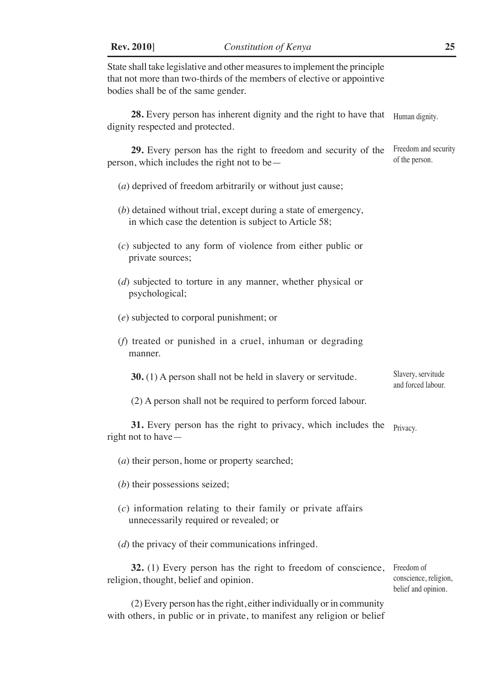State shall take legislative and other measures to implement the principle that not more than two-thirds of the members of elective or appointive bodies shall be of the same gender.

**28.** Every person has inherent dignity and the right to have that dignity respected and protected. Human dignity.

**29.** Every person has the right to freedom and security of the person, which includes the right not to be— Freedom and security of the person.

- (*a*) deprived of freedom arbitrarily or without just cause;
- (*b*) detained without trial, except during a state of emergency, in which case the detention is subject to Article 58;
- (*c*) subjected to any form of violence from either public or private sources;
- (*d*) subjected to torture in any manner, whether physical or psychological;
- (*e*) subjected to corporal punishment; or
- (*f*) treated or punished in a cruel, inhuman or degrading manner.

**30.** (1) A person shall not be held in slavery or servitude. Slavery, servitude and forced labour.

(2) A person shall not be required to perform forced labour.

**31.** Every person has the right to privacy, which includes the right not to have— Privacy.

- (*a*) their person, home or property searched;
- (*b*) their possessions seized;
- (*c*) information relating to their family or private affairs unnecessarily required or revealed; or

(*d*) the privacy of their communications infringed.

**32.** (1) Every person has the right to freedom of conscience, Freedom of religion, thought, belief and opinion.

conscience, religion, belief and opinion.

(2) Every person has the right, either individually or in community with others, in public or in private, to manifest any religion or belief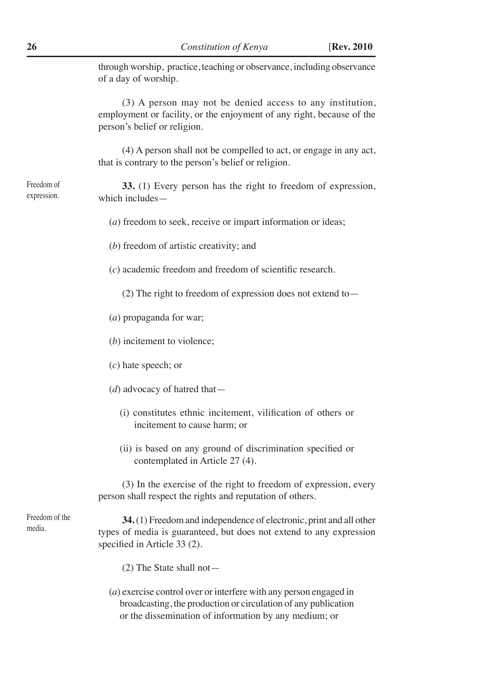| through worship, practice, teaching or observance, including observance<br>of a day of worship.                                                                    |
|--------------------------------------------------------------------------------------------------------------------------------------------------------------------|
| (3) A person may not be denied access to any institution,<br>employment or facility, or the enjoyment of any right, because of the<br>person's belief or religion. |
| (4) A person shall not be compelled to act, or engage in any act,<br>that is contrary to the person's belief or religion.                                          |
| 33. (1) Every person has the right to freedom of expression,<br>which includes $-$                                                                                 |
| $(a)$ freedom to seek, receive or impart information or ideas;                                                                                                     |

- (*b*) freedom of artistic creativity; and
- (*c*) academic freedom and freedom of scientific research.
	- (2) The right to freedom of expression does not extend to—
- (*a*) propaganda for war;
- (*b*) incitement to violence;
- (*c*) hate speech; or
- (*d*) advocacy of hatred that—
	- (i) constitutes ethnic incitement, vilification of others or incitement to cause harm; or
	- (ii) is based on any ground of discrimination specified or contemplated in Article 27 (4).

(3) In the exercise of the right to freedom of expression, every person shall respect the rights and reputation of others.

Freedom of the media.

**34.** (1) Freedom and independence of electronic, print and all other types of media is guaranteed, but does not extend to any expression specified in Article 33 (2).

(2) The State shall not—

(*a*) exercise control over or interfere with any person engaged in broadcasting, the production or circulation of any publication or the dissemination of information by any medium; or

Freedom of expression.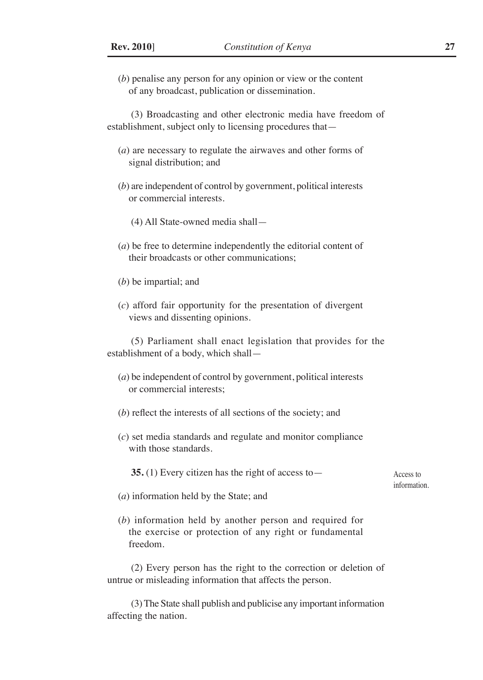(*b*) penalise any person for any opinion or view or the content of any broadcast, publication or dissemination.

(3) Broadcasting and other electronic media have freedom of establishment, subject only to licensing procedures that—

- (*a*) are necessary to regulate the airwaves and other forms of signal distribution; and
- (*b*) are independent of control by government, political interests or commercial interests.
	- (4) All State-owned media shall—
- (*a*) be free to determine independently the editorial content of their broadcasts or other communications;
- (*b*) be impartial; and
- (*c*) afford fair opportunity for the presentation of divergent views and dissenting opinions.

(5) Parliament shall enact legislation that provides for the establishment of a body, which shall—

- (*a*) be independent of control by government, political interests or commercial interests;
- (*b*) reflect the interests of all sections of the society; and
- (*c*) set media standards and regulate and monitor compliance with those standards.

**35.** (1) Every citizen has the right of access to—

Access to information.

- (*a*) information held by the State; and
- (*b*) information held by another person and required for the exercise or protection of any right or fundamental freedom.

(2) Every person has the right to the correction or deletion of untrue or misleading information that affects the person.

(3) The State shall publish and publicise any important information affecting the nation.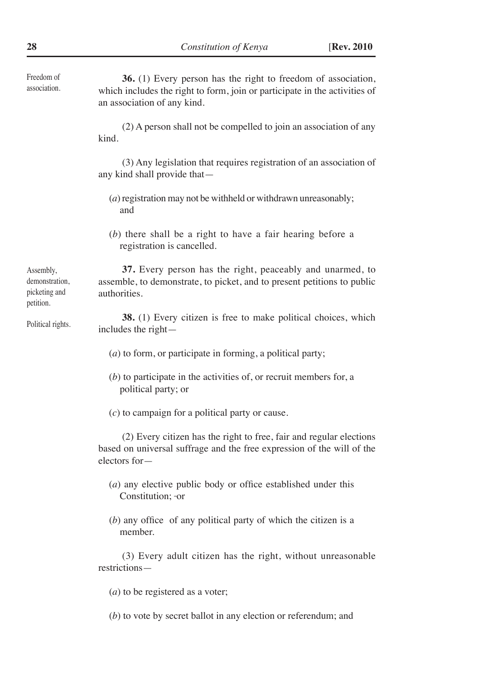| Freedom of<br>association.                                | 36. (1) Every person has the right to freedom of association,<br>which includes the right to form, join or participate in the activities of<br>an association of any kind. |
|-----------------------------------------------------------|----------------------------------------------------------------------------------------------------------------------------------------------------------------------------|
|                                                           | (2) A person shall not be compelled to join an association of any<br>kind.                                                                                                 |
|                                                           | (3) Any legislation that requires registration of an association of<br>any kind shall provide that-                                                                        |
|                                                           | $(a)$ registration may not be withheld or withdrawn unreasonably;<br>and                                                                                                   |
|                                                           | $(b)$ there shall be a right to have a fair hearing before a<br>registration is cancelled.                                                                                 |
| Assembly,<br>demonstration,<br>picketing and<br>petition. | 37. Every person has the right, peaceably and unarmed, to<br>assemble, to demonstrate, to picket, and to present petitions to public<br>authorities.                       |
| Political rights.                                         | 38. (1) Every citizen is free to make political choices, which<br>includes the right-                                                                                      |
|                                                           | $(a)$ to form, or participate in forming, a political party;                                                                                                               |
|                                                           | $(b)$ to participate in the activities of, or recruit members for, a<br>political party; or                                                                                |
|                                                           | $(c)$ to campaign for a political party or cause.                                                                                                                          |
|                                                           | (2) Every citizen has the right to free, fair and regular elections<br>based on universal suffrage and the free expression of the will of the<br>electors for-             |
|                                                           | $(a)$ any elective public body or office established under this<br>Constitution; -or                                                                                       |
|                                                           | $(b)$ any office of any political party of which the citizen is a<br>member.                                                                                               |
|                                                           | (3) Every adult citizen has the right, without unreasonable<br>$restrictions-$                                                                                             |
|                                                           | $(a)$ to be registered as a voter;                                                                                                                                         |
|                                                           | $(b)$ to vote by secret ballot in any election or referendum; and                                                                                                          |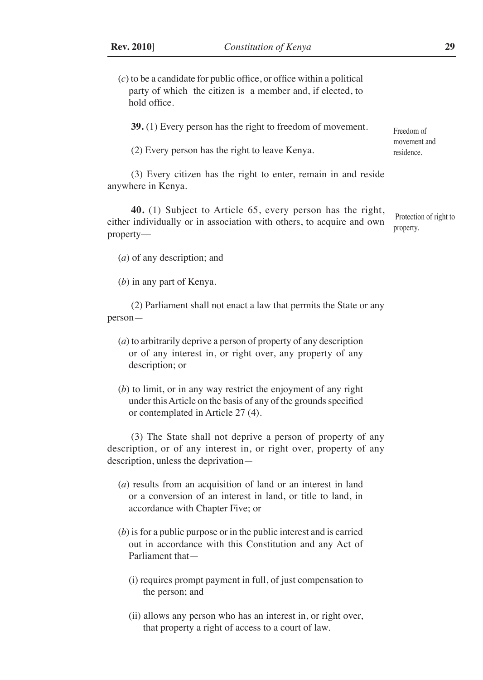(*c*) to be a candidate for public office, or office within a political party of which the citizen is a member and, if elected, to hold office.

**39.** (1) Every person has the right to freedom of movement.

(2) Every person has the right to leave Kenya.

(3) Every citizen has the right to enter, remain in and reside anywhere in Kenya.

**40.** (1) Subject to Article 65, every person has the right, either individually or in association with others, to acquire and own property–– Protection of right to property.

(*a*) of any description; and

(*b*) in any part of Kenya.

(2) Parliament shall not enact a law that permits the State or any person—

- (*a*) to arbitrarily deprive a person of property of any description or of any interest in, or right over, any property of any description; or
- (*b*) to limit, or in any way restrict the enjoyment of any right under this Article on the basis of any of the grounds specified or contemplated in Article 27 (4).

(3) The State shall not deprive a person of property of any description, or of any interest in, or right over, property of any description, unless the deprivation—

- (*a*) results from an acquisition of land or an interest in land or a conversion of an interest in land, or title to land, in accordance with Chapter Five; or
- (*b*) is for a public purpose or in the public interest and is carried out in accordance with this Constitution and any Act of Parliament that—
	- (i) requires prompt payment in full, of just compensation to the person; and
	- (ii) allows any person who has an interest in, or right over, that property a right of access to a court of law.

Freedom of movement and residence.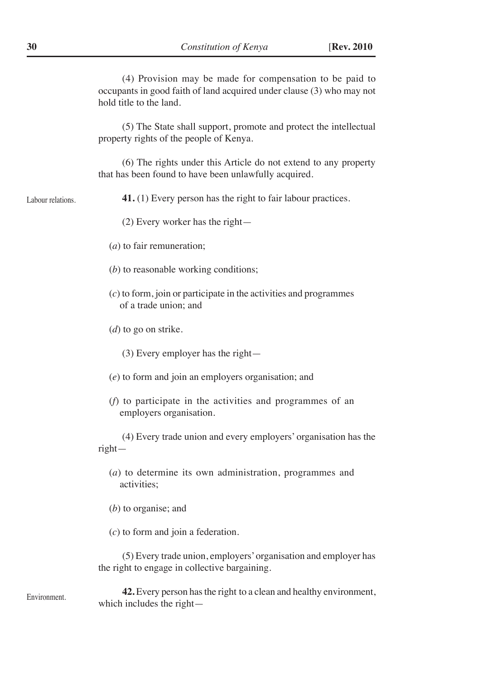|                   | (4) Provision may be made for compensation to be paid to<br>occupants in good faith of land acquired under clause (3) who may not<br>hold title to the land. |
|-------------------|--------------------------------------------------------------------------------------------------------------------------------------------------------------|
|                   | (5) The State shall support, promote and protect the intellectual<br>property rights of the people of Kenya.                                                 |
|                   | (6) The rights under this Article do not extend to any property<br>that has been found to have been unlawfully acquired.                                     |
| Labour relations. | 41. (1) Every person has the right to fair labour practices.                                                                                                 |
|                   | $(2)$ Every worker has the right-                                                                                                                            |
|                   | $(a)$ to fair remuneration;                                                                                                                                  |
|                   | $(b)$ to reasonable working conditions;                                                                                                                      |
|                   | $(c)$ to form, join or participate in the activities and programmes<br>of a trade union; and                                                                 |
|                   | $(d)$ to go on strike.                                                                                                                                       |
|                   | $(3)$ Every employer has the right-                                                                                                                          |
|                   | $(e)$ to form and join an employers organisation; and                                                                                                        |
|                   | $(f)$ to participate in the activities and programmes of an<br>employers organisation.                                                                       |
|                   | (4) Every trade union and every employers' organisation has the<br>$right-$                                                                                  |
|                   | $(a)$ to determine its own administration, programmes and<br>activities;                                                                                     |
|                   | $(b)$ to organise; and                                                                                                                                       |
|                   | $(c)$ to form and join a federation.                                                                                                                         |
|                   | (5) Every trade union, employers' organisation and employer has<br>the right to engage in collective bargaining.                                             |
| Environment.      | 42. Every person has the right to a clean and healthy environment,<br>which includes the right-                                                              |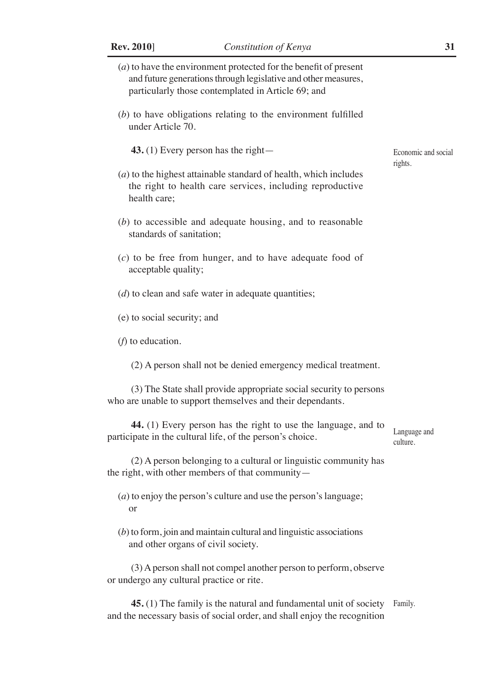| 2010<br>Kev. |  |
|--------------|--|
|--------------|--|

| 1167. 2010                  | Constitution of <b>ITCh</b> ya                                                                                                                                                             |                          |  |
|-----------------------------|--------------------------------------------------------------------------------------------------------------------------------------------------------------------------------------------|--------------------------|--|
|                             | $(a)$ to have the environment protected for the benefit of present<br>and future generations through legislative and other measures,<br>particularly those contemplated in Article 69; and |                          |  |
| under Article 70.           | $(b)$ to have obligations relating to the environment fulfilled                                                                                                                            |                          |  |
|                             | 43. (1) Every person has the right $-$                                                                                                                                                     | Economic and social      |  |
| health care;                | $(a)$ to the highest attainable standard of health, which includes<br>the right to health care services, including reproductive                                                            | rights.                  |  |
| standards of sanitation;    | $(b)$ to accessible and adequate housing, and to reasonable                                                                                                                                |                          |  |
| acceptable quality;         | $(c)$ to be free from hunger, and to have adequate food of                                                                                                                                 |                          |  |
|                             | $(d)$ to clean and safe water in adequate quantities;                                                                                                                                      |                          |  |
| (e) to social security; and |                                                                                                                                                                                            |                          |  |
| $(f)$ to education.         |                                                                                                                                                                                            |                          |  |
|                             | (2) A person shall not be denied emergency medical treatment.                                                                                                                              |                          |  |
|                             | (3) The State shall provide appropriate social security to persons<br>who are unable to support themselves and their dependants.                                                           |                          |  |
|                             | 44. (1) Every person has the right to use the language, and to<br>participate in the cultural life, of the person's choice.                                                                | Language and<br>culture. |  |
|                             | (2) A person belonging to a cultural or linguistic community has                                                                                                                           |                          |  |

(2) A person belonging to a cultural or linguistic community has the right, with other members of that community—

- (*a*) to enjoy the person's culture and use the person's language; or
- (*b*) to form, join and maintain cultural and linguistic associations and other organs of civil society.

(3) A person shall not compel another person to perform, observe or undergo any cultural practice or rite.

**45.** (1) The family is the natural and fundamental unit of society Family. and the necessary basis of social order, and shall enjoy the recognition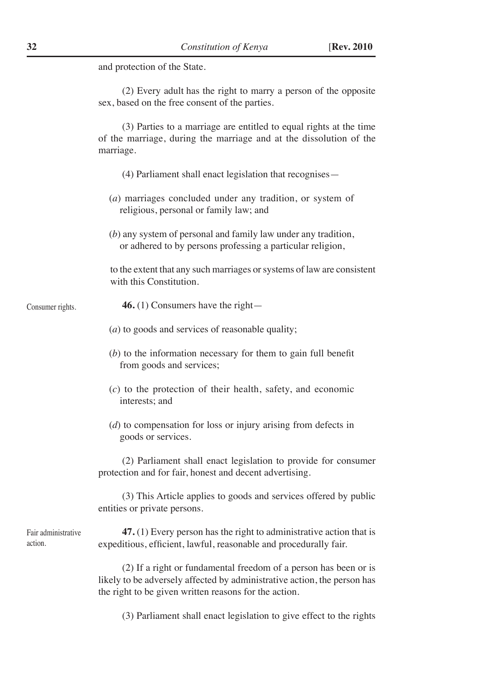and protection of the State.

(2) Every adult has the right to marry a person of the opposite sex, based on the free consent of the parties.

(3) Parties to a marriage are entitled to equal rights at the time of the marriage, during the marriage and at the dissolution of the marriage.

- (4) Parliament shall enact legislation that recognises—
- (*a*) marriages concluded under any tradition, or system of religious, personal or family law; and

(*b*) any system of personal and family law under any tradition, or adhered to by persons professing a particular religion,

to the extent that any such marriages or systems of law are consistent with this Constitution.

Consumer rights.

**46.** (1) Consumers have the right—

- (*a*) to goods and services of reasonable quality;
- (*b*) to the information necessary for them to gain full benefit from goods and services;
- (*c*) to the protection of their health, safety, and economic interests; and
- (*d*) to compensation for loss or injury arising from defects in goods or services.

(2) Parliament shall enact legislation to provide for consumer protection and for fair, honest and decent advertising.

(3) This Article applies to goods and services offered by public entities or private persons.

Fair administrative action.

**47.** (1) Every person has the right to administrative action that is expeditious, efficient, lawful, reasonable and procedurally fair.

(2) If a right or fundamental freedom of a person has been or is likely to be adversely affected by administrative action, the person has the right to be given written reasons for the action.

(3) Parliament shall enact legislation to give effect to the rights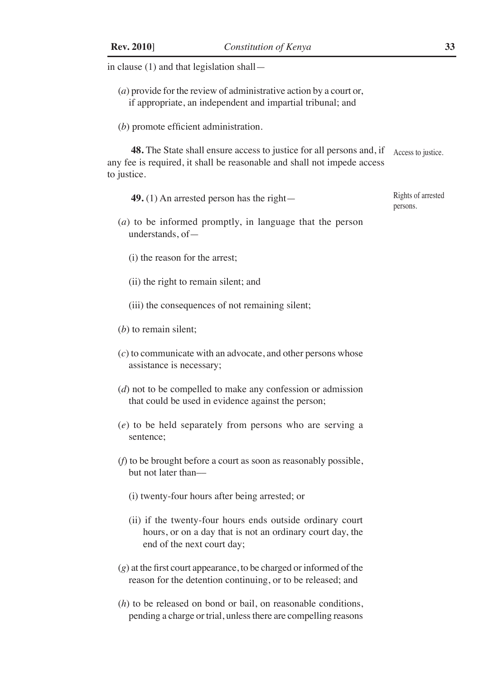in clause (1) and that legislation shall—

- (*a*) provide for the review of administrative action by a court or, if appropriate, an independent and impartial tribunal; and
- (*b*) promote efficient administration.

**48.** The State shall ensure access to justice for all persons and, if any fee is required, it shall be reasonable and shall not impede access to justice. Access to justice.

- **49.** (1) An arrested person has the right— (*a*) to be informed promptly, in language that the person understands, of— (i) the reason for the arrest; (ii) the right to remain silent; and (iii) the consequences of not remaining silent; (*b*) to remain silent; (*c*) to communicate with an advocate, and other persons whose assistance is necessary; (*d*) not to be compelled to make any confession or admission that could be used in evidence against the person; (*e*) to be held separately from persons who are serving a sentence; (*f*) to be brought before a court as soon as reasonably possible, but not later than–– Rights of arrested persons.
	- (i) twenty-four hours after being arrested; or
	- (ii) if the twenty-four hours ends outside ordinary court hours, or on a day that is not an ordinary court day, the end of the next court day;
- (*g*) at the first court appearance, to be charged or informed of the reason for the detention continuing, or to be released; and
- (*h*) to be released on bond or bail, on reasonable conditions, pending a charge or trial, unless there are compelling reasons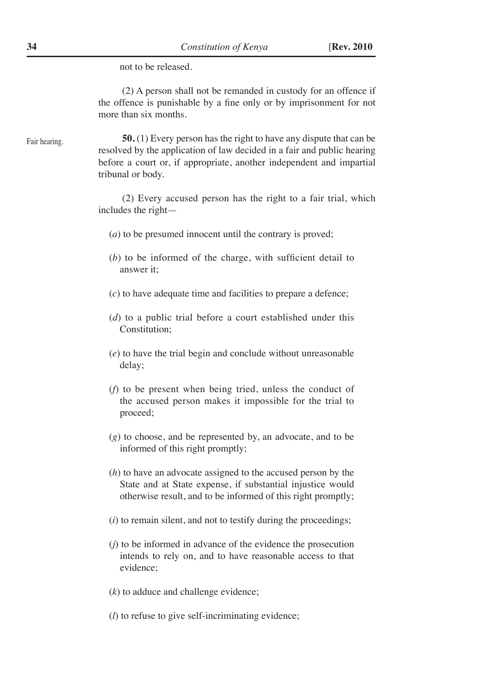not to be released.

(2) A person shall not be remanded in custody for an offence if the offence is punishable by a fine only or by imprisonment for not more than six months.

**50.** (1) Every person has the right to have any dispute that can be resolved by the application of law decided in a fair and public hearing before a court or, if appropriate, another independent and impartial tribunal or body.

(2) Every accused person has the right to a fair trial, which includes the right—

- (*a*) to be presumed innocent until the contrary is proved;
- (*b*) to be informed of the charge, with sufficient detail to answer it;
- (*c*) to have adequate time and facilities to prepare a defence;
- (*d*) to a public trial before a court established under this Constitution;
- (*e*) to have the trial begin and conclude without unreasonable delay;
- (*f*) to be present when being tried, unless the conduct of the accused person makes it impossible for the trial to proceed;
- (*g*) to choose, and be represented by, an advocate, and to be informed of this right promptly;
- (*h*) to have an advocate assigned to the accused person by the State and at State expense, if substantial injustice would otherwise result, and to be informed of this right promptly;
- (*i*) to remain silent, and not to testify during the proceedings;
- (*j*) to be informed in advance of the evidence the prosecution intends to rely on, and to have reasonable access to that evidence;
- (*k*) to adduce and challenge evidence;
- (*l*) to refuse to give self-incriminating evidence;

Fair hearing.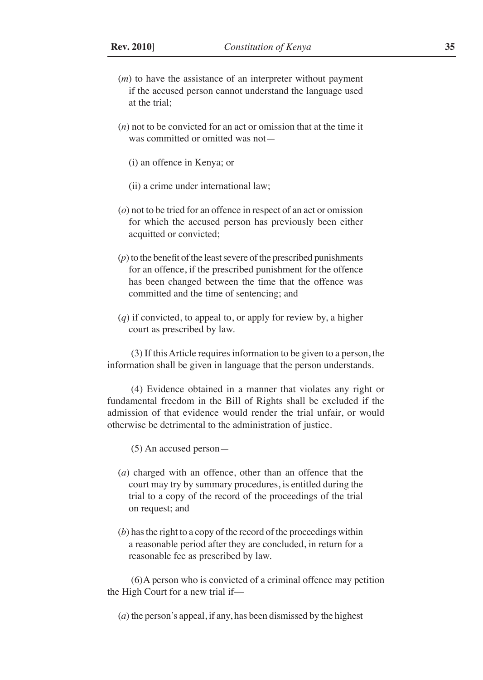- (*m*) to have the assistance of an interpreter without payment if the accused person cannot understand the language used at the trial;
- (*n*) not to be convicted for an act or omission that at the time it was committed or omitted was not—
	- (i) an offence in Kenya; or
	- (ii) a crime under international law;
- (*o*) not to be tried for an offence in respect of an act or omission for which the accused person has previously been either acquitted or convicted;
- (*p*) to the benefit of the least severe of the prescribed punishments for an offence, if the prescribed punishment for the offence has been changed between the time that the offence was committed and the time of sentencing; and
- (*q*) if convicted, to appeal to, or apply for review by, a higher court as prescribed by law.

(3) If this Article requires information to be given to a person, the information shall be given in language that the person understands.

(4) Evidence obtained in a manner that violates any right or fundamental freedom in the Bill of Rights shall be excluded if the admission of that evidence would render the trial unfair, or would otherwise be detrimental to the administration of justice.

(5) An accused person—

- (*a*) charged with an offence, other than an offence that the court may try by summary procedures, is entitled during the trial to a copy of the record of the proceedings of the trial on request; and
- (*b*) has the right to a copy of the record of the proceedings within a reasonable period after they are concluded, in return for a reasonable fee as prescribed by law.

(6)A person who is convicted of a criminal offence may petition the High Court for a new trial if––

(*a*) the person's appeal, if any, has been dismissed by the highest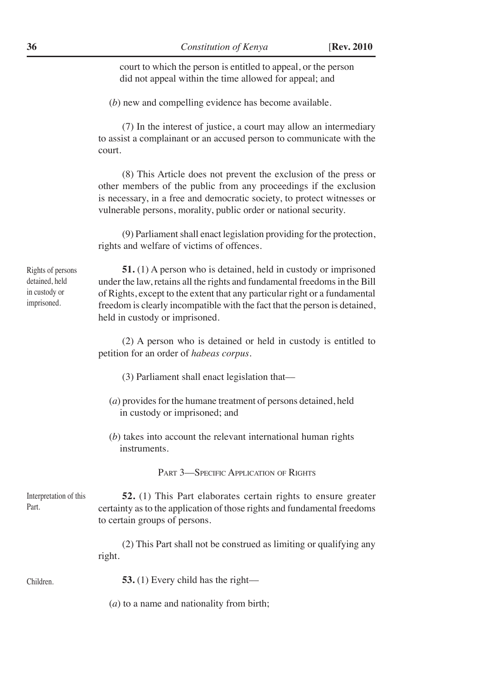court to which the person is entitled to appeal, or the person did not appeal within the time allowed for appeal; and

(*b*) new and compelling evidence has become available.

(7) In the interest of justice, a court may allow an intermediary to assist a complainant or an accused person to communicate with the court.

(8) This Article does not prevent the exclusion of the press or other members of the public from any proceedings if the exclusion is necessary, in a free and democratic society, to protect witnesses or vulnerable persons, morality, public order or national security.

(9) Parliament shall enact legislation providing for the protection, rights and welfare of victims of offences.

Rights of persons detained, held in custody or imprisoned.

**51.** (1) A person who is detained, held in custody or imprisoned under the law, retains all the rights and fundamental freedoms in the Bill of Rights, except to the extent that any particular right or a fundamental freedom is clearly incompatible with the fact that the person is detained, held in custody or imprisoned.

(2) A person who is detained or held in custody is entitled to petition for an order of *habeas corpus*.

- (3) Parliament shall enact legislation that––
- (*a*) provides for the humane treatment of persons detained, held in custody or imprisoned; and
- (*b*) takes into account the relevant international human rights instruments.

PART 3-SPECIFIC APPLICATION OF RIGHTS

Interpretation of this Part.

**52.** (1) This Part elaborates certain rights to ensure greater certainty as to the application of those rights and fundamental freedoms to certain groups of persons.

(2) This Part shall not be construed as limiting or qualifying any right.

**53.** (1) Every child has the right— Children.

(*a*) to a name and nationality from birth;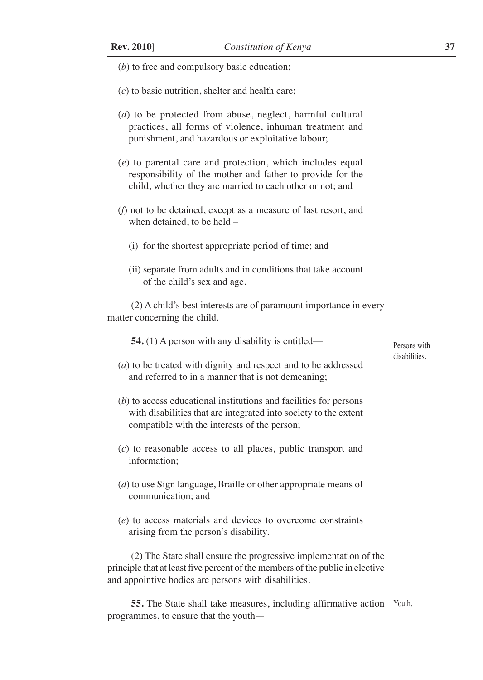- (*b*) to free and compulsory basic education;
- (*c*) to basic nutrition, shelter and health care;

| $(d)$ to be protected from abuse, neglect, harmful cultural |
|-------------------------------------------------------------|
| practices, all forms of violence, inhuman treatment and     |
| punishment, and hazardous or exploitative labour;           |

- (*e*) to parental care and protection, which includes equal responsibility of the mother and father to provide for the child, whether they are married to each other or not; and
- (*f*) not to be detained, except as a measure of last resort, and when detained, to be held –
	- (i) for the shortest appropriate period of time; and
	- (ii) separate from adults and in conditions that take account of the child's sex and age.

(2) A child's best interests are of paramount importance in every matter concerning the child.

**54.** (1) A person with any disability is entitled––

Persons with disabilities.

- (*a*) to be treated with dignity and respect and to be addressed and referred to in a manner that is not demeaning;
- (*b*) to access educational institutions and facilities for persons with disabilities that are integrated into society to the extent compatible with the interests of the person;
- (*c*) to reasonable access to all places, public transport and information;
- (*d*) to use Sign language, Braille or other appropriate means of communication; and
- (*e*) to access materials and devices to overcome constraints arising from the person's disability.

(2) The State shall ensure the progressive implementation of the principle that at least five percent of the members of the public in elective and appointive bodies are persons with disabilities.

**55.** The State shall take measures, including affirmative action Youth. programmes, to ensure that the youth—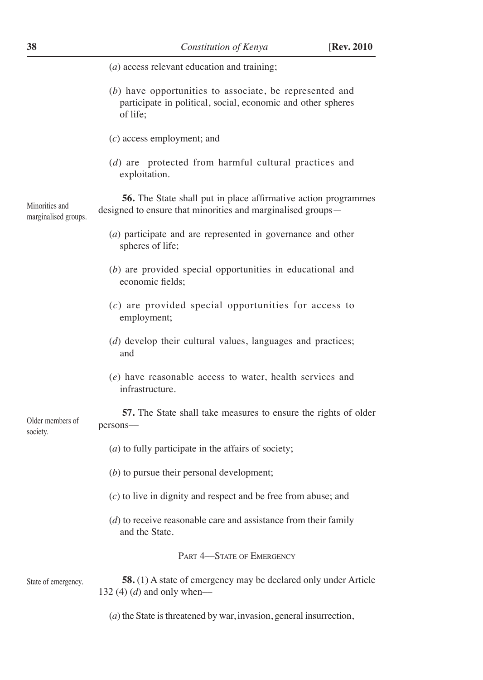|                                        | $(a)$ access relevant education and training;                                                                                         |
|----------------------------------------|---------------------------------------------------------------------------------------------------------------------------------------|
|                                        | $(b)$ have opportunities to associate, be represented and<br>participate in political, social, economic and other spheres<br>of life: |
|                                        | $(c)$ access employment; and                                                                                                          |
|                                        | (d) are protected from harmful cultural practices and<br>exploitation.                                                                |
| Minorities and<br>marginalised groups. | <b>56.</b> The State shall put in place affirmative action programmes<br>designed to ensure that minorities and marginalised groups-  |
|                                        | $(a)$ participate and are represented in governance and other<br>spheres of life;                                                     |
|                                        | $(b)$ are provided special opportunities in educational and<br>economic fields;                                                       |
|                                        | $(c)$ are provided special opportunities for access to<br>employment;                                                                 |
|                                        | $(d)$ develop their cultural values, languages and practices;<br>and                                                                  |
|                                        | (e) have reasonable access to water, health services and<br>infrastructure.                                                           |
| Older members of<br>society.           | 57. The State shall take measures to ensure the rights of older<br>persons-                                                           |
|                                        | $(a)$ to fully participate in the affairs of society;                                                                                 |
|                                        | $(b)$ to pursue their personal development;                                                                                           |
|                                        | $(c)$ to live in dignity and respect and be free from abuse; and                                                                      |
|                                        | $(d)$ to receive reasonable care and assistance from their family<br>and the State.                                                   |
|                                        | <b>PART 4-STATE OF EMERGENCY</b>                                                                                                      |
| State of emergency.                    | 58. (1) A state of emergency may be declared only under Article<br>132 (4) ( $d$ ) and only when—                                     |

(*a*) the State is threatened by war, invasion, general insurrection,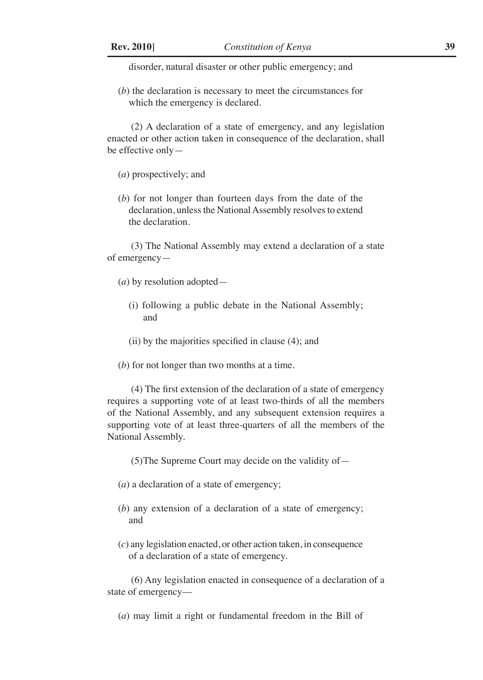disorder, natural disaster or other public emergency; and

(*b*) the declaration is necessary to meet the circumstances for which the emergency is declared.

(2) A declaration of a state of emergency, and any legislation enacted or other action taken in consequence of the declaration, shall be effective only—

- (*a*) prospectively; and
- (*b*) for not longer than fourteen days from the date of the declaration, unless the National Assembly resolves to extend the declaration.

(3) The National Assembly may extend a declaration of a state of emergency—

- (*a*) by resolution adopted—
	- (i) following a public debate in the National Assembly; and
	- (ii) by the majorities specified in clause (4); and
- (*b*) for not longer than two months at a time.

(4) The first extension of the declaration of a state of emergency requires a supporting vote of at least two-thirds of all the members of the National Assembly, and any subsequent extension requires a supporting vote of at least three-quarters of all the members of the National Assembly.

- (5)The Supreme Court may decide on the validity of—
- (*a*) a declaration of a state of emergency;
- (*b*) any extension of a declaration of a state of emergency; and
- (*c*) any legislation enacted, or other action taken, in consequence of a declaration of a state of emergency.

(6) Any legislation enacted in consequence of a declaration of a state of emergency––

(*a*) may limit a right or fundamental freedom in the Bill of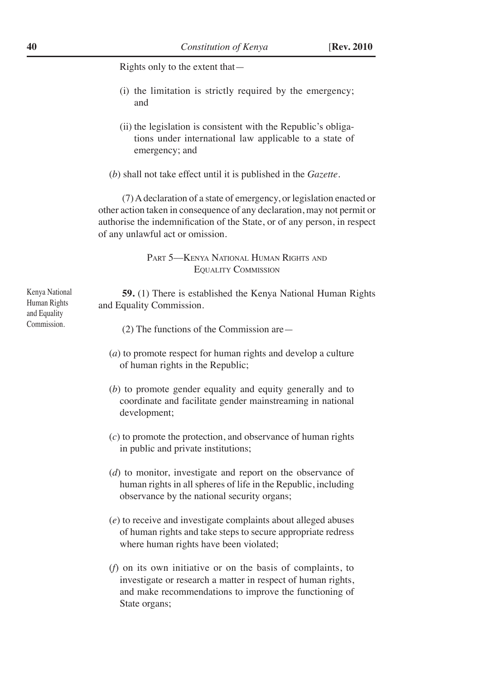Rights only to the extent that—

- (i) the limitation is strictly required by the emergency; and
- (ii) the legislation is consistent with the Republic's obligations under international law applicable to a state of emergency; and

(*b*) shall not take effect until it is published in the *Gazette*.

(7) A declaration of a state of emergency, or legislation enacted or other action taken in consequence of any declaration, may not permit or authorise the indemnification of the State, or of any person, in respect of any unlawful act or omission.

> PART 5—KENYA NATIONAL HUMAN RIGHTS AND Equality Commission

**59.** (1) There is established the Kenya National Human Rights and Equality Commission.

- (2) The functions of the Commission are—
- (*a*) to promote respect for human rights and develop a culture of human rights in the Republic;
- (*b*) to promote gender equality and equity generally and to coordinate and facilitate gender mainstreaming in national development;
- (*c*) to promote the protection, and observance of human rights in public and private institutions;
- (*d*) to monitor, investigate and report on the observance of human rights in all spheres of life in the Republic, including observance by the national security organs;
- (*e*) to receive and investigate complaints about alleged abuses of human rights and take steps to secure appropriate redress where human rights have been violated;
- (*f*) on its own initiative or on the basis of complaints, to investigate or research a matter in respect of human rights, and make recommendations to improve the functioning of State organs;

Kenya National Human Rights and Equality Commission.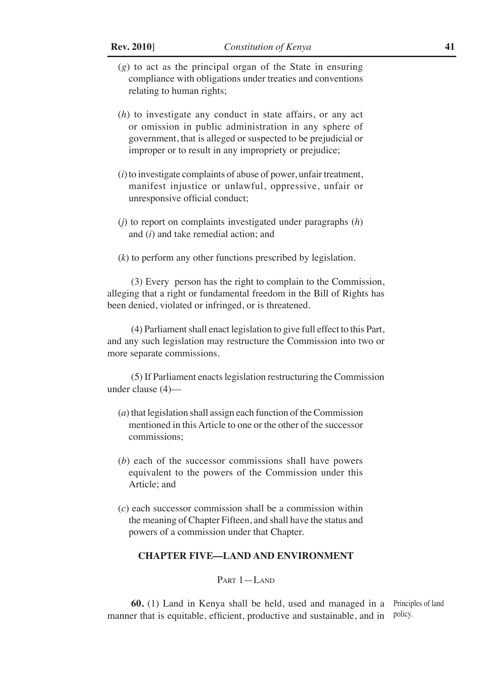- (*g*) to act as the principal organ of the State in ensuring compliance with obligations under treaties and conventions relating to human rights;
- (*h*) to investigate any conduct in state affairs, or any act or omission in public administration in any sphere of government, that is alleged or suspected to be prejudicial or improper or to result in any impropriety or prejudice;
- $(i)$  to investigate complaints of abuse of power, unfair treatment, manifest injustice or unlawful, oppressive, unfair or unresponsive official conduct;
- (*j*) to report on complaints investigated under paragraphs (*h*) and (*i*) and take remedial action; and
- (*k*) to perform any other functions prescribed by legislation.

(3) Every person has the right to complain to the Commission, alleging that a right or fundamental freedom in the Bill of Rights has been denied, violated or infringed, or is threatened.

(4) Parliament shall enact legislation to give full effect to this Part, and any such legislation may restructure the Commission into two or more separate commissions.

(5) If Parliament enacts legislation restructuring the Commission under clause (4)––

- (*a*) that legislation shall assign each function of the Commission mentioned in this Article to one or the other of the successor commissions;
- (*b*) each of the successor commissions shall have powers equivalent to the powers of the Commission under this Article; and
- (*c*) each successor commission shall be a commission within the meaning of Chapter Fifteen, and shall have the status and powers of a commission under that Chapter.

## **CHAPTER FIVE––LAND AND ENVIRONMENT**

PART 1-LAND

**60.** (1) Land in Kenya shall be held, used and managed in a Principles of land manner that is equitable, efficient, productive and sustainable, and in policy.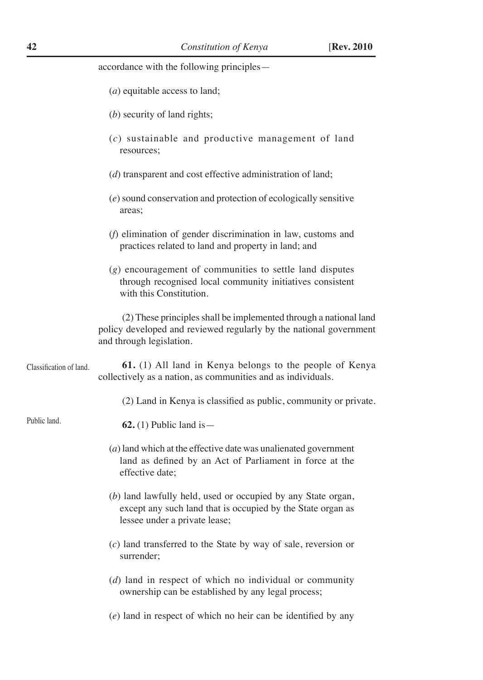|                         | accordance with the following principles—                                                                                                                           |
|-------------------------|---------------------------------------------------------------------------------------------------------------------------------------------------------------------|
|                         | $(a)$ equitable access to land;                                                                                                                                     |
|                         | $(b)$ security of land rights;                                                                                                                                      |
|                         | $(c)$ sustainable and productive management of land<br>resources;                                                                                                   |
|                         | $(d)$ transparent and cost effective administration of land;                                                                                                        |
|                         | (e) sound conservation and protection of ecologically sensitive<br>areas;                                                                                           |
|                         | (f) elimination of gender discrimination in law, customs and<br>practices related to land and property in land; and                                                 |
|                         | $(g)$ encouragement of communities to settle land disputes<br>through recognised local community initiatives consistent<br>with this Constitution.                  |
|                         | (2) These principles shall be implemented through a national land<br>policy developed and reviewed regularly by the national government<br>and through legislation. |
| Classification of land. | 61. (1) All land in Kenya belongs to the people of Kenya<br>collectively as a nation, as communities and as individuals.                                            |
|                         | (2) Land in Kenya is classified as public, community or private.                                                                                                    |
| Public land.            | 62. (1) Public land is $-$                                                                                                                                          |
|                         | $(a)$ land which at the effective date was unalienated government<br>land as defined by an Act of Parliament in force at the<br>effective date;                     |
|                         | (b) land lawfully held, used or occupied by any State organ,<br>except any such land that is occupied by the State organ as<br>lessee under a private lease;        |
|                         | $(c)$ land transferred to the State by way of sale, reversion or<br>surrender;                                                                                      |
|                         | $(d)$ land in respect of which no individual or community<br>ownership can be established by any legal process;                                                     |
|                         | (e) land in respect of which no heir can be identified by any                                                                                                       |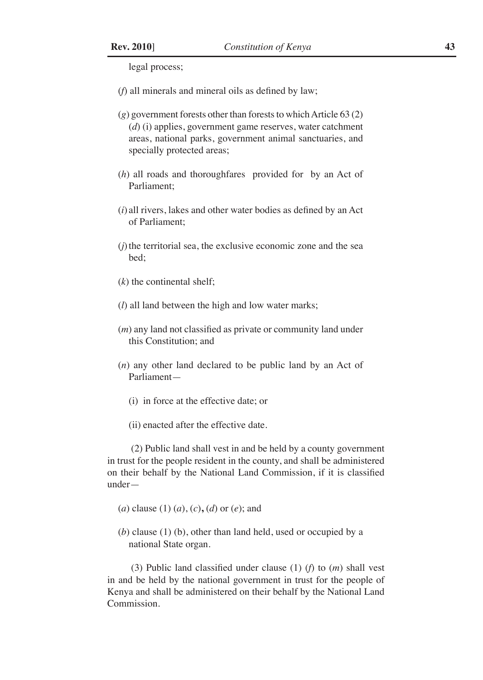legal process;

- (*f*) all minerals and mineral oils as defined by law;
- (*g*) government forests other than forests to which Article 63 (2) (*d*) (i) applies, government game reserves, water catchment areas, national parks, government animal sanctuaries, and specially protected areas;
- (*h*) all roads and thoroughfares provided for by an Act of Parliament;
- (*i*) all rivers, lakes and other water bodies as defined by an Act of Parliament;
- $(j)$  the territorial sea, the exclusive economic zone and the sea bed;
- (*k*) the continental shelf;
- (*l*) all land between the high and low water marks;
- (*m*) any land not classified as private or community land under this Constitution; and
- (*n*) any other land declared to be public land by an Act of Parliament—
	- (i) in force at the effective date; or
	- (ii) enacted after the effective date.

(2) Public land shall vest in and be held by a county government in trust for the people resident in the county, and shall be administered on their behalf by the National Land Commission, if it is classified under—

- (*a*) clause (1) (*a*), (*c*)**,** (*d*) or (*e*); and
- (*b*) clause (1) (b), other than land held, used or occupied by a national State organ.

(3) Public land classified under clause (1) (*f*) to (*m*) shall vest in and be held by the national government in trust for the people of Kenya and shall be administered on their behalf by the National Land Commission.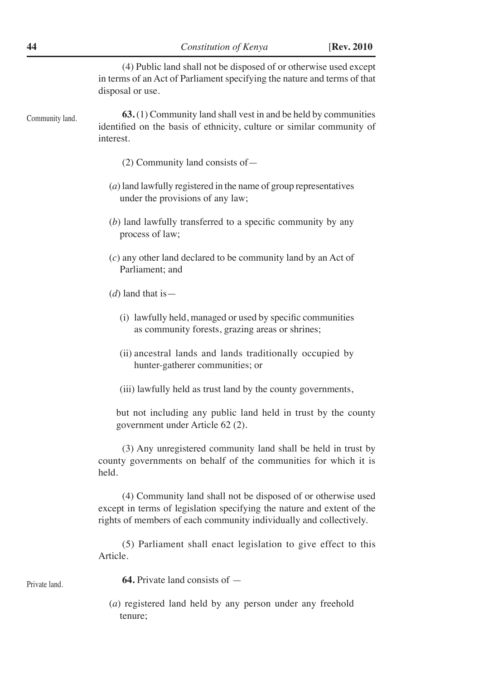(4) Public land shall not be disposed of or otherwise used except in terms of an Act of Parliament specifying the nature and terms of that disposal or use.

Community land.

**63.** (1) Community land shall vest in and be held by communities identified on the basis of ethnicity, culture or similar community of interest.

- (2) Community land consists of—
- (*a*) land lawfully registered in the name of group representatives under the provisions of any law;
- (*b*) land lawfully transferred to a specific community by any process of law;
- (*c*) any other land declared to be community land by an Act of Parliament; and
- (*d*) land that is—
	- (i) lawfully held, managed or used by specific communities as community forests, grazing areas or shrines;
	- (ii) ancestral lands and lands traditionally occupied by hunter-gatherer communities; or
	- (iii) lawfully held as trust land by the county governments,

but not including any public land held in trust by the county government under Article 62 (2).

(3) Any unregistered community land shall be held in trust by county governments on behalf of the communities for which it is held.

(4) Community land shall not be disposed of or otherwise used except in terms of legislation specifying the nature and extent of the rights of members of each community individually and collectively.

(5) Parliament shall enact legislation to give effect to this Article.

Private land.

**64.** Private land consists of —

(*a*) registered land held by any person under any freehold tenure;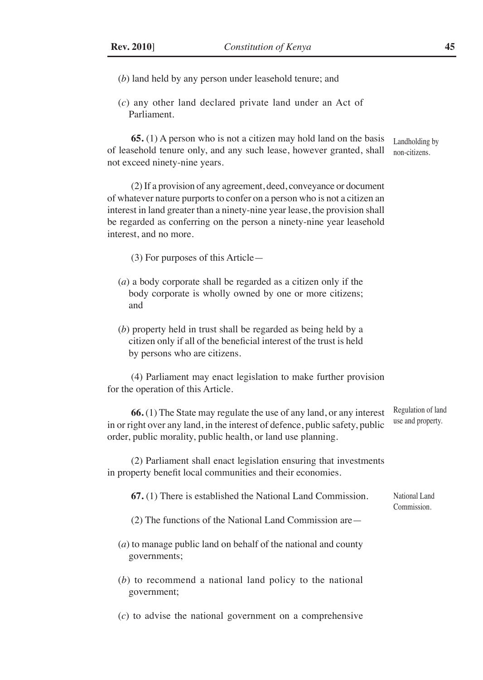(*b*) land held by any person under leasehold tenure; and

(*c*) any other land declared private land under an Act of Parliament.

**65.** (1) A person who is not a citizen may hold land on the basis of leasehold tenure only, and any such lease, however granted, shall not exceed ninety-nine years. Landholding by non-citizens.

(2) If a provision of any agreement, deed, conveyance or document of whatever nature purports to confer on a person who is not a citizen an interest in land greater than a ninety-nine year lease, the provision shall be regarded as conferring on the person a ninety-nine year leasehold interest, and no more.

(3) For purposes of this Article—

- (*a*) a body corporate shall be regarded as a citizen only if the body corporate is wholly owned by one or more citizens; and
- (*b*) property held in trust shall be regarded as being held by a citizen only if all of the beneficial interest of the trust is held by persons who are citizens.

(4) Parliament may enact legislation to make further provision for the operation of this Article.

**66.** (1) The State may regulate the use of any land, or any interest in or right over any land, in the interest of defence, public safety, public order, public morality, public health, or land use planning. Regulation of land use and property.

(2) Parliament shall enact legislation ensuring that investments in property benefit local communities and their economies.

**67.** (1) There is established the National Land Commission. National Land

- (2) The functions of the National Land Commission are—
- (*a*) to manage public land on behalf of the national and county governments;
- (*b*) to recommend a national land policy to the national government;

(*c*) to advise the national government on a comprehensive

Commission.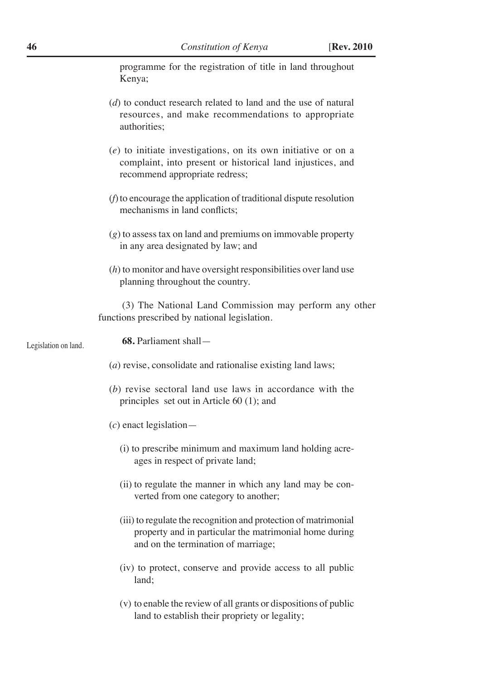programme for the registration of title in land throughout Kenya;

- (*d*) to conduct research related to land and the use of natural resources, and make recommendations to appropriate authorities;
- (*e*) to initiate investigations, on its own initiative or on a complaint, into present or historical land injustices, and recommend appropriate redress;
- (*f*)to encourage the application of traditional dispute resolution mechanisms in land conflicts;
- (*g*) to assess tax on land and premiums on immovable property in any area designated by law; and
- (*h*) to monitor and have oversight responsibilities over land use planning throughout the country.

(3) The National Land Commission may perform any other functions prescribed by national legislation.

Legislation on land.

**68.** Parliament shall—

- (*a*) revise, consolidate and rationalise existing land laws;
- (*b*) revise sectoral land use laws in accordance with the principles set out in Article 60 (1); and
- (*c*) enact legislation—
	- (i) to prescribe minimum and maximum land holding acreages in respect of private land;
	- (ii) to regulate the manner in which any land may be converted from one category to another;
	- (iii) to regulate the recognition and protection of matrimonial property and in particular the matrimonial home during and on the termination of marriage;
	- (iv) to protect, conserve and provide access to all public land;
	- (v) to enable the review of all grants or dispositions of public land to establish their propriety or legality;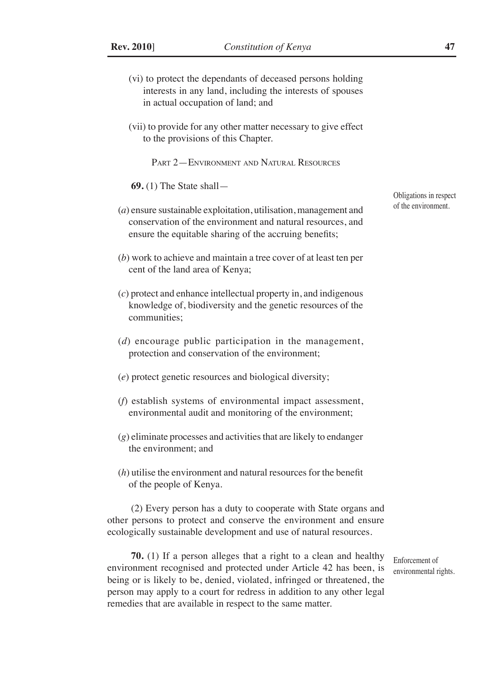- (vi) to protect the dependants of deceased persons holding interests in any land, including the interests of spouses in actual occupation of land; and
- (vii) to provide for any other matter necessary to give effect to the provisions of this Chapter.

Part 2—Environment and Natural Resources

**69.** (1) The State shall—

- (*a*) ensure sustainable exploitation, utilisation, management and conservation of the environment and natural resources, and ensure the equitable sharing of the accruing benefits;
- (*b*) work to achieve and maintain a tree cover of at least ten per cent of the land area of Kenya;
- (*c*) protect and enhance intellectual property in, and indigenous knowledge of, biodiversity and the genetic resources of the communities;
- (*d*) encourage public participation in the management, protection and conservation of the environment;
- (*e*) protect genetic resources and biological diversity;
- (*f*) establish systems of environmental impact assessment, environmental audit and monitoring of the environment;
- (*g*) eliminate processes and activities that are likely to endanger the environment; and
- (*h*) utilise the environment and natural resources for the benefit of the people of Kenya.

(2) Every person has a duty to cooperate with State organs and other persons to protect and conserve the environment and ensure ecologically sustainable development and use of natural resources.

**70.** (1) If a person alleges that a right to a clean and healthy environment recognised and protected under Article 42 has been, is being or is likely to be, denied, violated, infringed or threatened, the person may apply to a court for redress in addition to any other legal remedies that are available in respect to the same matter.

Enforcement of environmental rights.

Obligations in respect of the environment.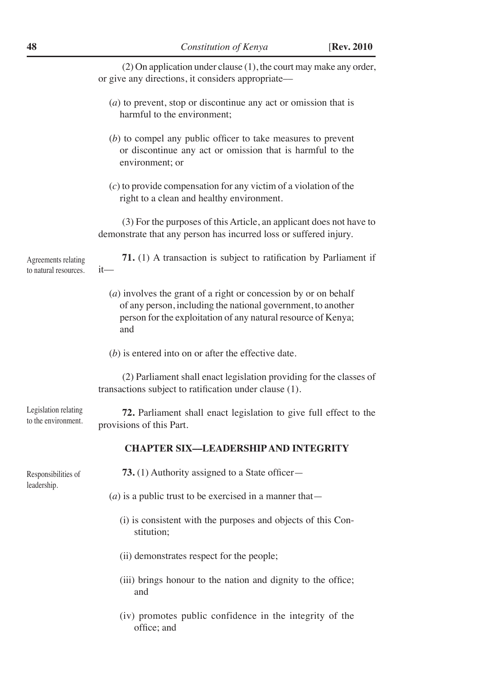|                                              | $(2)$ On application under clause $(1)$ , the court may make any order,<br>or give any directions, it considers appropriate-                                                                              |
|----------------------------------------------|-----------------------------------------------------------------------------------------------------------------------------------------------------------------------------------------------------------|
|                                              | $(a)$ to prevent, stop or discontinue any act or omission that is<br>harmful to the environment;                                                                                                          |
|                                              | $(b)$ to compel any public officer to take measures to prevent<br>or discontinue any act or omission that is harmful to the<br>environment; or                                                            |
|                                              | $(c)$ to provide compensation for any victim of a violation of the<br>right to a clean and healthy environment.                                                                                           |
|                                              | (3) For the purposes of this Article, an applicant does not have to<br>demonstrate that any person has incurred loss or suffered injury.                                                                  |
| Agreements relating<br>to natural resources. | 71. (1) A transaction is subject to ratification by Parliament if<br>$it-$                                                                                                                                |
|                                              | $(a)$ involves the grant of a right or concession by or on behalf<br>of any person, including the national government, to another<br>person for the exploitation of any natural resource of Kenya;<br>and |
|                                              | $(b)$ is entered into on or after the effective date.                                                                                                                                                     |
|                                              | (2) Parliament shall enact legislation providing for the classes of<br>transactions subject to ratification under clause (1).                                                                             |
| Legislation relating<br>to the environment.  | 72. Parliament shall enact legislation to give full effect to the<br>provisions of this Part.                                                                                                             |
|                                              | <b>CHAPTER SIX—LEADERSHIP AND INTEGRITY</b>                                                                                                                                                               |
| Responsibilities of                          | 73. (1) Authority assigned to a State officer-                                                                                                                                                            |
| leadership.                                  | ( <i>a</i> ) is a public trust to be exercised in a manner that $-$                                                                                                                                       |
|                                              | (i) is consistent with the purposes and objects of this Con-<br>stitution;                                                                                                                                |
|                                              | (ii) demonstrates respect for the people;                                                                                                                                                                 |
|                                              | (iii) brings honour to the nation and dignity to the office;<br>and                                                                                                                                       |
|                                              | (iv) promotes public confidence in the integrity of the<br>office; and                                                                                                                                    |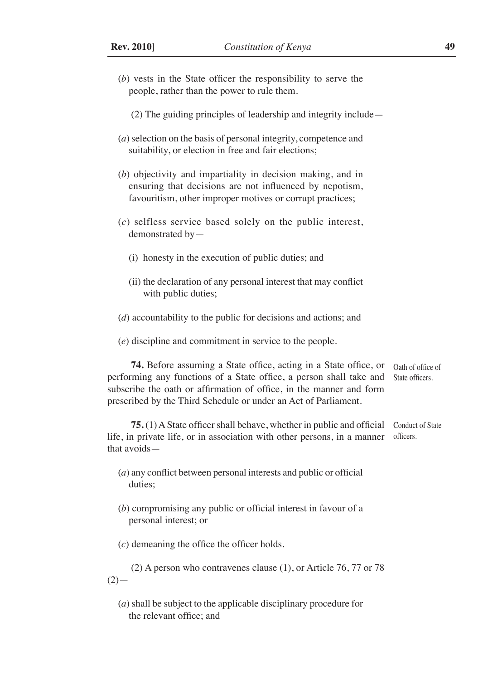- (*b*) vests in the State officer the responsibility to serve the people, rather than the power to rule them.
	- (2) The guiding principles of leadership and integrity include—
- (*a*) selection on the basis of personal integrity, competence and suitability, or election in free and fair elections;
- (*b*) objectivity and impartiality in decision making, and in ensuring that decisions are not influenced by nepotism, favouritism, other improper motives or corrupt practices;
- (*c*) selfless service based solely on the public interest, demonstrated by—
	- (i) honesty in the execution of public duties; and
	- (ii) the declaration of any personal interest that may conflict with public duties;
- (*d*) accountability to the public for decisions and actions; and
- (*e*) discipline and commitment in service to the people.

**74.** Before assuming a State office, acting in a State office, or Oath of office of performing any functions of a State office, a person shall take and subscribe the oath or affirmation of office, in the manner and form prescribed by the Third Schedule or under an Act of Parliament. State officers.

**75.** (1) A State officer shall behave, whether in public and official Conduct of State life, in private life, or in association with other persons, in a manner officers.that avoids—

- (*a*) any conflict between personal interests and public or official duties;
- (*b*) compromising any public or official interest in favour of a personal interest; or

(*c*) demeaning the office the officer holds.

(2) A person who contravenes clause (1), or Article 76, 77 or 78  $(2)$ —

(*a*) shall be subject to the applicable disciplinary procedure for the relevant office; and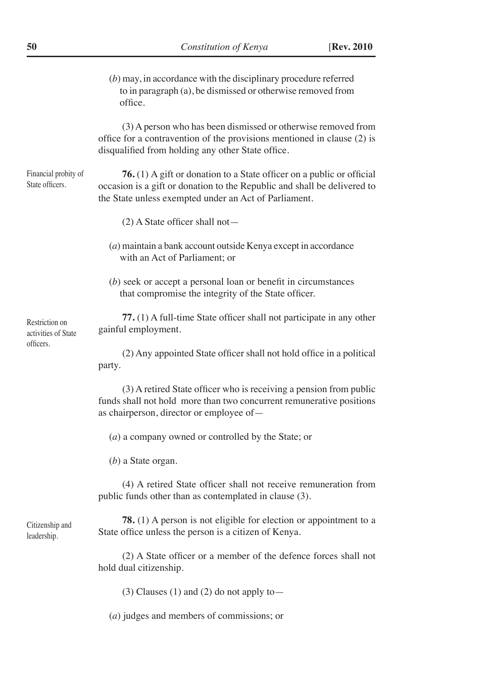|                                         | $(b)$ may, in accordance with the disciplinary procedure referred<br>to in paragraph (a), be dismissed or otherwise removed from<br>office.                                                                       |
|-----------------------------------------|-------------------------------------------------------------------------------------------------------------------------------------------------------------------------------------------------------------------|
|                                         | (3) A person who has been dismissed or otherwise removed from<br>office for a contravention of the provisions mentioned in clause (2) is<br>disqualified from holding any other State office.                     |
| Financial probity of<br>State officers. | <b>76.</b> (1) A gift or donation to a State officer on a public or official<br>occasion is a gift or donation to the Republic and shall be delivered to<br>the State unless exempted under an Act of Parliament. |
|                                         | $(2)$ A State officer shall not-                                                                                                                                                                                  |
|                                         | $(a)$ maintain a bank account outside Kenya except in accordance<br>with an Act of Parliament; or                                                                                                                 |
|                                         | $(b)$ seek or accept a personal loan or benefit in circumstances<br>that compromise the integrity of the State officer.                                                                                           |
| Restriction on<br>activities of State   | 77. (1) A full-time State officer shall not participate in any other<br>gainful employment.                                                                                                                       |
| officers.                               | (2) Any appointed State officer shall not hold office in a political<br>party.                                                                                                                                    |
|                                         | (3) A retired State officer who is receiving a pension from public<br>funds shall not hold more than two concurrent remunerative positions<br>as chairperson, director or employee of-                            |
|                                         | (a) a company owned or controlled by the State; or                                                                                                                                                                |
|                                         | $(b)$ a State organ.                                                                                                                                                                                              |
|                                         | (4) A retired State officer shall not receive remuneration from<br>public funds other than as contemplated in clause (3).                                                                                         |
| Citizenship and<br>leadership.          | <b>78.</b> (1) A person is not eligible for election or appointment to a<br>State office unless the person is a citizen of Kenya.                                                                                 |
|                                         | (2) A State officer or a member of the defence forces shall not<br>hold dual citizenship.                                                                                                                         |

- (3) Clauses (1) and (2) do not apply to—
- (*a*) judges and members of commissions; or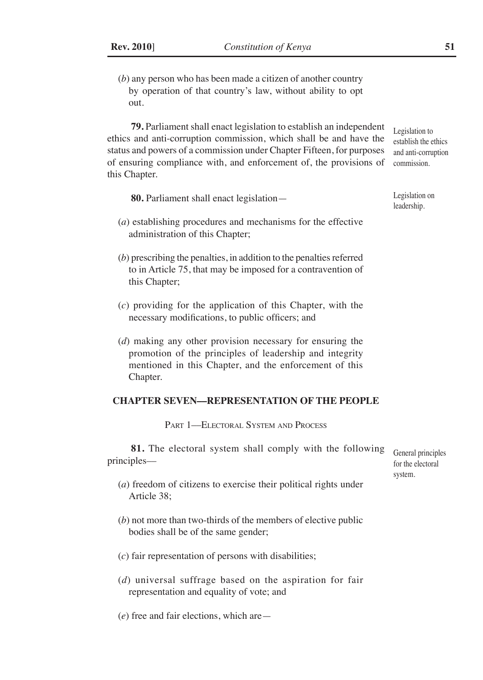(*b*) any person who has been made a citizen of another country by operation of that country's law, without ability to opt out.

**79.** Parliament shall enact legislation to establish an independent ethics and anti-corruption commission, which shall be and have the status and powers of a commission under Chapter Fifteen, for purposes of ensuring compliance with, and enforcement of, the provisions of this Chapter.

|  | 80. Parliament shall enact legislation- |  |  |  |  |
|--|-----------------------------------------|--|--|--|--|
|--|-----------------------------------------|--|--|--|--|

- (*a*) establishing procedures and mechanisms for the effective administration of this Chapter;
- (*b*) prescribing the penalties, in addition to the penalties referred to in Article 75, that may be imposed for a contravention of this Chapter;
- (*c*) providing for the application of this Chapter, with the necessary modifications, to public officers; and
- (*d*) making any other provision necessary for ensuring the promotion of the principles of leadership and integrity mentioned in this Chapter, and the enforcement of this Chapter.

## **CHAPTER SEVEN––REPRESENTATION OF THE PEOPLE**

PART 1–ELECTORAL SYSTEM AND PROCESS

**81.** The electoral system shall comply with the following principles*––*

- (*a*) freedom of citizens to exercise their political rights under Article 38;
- (*b*) not more than two-thirds of the members of elective public bodies shall be of the same gender;
- (*c*) fair representation of persons with disabilities;
- (*d*) universal suffrage based on the aspiration for fair representation and equality of vote; and
- (*e*) free and fair elections, which are—

Legislation to establish the ethics and anti-corruption commission.

Legislation on leadership.

General principles for the electoral system.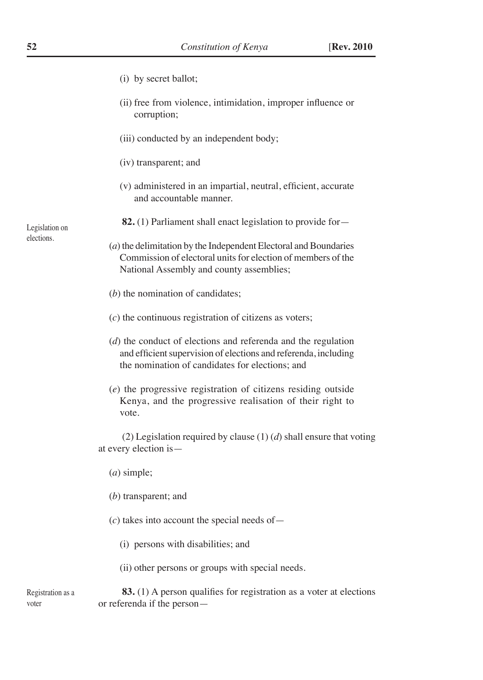|   | (ii) free from violence, intimidation, improper influence or<br>corruption;                                                                                                           |
|---|---------------------------------------------------------------------------------------------------------------------------------------------------------------------------------------|
|   | (iii) conducted by an independent body;                                                                                                                                               |
|   | (iv) transparent; and                                                                                                                                                                 |
|   | (v) administered in an impartial, neutral, efficient, accurate<br>and accountable manner.                                                                                             |
| n | 82. (1) Parliament shall enact legislation to provide for-                                                                                                                            |
|   | $(a)$ the delimitation by the Independent Electoral and Boundaries<br>Commission of electoral units for election of members of the<br>National Assembly and county assemblies;        |
|   | $(b)$ the nomination of candidates;                                                                                                                                                   |
|   | $(c)$ the continuous registration of citizens as voters;                                                                                                                              |
|   | $(d)$ the conduct of elections and referenda and the regulation<br>and efficient supervision of elections and referenda, including<br>the nomination of candidates for elections; and |
|   | (e) the progressive registration of citizens residing outside<br>Kenya, and the progressive realisation of their right to<br>vote.                                                    |
|   | (2) Legislation required by clause $(1)$ (d) shall ensure that voting<br>at every election is -                                                                                       |
|   | $(a)$ simple;                                                                                                                                                                         |
|   | $(b)$ transparent; and                                                                                                                                                                |
|   | $(c)$ takes into account the special needs of —                                                                                                                                       |

(i) by secret ballot;

- (i) persons with disabilities; and
- (ii) other persons or groups with special needs.

**83.** (1) A person qualifies for registration as a voter at elections or referenda if the person— Registration as a voter

Legislation on elections.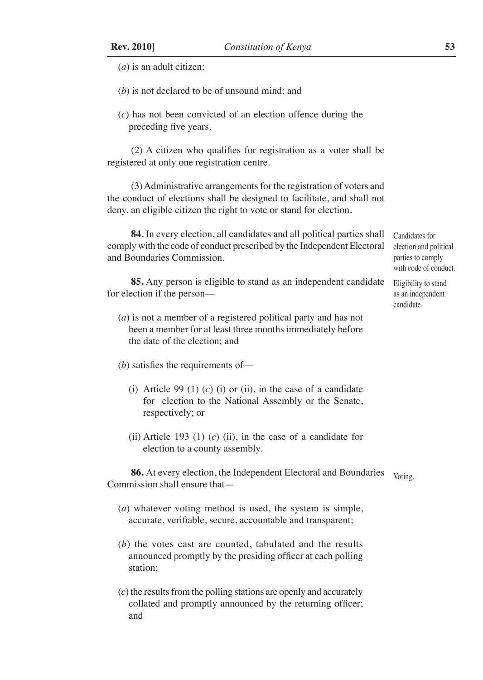(*a*) is an adult citizen;

- (*b*) is not declared to be of unsound mind; and
- (*c*) has not been convicted of an election offence during the preceding five years.

(2) A citizen who qualifies for registration as a voter shall be registered at only one registration centre.

(3) Administrative arrangements for the registration of voters and the conduct of elections shall be designed to facilitate, and shall not deny, an eligible citizen the right to vote or stand for election.

**84.** In every election, all candidates and all political parties shall comply with the code of conduct prescribed by the Independent Electoral and Boundaries Commission.

**85.** Any person is eligible to stand as an independent candidate for election if the person––

(*a*) is not a member of a registered political party and has not been a member for at least three months immediately before the date of the election; and

(*b*) satisfies the requirements of––

- (i) Article 99 (1)  $(c)$  (i) or (ii), in the case of a candidate for election to the National Assembly or the Senate, respectively; or
- (ii) Article 193 (1) (*c*) (ii), in the case of a candidate for election to a county assembly.

**86.** At every election, the Independent Electoral and Boundaries Commission shall ensure that— Voting.

- (*a*) whatever voting method is used, the system is simple, accurate, verifiable, secure, accountable and transparent;
- (*b*) the votes cast are counted, tabulated and the results announced promptly by the presiding officer at each polling station;
- (*c*) the results from the polling stations are openly and accurately collated and promptly announced by the returning officer; and

Candidates for election and political parties to comply with code of conduct.

Eligibility to stand as an independent candidate.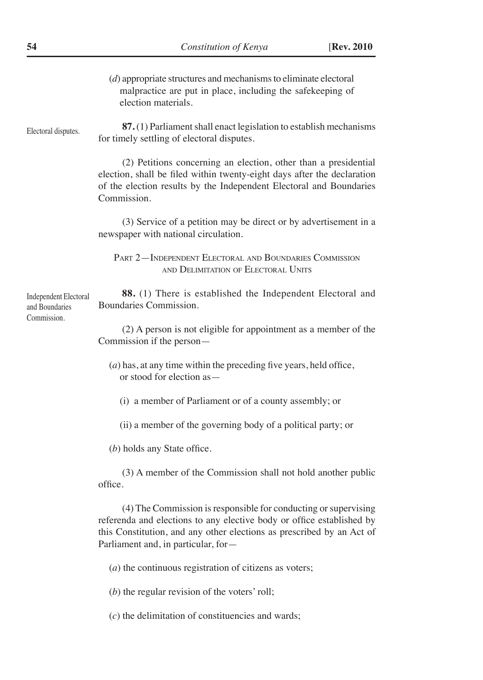| $(d)$ appropriate structures and mechanisms to eliminate electoral |
|--------------------------------------------------------------------|
| malpractice are put in place, including the safekeeping of         |
| election materials.                                                |

Electoral disputes.

Commission.

**87.** (1) Parliament shall enact legislation to establish mechanisms for timely settling of electoral disputes.

(2) Petitions concerning an election, other than a presidential election, shall be filed within twenty-eight days after the declaration of the election results by the Independent Electoral and Boundaries Commission.

(3) Service of a petition may be direct or by advertisement in a newspaper with national circulation.

Part 2—Independent Electoral and Boundaries Commission and Delimitation of Electoral Units

**88.** (1) There is established the Independent Electoral and Boundaries Commission. Independent Electoral and Boundaries

> (2) A person is not eligible for appointment as a member of the Commission if the person—

- (*a*) has, at any time within the preceding five years, held office, or stood for election as—
	- (i) a member of Parliament or of a county assembly; or
	- (ii) a member of the governing body of a political party; or

(*b*) holds any State office.

(3) A member of the Commission shall not hold another public office.

(4) The Commission is responsible for conducting or supervising referenda and elections to any elective body or office established by this Constitution, and any other elections as prescribed by an Act of Parliament and, in particular, for—

(*a*) the continuous registration of citizens as voters;

(*b*) the regular revision of the voters' roll;

(*c*) the delimitation of constituencies and wards;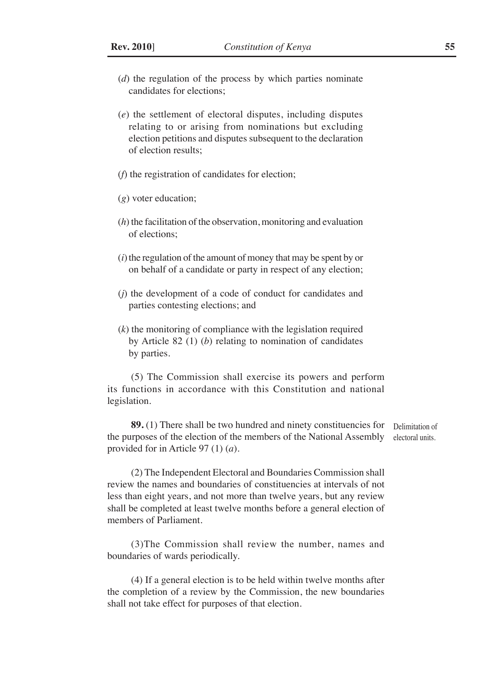- (*d*) the regulation of the process by which parties nominate candidates for elections;
- (*e*) the settlement of electoral disputes, including disputes relating to or arising from nominations but excluding election petitions and disputes subsequent to the declaration of election results;
- (*f*) the registration of candidates for election;
- (*g*) voter education;
- (*h*) the facilitation of the observation, monitoring and evaluation of elections;
- $(i)$  the regulation of the amount of money that may be spent by or on behalf of a candidate or party in respect of any election;
- (*j*) the development of a code of conduct for candidates and parties contesting elections; and
- (*k*) the monitoring of compliance with the legislation required by Article 82 (1) (*b*) relating to nomination of candidates by parties.

(5) The Commission shall exercise its powers and perform its functions in accordance with this Constitution and national legislation.

**89.** (1) There shall be two hundred and ninety constituencies for Delimitation of the purposes of the election of the members of the National Assembly electoral units. provided for in Article 97 (1) (*a*).

(2) The Independent Electoral and Boundaries Commission shall review the names and boundaries of constituencies at intervals of not less than eight years, and not more than twelve years, but any review shall be completed at least twelve months before a general election of members of Parliament.

(3)The Commission shall review the number, names and boundaries of wards periodically.

(4) If a general election is to be held within twelve months after the completion of a review by the Commission, the new boundaries shall not take effect for purposes of that election.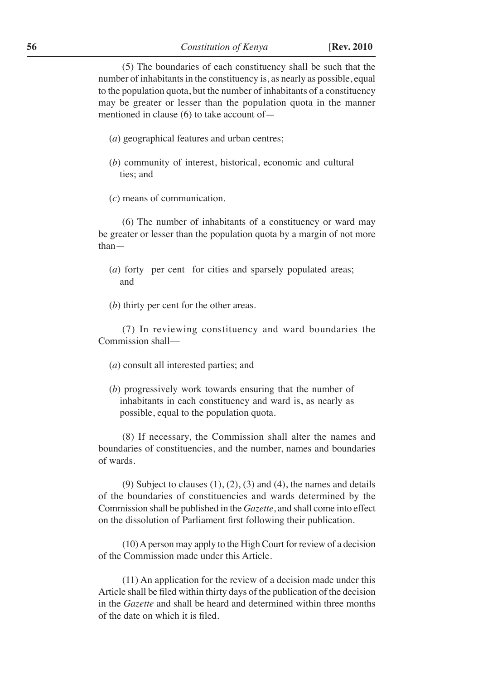(5) The boundaries of each constituency shall be such that the number of inhabitants in the constituency is, as nearly as possible, equal to the population quota, but the number of inhabitants of a constituency may be greater or lesser than the population quota in the manner mentioned in clause (6) to take account of—

- (*a*) geographical features and urban centres;
- (*b*) community of interest, historical, economic and cultural ties; and
- (*c*) means of communication.

(6) The number of inhabitants of a constituency or ward may be greater or lesser than the population quota by a margin of not more than—

- (*a*) forty per cent for cities and sparsely populated areas; and
- (*b*) thirty per cent for the other areas.

(7) In reviewing constituency and ward boundaries the Commission shall––

- (*a*) consult all interested parties; and
- (*b*) progressively work towards ensuring that the number of inhabitants in each constituency and ward is, as nearly as possible, equal to the population quota.

(8) If necessary, the Commission shall alter the names and boundaries of constituencies, and the number, names and boundaries of wards.

(9) Subject to clauses  $(1)$ ,  $(2)$ ,  $(3)$  and  $(4)$ , the names and details of the boundaries of constituencies and wards determined by the Commission shall be published in the *Gazette*, and shall come into effect on the dissolution of Parliament first following their publication.

(10) A person may apply to the High Court for review of a decision of the Commission made under this Article.

(11) An application for the review of a decision made under this Article shall be filed within thirty days of the publication of the decision in the *Gazette* and shall be heard and determined within three months of the date on which it is filed.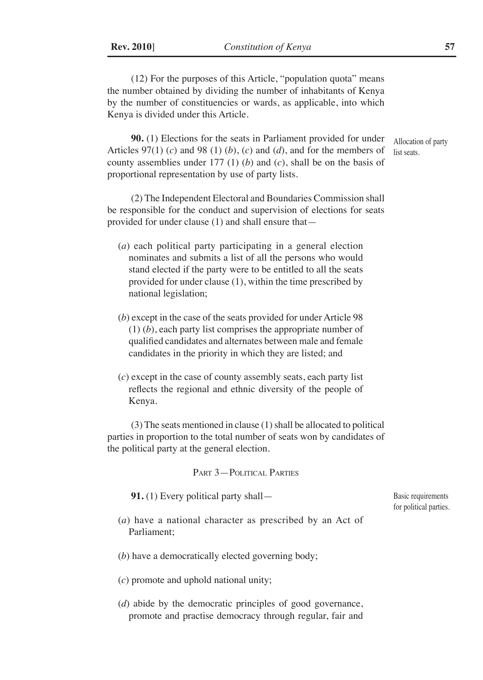(12) For the purposes of this Article, "population quota" means the number obtained by dividing the number of inhabitants of Kenya by the number of constituencies or wards, as applicable, into which Kenya is divided under this Article.

**90.** (1) Elections for the seats in Parliament provided for under Articles 97(1) (*c*) and 98 (1) (*b*), (*c*) and (*d*), and for the members of county assemblies under 177 (1) (*b*) and (*c*), shall be on the basis of proportional representation by use of party lists. Allocation of party list seats.

(2) The Independent Electoral and Boundaries Commission shall be responsible for the conduct and supervision of elections for seats provided for under clause (1) and shall ensure that—

- (*a*) each political party participating in a general election nominates and submits a list of all the persons who would stand elected if the party were to be entitled to all the seats provided for under clause (1), within the time prescribed by national legislation;
- (*b*) except in the case of the seats provided for under Article 98 (1) (*b*), each party list comprises the appropriate number of qualified candidates and alternates between male and female candidates in the priority in which they are listed; and
- (*c*) except in the case of county assembly seats, each party list reflects the regional and ethnic diversity of the people of Kenya.

(3) The seats mentioned in clause (1) shall be allocated to political parties in proportion to the total number of seats won by candidates of the political party at the general election.

Part 3—Political Parties

**91.** (1) Every political party shall—

Basic requirements for political parties.

- (*a*) have a national character as prescribed by an Act of Parliament;
- (*b*) have a democratically elected governing body;
- (*c*) promote and uphold national unity;
- (*d*) abide by the democratic principles of good governance, promote and practise democracy through regular, fair and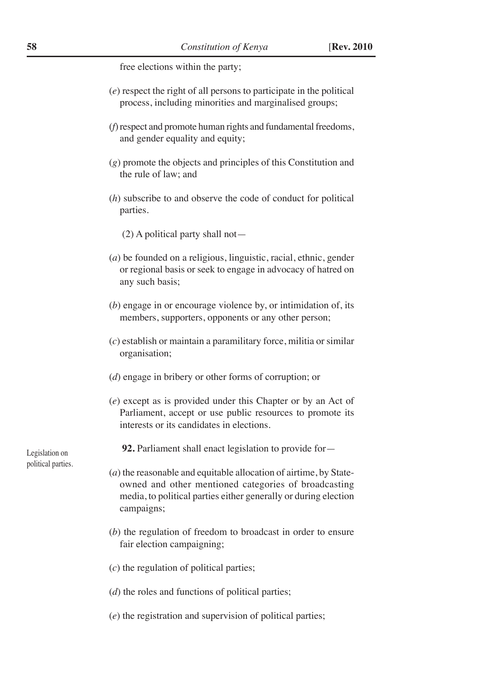free elections within the party;

- (*e*) respect the right of all persons to participate in the political process, including minorities and marginalised groups;
- (*f*)respect and promote human rights and fundamental freedoms, and gender equality and equity;
- (*g*) promote the objects and principles of this Constitution and the rule of law; and
- (*h*) subscribe to and observe the code of conduct for political parties.
	- (2) A political party shall not—
- (*a*) be founded on a religious, linguistic, racial, ethnic, gender or regional basis or seek to engage in advocacy of hatred on any such basis;
- (*b*) engage in or encourage violence by, or intimidation of, its members, supporters, opponents or any other person;
- (*c*) establish or maintain a paramilitary force, militia or similar organisation;
- (*d*) engage in bribery or other forms of corruption; or
- (*e*) except as is provided under this Chapter or by an Act of Parliament, accept or use public resources to promote its interests or its candidates in elections.
	- **92.** Parliament shall enact legislation to provide for—
- (*a*) the reasonable and equitable allocation of airtime, by Stateowned and other mentioned categories of broadcasting media, to political parties either generally or during election campaigns;
- (*b*) the regulation of freedom to broadcast in order to ensure fair election campaigning;
- (*c*) the regulation of political parties;
- (*d*) the roles and functions of political parties;
- (*e*) the registration and supervision of political parties;

Legislation on political parties.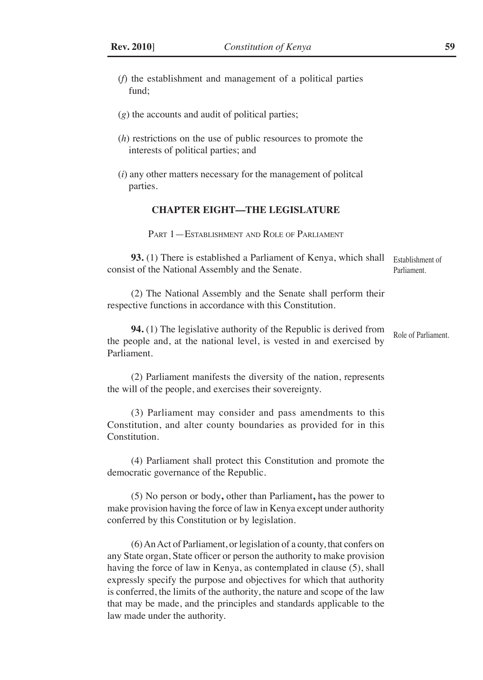- (*f*) the establishment and management of a political parties fund;
- (*g*) the accounts and audit of political parties;
- (*h*) restrictions on the use of public resources to promote the interests of political parties; and
- (*i*) any other matters necessary for the management of politcal parties.

## **CHAPTER EIGHT––THE LEGISLATURE**

Part 1—Establishment and Role of Parliament

**93.** (1) There is established a Parliament of Kenya, which shall Establishment of consist of the National Assembly and the Senate. Parliament.

(2) The National Assembly and the Senate shall perform their respective functions in accordance with this Constitution.

**94.** (1) The legislative authority of the Republic is derived from the people and, at the national level, is vested in and exercised by Parliament. Role of Parliament.

(2) Parliament manifests the diversity of the nation, represents the will of the people, and exercises their sovereignty.

(3) Parliament may consider and pass amendments to this Constitution, and alter county boundaries as provided for in this Constitution.

(4) Parliament shall protect this Constitution and promote the democratic governance of the Republic.

(5) No person or body**,** other than Parliament**,** has the power to make provision having the force of law in Kenya except under authority conferred by this Constitution or by legislation.

(6) An Act of Parliament, or legislation of a county, that confers on any State organ, State officer or person the authority to make provision having the force of law in Kenya, as contemplated in clause (5), shall expressly specify the purpose and objectives for which that authority is conferred, the limits of the authority, the nature and scope of the law that may be made, and the principles and standards applicable to the law made under the authority.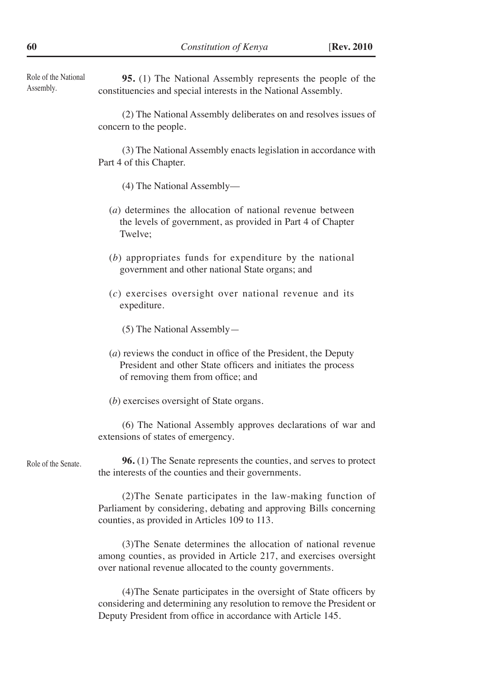Role of the National Assembly.

**95.** (1) The National Assembly represents the people of the constituencies and special interests in the National Assembly.

(2) The National Assembly deliberates on and resolves issues of concern to the people.

(3) The National Assembly enacts legislation in accordance with Part 4 of this Chapter.

- (4) The National Assembly––
- (*a*) determines the allocation of national revenue between the levels of government, as provided in Part 4 of Chapter Twelve;
- (*b*) appropriates funds for expenditure by the national government and other national State organs; and
- (*c*) exercises oversight over national revenue and its expediture.

(5) The National Assembly—

- (*a*) reviews the conduct in office of the President, the Deputy President and other State officers and initiates the process of removing them from office; and
- (*b*) exercises oversight of State organs.

(6) The National Assembly approves declarations of war and extensions of states of emergency.

Role of the Senate.

**96.** (1) The Senate represents the counties, and serves to protect the interests of the counties and their governments.

(2)The Senate participates in the law-making function of Parliament by considering, debating and approving Bills concerning counties, as provided in Articles 109 to 113.

(3)The Senate determines the allocation of national revenue among counties, as provided in Article 217, and exercises oversight over national revenue allocated to the county governments.

(4)The Senate participates in the oversight of State officers by considering and determining any resolution to remove the President or Deputy President from office in accordance with Article 145.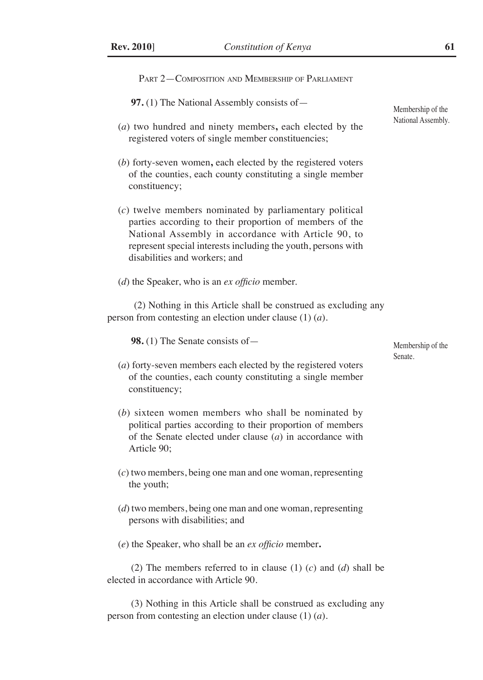Part 2—Composition and Membership of Parliament

- **97.** (1) The National Assembly consists of —
- (*a*) two hundred and ninety members**,** each elected by the registered voters of single member constituencies;
- (*b*) forty-seven women**,** each elected by the registered voters of the counties, each county constituting a single member constituency;
- (*c*) twelve members nominated by parliamentary political parties according to their proportion of members of the National Assembly in accordance with Article 90, to represent special interests including the youth, persons with disabilities and workers; and
- (*d*) the Speaker, who is an *ex officio* member.

 (2) Nothing in this Article shall be construed as excluding any person from contesting an election under clause (1) (*a*).

**98.** (1) The Senate consists of—

- (*a*) forty-seven members each elected by the registered voters of the counties, each county constituting a single member constituency;
- (*b*) sixteen women members who shall be nominated by political parties according to their proportion of members of the Senate elected under clause (*a*) in accordance with Article 90;
- (*c*) two members, being one man and one woman, representing the youth;
- (*d*) two members, being one man and one woman, representing persons with disabilities; and
- (*e*) the Speaker, who shall be an *ex officio* member**.**

(2) The members referred to in clause (1) (*c*) and (*d*) shall be elected in accordance with Article 90.

(3) Nothing in this Article shall be construed as excluding any person from contesting an election under clause (1) (*a*).

Membership of the Senate.

Membership of the National Assembly.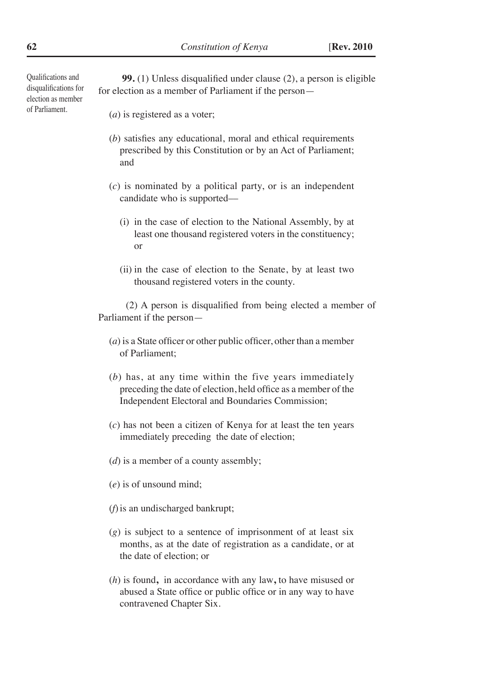Qualifications and disqualifications for election as member of Parliament.

**99.** (1) Unless disqualified under clause (2), a person is eligible for election as a member of Parliament if the person—

- (*a*) is registered as a voter;
- (*b*) satisfies any educational, moral and ethical requirements prescribed by this Constitution or by an Act of Parliament; and
- (*c*) is nominated by a political party, or is an independent candidate who is supported––
	- (i) in the case of election to the National Assembly, by at least one thousand registered voters in the constituency; or
	- (ii) in the case of election to the Senate, by at least two thousand registered voters in the county.

 (2) A person is disqualified from being elected a member of Parliament if the person—

- (*a*) is a State officer or other public officer, other than a member of Parliament;
- (*b*) has, at any time within the five years immediately preceding the date of election, held office as a member of the Independent Electoral and Boundaries Commission;
- (*c*) has not been a citizen of Kenya for at least the ten years immediately preceding the date of election;
- (*d*) is a member of a county assembly;
- (*e*) is of unsound mind;
- (*f*)is an undischarged bankrupt;
- (*g*) is subject to a sentence of imprisonment of at least six months, as at the date of registration as a candidate, or at the date of election; or
- (*h*) is found**,** in accordance with any law**,** to have misused or abused a State office or public office or in any way to have contravened Chapter Six.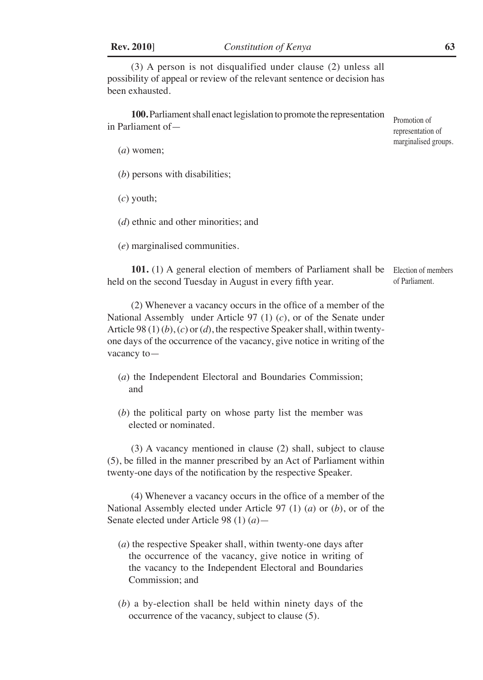(3) A person is not disqualified under clause (2) unless all possibility of appeal or review of the relevant sentence or decision has been exhausted.

**100.** Parliament shall enact legislation to promote the representation in Parliament of—

(*a*) women;

(*b*) persons with disabilities;

(*c*) youth;

(*d*) ethnic and other minorities; and

(*e*) marginalised communities.

101. (1) A general election of members of Parliament shall be Election of members held on the second Tuesday in August in every fifth year.

(2) Whenever a vacancy occurs in the office of a member of the National Assembly under Article 97 (1) (*c*), or of the Senate under Article 98 (1) (*b*), (*c*) or (*d*), the respective Speaker shall, within twentyone days of the occurrence of the vacancy, give notice in writing of the vacancy to—

- (*a*) the Independent Electoral and Boundaries Commission; and
- (*b*) the political party on whose party list the member was elected or nominated.

(3) A vacancy mentioned in clause (2) shall, subject to clause (5), be filled in the manner prescribed by an Act of Parliament within twenty-one days of the notification by the respective Speaker.

(4) Whenever a vacancy occurs in the office of a member of the National Assembly elected under Article 97 (1) (*a*) or (*b*), or of the Senate elected under Article 98 (1) (*a*)—

- (*a*) the respective Speaker shall, within twenty-one days after the occurrence of the vacancy, give notice in writing of the vacancy to the Independent Electoral and Boundaries Commission; and
- (*b*) a by-election shall be held within ninety days of the occurrence of the vacancy, subject to clause (5).

Promotion of representation of marginalised groups.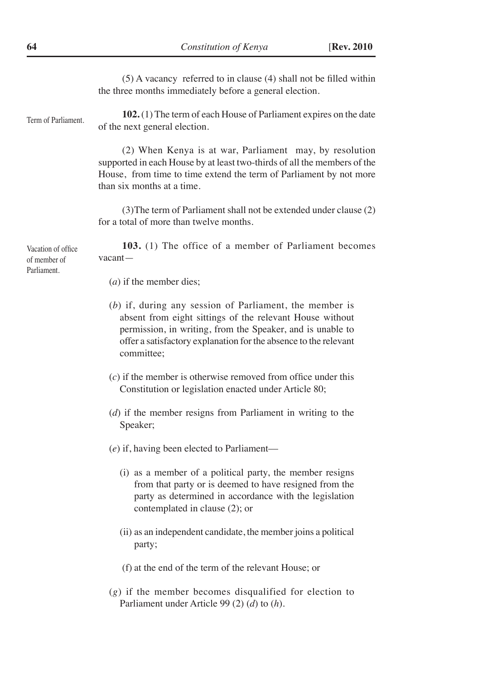|                                    | (5) A vacancy referred to in clause (4) shall not be filled within<br>the three months immediately before a general election.                                                                                                                                         |
|------------------------------------|-----------------------------------------------------------------------------------------------------------------------------------------------------------------------------------------------------------------------------------------------------------------------|
| Term of Parliament.                | 102. (1) The term of each House of Parliament expires on the date<br>of the next general election.                                                                                                                                                                    |
|                                    | (2) When Kenya is at war, Parliament may, by resolution<br>supported in each House by at least two-thirds of all the members of the<br>House, from time to time extend the term of Parliament by not more<br>than six months at a time.                               |
|                                    | (3) The term of Parliament shall not be extended under clause (2)<br>for a total of more than twelve months.                                                                                                                                                          |
| Vacation of office<br>of member of | 103. (1) The office of a member of Parliament becomes<br>$vacant -$                                                                                                                                                                                                   |
| Parliament.                        | $(a)$ if the member dies;                                                                                                                                                                                                                                             |
|                                    | $(b)$ if, during any session of Parliament, the member is<br>absent from eight sittings of the relevant House without<br>permission, in writing, from the Speaker, and is unable to<br>offer a satisfactory explanation for the absence to the relevant<br>committee; |
|                                    | $(c)$ if the member is otherwise removed from office under this<br>Constitution or legislation enacted under Article 80;                                                                                                                                              |
|                                    | $(d)$ if the member resigns from Parliament in writing to the<br>Speaker;                                                                                                                                                                                             |
|                                    | $(e)$ if, having been elected to Parliament-                                                                                                                                                                                                                          |
|                                    | (i) as a member of a political party, the member resigns<br>from that party or is deemed to have resigned from the<br>party as determined in accordance with the legislation<br>contemplated in clause (2); or                                                        |
|                                    | (ii) as an independent candidate, the member joins a political<br>party;                                                                                                                                                                                              |

- (f) at the end of the term of the relevant House; or
- (*g*) if the member becomes disqualified for election to Parliament under Article 99 (2) (*d*) to (*h*).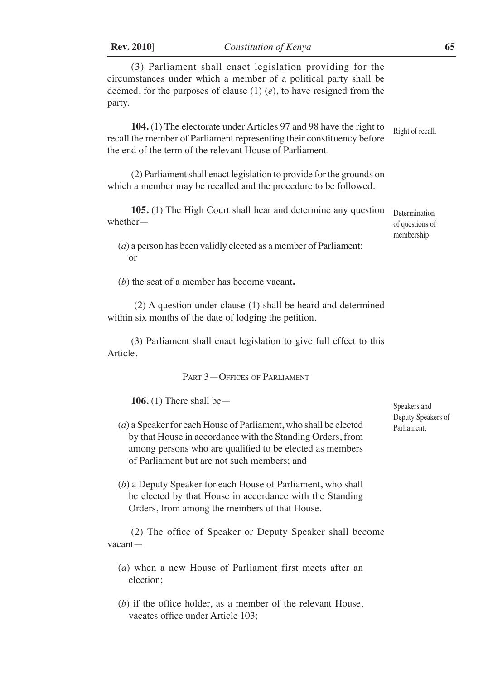(3) Parliament shall enact legislation providing for the circumstances under which a member of a political party shall be deemed, for the purposes of clause (1) (*e*), to have resigned from the party.

**104.** (1) The electorate under Articles 97 and 98 have the right to recall the member of Parliament representing their constituency before the end of the term of the relevant House of Parliament. Right of recall.

(2) Parliament shall enact legislation to provide for the grounds on which a member may be recalled and the procedure to be followed.

**105.** (1) The High Court shall hear and determine any question whether—

Determination of questions of membership.

Speakers and Deputy Speakers of Parliament.

(*a*) a person has been validly elected as a member of Parliament; or

(*b*) the seat of a member has become vacant**.**

 (2) A question under clause (1) shall be heard and determined within six months of the date of lodging the petition.

(3) Parliament shall enact legislation to give full effect to this Article.

## Part 3—Offices of Parliament

**106.** (1) There shall be—

- (*a*) a Speaker for each House of Parliament**,** who shall be elected by that House in accordance with the Standing Orders, from among persons who are qualified to be elected as members of Parliament but are not such members; and
- (*b*) a Deputy Speaker for each House of Parliament, who shall be elected by that House in accordance with the Standing Orders, from among the members of that House.

(2) The office of Speaker or Deputy Speaker shall become vacant—

- (*a*) when a new House of Parliament first meets after an election;
- (*b*) if the office holder, as a member of the relevant House, vacates office under Article 103;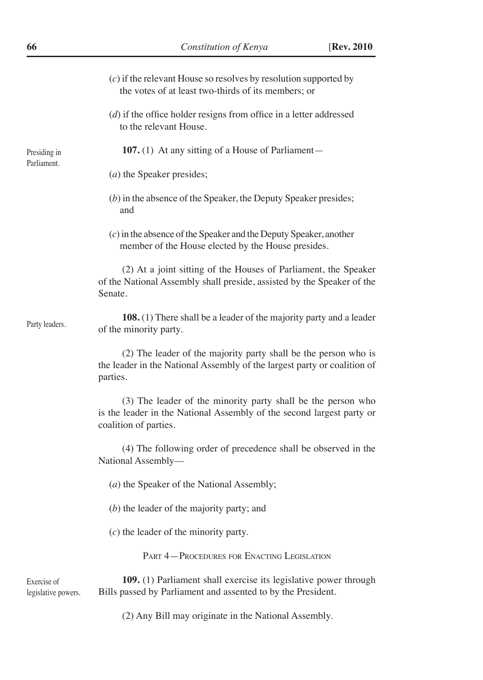|                                    | $(c)$ if the relevant House so resolves by resolution supported by<br>the votes of at least two-thirds of its members; or                                      |
|------------------------------------|----------------------------------------------------------------------------------------------------------------------------------------------------------------|
|                                    | $(d)$ if the office holder resigns from office in a letter addressed<br>to the relevant House.                                                                 |
| Presiding in                       | 107. (1) At any sitting of a House of Parliament-                                                                                                              |
| Parliament.                        | (a) the Speaker presides;                                                                                                                                      |
|                                    | $(b)$ in the absence of the Speaker, the Deputy Speaker presides;<br>and                                                                                       |
|                                    | $(c)$ in the absence of the Speaker and the Deputy Speaker, another<br>member of the House elected by the House presides.                                      |
|                                    | (2) At a joint sitting of the Houses of Parliament, the Speaker<br>of the National Assembly shall preside, assisted by the Speaker of the<br>Senate.           |
| Party leaders.                     | 108. (1) There shall be a leader of the majority party and a leader<br>of the minority party.                                                                  |
|                                    | (2) The leader of the majority party shall be the person who is<br>the leader in the National Assembly of the largest party or coalition of<br>parties.        |
|                                    | (3) The leader of the minority party shall be the person who<br>is the leader in the National Assembly of the second largest party or<br>coalition of parties. |
|                                    | (4) The following order of precedence shall be observed in the<br>National Assembly-                                                                           |
|                                    | (a) the Speaker of the National Assembly;                                                                                                                      |
|                                    | $(b)$ the leader of the majority party; and                                                                                                                    |
|                                    | $(c)$ the leader of the minority party.                                                                                                                        |
|                                    | PART 4-PROCEDURES FOR ENACTING LEGISLATION                                                                                                                     |
| Exercise of<br>legislative powers. | 109. (1) Parliament shall exercise its legislative power through<br>Bills passed by Parliament and assented to by the President.                               |
|                                    |                                                                                                                                                                |

(2) Any Bill may originate in the National Assembly.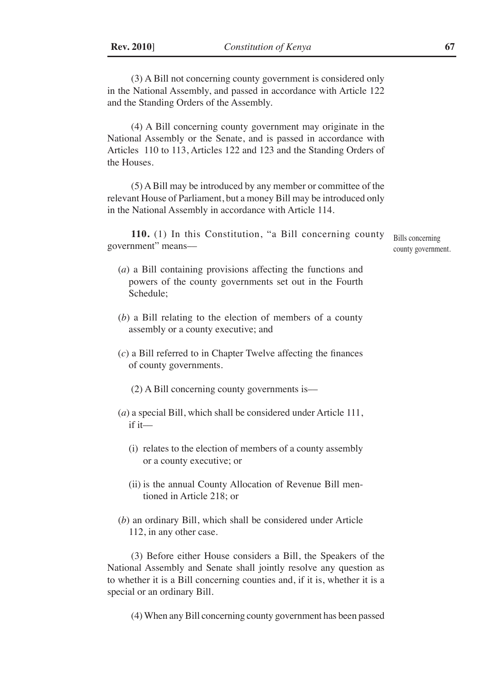(3) A Bill not concerning county government is considered only in the National Assembly, and passed in accordance with Article 122 and the Standing Orders of the Assembly.

(4) A Bill concerning county government may originate in the National Assembly or the Senate, and is passed in accordance with Articles 110 to 113, Articles 122 and 123 and the Standing Orders of the Houses.

(5) A Bill may be introduced by any member or committee of the relevant House of Parliament, but a money Bill may be introduced only in the National Assembly in accordance with Article 114.

**110.** (1) In this Constitution, "a Bill concerning county government" means–– Bills concerning

- county government.
- (*a*) a Bill containing provisions affecting the functions and powers of the county governments set out in the Fourth Schedule;
- (*b*) a Bill relating to the election of members of a county assembly or a county executive; and
- (*c*) a Bill referred to in Chapter Twelve affecting the finances of county governments.

(2) A Bill concerning county governments is––

- (*a*) a special Bill, which shall be considered under Article 111, if it––
	- (i) relates to the election of members of a county assembly or a county executive; or
	- (ii) is the annual County Allocation of Revenue Bill mentioned in Article 218; or
- (*b*) an ordinary Bill, which shall be considered under Article 112, in any other case.

(3) Before either House considers a Bill, the Speakers of the National Assembly and Senate shall jointly resolve any question as to whether it is a Bill concerning counties and, if it is, whether it is a special or an ordinary Bill.

(4) When any Bill concerning county government has been passed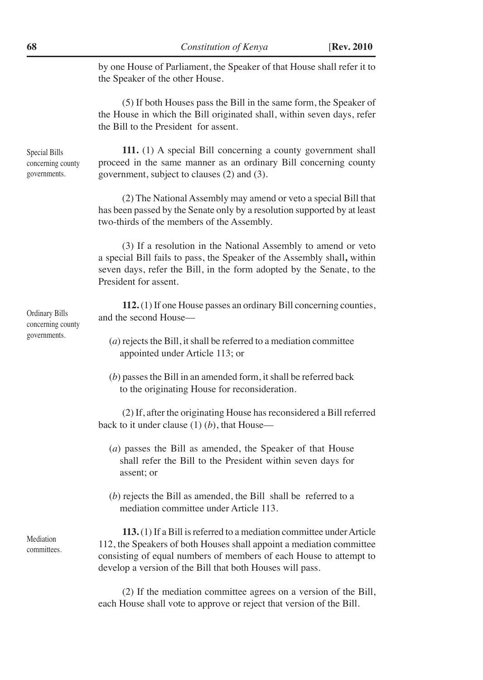| 68                                                 | Constitution of Kenya                                                                                                                                                                     | [Rev. 2010] |
|----------------------------------------------------|-------------------------------------------------------------------------------------------------------------------------------------------------------------------------------------------|-------------|
|                                                    | by one House of Parliament, the Speaker of that House shall refer it to<br>the Speaker of the other House.                                                                                |             |
|                                                    | (5) If both Houses pass the Bill in the same form, the Speaker of<br>the House in which the Bill originated shall, within seven days, refer<br>the Bill to the President for assent.      |             |
| Special Bills<br>concerning county<br>governments. | 111. (1) A special Bill concerning a county government shall<br>proceed in the same manner as an ordinary Bill concerning county<br>government, subject to clauses (2) and (3).           |             |
|                                                    | (2) The National Assembly may amend or veto a special Bill that<br>has been passed by the Senate only by a resolution supported by at least<br>two-thirds of the members of the Assembly. |             |

(3) If a resolution in the National Assembly to amend or veto a special Bill fails to pass, the Speaker of the Assembly shall**,** within seven days, refer the Bill, in the form adopted by the Senate, to the President for assent.

**112.** (1) If one House passes an ordinary Bill concerning counties, and the second House––

- (*a*) rejects the Bill, it shall be referred to a mediation committee appointed under Article 113; or
- (*b*) passes the Bill in an amended form, it shall be referred back to the originating House for reconsideration.

(2) If, after the originating House has reconsidered a Bill referred back to it under clause (1) (*b*), that House––

- (*a*) passes the Bill as amended, the Speaker of that House shall refer the Bill to the President within seven days for assent; or
- (*b*) rejects the Bill as amended, the Bill shall be referred to a mediation committee under Article 113.

**113.** (1) If a Bill is referred to a mediation committee under Article 112, the Speakers of both Houses shall appoint a mediation committee consisting of equal numbers of members of each House to attempt to develop a version of the Bill that both Houses will pass.

(2) If the mediation committee agrees on a version of the Bill, each House shall vote to approve or reject that version of the Bill.

Ordinary Bills concerning county governments.

Mediation committees.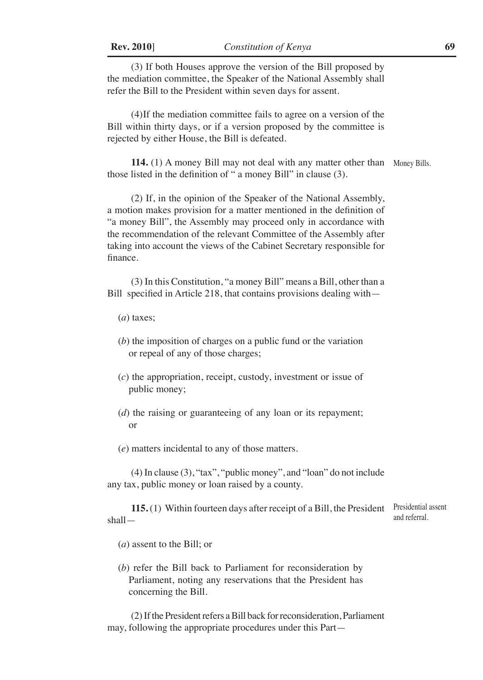(3) If both Houses approve the version of the Bill proposed by the mediation committee, the Speaker of the National Assembly shall refer the Bill to the President within seven days for assent.

(4)If the mediation committee fails to agree on a version of the Bill within thirty days, or if a version proposed by the committee is rejected by either House, the Bill is defeated.

**114.** (1) A money Bill may not deal with any matter other than Money Bills. those listed in the definition of " a money Bill" in clause (3).

(2) If, in the opinion of the Speaker of the National Assembly, a motion makes provision for a matter mentioned in the definition of "a money Bill", the Assembly may proceed only in accordance with the recommendation of the relevant Committee of the Assembly after taking into account the views of the Cabinet Secretary responsible for finance.

(3) In this Constitution, "a money Bill" means a Bill, other than a Bill specified in Article 218, that contains provisions dealing with—

- (*a*) taxes;
- (*b*) the imposition of charges on a public fund or the variation or repeal of any of those charges;
- (*c*) the appropriation, receipt, custody, investment or issue of public money;
- (*d*) the raising or guaranteeing of any loan or its repayment; or
- (*e*) matters incidental to any of those matters.

(4) In clause (3), "tax", "public money", and "loan" do not include any tax, public money or loan raised by a county.

**115.** (1) Within fourteen days after receipt of a Bill, the President shall— Presidential assent and referral.

- (*a*) assent to the Bill; or
- (*b*) refer the Bill back to Parliament for reconsideration by Parliament, noting any reservations that the President has concerning the Bill.

(2) If the President refers a Bill back for reconsideration, Parliament may, following the appropriate procedures under this Part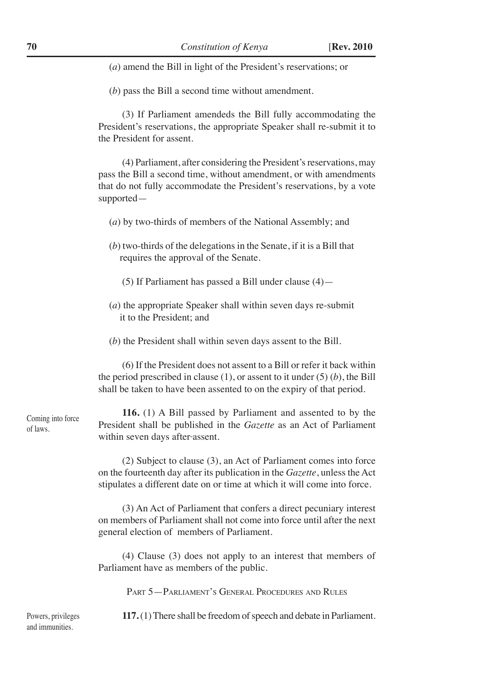(*a*) amend the Bill in light of the President's reservations; or

(*b*) pass the Bill a second time without amendment.

(3) If Parliament amendeds the Bill fully accommodating the President's reservations, the appropriate Speaker shall re-submit it to the President for assent.

(4) Parliament, after considering the President's reservations, may pass the Bill a second time, without amendment, or with amendments that do not fully accommodate the President's reservations, by a vote supported—

- (*a*) by two-thirds of members of the National Assembly; and
- (*b*) two-thirds of the delegations in the Senate, if it is a Bill that requires the approval of the Senate.
	- (5) If Parliament has passed a Bill under clause  $(4)$ —
- (*a*) the appropriate Speaker shall within seven days re-submit it to the President; and
- (*b*) the President shall within seven days assent to the Bill.

(6) If the President does not assent to a Bill or refer it back within the period prescribed in clause (1), or assent to it under (5) (*b*), the Bill shall be taken to have been assented to on the expiry of that period.

**116.** (1) A Bill passed by Parliament and assented to by the President shall be published in the *Gazette* as an Act of Parliament within seven days after assent.

(2) Subject to clause (3), an Act of Parliament comes into force on the fourteenth day after its publication in the *Gazette*, unless the Act stipulates a different date on or time at which it will come into force.

(3) An Act of Parliament that confers a direct pecuniary interest on members of Parliament shall not come into force until after the next general election of members of Parliament.

(4) Clause (3) does not apply to an interest that members of Parliament have as members of the public.

Part 5—Parliament's General Procedures and Rules

Powers, privileges and immunities.

**117.** (1) There shall be freedom of speech and debate in Parliament.

Coming into force of laws.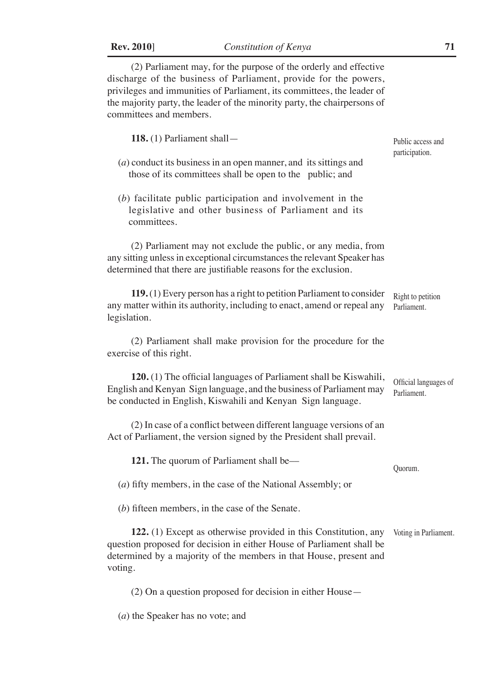| <b>Rev. 2010</b> |  |
|------------------|--|
|                  |  |

(2) Parliament may, for the purpose of the orderly and effective discharge of the business of Parliament, provide for the powers, privileges and immunities of Parliament, its committees, the leader of the majority party, the leader of the minority party, the chairpersons of committees and members.

| 118. (1) Parliament shall-                                                                                                                                                                                                | Public access and                    |
|---------------------------------------------------------------------------------------------------------------------------------------------------------------------------------------------------------------------------|--------------------------------------|
| $(a)$ conduct its business in an open manner, and its sittings and<br>those of its committees shall be open to the public; and                                                                                            | participation.                       |
| $(b)$ facilitate public participation and involvement in the<br>legislative and other business of Parliament and its<br>committees.                                                                                       |                                      |
| (2) Parliament may not exclude the public, or any media, from<br>any sitting unless in exceptional circumstances the relevant Speaker has<br>determined that there are justifiable reasons for the exclusion.             |                                      |
| 119. (1) Every person has a right to petition Parliament to consider<br>any matter within its authority, including to enact, amend or repeal any<br>legislation.                                                          | Right to petition<br>Parliament.     |
| (2) Parliament shall make provision for the procedure for the<br>exercise of this right.                                                                                                                                  |                                      |
| 120. (1) The official languages of Parliament shall be Kiswahili,<br>English and Kenyan Sign language, and the business of Parliament may<br>be conducted in English, Kiswahili and Kenyan Sign language.                 | Official languages of<br>Parliament. |
| (2) In case of a conflict between different language versions of an<br>Act of Parliament, the version signed by the President shall prevail.                                                                              |                                      |
| 121. The quorum of Parliament shall be—                                                                                                                                                                                   | Quorum.                              |
| $(a)$ fifty members, in the case of the National Assembly; or                                                                                                                                                             |                                      |
| $(b)$ fifteen members, in the case of the Senate.                                                                                                                                                                         |                                      |
| 122. (1) Except as otherwise provided in this Constitution, any<br>question proposed for decision in either House of Parliament shall be<br>determined by a majority of the members in that House, present and<br>voting. | Voting in Parliament.                |
| (2) On a question proposed for decision in either House—                                                                                                                                                                  |                                      |

(*a*) the Speaker has no vote; and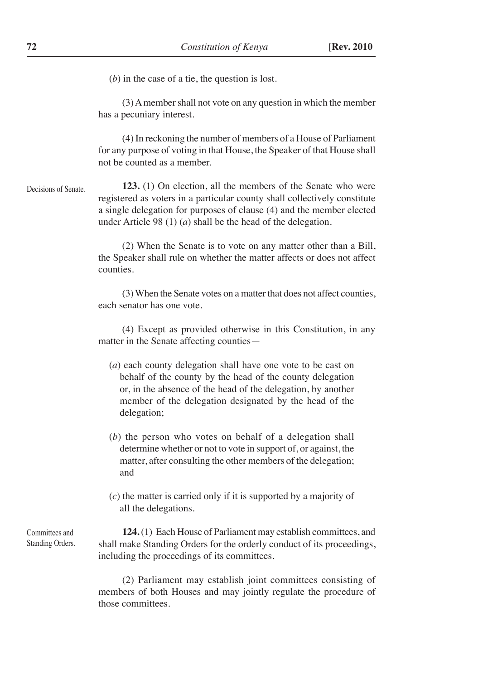(*b*) in the case of a tie, the question is lost.

(3) A member shall not vote on any question in which the member has a pecuniary interest.

(4) In reckoning the number of members of a House of Parliament for any purpose of voting in that House, the Speaker of that House shall not be counted as a member.

Decisions of Senate.

**123.** (1) On election, all the members of the Senate who were registered as voters in a particular county shall collectively constitute a single delegation for purposes of clause (4) and the member elected under Article 98 (1) (*a*) shall be the head of the delegation.

(2) When the Senate is to vote on any matter other than a Bill, the Speaker shall rule on whether the matter affects or does not affect counties.

(3) When the Senate votes on a matter that does not affect counties, each senator has one vote.

(4) Except as provided otherwise in this Constitution, in any matter in the Senate affecting counties—

- (*a*) each county delegation shall have one vote to be cast on behalf of the county by the head of the county delegation or, in the absence of the head of the delegation, by another member of the delegation designated by the head of the delegation;
- (*b*) the person who votes on behalf of a delegation shall determine whether or not to vote in support of, or against, the matter, after consulting the other members of the delegation; and
- (*c*) the matter is carried only if it is supported by a majority of all the delegations.

**124.** (1) Each House of Parliament may establish committees, and shall make Standing Orders for the orderly conduct of its proceedings, including the proceedings of its committees.

(2) Parliament may establish joint committees consisting of members of both Houses and may jointly regulate the procedure of those committees.

Committees and Standing Orders.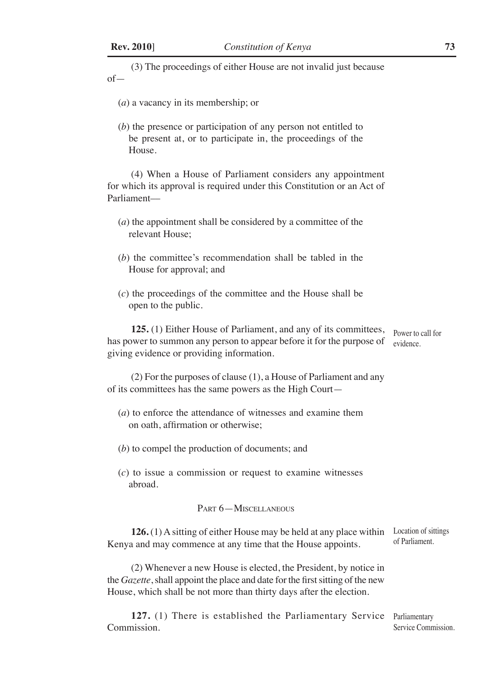(3) The proceedings of either House are not invalid just because of—

- (*a*) a vacancy in its membership; or
- (*b*) the presence or participation of any person not entitled to be present at, or to participate in, the proceedings of the House.

(4) When a House of Parliament considers any appointment for which its approval is required under this Constitution or an Act of Parliament––

- (*a*) the appointment shall be considered by a committee of the relevant House;
- (*b*) the committee's recommendation shall be tabled in the House for approval; and
- (*c*) the proceedings of the committee and the House shall be open to the public.

**125.** (1) Either House of Parliament, and any of its committees, has power to summon any person to appear before it for the purpose of giving evidence or providing information. Power to call for evidence.

(2) For the purposes of clause (1), a House of Parliament and any of its committees has the same powers as the High Court—

- (*a*) to enforce the attendance of witnesses and examine them on oath, affirmation or otherwise;
- (*b*) to compel the production of documents; and
- (*c*) to issue a commission or request to examine witnesses abroad.

## PART 6-MISCELLANEOUS

**126.** (1) A sitting of either House may be held at any place within Kenya and may commence at any time that the House appoints. Location of sittings of Parliament.

(2) Whenever a new House is elected, the President, by notice in the *Gazette*, shall appoint the place and date for the first sitting of the new House, which shall be not more than thirty days after the election.

**127.** (1) There is established the Parliamentary Service Parliamentary Commission. Service Commission.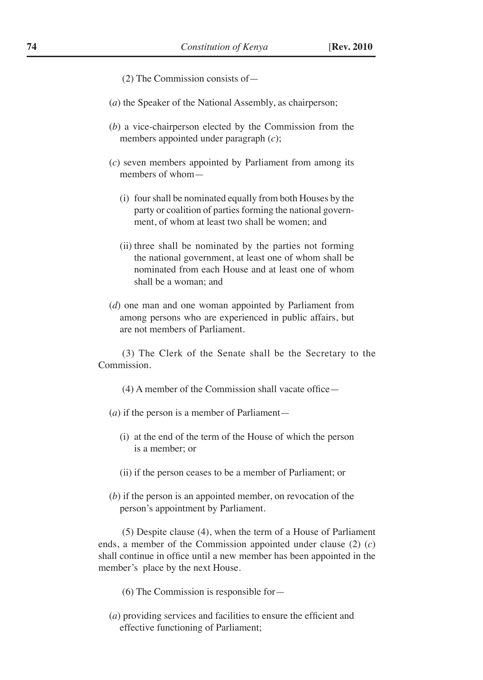- (2) The Commission consists of—
- (*a*) the Speaker of the National Assembly, as chairperson;
- (*b*) a vice-chairperson elected by the Commission from the members appointed under paragraph (*c*);
- (*c*) seven members appointed by Parliament from among its members of whom—
	- (i) fourshall be nominated equally from both Houses by the party or coalition of parties forming the national government, of whom at least two shall be women; and
	- (ii) three shall be nominated by the parties not forming the national government, at least one of whom shall be nominated from each House and at least one of whom shall be a woman; and
- (*d*) one man and one woman appointed by Parliament from among persons who are experienced in public affairs, but are not members of Parliament.

(3) The Clerk of the Senate shall be the Secretary to the Commission.

- (4) A member of the Commission shall vacate office—
- (*a*) if the person is a member of Parliament—
	- (i) at the end of the term of the House of which the person is a member; or
	- (ii) if the person ceases to be a member of Parliament; or
- (*b*) if the person is an appointed member, on revocation of the person's appointment by Parliament.

(5) Despite clause (4), when the term of a House of Parliament ends, a member of the Commission appointed under clause (2) (*c*) shall continue in office until a new member has been appointed in the member's place by the next House.

- (6) The Commission is responsible for—
- (*a*) providing services and facilities to ensure the efficient and effective functioning of Parliament;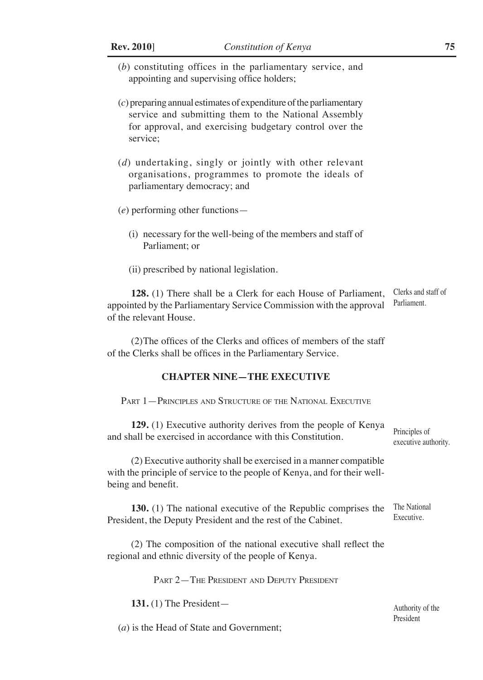- (*b*) constituting offices in the parliamentary service, and appointing and supervising office holders;
- (*c*) preparing annual estimates of expenditure of the parliamentary service and submitting them to the National Assembly for approval, and exercising budgetary control over the service;
- (*d*) undertaking, singly or jointly with other relevant organisations, programmes to promote the ideals of parliamentary democracy; and
- (*e*) performing other functions—
	- (i) necessary for the well-being of the members and staff of Parliament; or
	- (ii) prescribed by national legislation.

**128.** (1) There shall be a Clerk for each House of Parliament, appointed by the Parliamentary Service Commission with the approval of the relevant House. Clerks and staff of Parliament.

(2)The offices of the Clerks and offices of members of the staff of the Clerks shall be offices in the Parliamentary Service.

# **CHAPTER NINE—THE EXECUTIVE**

PART 1—PRINCIPLES AND STRUCTURE OF THE NATIONAL EXECUTIVE

**129.** (1) Executive authority derives from the people of Kenya and shall be exercised in accordance with this Constitution.

(2) Executive authority shall be exercised in a manner compatible with the principle of service to the people of Kenya, and for their wellbeing and benefit.

**130.** (1) The national executive of the Republic comprises the President, the Deputy President and the rest of the Cabinet. The National Executive.

(2) The composition of the national executive shall reflect the regional and ethnic diversity of the people of Kenya.

PART 2-THE PRESIDENT AND DEPUTY PRESIDENT

**131.** (1) The President—

(*a*) is the Head of State and Government;

Authority of the President

Principles of executive authority.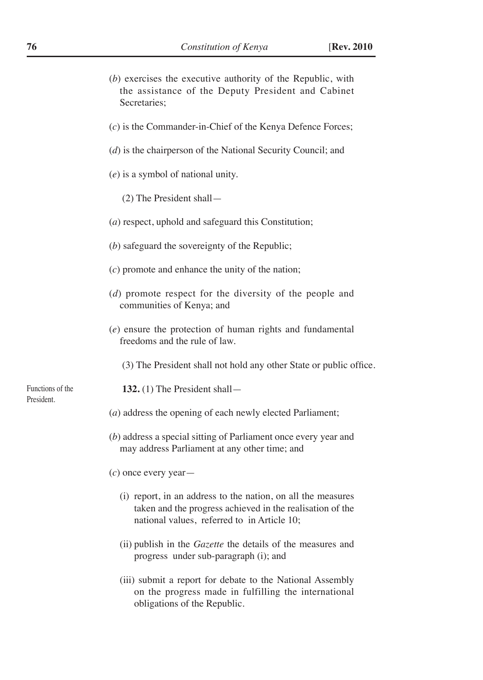- (*b*) exercises the executive authority of the Republic, with the assistance of the Deputy President and Cabinet Secretaries;
- (*c*) is the Commander-in-Chief of the Kenya Defence Forces;
- (*d*) is the chairperson of the National Security Council; and
- (*e*) is a symbol of national unity.

(2) The President shall—

- (*a*) respect, uphold and safeguard this Constitution;
- (*b*) safeguard the sovereignty of the Republic;
- (*c*) promote and enhance the unity of the nation;
- (*d*) promote respect for the diversity of the people and communities of Kenya; and
- (*e*) ensure the protection of human rights and fundamental freedoms and the rule of law.
	- (3) The President shall not hold any other State or public office.

**132.** (1) The President shall—

- (*a*) address the opening of each newly elected Parliament;
- (*b*) address a special sitting of Parliament once every year and may address Parliament at any other time; and
- (*c*) once every year—
	- (i) report, in an address to the nation, on all the measures taken and the progress achieved in the realisation of the national values, referred to in Article 10;
	- (ii) publish in the *Gazette* the details of the measures and progress under sub-paragraph (i); and
	- (iii) submit a report for debate to the National Assembly on the progress made in fulfilling the international obligations of the Republic.

Functions of the President.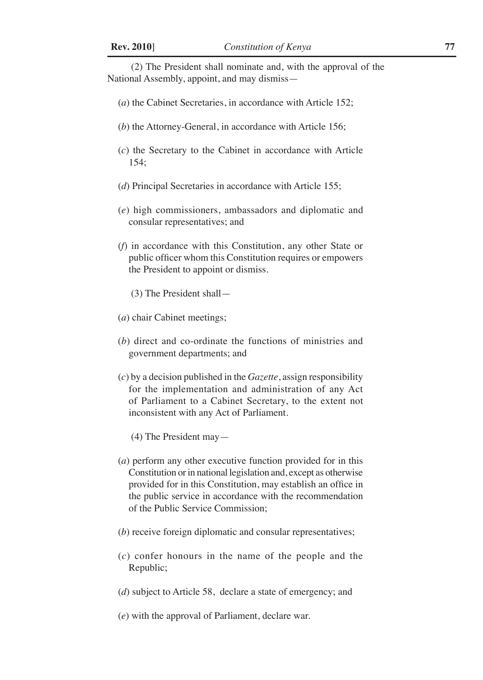(2) The President shall nominate and, with the approval of the National Assembly, appoint, and may dismiss—

- (*a*) the Cabinet Secretaries, in accordance with Article 152;
- (*b*) the Attorney-General, in accordance with Article 156;
- (*c*) the Secretary to the Cabinet in accordance with Article 154;
- (*d*) Principal Secretaries in accordance with Article 155;
- (*e*) high commissioners, ambassadors and diplomatic and consular representatives; and
- (*f*) in accordance with this Constitution, any other State or public officer whom this Constitution requires or empowers the President to appoint or dismiss.
	- (3) The President shall—
- (*a*) chair Cabinet meetings;
- (*b*) direct and co-ordinate the functions of ministries and government departments; and
- (*c*) by a decision published in the *Gazette*, assign responsibility for the implementation and administration of any Act of Parliament to a Cabinet Secretary, to the extent not inconsistent with any Act of Parliament.
	- (4) The President may—
- (*a*) perform any other executive function provided for in this Constitution or in national legislation and, except as otherwise provided for in this Constitution, may establish an office in the public service in accordance with the recommendation of the Public Service Commission;
- (*b*) receive foreign diplomatic and consular representatives;
- (*c*) confer honours in the name of the people and the Republic;
- (*d*) subject to Article 58,declare a state of emergency; and
- (*e*) with the approval of Parliament, declare war.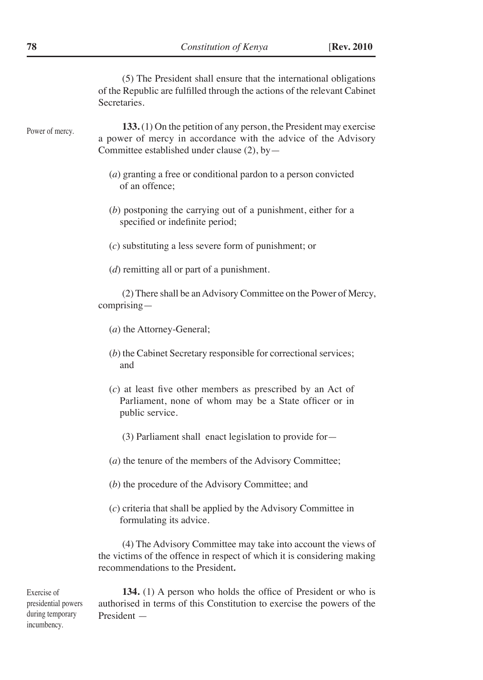| (5) The President shall ensure that the international obligations         |
|---------------------------------------------------------------------------|
| of the Republic are fulfilled through the actions of the relevant Cabinet |
| Secretaries.                                                              |

Power of mercy.

**133.** (1) On the petition of any person, the President may exercise a power of mercy in accordance with the advice of the Advisory Committee established under clause (2), by—

- (*a*) granting a free or conditional pardon to a person convicted of an offence;
- (*b*) postponing the carrying out of a punishment, either for a specified or indefinite period;
- (*c*) substituting a less severe form of punishment; or
- (*d*) remitting all or part of a punishment.

(2) There shall be an Advisory Committee on the Power of Mercy, comprising—

- (*a*) the Attorney-General;
- (*b*) the Cabinet Secretary responsible for correctional services; and
- (*c*) at least five other members as prescribed by an Act of Parliament, none of whom may be a State officer or in public service.
	- (3) Parliament shall enact legislation to provide for—
- (*a*) the tenure of the members of the Advisory Committee;
- (*b*) the procedure of the Advisory Committee; and
- (*c*) criteria that shall be applied by the Advisory Committee in formulating its advice.

(4) The Advisory Committee may take into account the views of the victims of the offence in respect of which it is considering making recommendations to the President*.*

Exercise of presidential powers during temporary incumbency.

**134.** (1) A person who holds the office of President or who is authorised in terms of this Constitution to exercise the powers of the President —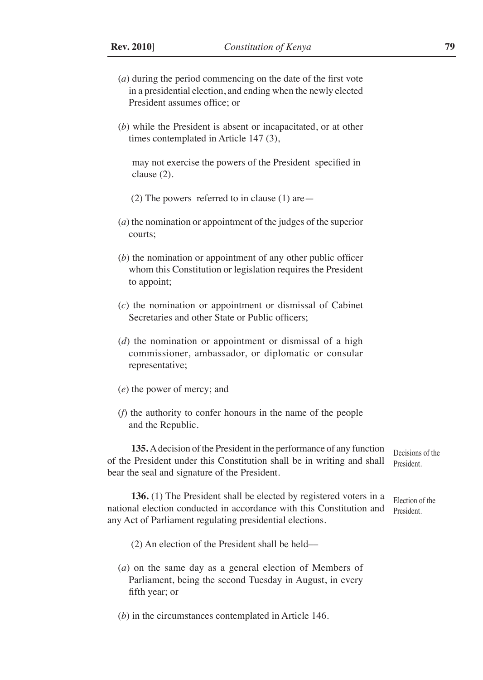- (*a*) during the period commencing on the date of the first vote in a presidential election, and ending when the newly elected President assumes office; or
- (*b*) while the President is absent or incapacitated, or at other times contemplated in Article 147 (3),

may not exercise the powers of the President specified in clause (2).

(2) The powers referred to in clause (1) are—

- (*a*) the nomination or appointment of the judges of the superior courts;
- (*b*) the nomination or appointment of any other public officer whom this Constitution or legislation requires the President to appoint;
- (*c*) the nomination or appointment or dismissal of Cabinet Secretaries and other State or Public officers;
- (*d*) the nomination or appointment or dismissal of a high commissioner, ambassador, or diplomatic or consular representative;
- (*e*) the power of mercy; and
- (*f*) the authority to confer honours in the name of the people and the Republic.

**135.** A decision of the President in the performance of any function of the President under this Constitution shall be in writing and shall bear the seal and signature of the President. Decisions of the President.

**136.** (1) The President shall be elected by registered voters in a national election conducted in accordance with this Constitution and any Act of Parliament regulating presidential elections. Election of the President.

(2) An election of the President shall be held––

(*a*) on the same day as a general election of Members of Parliament, being the second Tuesday in August, in every fifth year; or

(*b*) in the circumstances contemplated in Article 146.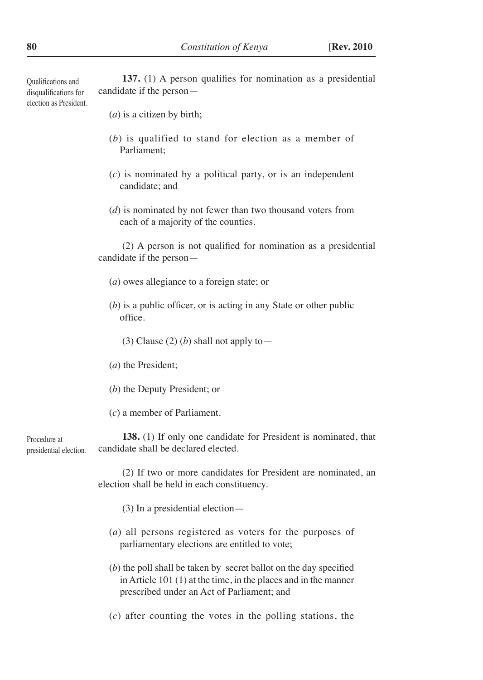Qualifications and disqualifications for election as President.

**137.** (1) A person qualifies for nomination as a presidential candidate if the person—

- (*a*) is a citizen by birth;
- (*b*) is qualified to stand for election as a member of Parliament;
- (*c*) is nominated by a political party, or is an independent candidate; and
- (*d*) is nominated by not fewer than two thousand voters from each of a majority of the counties.

(2) A person is not qualified for nomination as a presidential candidate if the person—

- (*a*) owes allegiance to a foreign state; or
- (*b*) is a public officer, or is acting in any State or other public office.

(3) Clause (2)  $(b)$  shall not apply to —

- (*a*) the President;
- (*b*) the Deputy President; or

(*c*) a member of Parliament.

**138.** (1) If only one candidate for President is nominated, that candidate shall be declared elected. Procedure at presidential election.

> (2) If two or more candidates for President are nominated, an election shall be held in each constituency.

- (3) In a presidential election—
- (*a*) all persons registered as voters for the purposes of parliamentary elections are entitled to vote;
- (*b*) the poll shall be taken by secret ballot on the day specified in Article 101 (1) at the time, in the places and in the manner prescribed under an Act of Parliament; and
- (*c*) after counting the votes in the polling stations, the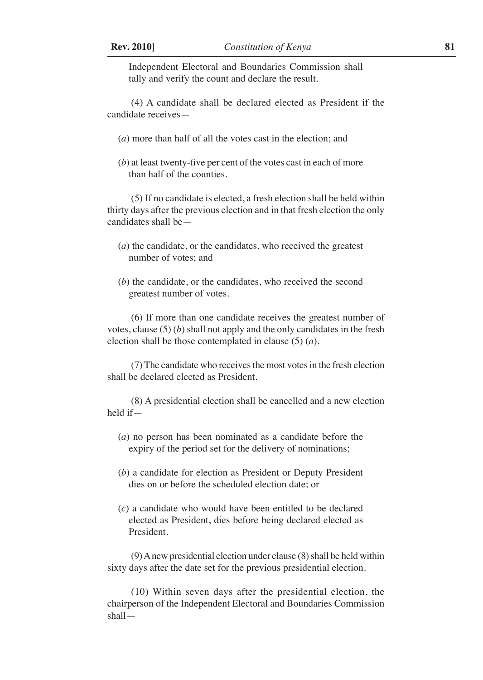Independent Electoral and Boundaries Commission shall tally and verify the count and declare the result.

(4) A candidate shall be declared elected as President if the candidate receives—

- (*a*) more than half of all the votes cast in the election; and
- (*b*) at least twenty-five per cent of the votes cast in each of more than half of the counties.

(5) If no candidate is elected, a fresh election shall be held within thirty days after the previous election and in that fresh election the only candidates shall be—

- (*a*) the candidate, or the candidates, who received the greatest number of votes; and
- (*b*) the candidate, or the candidates, who received the second greatest number of votes.

(6) If more than one candidate receives the greatest number of votes, clause (5) (*b*) shall not apply and the only candidates in the fresh election shall be those contemplated in clause (5) (*a*).

(7) The candidate who receives the most votes in the fresh election shall be declared elected as President.

(8) A presidential election shall be cancelled and a new election held if—

- (*a*) no person has been nominated as a candidate before the expiry of the period set for the delivery of nominations;
- (*b*) a candidate for election as President or Deputy President dies on or before the scheduled election date; or
- (*c*) a candidate who would have been entitled to be declared elected as President, dies before being declared elected as President.

(9) A new presidential election under clause (8) shall be held within sixty days after the date set for the previous presidential election.

(10) Within seven days after the presidential election, the chairperson of the Independent Electoral and Boundaries Commission shall—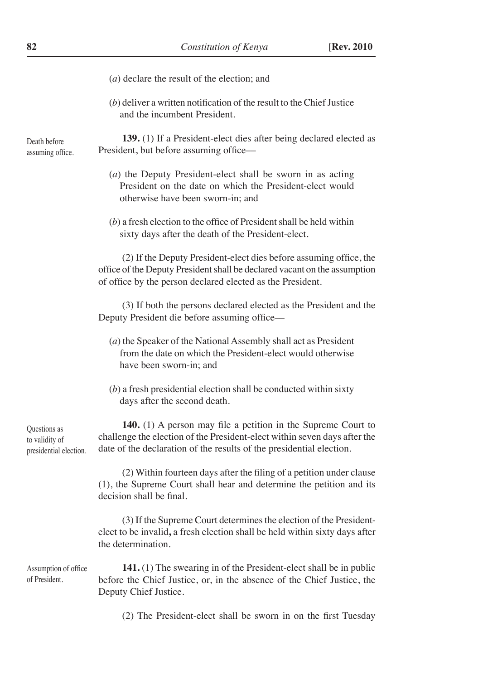|                                                          | $(a)$ declare the result of the election; and                                                                                                                                                                      |
|----------------------------------------------------------|--------------------------------------------------------------------------------------------------------------------------------------------------------------------------------------------------------------------|
|                                                          | $(b)$ deliver a written notification of the result to the Chief Justice<br>and the incumbent President.                                                                                                            |
| Death before<br>assuming office.                         | 139. (1) If a President-elect dies after being declared elected as<br>President, but before assuming office—                                                                                                       |
|                                                          | $(a)$ the Deputy President-elect shall be sworn in as acting<br>President on the date on which the President-elect would<br>otherwise have been sworn-in; and                                                      |
|                                                          | $(b)$ a fresh election to the office of President shall be held within<br>sixty days after the death of the President-elect.                                                                                       |
|                                                          | (2) If the Deputy President-elect dies before assuming office, the<br>office of the Deputy President shall be declared vacant on the assumption<br>of office by the person declared elected as the President.      |
|                                                          | (3) If both the persons declared elected as the President and the<br>Deputy President die before assuming office—                                                                                                  |
|                                                          | $(a)$ the Speaker of the National Assembly shall act as President<br>from the date on which the President-elect would otherwise<br>have been sworn-in; and                                                         |
|                                                          | $(b)$ a fresh presidential election shall be conducted within sixty<br>days after the second death.                                                                                                                |
| Questions as<br>to validity of<br>presidential election. | 140. (1) A person may file a petition in the Supreme Court to<br>challenge the election of the President-elect within seven days after the<br>date of the declaration of the results of the presidential election. |
|                                                          | (2) Within fourteen days after the filing of a petition under clause<br>(1), the Supreme Court shall hear and determine the petition and its<br>decision shall be final.                                           |
|                                                          | (3) If the Supreme Court determines the election of the President-<br>elect to be invalid, a fresh election shall be held within sixty days after<br>the determination.                                            |
| Assumption of office<br>of President.                    | 141. (1) The swearing in of the President-elect shall be in public<br>before the Chief Justice, or, in the absence of the Chief Justice, the<br>Deputy Chief Justice.                                              |
|                                                          | (2) The President-elect shall be sworn in on the first Tuesday                                                                                                                                                     |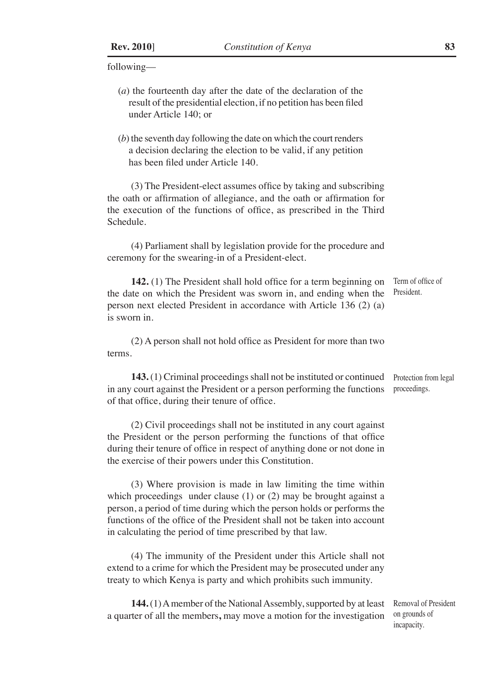following––

- (*a*) the fourteenth day after the date of the declaration of the result of the presidential election, if no petition has been filed under Article 140; or
- (*b*) the seventh day following the date on which the court renders a decision declaring the election to be valid, if any petition has been filed under Article 140.

(3) The President-elect assumes office by taking and subscribing the oath or affirmation of allegiance, and the oath or affirmation for the execution of the functions of office, as prescribed in the Third Schedule.

(4) Parliament shall by legislation provide for the procedure and ceremony for the swearing-in of a President-elect.

**142.** (1) The President shall hold office for a term beginning on the date on which the President was sworn in, and ending when the person next elected President in accordance with Article 136 (2) (a) is sworn in. Term of office of President.

(2) A person shall not hold office as President for more than two terms.

**143.** (1) Criminal proceedings shall not be instituted or continued in any court against the President or a person performing the functions of that office, during their tenure of office. Protection from legal proceedings.

(2) Civil proceedings shall not be instituted in any court against the President or the person performing the functions of that office during their tenure of office in respect of anything done or not done in the exercise of their powers under this Constitution.

(3) Where provision is made in law limiting the time within which proceedings under clause (1) or (2) may be brought against a person, a period of time during which the person holds or performs the functions of the office of the President shall not be taken into account in calculating the period of time prescribed by that law.

(4) The immunity of the President under this Article shall not extend to a crime for which the President may be prosecuted under any treaty to which Kenya is party and which prohibits such immunity.

**144.** (1) A member of the National Assembly, supported by at least a quarter of all the members**,** may move a motion for the investigation

Removal of President on grounds of incapacity.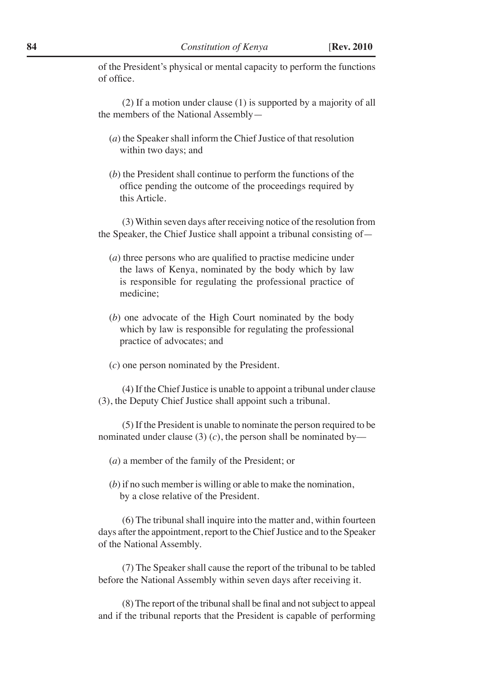of the President's physical or mental capacity to perform the functions of office.

(2) If a motion under clause (1) is supported by a majority of all the members of the National Assembly—

- (*a*) the Speaker shall inform the Chief Justice of that resolution within two days; and
- (*b*) the President shall continue to perform the functions of the office pending the outcome of the proceedings required by this Article.

(3) Within seven days after receiving notice of the resolution from the Speaker, the Chief Justice shall appoint a tribunal consisting of—

- (*a*) three persons who are qualified to practise medicine under the laws of Kenya, nominated by the body which by law is responsible for regulating the professional practice of medicine;
- (*b*) one advocate of the High Court nominated by the body which by law is responsible for regulating the professional practice of advocates; and
- (*c*) one person nominated by the President.

(4) If the Chief Justice is unable to appoint a tribunal under clause (3), the Deputy Chief Justice shall appoint such a tribunal.

(5) If the President is unable to nominate the person required to be nominated under clause  $(3)(c)$ , the person shall be nominated by—

- (*a*) a member of the family of the President; or
- (*b*) if no such member is willing or able to make the nomination, by a close relative of the President.

(6) The tribunal shall inquire into the matter and, within fourteen days after the appointment, report to the Chief Justice and to the Speaker of the National Assembly.

(7) The Speaker shall cause the report of the tribunal to be tabled before the National Assembly within seven days after receiving it.

(8) The report of the tribunal shall be final and not subject to appeal and if the tribunal reports that the President is capable of performing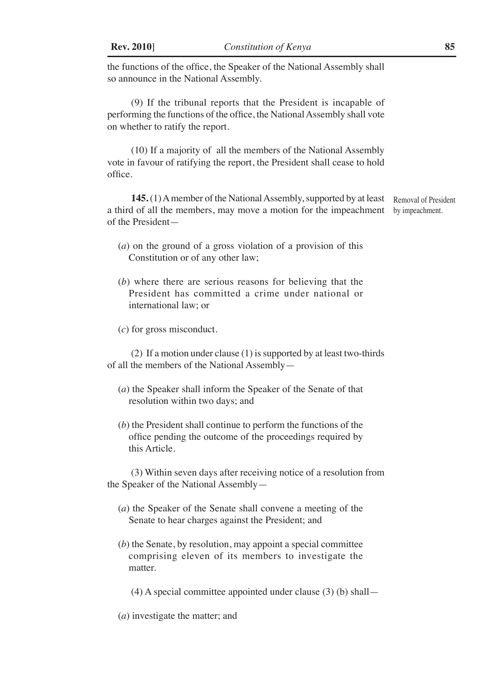the functions of the office, the Speaker of the National Assembly shall so announce in the National Assembly.

(9) If the tribunal reports that the President is incapable of performing the functions of the office, the National Assembly shall vote on whether to ratify the report.

(10) If a majority of all the members of the National Assembly vote in favour of ratifying the report, the President shall cease to hold office.

145. (1) A member of the National Assembly, supported by at least Removal of President a third of all the members, may move a motion for the impeachment by impeachment.of the President—

- (*a*) on the ground of a gross violation of a provision of this Constitution or of any other law;
- (*b*) where there are serious reasons for believing that the President has committed a crime under national or international law; or
- (*c*) for gross misconduct.

(2) If a motion under clause (1) is supported by at least two-thirds of all the members of the National Assembly—

- (*a*) the Speaker shall inform the Speaker of the Senate of that resolution within two days; and
- (*b*) the President shall continue to perform the functions of the office pending the outcome of the proceedings required by this Article.

(3) Within seven days after receiving notice of a resolution from the Speaker of the National Assembly—

- (*a*) the Speaker of the Senate shall convene a meeting of the Senate to hear charges against the President; and
- (*b*) the Senate, by resolution, may appoint a special committee comprising eleven of its members to investigate the matter.

(4) A special committee appointed under clause (3) (b) shall—

(*a*) investigate the matter; and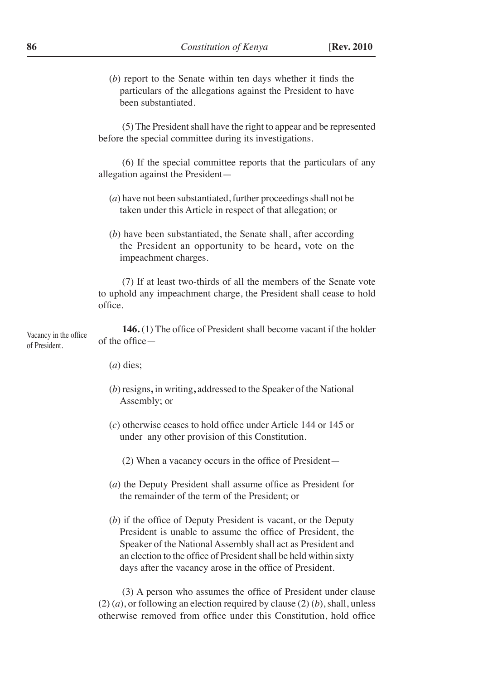(*b*) report to the Senate within ten days whether it finds the particulars of the allegations against the President to have been substantiated.

(5) The President shall have the right to appear and be represented before the special committee during its investigations.

(6) If the special committee reports that the particulars of any allegation against the President—

- (*a*) have not been substantiated, further proceedings shall not be taken under this Article in respect of that allegation; or
- (*b*) have been substantiated, the Senate shall, after according the President an opportunity to be heard**,** vote on the impeachment charges.

(7) If at least two-thirds of all the members of the Senate vote to uphold any impeachment charge, the President shall cease to hold office.

**146.** (1) The office of President shall become vacant if the holder of the office— Vacancy in the office of President.

(*a*) dies;

- (*b*) resigns**,** in writing**,** addressed to the Speaker of the National Assembly; or
- (*c*) otherwise ceases to hold office under Article 144 or 145 or under any other provision of this Constitution.
	- (2) When a vacancy occurs in the office of President—
- (*a*) the Deputy President shall assume office as President for the remainder of the term of the President; or
- (*b*) if the office of Deputy President is vacant, or the Deputy President is unable to assume the office of President, the Speaker of the National Assembly shall act as President and an election to the office of President shall be held within sixty days after the vacancy arose in the office of President.

(3) A person who assumes the office of President under clause (2) (*a*), or following an election required by clause (2) (*b*), shall, unless otherwise removed from office under this Constitution, hold office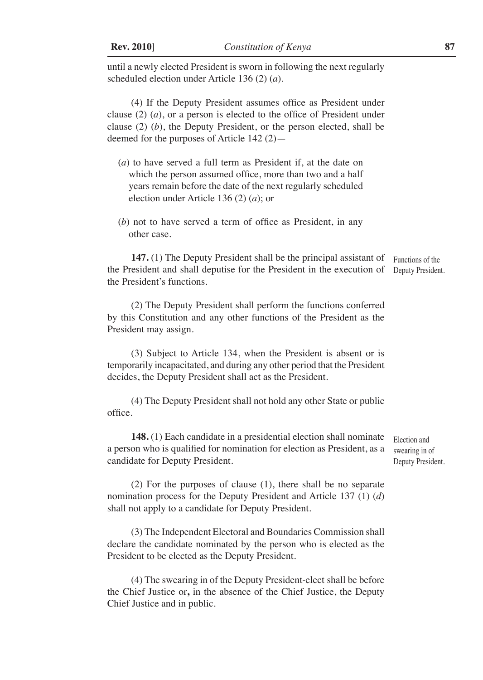until a newly elected President is sworn in following the next regularly scheduled election under Article 136 (2) (*a*).

(4) If the Deputy President assumes office as President under clause (2) (*a*), or a person is elected to the office of President under clause (2) (*b*), the Deputy President, or the person elected, shall be deemed for the purposes of Article 142 (2)—

- (*a*) to have served a full term as President if, at the date on which the person assumed office, more than two and a half years remain before the date of the next regularly scheduled election under Article 136 (2) (*a*); or
- (*b*) not to have served a term of office as President, in any other case.

**147.** (1) The Deputy President shall be the principal assistant of Functions of the the President and shall deputise for the President in the execution of Deputy President. the President's functions.

(2) The Deputy President shall perform the functions conferred by this Constitution and any other functions of the President as the President may assign.

(3) Subject to Article 134, when the President is absent or is temporarily incapacitated, and during any other period that the President decides, the Deputy President shall act as the President.

(4) The Deputy President shall not hold any other State or public office.

**148.** (1) Each candidate in a presidential election shall nominate a person who is qualified for nomination for election as President, as a candidate for Deputy President.

Election and swearing in of Deputy President.

(2) For the purposes of clause (1), there shall be no separate nomination process for the Deputy President and Article 137 (1) (*d*) shall not apply to a candidate for Deputy President.

(3) The Independent Electoral and Boundaries Commission shall declare the candidate nominated by the person who is elected as the President to be elected as the Deputy President.

(4) The swearing in of the Deputy President-elect shall be before the Chief Justice or**,** in the absence of the Chief Justice, the Deputy Chief Justice and in public.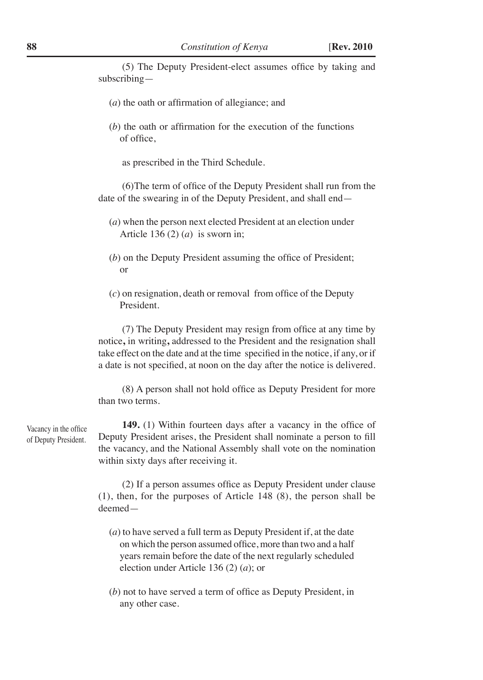(5) The Deputy President-elect assumes office by taking and subscribing—

- (*a*) the oath or affirmation of allegiance; and
- (*b*) the oath or affirmation for the execution of the functions of office,

as prescribed in the Third Schedule.

(6)The term of office of the Deputy President shall run from the date of the swearing in of the Deputy President, and shall end—

- (*b*) on the Deputy President assuming the office of President; or
- (*c*) on resignation, death or removal from office of the Deputy President.

(7) The Deputy President may resign from office at any time by notice**,** in writing**,** addressed to the President and the resignation shall take effect on the date and at the time specified in the notice, if any, or if a date is not specified, at noon on the day after the notice is delivered.

(8) A person shall not hold office as Deputy President for more than two terms.

**149.** (1) Within fourteen days after a vacancy in the office of Deputy President arises, the President shall nominate a person to fill the vacancy, and the National Assembly shall vote on the nomination within sixty days after receiving it.

(2) If a person assumes office as Deputy President under clause (1), then, for the purposes of Article 148 (8), the person shall be deemed—

- (*a*) to have served a full term as Deputy President if, at the date on which the person assumed office, more than two and a half years remain before the date of the next regularly scheduled election under Article 136 (2) (*a*); or
- (*b*) not to have served a term of office as Deputy President, in any other case.

Vacancy in the office of Deputy President.

<sup>(</sup>*a*) when the person next elected President at an election under Article 136 (2) (*a*) is sworn in;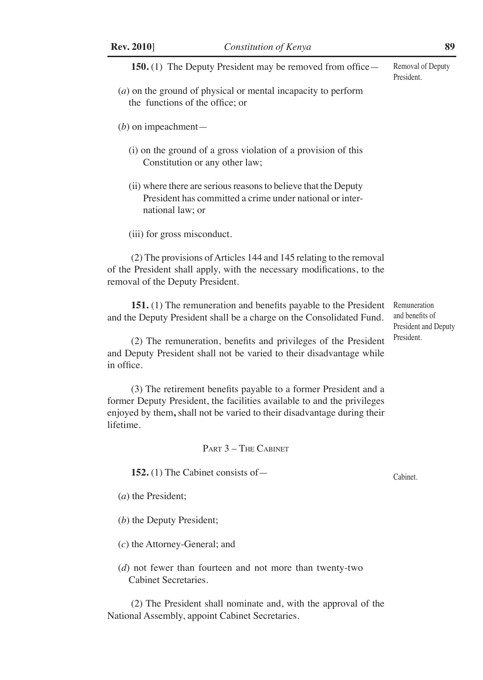**Rev. 2010**] *Constitution of Kenya* **89 150.** (1) The Deputy President may be removed from office— (*a*) on the ground of physical or mental incapacity to perform the functions of the office; or (*b*) on impeachment— (i) on the ground of a gross violation of a provision of this Constitution or any other law; (ii) where there are serious reasons to believe that the Deputy President has committed a crime under national or international law; or (iii) for gross misconduct. (2) The provisions of Articles 144 and 145 relating to the removal of the President shall apply, with the necessary modifications, to the removal of the Deputy President. **151.** (1) The remuneration and benefits payable to the President and the Deputy President shall be a charge on the Consolidated Fund. (2) The remuneration, benefits and privileges of the President and Deputy President shall not be varied to their disadvantage while in office. (3) The retirement benefits payable to a former President and a former Deputy President, the facilities available to and the privileges enjoyed by them**,** shall not be varied to their disadvantage during their lifetime. PART 3 - THE CABINET **152.** (1) The Cabinet consists of— (*a*) the President; (*b*) the Deputy President; (*c*) the Attorney-General; and (*d*) not fewer than fourteen and not more than twenty-two Cabinet Secretaries. (2) The President shall nominate and, with the approval of the National Assembly, appoint Cabinet Secretaries. Removal of Deputy President. Remuneration and benefits of President and Deputy President. Cabinet.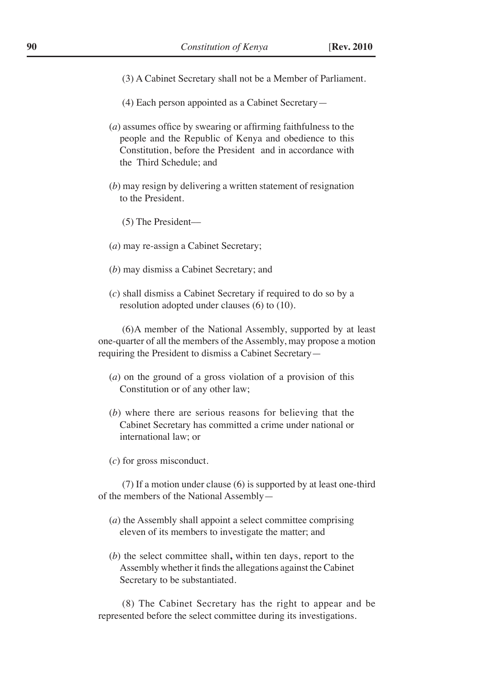- (3) A Cabinet Secretary shall not be a Member of Parliament.
- (4) Each person appointed as a Cabinet Secretary—
- (*a*) assumes office by swearing or affirming faithfulness to the people and the Republic of Kenya and obedience to this Constitution, before the President and in accordance with the Third Schedule; and
- (*b*) may resign by delivering a written statement of resignation to the President.
	- (5) The President––
- (*a*) may re-assign a Cabinet Secretary;
- (*b*) may dismiss a Cabinet Secretary; and
- (*c*) shall dismiss a Cabinet Secretary if required to do so by a resolution adopted under clauses (6) to (10).

(6)A member of the National Assembly, supported by at least one-quarter of all the members of the Assembly, may propose a motion requiring the President to dismiss a Cabinet Secretary—

- (*a*) on the ground of a gross violation of a provision of this Constitution or of any other law;
- (*b*) where there are serious reasons for believing that the Cabinet Secretary has committed a crime under national or international law; or

(*c*) for gross misconduct.

(7) If a motion under clause (6) is supported by at least one-third of the members of the National Assembly—

- (*a*) the Assembly shall appoint a select committee comprising eleven of its members to investigate the matter; and
- (*b*) the select committee shall**,** within ten days, report to the Assembly whether it finds the allegations against the Cabinet Secretary to be substantiated.

(8) The Cabinet Secretary has the right to appear and be represented before the select committee during its investigations.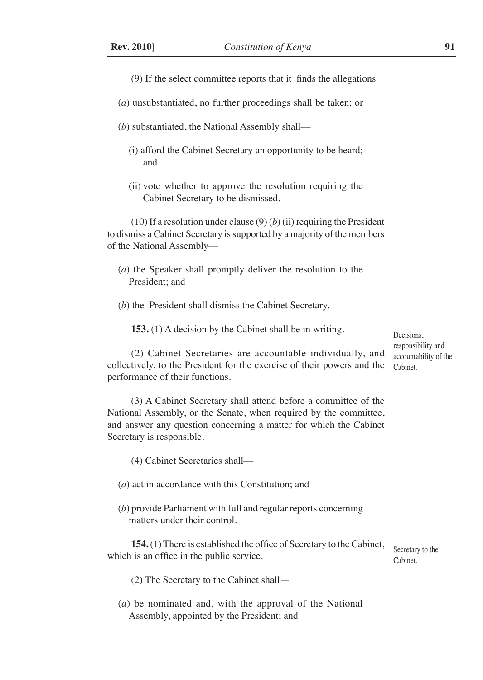- (9) If the select committee reports that it finds the allegations
- (*a*) unsubstantiated, no further proceedings shall be taken; or
- (*b*) substantiated, the National Assembly shall––
	- (i) afford the Cabinet Secretary an opportunity to be heard; and
	- (ii) vote whether to approve the resolution requiring the Cabinet Secretary to be dismissed.

(10) If a resolution under clause  $(9)$  (*b*) (ii) requiring the President to dismiss a Cabinet Secretary is supported by a majority of the members of the National Assembly––

- (*a*) the Speaker shall promptly deliver the resolution to the President; and
- (*b*) the President shall dismiss the Cabinet Secretary.

**153.** (1) A decision by the Cabinet shall be in writing.

Decisions, responsibility and accountability of the

(2) Cabinet Secretaries are accountable individually, and collectively, to the President for the exercise of their powers and the Cabinet. performance of their functions.

(3) A Cabinet Secretary shall attend before a committee of the National Assembly, or the Senate, when required by the committee, and answer any question concerning a matter for which the Cabinet Secretary is responsible.

- (4) Cabinet Secretaries shall––
- (*a*) act in accordance with this Constitution; and
- (*b*) provide Parliament with full and regular reports concerning matters under their control.

**154.** (1) There is established the office of Secretary to the Cabinet, which is an office in the public service.

Secretary to the Cabinet.

(2) The Secretary to the Cabinet shall—

(*a*) be nominated and, with the approval of the National Assembly, appointed by the President; and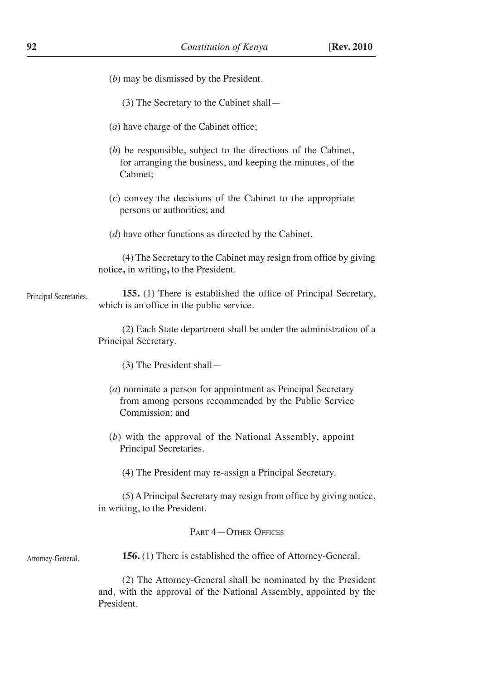|                        | $(b)$ may be dismissed by the President.                                                                                                        |
|------------------------|-------------------------------------------------------------------------------------------------------------------------------------------------|
|                        | (3) The Secretary to the Cabinet shall —                                                                                                        |
|                        | $(a)$ have charge of the Cabinet office;                                                                                                        |
|                        | $(b)$ be responsible, subject to the directions of the Cabinet,<br>for arranging the business, and keeping the minutes, of the<br>Cabinet;      |
|                        | $(c)$ convey the decisions of the Cabinet to the appropriate<br>persons or authorities; and                                                     |
|                        | $(d)$ have other functions as directed by the Cabinet.                                                                                          |
|                        | (4) The Secretary to the Cabinet may resign from office by giving<br>notice, in writing, to the President.                                      |
| Principal Secretaries. | 155. (1) There is established the office of Principal Secretary,<br>which is an office in the public service.                                   |
|                        | (2) Each State department shall be under the administration of a<br>Principal Secretary.                                                        |
|                        | (3) The President shall-                                                                                                                        |
|                        | (a) nominate a person for appointment as Principal Secretary<br>from among persons recommended by the Public Service<br>Commission; and         |
|                        | (b) with the approval of the National Assembly, appoint<br>Principal Secretaries.                                                               |
|                        | (4) The President may re-assign a Principal Secretary.                                                                                          |
|                        | (5) A Principal Secretary may resign from office by giving notice,<br>in writing, to the President.                                             |
|                        | <b>PART 4-OTHER OFFICES</b>                                                                                                                     |
| Attorney-General.      | 156. (1) There is established the office of Attorney-General.                                                                                   |
|                        | (2) The Attorney-General shall be nominated by the President<br>and, with the approval of the National Assembly, appointed by the<br>President. |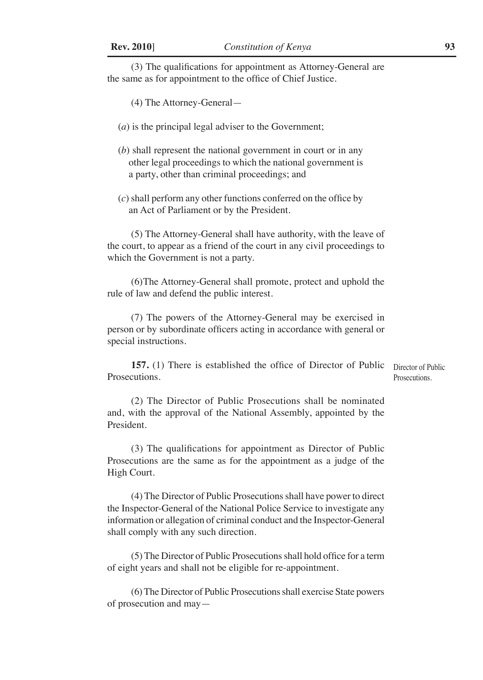(3) The qualifications for appointment as Attorney-General are the same as for appointment to the office of Chief Justice.

| (4) The Attorney-General- |  |
|---------------------------|--|
|---------------------------|--|

- (*a*) is the principal legal adviser to the Government;
- (*b*) shall represent the national government in court or in any other legal proceedings to which the national government is a party, other than criminal proceedings; and
- (*c*) shall perform any other functions conferred on the office by an Act of Parliament or by the President.

(5) The Attorney-General shall have authority, with the leave of the court, to appear as a friend of the court in any civil proceedings to which the Government is not a party.

(6)The Attorney-General shall promote, protect and uphold the rule of law and defend the public interest.

(7) The powers of the Attorney-General may be exercised in person or by subordinate officers acting in accordance with general or special instructions.

**157.** (1) There is established the office of Director of Public Director of Public Prosecutions. Prosecutions.

(2) The Director of Public Prosecutions shall be nominated and, with the approval of the National Assembly, appointed by the President.

(3) The qualifications for appointment as Director of Public Prosecutions are the same as for the appointment as a judge of the High Court.

(4) The Director of Public Prosecutions shall have power to direct the Inspector-General of the National Police Service to investigate any information or allegation of criminal conduct and the Inspector-General shall comply with any such direction.

(5) The Director of Public Prosecutions shall hold office for a term of eight years and shall not be eligible for re-appointment.

(6) The Director of Public Prosecutions shall exercise State powers of prosecution and may—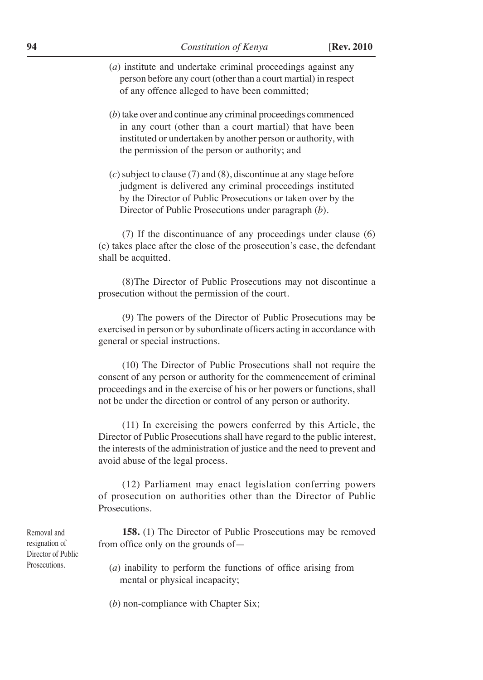- (*a*) institute and undertake criminal proceedings against any person before any court (other than a court martial) in respect of any offence alleged to have been committed;
- (*b*) take over and continue any criminal proceedings commenced in any court (other than a court martial) that have been instituted or undertaken by another person or authority, with the permission of the person or authority; and
- (*c*) subject to clause (7) and (8), discontinue at any stage before judgment is delivered any criminal proceedings instituted by the Director of Public Prosecutions or taken over by the Director of Public Prosecutions under paragraph (*b*).

(7) If the discontinuance of any proceedings under clause (6) (c) takes place after the close of the prosecution's case, the defendant shall be acquitted.

(8)The Director of Public Prosecutions may not discontinue a prosecution without the permission of the court.

(9) The powers of the Director of Public Prosecutions may be exercised in person or by subordinate officers acting in accordance with general or special instructions.

(10) The Director of Public Prosecutions shall not require the consent of any person or authority for the commencement of criminal proceedings and in the exercise of his or her powers or functions, shall not be under the direction or control of any person or authority.

(11) In exercising the powers conferred by this Article, the Director of Public Prosecutions shall have regard to the public interest, the interests of the administration of justice and the need to prevent and avoid abuse of the legal process.

(12) Parliament may enact legislation conferring powers of prosecution on authorities other than the Director of Public Prosecutions.

**158.** (1) The Director of Public Prosecutions may be removed from office only on the grounds of—

- (*a*) inability to perform the functions of office arising from mental or physical incapacity;
- (*b*) non-compliance with Chapter Six;

Removal and resignation of Director of Public **Prosecutions**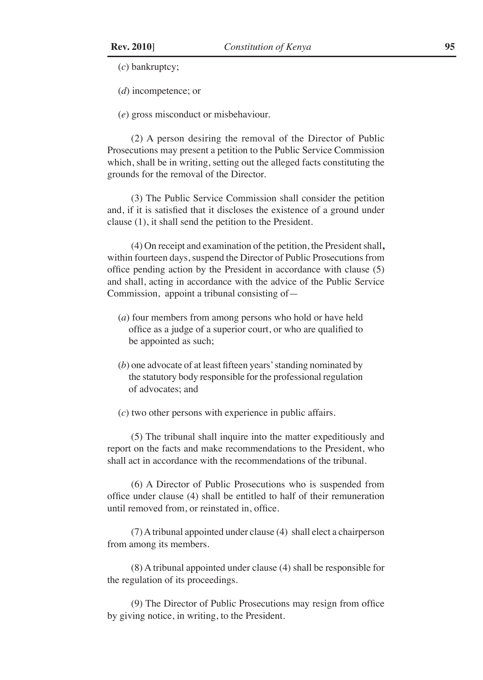(*c*) bankruptcy;

(*d*) incompetence; or

(*e*) gross misconduct or misbehaviour.

(2) A person desiring the removal of the Director of Public Prosecutions may present a petition to the Public Service Commission which, shall be in writing, setting out the alleged facts constituting the grounds for the removal of the Director.

(3) The Public Service Commission shall consider the petition and, if it is satisfied that it discloses the existence of a ground under clause (1), it shall send the petition to the President.

(4) On receipt and examination of the petition, the President shall**,** within fourteen days, suspend the Director of Public Prosecutions from office pending action by the President in accordance with clause (5) and shall, acting in accordance with the advice of the Public Service Commission, appoint a tribunal consisting of—

- (*a*) four members from among persons who hold or have held office as a judge of a superior court, or who are qualified to be appointed as such;
- (*b*) one advocate of at least fifteen years' standing nominated by the statutory body responsible for the professional regulation of advocates; and

(*c*) two other persons with experience in public affairs.

(5) The tribunal shall inquire into the matter expeditiously and report on the facts and make recommendations to the President, who shall act in accordance with the recommendations of the tribunal.

(6) A Director of Public Prosecutions who is suspended from office under clause (4) shall be entitled to half of their remuneration until removed from, or reinstated in, office.

(7) A tribunal appointed under clause (4) shall elect a chairperson from among its members.

(8) A tribunal appointed under clause (4) shall be responsible for the regulation of its proceedings.

(9) The Director of Public Prosecutions may resign from office by giving notice, in writing, to the President.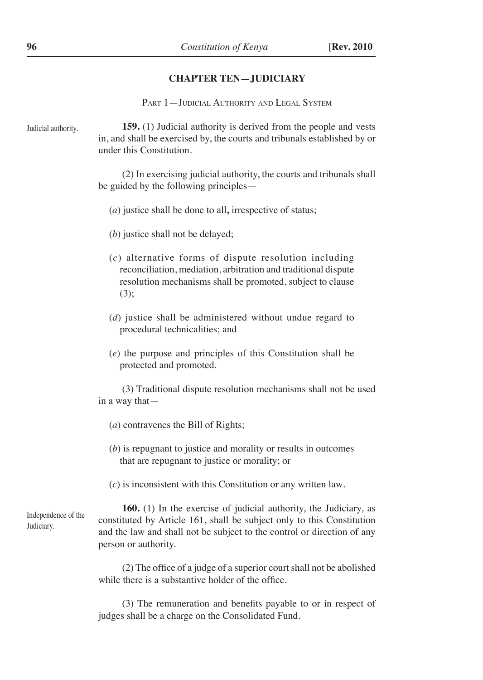# **CHAPTER TEN—JUDICIARY**

PART 1-JUDICIAL AUTHORITY AND LEGAL SYSTEM

Judicial authority.

**159.** (1) Judicial authority is derived from the people and vests in, and shall be exercised by, the courts and tribunals established by or under this Constitution.

(2) In exercising judicial authority, the courts and tribunals shall be guided by the following principles—

- (*a*) justice shall be done to all**,** irrespective of status;
- (*b*) justice shall not be delayed;
- (*c*) alternative forms of dispute resolution including reconciliation, mediation, arbitration and traditional dispute resolution mechanisms shall be promoted, subject to clause (3);
- (*d*) justice shall be administered without undue regard to procedural technicalities; and
- (*e*) the purpose and principles of this Constitution shall be protected and promoted.

(3) Traditional dispute resolution mechanisms shall not be used in a way that—

- (*a*) contravenes the Bill of Rights;
- (*b*) is repugnant to justice and morality or results in outcomes that are repugnant to justice or morality; or
- (*c*) is inconsistent with this Constitution or any written law*.*

Independence of the Judiciary.

**160.** (1) In the exercise of judicial authority, the Judiciary, as constituted by Article 161, shall be subject only to this Constitution and the law and shall not be subject to the control or direction of any person or authority.

(2) The office of a judge of a superior court shall not be abolished while there is a substantive holder of the office.

(3) The remuneration and benefits payable to or in respect of judges shall be a charge on the Consolidated Fund.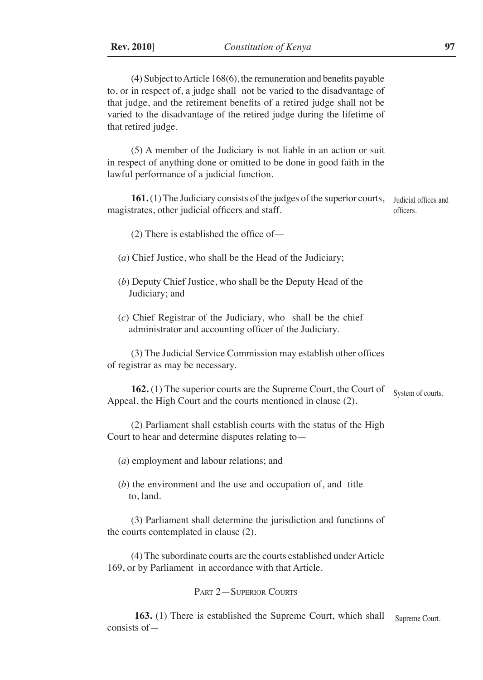(4) Subject to Article 168(6), the remuneration and benefits payable to, or in respect of, a judge shall not be varied to the disadvantage of that judge, and the retirement benefits of a retired judge shall not be varied to the disadvantage of the retired judge during the lifetime of that retired judge.

(5) A member of the Judiciary is not liable in an action or suit in respect of anything done or omitted to be done in good faith in the lawful performance of a judicial function.

161. (1) The Judiciary consists of the judges of the superior courts, Judicial offices and magistrates, other judicial officers and staff. officers.

(2) There is established the office of––

- (*a*) Chief Justice, who shall be the Head of the Judiciary;
- (*b*) Deputy Chief Justice, who shall be the Deputy Head of the Judiciary; and
- (*c*) Chief Registrar of the Judiciary, who shall be the chief administrator and accounting officer of the Judiciary.

(3) The Judicial Service Commission may establish other offices of registrar as may be necessary.

**162.** (1) The superior courts are the Supreme Court, the Court of Appeal, the High Court and the courts mentioned in clause (2). System of courts.

(2) Parliament shall establish courts with the status of the High Court to hear and determine disputes relating to—

- (*a*) employment and labour relations; and
- (*b*) the environment and the use and occupation of, and title to, land.

(3) Parliament shall determine the jurisdiction and functions of the courts contemplated in clause (2).

(4) The subordinate courts are the courts established under Article 169, or by Parliament in accordance with that Article.

# Part 2—Superior Courts

**163.** (1) There is established the Supreme Court, which shall consists of— Supreme Court.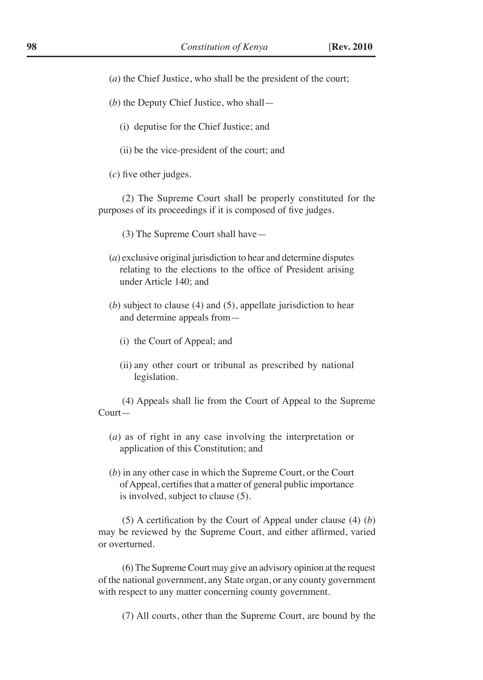- (*a*) the Chief Justice, who shall be the president of the court;
- (*b*) the Deputy Chief Justice, who shall—
	- (i) deputise for the Chief Justice; and
	- (ii) be the vice-president of the court; and

(*c*) five other judges.

(2) The Supreme Court shall be properly constituted for the purposes of its proceedings if it is composed of five judges.

- (3) The Supreme Court shall have—
- (*a*) exclusive original jurisdiction to hear and determine disputes relating to the elections to the office of President arising under Article 140; and
- (*b*) subject to clause (4) and (5), appellate jurisdiction to hear and determine appeals from—
	- (i) the Court of Appeal; and
	- (ii) any other court or tribunal as prescribed by national legislation.

(4) Appeals shall lie from the Court of Appeal to the Supreme Court—

- (*a*) as of right in any case involving the interpretation or application of this Constitution; and
- (*b*) in any other case in which the Supreme Court, or the Court of Appeal, certifies that a matter of general public importance is involved, subject to clause (5).

(5) A certification by the Court of Appeal under clause (4) (*b*) may be reviewed by the Supreme Court, and either affirmed, varied or overturned.

(6) The Supreme Court may give an advisory opinion at the request of the national government, any State organ, or any county government with respect to any matter concerning county government.

(7) All courts, other than the Supreme Court, are bound by the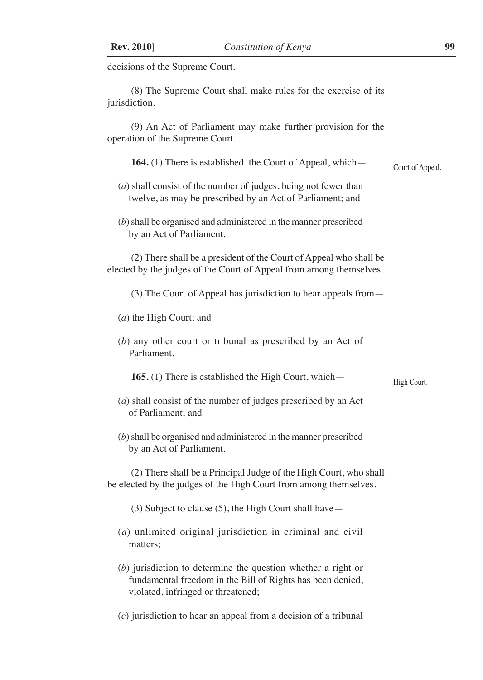|  | <b>Rev. 2010</b> |
|--|------------------|
|--|------------------|

decisions of the Supreme Court.

(8) The Supreme Court shall make rules for the exercise of its jurisdiction.

(9) An Act of Parliament may make further provision for the operation of the Supreme Court.

|  |  |  | <b>164.</b> (1) There is established the Court of Appeal, which $-$ |  | Court of Appeal. |
|--|--|--|---------------------------------------------------------------------|--|------------------|
|--|--|--|---------------------------------------------------------------------|--|------------------|

- (*a*) shall consist of the number of judges, being not fewer than twelve, as may be prescribed by an Act of Parliament; and
- (*b*) shall be organised and administered in the manner prescribed by an Act of Parliament.

(2) There shall be a president of the Court of Appeal who shall be elected by the judges of the Court of Appeal from among themselves.

(3) The Court of Appeal has jurisdiction to hear appeals from—

(*a*) the High Court; and

(*b*) any other court or tribunal as prescribed by an Act of Parliament.

**165.** (1) There is established the High Court, which—

#### High Court.

- (*a*) shall consist of the number of judges prescribed by an Act of Parliament; and
- (*b*) shall be organised and administered in the manner prescribed by an Act of Parliament.

(2) There shall be a Principal Judge of the High Court, who shall be elected by the judges of the High Court from among themselves.

(3) Subject to clause (5), the High Court shall have—

- (*a*) unlimited original jurisdiction in criminal and civil matters;
- (*b*) jurisdiction to determine the question whether a right or fundamental freedom in the Bill of Rights has been denied, violated, infringed or threatened;
- (*c*) jurisdiction to hear an appeal from a decision of a tribunal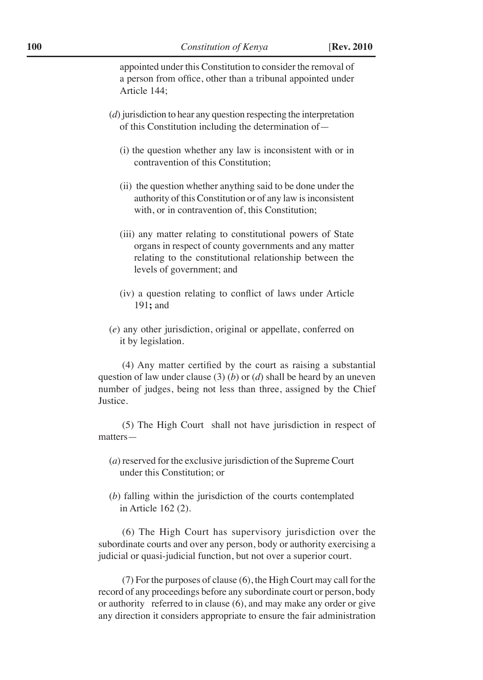appointed under this Constitution to consider the removal of a person from office, other than a tribunal appointed under Article 144;

- (*d*) jurisdiction to hear any question respecting the interpretation of this Constitution including the determination of—
	- (i) the question whether any law is inconsistent with or in contravention of this Constitution;
	- (ii) the question whether anything said to be done under the authority of this Constitution or of any law is inconsistent with, or in contravention of, this Constitution;
	- (iii) any matter relating to constitutional powers of State organs in respect of county governments and any matter relating to the constitutional relationship between the levels of government; and
	- (iv) a question relating to conflict of laws under Article 191**;** and
- (*e*) any other jurisdiction, original or appellate, conferred on it by legislation.

(4) Any matter certified by the court as raising a substantial question of law under clause (3) (*b*) or (*d*) shall be heard by an uneven number of judges, being not less than three, assigned by the Chief Justice.

(5) The High Court shall not have jurisdiction in respect of matters—

- (*a*) reserved for the exclusive jurisdiction of the Supreme Court under this Constitution; or
- (*b*) falling within the jurisdiction of the courts contemplated in Article 162 (2).

(6) The High Court has supervisory jurisdiction over the subordinate courts and over any person, body or authority exercising a judicial or quasi-judicial function, but not over a superior court.

(7) For the purposes of clause (6), the High Court may call for the record of any proceedings before any subordinate court or person, body or authority referred to in clause (6), and may make any order or give any direction it considers appropriate to ensure the fair administration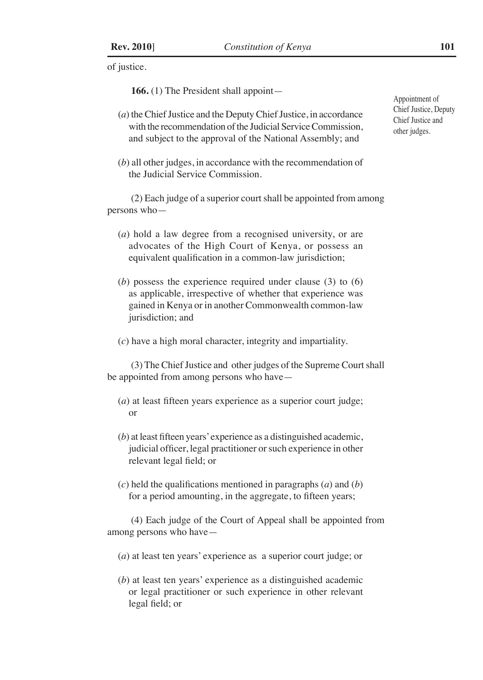of justice.

**166.** (1) The President shall appoint—

- (*a*) the Chief Justice and the Deputy Chief Justice, in accordance with the recommendation of the Judicial Service Commission, and subject to the approval of the National Assembly; and
- (*b*) all other judges, in accordance with the recommendation of the Judicial Service Commission.

(2) Each judge of a superior court shall be appointed from among persons who—

- (*a*) hold a law degree from a recognised university, or are advocates of the High Court of Kenya, or possess an equivalent qualification in a common-law jurisdiction;
- (*b*) possess the experience required under clause (3) to (6) as applicable, irrespective of whether that experience was gained in Kenya or in another Commonwealth common-law jurisdiction; and
- (*c*) have a high moral character, integrity and impartiality.

(3) The Chief Justice and other judges of the Supreme Court shall be appointed from among persons who have—

- (*a*) at least fifteen years experience as a superior court judge; or
- (*b*) at least fifteen years' experience as a distinguished academic, judicial officer, legal practitioner or such experience in other relevant legal field; or
- (*c*) held the qualifications mentioned in paragraphs (*a*) and (*b*) for a period amounting, in the aggregate, to fifteen years;

(4) Each judge of the Court of Appeal shall be appointed from among persons who have—

- (*a*) at least ten years' experience as a superior court judge; or
- (*b*) at least ten years' experience as a distinguished academic or legal practitioner or such experience in other relevant legal field; or

Appointment of Chief Justice, Deputy Chief Justice and other judges.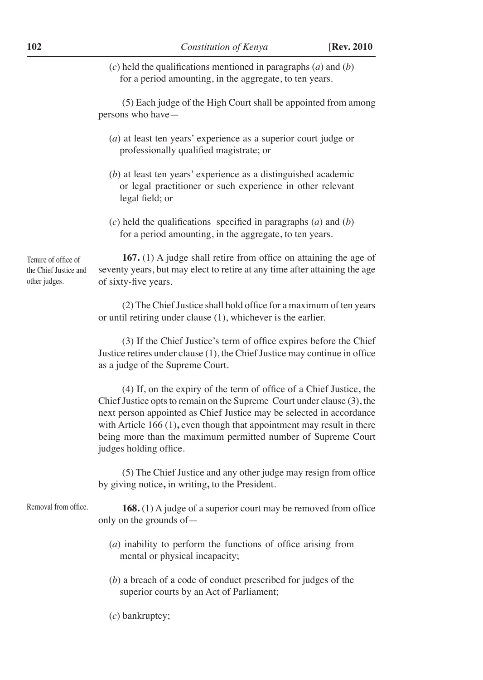(*c*) held the qualifications mentioned in paragraphs (*a*) and (*b*) for a period amounting, in the aggregate, to ten years.

(5) Each judge of the High Court shall be appointed from among persons who have—

- (*a*) at least ten years' experience as a superior court judge or professionally qualified magistrate; or
- (*b*) at least ten years' experience as a distinguished academic or legal practitioner or such experience in other relevant legal field; or
- (*c*) held the qualifications specified in paragraphs (*a*) and (*b*) for a period amounting, in the aggregate, to ten years.

Tenure of office of the Chief Justice and other judges.

**167.** (1) A judge shall retire from office on attaining the age of seventy years, but may elect to retire at any time after attaining the age of sixty-five years.

(2) The Chief Justice shall hold office for a maximum of ten years or until retiring under clause (1), whichever is the earlier.

(3) If the Chief Justice's term of office expires before the Chief Justice retires under clause (1), the Chief Justice may continue in office as a judge of the Supreme Court.

(4) If, on the expiry of the term of office of a Chief Justice, the Chief Justice opts to remain on the Supreme Court under clause (3), the next person appointed as Chief Justice may be selected in accordance with Article 166 (1), even though that appointment may result in there being more than the maximum permitted number of Supreme Court judges holding office.

(5) The Chief Justice and any other judge may resign from office by giving notice**,** in writing**,** to the President.

Removal from office.

**168.** (1) A judge of a superior court may be removed from office only on the grounds of—

- (*a*) inability to perform the functions of office arising from mental or physical incapacity;
- (*b*) a breach of a code of conduct prescribed for judges of the superior courts by an Act of Parliament;
- (*c*) bankruptcy;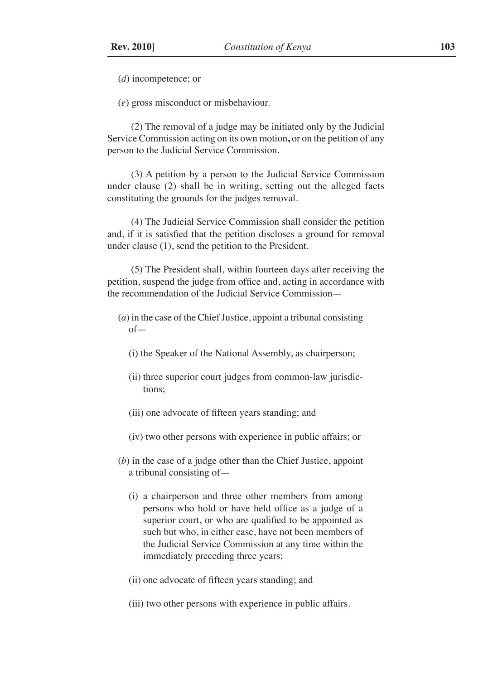(*d*) incompetence; or

(*e*) gross misconduct or misbehaviour.

(2) The removal of a judge may be initiated only by the Judicial Service Commission acting on its own motion**,** or on the petition of any person to the Judicial Service Commission.

(3) A petition by a person to the Judicial Service Commission under clause (2) shall be in writing, setting out the alleged facts constituting the grounds for the judges removal.

(4) The Judicial Service Commission shall consider the petition and, if it is satisfied that the petition discloses a ground for removal under clause (1), send the petition to the President.

(5) The President shall, within fourteen days after receiving the petition, suspend the judge from office and, acting in accordance with the recommendation of the Judicial Service Commission—

- (*a*) in the case of the Chief Justice, appoint a tribunal consisting of—
	- (i) the Speaker of the National Assembly, as chairperson;
	- (ii) three superior court judges from common-law jurisdictions;
	- (iii) one advocate of fifteen years standing; and
	- (iv) two other persons with experience in public affairs; or
- (*b*) in the case of a judge other than the Chief Justice, appoint a tribunal consisting of—
	- (i) a chairperson and three other members from among persons who hold or have held office as a judge of a superior court, or who are qualified to be appointed as such but who, in either case, have not been members of the Judicial Service Commission at any time within the immediately preceding three years;
	- (ii) one advocate of fifteen years standing; and
	- (iii) two other persons with experience in public affairs.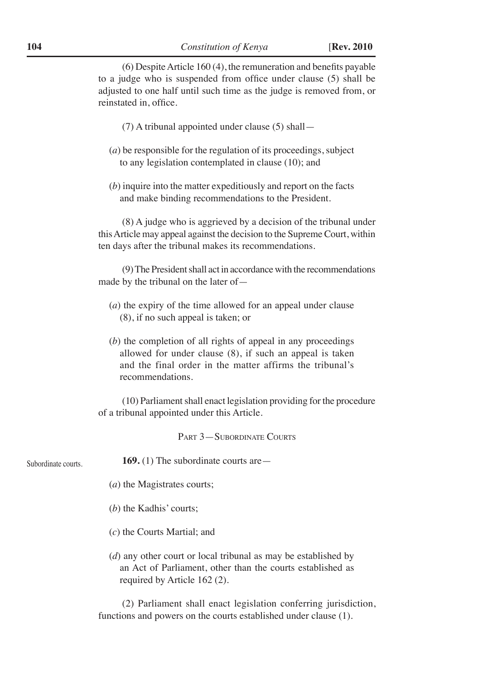(6) Despite Article 160 (4), the remuneration and benefits payable to a judge who is suspended from office under clause (5) shall be adjusted to one half until such time as the judge is removed from, or reinstated in, office.

- (7) A tribunal appointed under clause (5) shall—
- (*a*) be responsible for the regulation of its proceedings, subject to any legislation contemplated in clause (10); and
- (*b*) inquire into the matter expeditiously and report on the facts and make binding recommendations to the President.

(8) A judge who is aggrieved by a decision of the tribunal under this Article may appeal against the decision to the Supreme Court, within ten days after the tribunal makes its recommendations.

(9) The President shall act in accordance with the recommendations made by the tribunal on the later of—

- (*a*) the expiry of the time allowed for an appeal under clause (8), if no such appeal is taken; or
- (*b*) the completion of all rights of appeal in any proceedings allowed for under clause (8), if such an appeal is taken and the final order in the matter affirms the tribunal's recommendations.

(10) Parliament shall enact legislation providing for the procedure of a tribunal appointed under this Article.

PART 3-SUBORDINATE COURTS

Subordinate courts.

**169.** (1) The subordinate courts are—

- (*a*) the Magistrates courts;
- (*b*) the Kadhis' courts;
- (*c*) the Courts Martial; and
- (*d*) any other court or local tribunal as may be established by an Act of Parliament, other than the courts established as required by Article 162 (2).

(2) Parliament shall enact legislation conferring jurisdiction, functions and powers on the courts established under clause (1).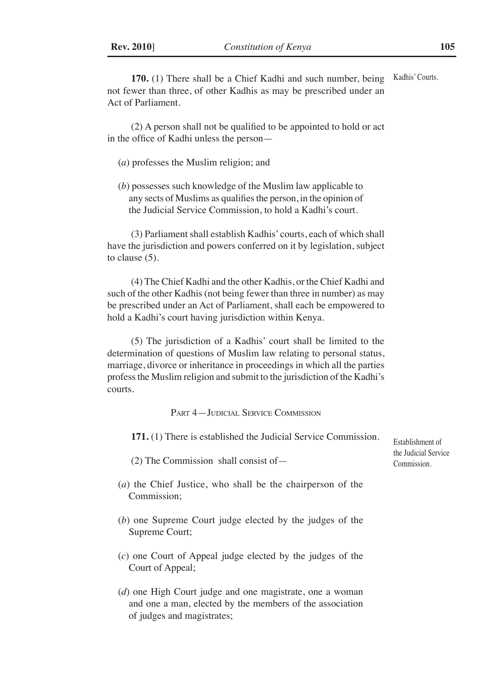**170.** (1) There shall be a Chief Kadhi and such number, being not fewer than three, of other Kadhis as may be prescribed under an Act of Parliament. Kadhis' Courts.

(2) A person shall not be qualified to be appointed to hold or act in the office of Kadhi unless the person—

- (*a*) professes the Muslim religion; and
- (*b*) possesses such knowledge of the Muslim law applicable to any sects of Muslims as qualifies the person, in the opinion of the Judicial Service Commission, to hold a Kadhi's court.

(3) Parliament shall establish Kadhis' courts, each of which shall have the jurisdiction and powers conferred on it by legislation, subject to clause (5).

(4) The Chief Kadhi and the other Kadhis, or the Chief Kadhi and such of the other Kadhis (not being fewer than three in number) as may be prescribed under an Act of Parliament, shall each be empowered to hold a Kadhi's court having jurisdiction within Kenya.

(5) The jurisdiction of a Kadhis' court shall be limited to the determination of questions of Muslim law relating to personal status, marriage, divorce or inheritance in proceedings in which all the parties profess the Muslim religion and submit to the jurisdiction of the Kadhi's courts.

PART 4—JUDICIAL SERVICE COMMISSION

**171.** (1) There is established the Judicial Service Commission.

(2) The Commission shall consist of—

- (*a*) the Chief Justice, who shall be the chairperson of the Commission;
- (*b*) one Supreme Court judge elected by the judges of the Supreme Court;
- (*c*) one Court of Appeal judge elected by the judges of the Court of Appeal;
- (*d*) one High Court judge and one magistrate, one a woman and one a man, elected by the members of the association of judges and magistrates;

Establishment of the Judicial Service Commission.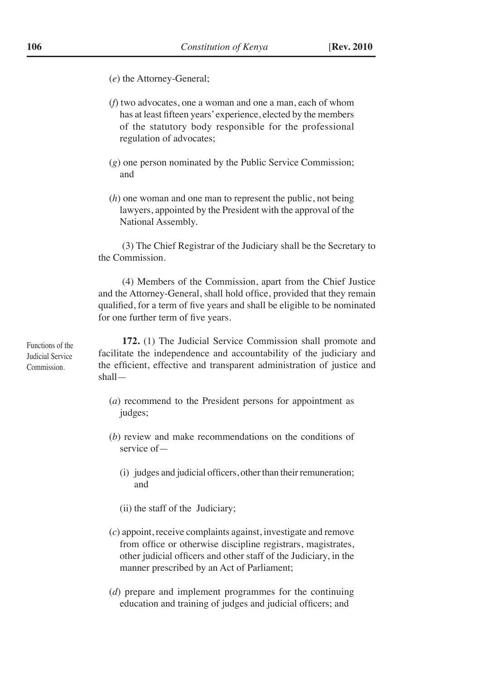(*e*) the Attorney-General;

- (*f*) two advocates, one a woman and one a man, each of whom has at least fifteen years' experience, elected by the members of the statutory body responsible for the professional regulation of advocates;
- (*g*) one person nominated by the Public Service Commission; and
- (*h*) one woman and one man to represent the public, not being lawyers, appointed by the President with the approval of the National Assembly.

(3) The Chief Registrar of the Judiciary shall be the Secretary to the Commission.

(4) Members of the Commission, apart from the Chief Justice and the Attorney-General, shall hold office, provided that they remain qualified, for a term of five years and shall be eligible to be nominated for one further term of five years.

**172.** (1) The Judicial Service Commission shall promote and facilitate the independence and accountability of the judiciary and the efficient, effective and transparent administration of justice and shall—

- (*a*) recommend to the President persons for appointment as judges;
- (*b*) review and make recommendations on the conditions of service of—
	- (i) judges and judicial officers, other than their remuneration; and
	- (ii) the staff of the Judiciary;
- (*c*) appoint, receive complaints against, investigate and remove from office or otherwise discipline registrars, magistrates, other judicial officers and other staff of the Judiciary, in the manner prescribed by an Act of Parliament;
- (*d*) prepare and implement programmes for the continuing education and training of judges and judicial officers; and

Functions of the Judicial Service Commission.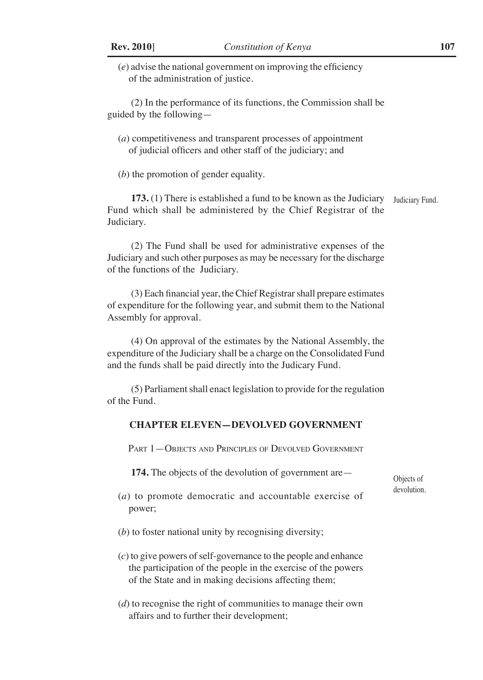(*e*) advise the national government on improving the efficiency of the administration of justice.

(2) In the performance of its functions, the Commission shall be guided by the following—

- (*a*) competitiveness and transparent processes of appointment of judicial officers and other staff of the judiciary; and
- (*b*) the promotion of gender equality.

**173.** (1) There is established a fund to be known as the Judiciary Judiciary Fund. Fund which shall be administered by the Chief Registrar of the Judiciary.

(2) The Fund shall be used for administrative expenses of the Judiciary and such other purposes as may be necessary for the discharge of the functions of the Judiciary.

(3) Each financial year, the Chief Registrar shall prepare estimates of expenditure for the following year, and submit them to the National Assembly for approval.

(4) On approval of the estimates by the National Assembly, the expenditure of the Judiciary shall be a charge on the Consolidated Fund and the funds shall be paid directly into the Judicary Fund.

(5) Parliament shall enact legislation to provide for the regulation of the Fund.

# **CHAPTER ELEVEN—DEVOLVED GOVERNMENT**

PART 1—OBJECTS AND PRINCIPLES OF DEVOLVED GOVERNMENT

**174.** The objects of the devolution of government are—

- Objects of devolution.
- (*a*) to promote democratic and accountable exercise of power;
- (*b*) to foster national unity by recognising diversity;
- (*c*) to give powers of self-governance to the people and enhance the participation of the people in the exercise of the powers of the State and in making decisions affecting them;
- (*d*) to recognise the right of communities to manage their own affairs and to further their development;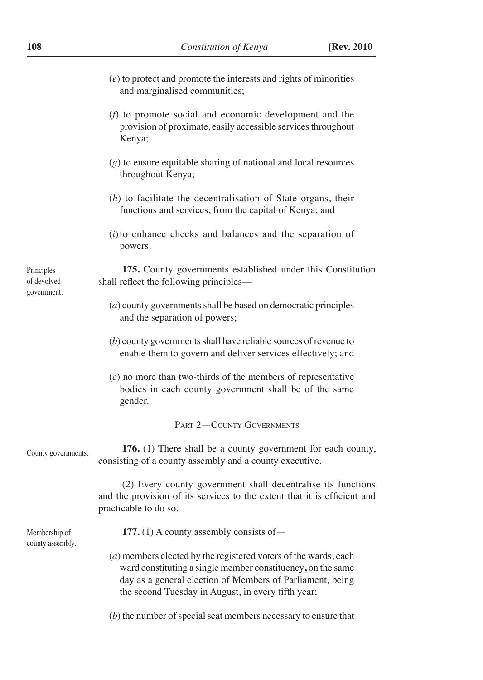|                                   | (e) to protect and promote the interests and rights of minorities<br>and marginalised communities;                                                                                                                                                |  |  |  |
|-----------------------------------|---------------------------------------------------------------------------------------------------------------------------------------------------------------------------------------------------------------------------------------------------|--|--|--|
|                                   | $(f)$ to promote social and economic development and the<br>provision of proximate, easily accessible services throughout<br>Kenya;                                                                                                               |  |  |  |
|                                   | $(g)$ to ensure equitable sharing of national and local resources<br>throughout Kenya;                                                                                                                                                            |  |  |  |
|                                   | $(h)$ to facilitate the decentralisation of State organs, their<br>functions and services, from the capital of Kenya; and                                                                                                                         |  |  |  |
|                                   | $(i)$ to enhance checks and balances and the separation of<br>powers.                                                                                                                                                                             |  |  |  |
| Principles<br>of devolved         | 175. County governments established under this Constitution<br>shall reflect the following principles—                                                                                                                                            |  |  |  |
| government.                       | $(a)$ county governments shall be based on democratic principles<br>and the separation of powers;                                                                                                                                                 |  |  |  |
|                                   | $(b)$ county governments shall have reliable sources of revenue to<br>enable them to govern and deliver services effectively; and                                                                                                                 |  |  |  |
|                                   | $(c)$ no more than two-thirds of the members of representative<br>bodies in each county government shall be of the same<br>gender.                                                                                                                |  |  |  |
|                                   | <b>PART 2-COUNTY GOVERNMENTS</b>                                                                                                                                                                                                                  |  |  |  |
| County governments.               | 176. (1) There shall be a county government for each county,<br>consisting of a county assembly and a county executive.                                                                                                                           |  |  |  |
|                                   | (2) Every county government shall decentralise its functions<br>and the provision of its services to the extent that it is efficient and<br>practicable to do so.                                                                                 |  |  |  |
| Membership of<br>county assembly. | 177. (1) A county assembly consists of $-$                                                                                                                                                                                                        |  |  |  |
|                                   | (a) members elected by the registered voters of the wards, each<br>ward constituting a single member constituency, on the same<br>day as a general election of Members of Parliament, being<br>the second Tuesday in August, in every fifth year; |  |  |  |
|                                   | $(b)$ the number of special seat members necessary to ensure that                                                                                                                                                                                 |  |  |  |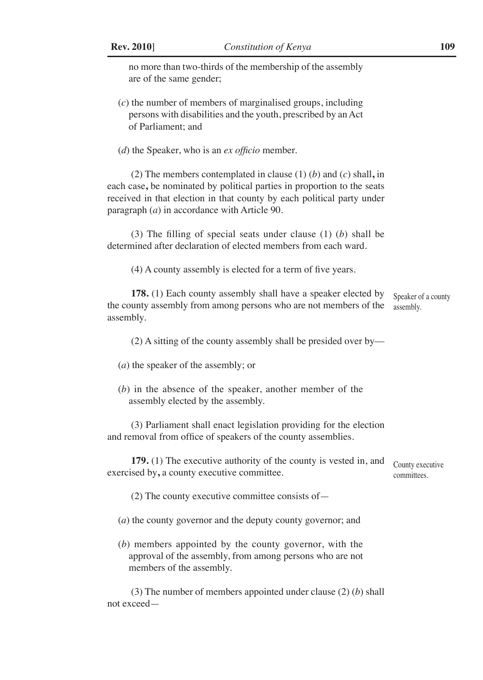no more than two-thirds of the membership of the assembly are of the same gender;

- (*c*) the number of members of marginalised groups, including persons with disabilities and the youth, prescribed by an Act of Parliament; and
- (*d*) the Speaker, who is an *ex officio* member.

(2) The members contemplated in clause (1) (*b*) and (*c*) shall**,** in each case**,** be nominated by political parties in proportion to the seats received in that election in that county by each political party under paragraph (*a*) in accordance with Article 90.

(3) The filling of special seats under clause (1) (*b*) shall be determined after declaration of elected members from each ward.

(4) A county assembly is elected for a term of five years.

**178.** (1) Each county assembly shall have a speaker elected by the county assembly from among persons who are not members of the assembly. Speaker of a county assembly.

(2) A sitting of the county assembly shall be presided over by––

- (*a*) the speaker of the assembly; or
- (*b*) in the absence of the speaker, another member of the assembly elected by the assembly.

(3) Parliament shall enact legislation providing for the election and removal from office of speakers of the county assemblies.

**179.** (1) The executive authority of the county is vested in, and exercised by**,** a county executive committee. County executive committees.

(2) The county executive committee consists of—

- (*a*) the county governor and the deputy county governor; and
- (*b*) members appointed by the county governor, with the approval of the assembly, from among persons who are not members of the assembly.

(3) The number of members appointed under clause (2) (*b*) shall not exceed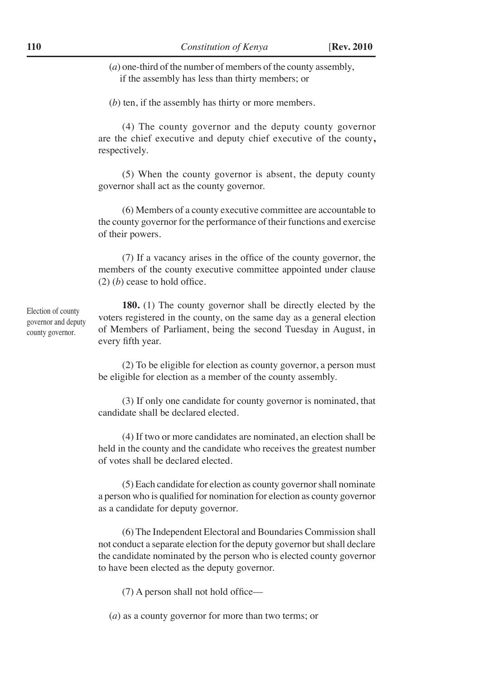(*a*) one-third of the number of members of the county assembly, if the assembly has less than thirty members; or

(*b*) ten, if the assembly has thirty or more members.

(4) The county governor and the deputy county governor are the chief executive and deputy chief executive of the county**,** respectively.

(5) When the county governor is absent, the deputy county governor shall act as the county governor.

(6) Members of a county executive committee are accountable to the county governor for the performance of their functions and exercise of their powers.

(7) If a vacancy arises in the office of the county governor, the members of the county executive committee appointed under clause  $(2)$   $(b)$  cease to hold office.

**180.** (1) The county governor shall be directly elected by the voters registered in the county, on the same day as a general election of Members of Parliament, being the second Tuesday in August, in every fifth year.

(2) To be eligible for election as county governor, a person must be eligible for election as a member of the county assembly.

(3) If only one candidate for county governor is nominated, that candidate shall be declared elected.

(4) If two or more candidates are nominated, an election shall be held in the county and the candidate who receives the greatest number of votes shall be declared elected.

(5) Each candidate for election as county governor shall nominate a person who is qualified for nomination for election as county governor as a candidate for deputy governor.

(6) The Independent Electoral and Boundaries Commission shall not conduct a separate election for the deputy governor but shall declare the candidate nominated by the person who is elected county governor to have been elected as the deputy governor.

(7) A person shall not hold office––

(*a*) as a county governor for more than two terms; or

Election of county governor and deputy county governor.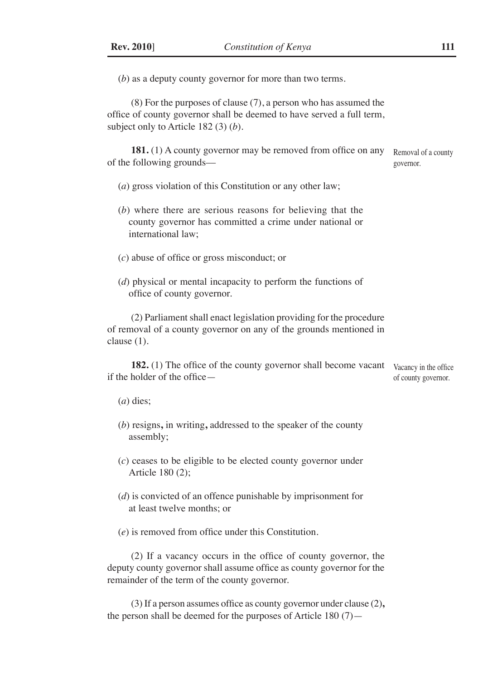(*b*) as a deputy county governor for more than two terms.

(8) For the purposes of clause (7), a person who has assumed the office of county governor shall be deemed to have served a full term, subject only to Article 182 (3) (*b*).

**181.** (1) A county governor may be removed from office on any of the following grounds–– Removal of a county governor.

- (*a*) gross violation of this Constitution or any other law;
- (*b*) where there are serious reasons for believing that the county governor has committed a crime under national or international law;
- (*c*) abuse of office or gross misconduct; or
- (*d*) physical or mental incapacity to perform the functions of office of county governor.

(2) Parliament shall enact legislation providing for the procedure of removal of a county governor on any of the grounds mentioned in clause (1).

**182.** (1) The office of the county governor shall become vacant Vacancy in the office if the holder of the office of county governor.

- (*a*) dies;
- (*b*) resigns**,** in writing**,** addressed to the speaker of the county assembly;
- (*c*) ceases to be eligible to be elected county governor under Article 180 (2);
- (*d*) is convicted of an offence punishable by imprisonment for at least twelve months; or

(*e*) is removed from office under this Constitution.

(2) If a vacancy occurs in the office of county governor, the deputy county governor shall assume office as county governor for the remainder of the term of the county governor.

(3) If a person assumes office as county governor under clause (2)**,** the person shall be deemed for the purposes of Article  $180 (7)$ —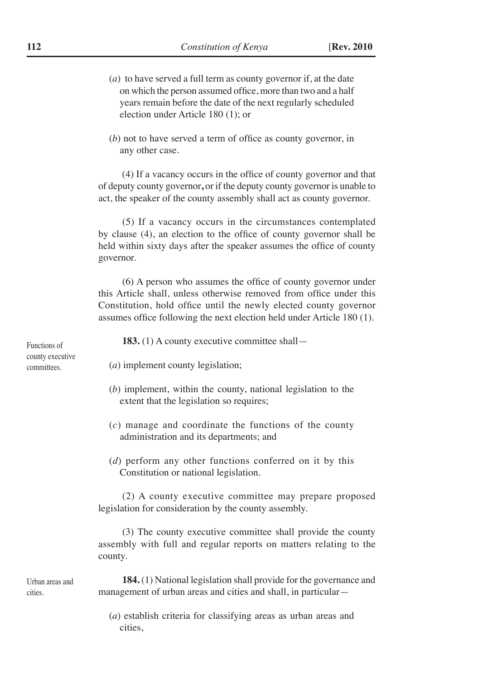- (*a*) to have served a full term as county governor if, at the date on which the person assumed office, more than two and a half years remain before the date of the next regularly scheduled election under Article 180 (1); or
- (*b*) not to have served a term of office as county governor, in any other case.

(4) If a vacancy occurs in the office of county governor and that of deputy county governor**,** or if the deputy county governor is unable to act, the speaker of the county assembly shall act as county governor.

(5) If a vacancy occurs in the circumstances contemplated by clause (4), an election to the office of county governor shall be held within sixty days after the speaker assumes the office of county governor.

(6) A person who assumes the office of county governor under this Article shall, unless otherwise removed from office under this Constitution, hold office until the newly elected county governor assumes office following the next election held under Article 180 (1).

**183.** (1) A county executive committee shall—

- (*a*) implement county legislation;
- (*b*) implement, within the county, national legislation to the extent that the legislation so requires;
- (*c*) manage and coordinate the functions of the county administration and its departments; and
- (*d*) perform any other functions conferred on it by this Constitution or national legislation.

(2) A county executive committee may prepare proposed legislation for consideration by the county assembly.

(3) The county executive committee shall provide the county assembly with full and regular reports on matters relating to the county.

**184.** (1) National legislation shall provide for the governance and management of urban areas and cities and shall, in particular— Urban areas and

> (*a*) establish criteria for classifying areas as urban areas and cities,

Functions of county executive committees.

cities.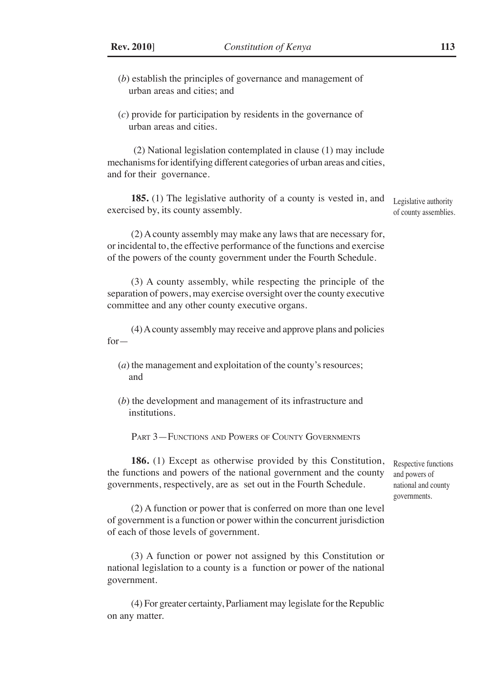- (*b*) establish the principles of governance and management of urban areas and cities; and
- (*c*) provide for participation by residents in the governance of urban areas and cities.

 (2) National legislation contemplated in clause (1) may include mechanisms for identifying different categories of urban areas and cities, and for their governance.

**185.** (1) The legislative authority of a county is vested in, and exercised by, its county assembly.

(2) A county assembly may make any laws that are necessary for, or incidental to, the effective performance of the functions and exercise of the powers of the county government under the Fourth Schedule.

(3) A county assembly, while respecting the principle of the separation of powers, may exercise oversight over the county executive committee and any other county executive organs.

(4) A county assembly may receive and approve plans and policies for—

- (*a*) the management and exploitation of the county's resources; and
- (*b*) the development and management of its infrastructure and institutions.

PART 3-FUNCTIONS AND POWERS OF COUNTY GOVERNMENTS

**186.** (1) Except as otherwise provided by this Constitution, the functions and powers of the national government and the county governments, respectively, are as set out in the Fourth Schedule.

(2) A function or power that is conferred on more than one level of government is a function or power within the concurrent jurisdiction of each of those levels of government.

(3) A function or power not assigned by this Constitution or national legislation to a county is a function or power of the national government.

(4) For greater certainty, Parliament may legislate for the Republic on any matter.

Respective functions and powers of national and county governments.

Legislative authority of county assemblies.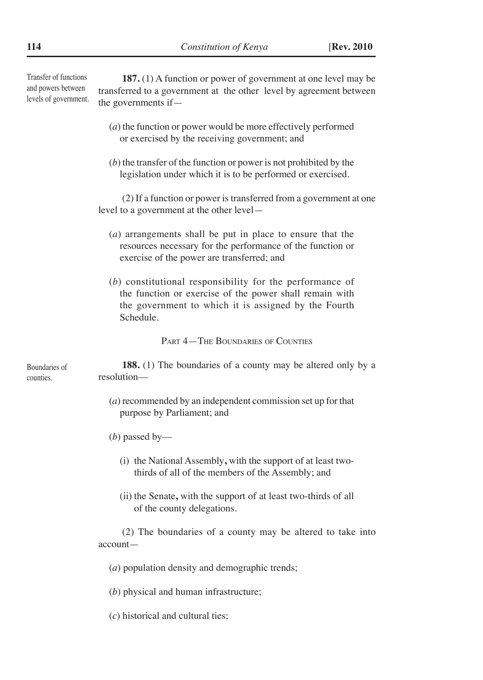Transfer of functions and powers between levels of government.

**187.** (1) A function or power of government at one level may be transferred to a government at the other level by agreement between the governments if—

- (*a*) the function or power would be more effectively performed or exercised by the receiving government; and
- (*b*) the transfer of the function or power is not prohibited by the legislation under which it is to be performed or exercised.

(2) If a function or power is transferred from a government at one level to a government at the other level—

- (*a*) arrangements shall be put in place to ensure that the resources necessary for the performance of the function or exercise of the power are transferred; and
- (*b*) constitutional responsibility for the performance of the function or exercise of the power shall remain with the government to which it is assigned by the Fourth Schedule.

PART 4-THE BOUNDARIES OF COUNTIES

**188.** (1) The boundaries of a county may be altered only by a resolution–– Boundaries of counties.

- (*a*) recommended by an independent commission set up for that purpose by Parliament; and
- (*b*) passed by––
	- (i) the National Assembly**,** with the support of at least twothirds of all of the members of the Assembly; and
	- (ii) the Senate**,** with the support of at least two-thirds of all of the county delegations.

(2) The boundaries of a county may be altered to take into account—

(*a*) population density and demographic trends;

(*b*) physical and human infrastructure;

(*c*) historical and cultural ties;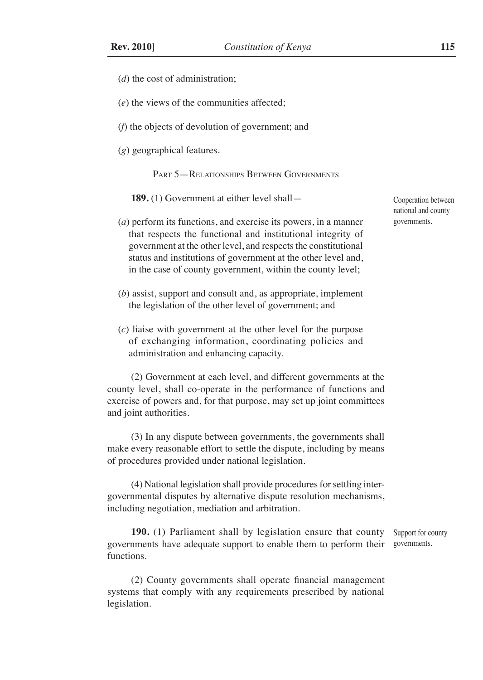- (*d*) the cost of administration;
- (*e*) the views of the communities affected;
- (*f*) the objects of devolution of government; and
- (*g*) geographical features.

Part 5—Relationships Between Governments

**189.** (1) Government at either level shall—

- (*a*) perform its functions, and exercise its powers, in a manner that respects the functional and institutional integrity of government at the other level, and respects the constitutional status and institutions of government at the other level and, in the case of county government, within the county level;
- (*b*) assist, support and consult and, as appropriate, implement the legislation of the other level of government; and
- (*c*) liaise with government at the other level for the purpose of exchanging information, coordinating policies and administration and enhancing capacity.

(2) Government at each level, and different governments at the county level, shall co-operate in the performance of functions and exercise of powers and, for that purpose, may set up joint committees and joint authorities.

(3) In any dispute between governments, the governments shall make every reasonable effort to settle the dispute, including by means of procedures provided under national legislation.

(4) National legislation shall provide procedures for settling intergovernmental disputes by alternative dispute resolution mechanisms, including negotiation, mediation and arbitration.

**190.** (1) Parliament shall by legislation ensure that county governments have adequate support to enable them to perform their functions. Support for county governments.

(2) County governments shall operate financial management systems that comply with any requirements prescribed by national legislation.

Cooperation between national and county governments.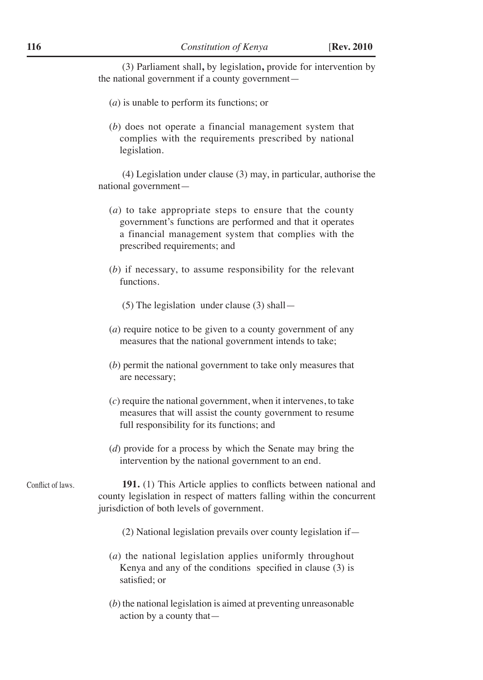(3) Parliament shall**,** by legislation**,** provide for intervention by the national government if a county government—

- (*a*) is unable to perform its functions; or
- (*b*) does not operate a financial management system that complies with the requirements prescribed by national legislation.

(4) Legislation under clause (3) may, in particular, authorise the national government—

- (*a*) to take appropriate steps to ensure that the county government's functions are performed and that it operates a financial management system that complies with the prescribed requirements; and
- (*b*) if necessary, to assume responsibility for the relevant functions.

(5) The legislation under clause (3) shall—

- (*a*) require notice to be given to a county government of any measures that the national government intends to take;
- (*b*) permit the national government to take only measures that are necessary;
- (*c*) require the national government, when it intervenes, to take measures that will assist the county government to resume full responsibility for its functions; and
- (*d*) provide for a process by which the Senate may bring the intervention by the national government to an end.

Conflict of laws.

**191.** (1) This Article applies to conflicts between national and county legislation in respect of matters falling within the concurrent jurisdiction of both levels of government.

- (2) National legislation prevails over county legislation if—
- (*a*) the national legislation applies uniformly throughout Kenya and any of the conditions specified in clause (3) is satisfied; or
- (*b*) the national legislation is aimed at preventing unreasonable action by a county that—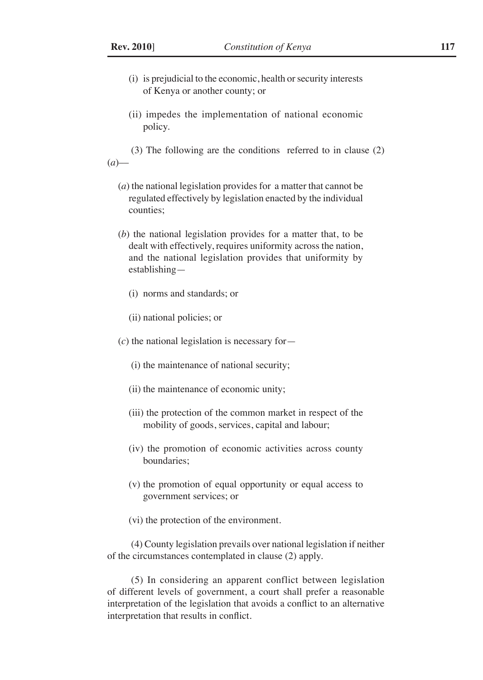- (i) is prejudicial to the economic, health or security interests of Kenya or another county; or
- (ii) impedes the implementation of national economic policy.

(3) The following are the conditions referred to in clause (2)  $(a)$ —

- (*a*) the national legislation provides for a matter that cannot be regulated effectively by legislation enacted by the individual counties;
- (*b*) the national legislation provides for a matter that, to be dealt with effectively, requires uniformity across the nation, and the national legislation provides that uniformity by establishing—
	- (i) norms and standards; or
	- (ii) national policies; or
- (*c*) the national legislation is necessary for—
	- (i) the maintenance of national security;
	- (ii) the maintenance of economic unity;
	- (iii) the protection of the common market in respect of the mobility of goods, services, capital and labour;
	- (iv) the promotion of economic activities across county boundaries;
	- (v) the promotion of equal opportunity or equal access to government services; or
	- (vi) the protection of the environment.

(4) County legislation prevails over national legislation if neither of the circumstances contemplated in clause (2) apply.

(5) In considering an apparent conflict between legislation of different levels of government, a court shall prefer a reasonable interpretation of the legislation that avoids a conflict to an alternative interpretation that results in conflict.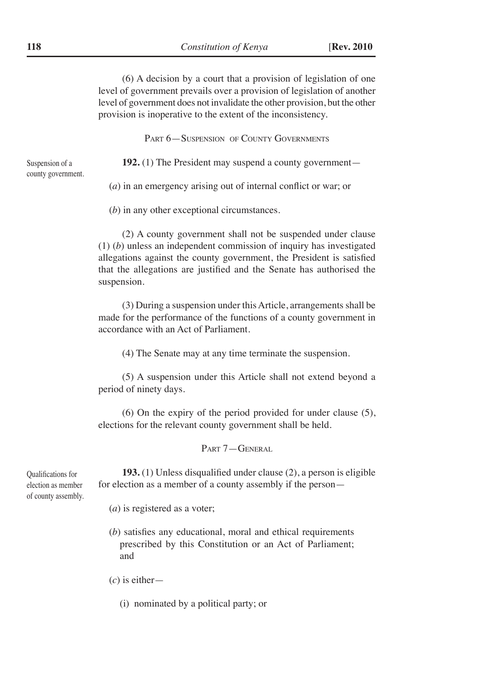(6) A decision by a court that a provision of legislation of one level of government prevails over a provision of legislation of another level of government does not invalidate the other provision, but the other provision is inoperative to the extent of the inconsistency.

PART  $6-$ SUSPENSION OF COUNTY GOVERNMENTS

**192.** (1) The President may suspend a county government—

Suspension of a county government.

(*a*) in an emergency arising out of internal conflict or war; or

(*b*) in any other exceptional circumstances.

(2) A county government shall not be suspended under clause (1) (*b*) unless an independent commission of inquiry has investigated allegations against the county government, the President is satisfied that the allegations are justified and the Senate has authorised the suspension.

(3) During a suspension under this Article, arrangements shall be made for the performance of the functions of a county government in accordance with an Act of Parliament.

(4) The Senate may at any time terminate the suspension.

(5) A suspension under this Article shall not extend beyond a period of ninety days.

(6) On the expiry of the period provided for under clause (5), elections for the relevant county government shall be held.

PART 7-GENERAL

**193.** (1) Unless disqualified under clause (2), a person is eligible for election as a member of a county assembly if the person—

- (*a*) is registered as a voter;
- (*b*) satisfies any educational, moral and ethical requirements prescribed by this Constitution or an Act of Parliament; and

(*c*) is either—

(i) nominated by a political party; or

Qualifications for election as member of county assembly.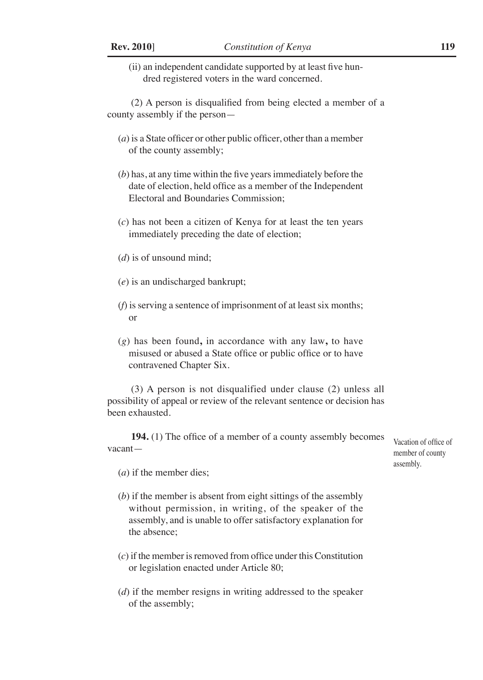(ii) an independent candidate supported by at least five hundred registered voters in the ward concerned.

(2) A person is disqualified from being elected a member of a county assembly if the person—

- (*a*) is a State officer or other public officer, other than a member of the county assembly;
- (*b*) has, at any time within the five years immediately before the date of election, held office as a member of the Independent Electoral and Boundaries Commission;
- (*c*) has not been a citizen of Kenya for at least the ten years immediately preceding the date of election;
- (*d*) is of unsound mind;
- (*e*) is an undischarged bankrupt;
- (*f*) is serving a sentence of imprisonment of at least six months; or
- (*g*) has been found**,** in accordance with any law**,** to have misused or abused a State office or public office or to have contravened Chapter Six.

(3) A person is not disqualified under clause (2) unless all possibility of appeal or review of the relevant sentence or decision has been exhausted.

**194.** (1) The office of a member of a county assembly becomes vacant—

Vacation of office of member of county assembly.

- (*a*) if the member dies;
- (*b*) if the member is absent from eight sittings of the assembly without permission, in writing, of the speaker of the assembly, and is unable to offer satisfactory explanation for the absence;
- (*c*) if the member is removed from office under this Constitution or legislation enacted under Article 80;
- (*d*) if the member resigns in writing addressed to the speaker of the assembly;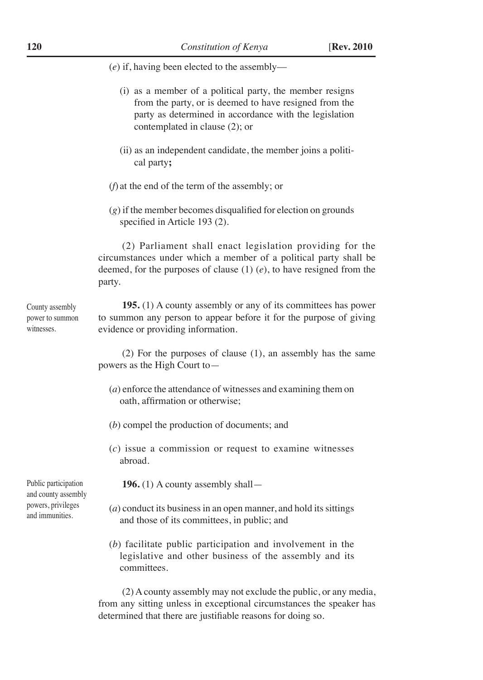(*e*) if, having been elected to the assembly––

- (i) as a member of a political party, the member resigns from the party, or is deemed to have resigned from the party as determined in accordance with the legislation contemplated in clause (2); or
- (ii) as an independent candidate, the member joins a political party**;**

(*f*) at the end of the term of the assembly; or

(*g*) if the member becomes disqualified for election on grounds specified in Article 193 (2).

(2) Parliament shall enact legislation providing for the circumstances under which a member of a political party shall be deemed, for the purposes of clause (1) (*e*), to have resigned from the party.

**195.** (1) A county assembly or any of its committees has power to summon any person to appear before it for the purpose of giving evidence or providing information.

(2) For the purposes of clause (1), an assembly has the same powers as the High Court to—

- (*a*) enforce the attendance of witnesses and examining them on oath, affirmation or otherwise;
- (*b*) compel the production of documents; and
- (*c*) issue a commission or request to examine witnesses abroad.

Public participation and county assembly powers, privileges and immunities.

County assembly power to summon witnesses.

- **196.** (1) A county assembly shall—
- (*a*) conduct its business in an open manner, and hold its sittings and those of its committees, in public; and
- (*b*) facilitate public participation and involvement in the legislative and other business of the assembly and its committees.

(2) A county assembly may not exclude the public, or any media, from any sitting unless in exceptional circumstances the speaker has determined that there are justifiable reasons for doing so.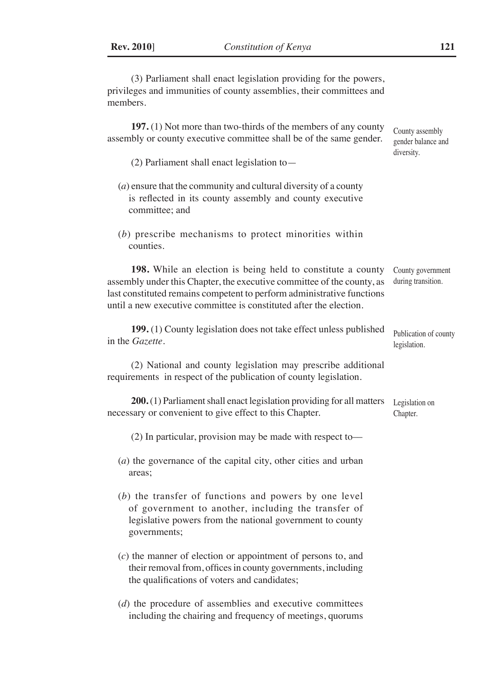(3) Parliament shall enact legislation providing for the powers, privileges and immunities of county assemblies, their committees and members.

| 197. $(1)$ Not more than two-thirds of the members of any county<br>assembly or county executive committee shall be of the same gender.                                                                                                                                               | County assembly<br>gender balance and<br>diversity. |
|---------------------------------------------------------------------------------------------------------------------------------------------------------------------------------------------------------------------------------------------------------------------------------------|-----------------------------------------------------|
| (2) Parliament shall enact legislation to-                                                                                                                                                                                                                                            |                                                     |
| $(a)$ ensure that the community and cultural diversity of a county<br>is reflected in its county assembly and county executive<br>committee; and                                                                                                                                      |                                                     |
| $(b)$ prescribe mechanisms to protect minorities within<br>counties.                                                                                                                                                                                                                  |                                                     |
| 198. While an election is being held to constitute a county<br>assembly under this Chapter, the executive committee of the county, as<br>last constituted remains competent to perform administrative functions<br>until a new executive committee is constituted after the election. | County government<br>during transition.             |
| 199. (1) County legislation does not take effect unless published<br>in the Gazette.                                                                                                                                                                                                  | Publication of county<br>legislation.               |
| (2) National and county legislation may prescribe additional<br>requirements in respect of the publication of county legislation.                                                                                                                                                     |                                                     |
| 200. (1) Parliament shall enact legislation providing for all matters<br>necessary or convenient to give effect to this Chapter.                                                                                                                                                      | Legislation on<br>Chapter.                          |
| (2) In particular, provision may be made with respect to-                                                                                                                                                                                                                             |                                                     |
| $(a)$ the governance of the capital city, other cities and urban<br>areas;                                                                                                                                                                                                            |                                                     |
| $(b)$ the transfer of functions and powers by one level<br>of government to another, including the transfer of<br>legislative powers from the national government to county<br>governments;                                                                                           |                                                     |
| $(c)$ the manner of election or appointment of persons to, and<br>their removal from, offices in county governments, including<br>the qualifications of voters and candidates;                                                                                                        |                                                     |
| $(d)$ the procedure of assemblies and executive committees<br>including the chairing and frequency of meetings, quorums                                                                                                                                                               |                                                     |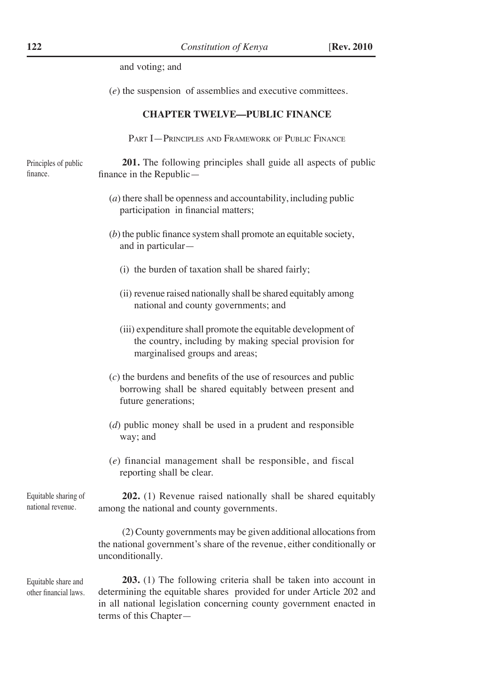and voting; and (*e*) the suspension of assemblies and executive committees. **CHAPTER TWELVE––PUBLIC FINANCE** Part I—Principles and Framework of Public Finance **201.** The following principles shall guide all aspects of public finance in the Republic— (*a*) there shall be openness and accountability, including public participation in financial matters; (*b*) the public finance system shall promote an equitable society, and in particular— (i) the burden of taxation shall be shared fairly; (ii) revenue raised nationally shall be shared equitably among national and county governments; and (iii) expenditure shall promote the equitable development of the country, including by making special provision for marginalised groups and areas; (*c*) the burdens and benefits of the use of resources and public borrowing shall be shared equitably between present and future generations; (*d*) public money shall be used in a prudent and responsible way; and (*e*) financial management shall be responsible, and fiscal reporting shall be clear. **202.** (1) Revenue raised nationally shall be shared equitably among the national and county governments. (2) County governments may be given additional allocations from the national government's share of the revenue, either conditionally or unconditionally. **203.** (1) The following criteria shall be taken into account in determining the equitable shares provided for under Article 202 and in all national legislation concerning county government enacted in Principles of public finance. Equitable sharing of national revenue. Equitable share and other financial laws.

terms of this Chapter—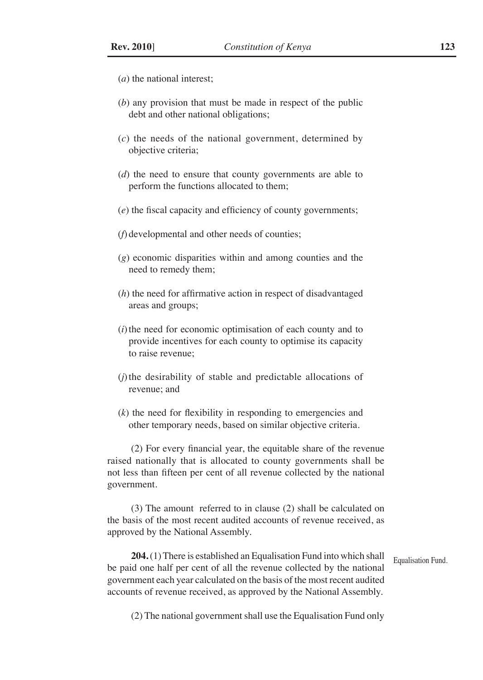- (*a*) the national interest;
- (*b*) any provision that must be made in respect of the public debt and other national obligations;
- (*c*) the needs of the national government, determined by objective criteria;
- (*d*) the need to ensure that county governments are able to perform the functions allocated to them;
- (*e*) the fiscal capacity and efficiency of county governments;
- (*f*) developmental and other needs of counties;
- (*g*) economic disparities within and among counties and the need to remedy them;
- (*h*) the need for affirmative action in respect of disadvantaged areas and groups;
- (*i*)the need for economic optimisation of each county and to provide incentives for each county to optimise its capacity to raise revenue;
- (*j*)the desirability of stable and predictable allocations of revenue; and
- (*k*) the need for flexibility in responding to emergencies and other temporary needs, based on similar objective criteria.

(2) For every financial year, the equitable share of the revenue raised nationally that is allocated to county governments shall be not less than fifteen per cent of all revenue collected by the national government.

(3) The amount referred to in clause (2) shall be calculated on the basis of the most recent audited accounts of revenue received, as approved by the National Assembly.

**204.** (1) There is established an Equalisation Fund into which shall be paid one half per cent of all the revenue collected by the national government each year calculated on the basis of the most recent audited accounts of revenue received, as approved by the National Assembly. Equalisation Fund.

(2) The national government shall use the Equalisation Fund only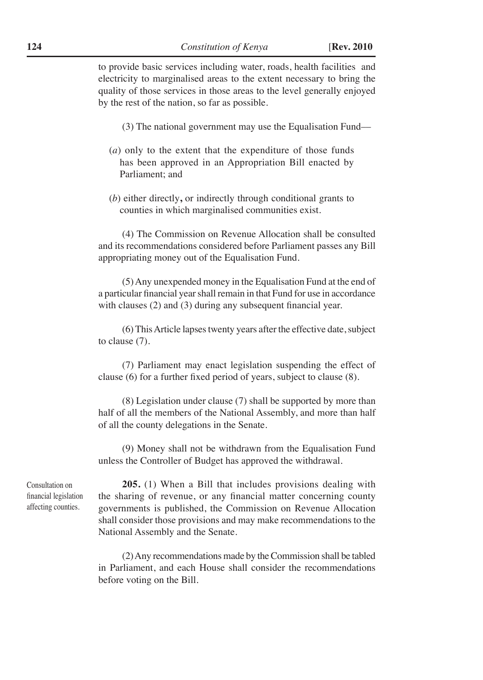to provide basic services including water, roads, health facilities and electricity to marginalised areas to the extent necessary to bring the quality of those services in those areas to the level generally enjoyed by the rest of the nation, so far as possible.

- (3) The national government may use the Equalisation Fund––
- (*a*) only to the extent that the expenditure of those funds has been approved in an Appropriation Bill enacted by Parliament; and
- (*b*) either directly**,** or indirectly through conditional grants to counties in which marginalised communities exist.

(4) The Commission on Revenue Allocation shall be consulted and its recommendations considered before Parliament passes any Bill appropriating money out of the Equalisation Fund.

(5) Any unexpended money in the Equalisation Fund at the end of a particular financial year shall remain in that Fund for use in accordance with clauses (2) and (3) during any subsequent financial year.

(6) This Article lapses twenty years after the effective date, subject to clause (7).

(7) Parliament may enact legislation suspending the effect of clause (6) for a further fixed period of years, subject to clause (8).

(8) Legislation under clause (7) shall be supported by more than half of all the members of the National Assembly, and more than half of all the county delegations in the Senate.

(9) Money shall not be withdrawn from the Equalisation Fund unless the Controller of Budget has approved the withdrawal.

Consultation on financial legislation affecting counties.

**205.** (1) When a Bill that includes provisions dealing with the sharing of revenue, or any financial matter concerning county governments is published, the Commission on Revenue Allocation shall consider those provisions and may make recommendations to the National Assembly and the Senate.

(2) Any recommendations made by the Commission shall be tabled in Parliament, and each House shall consider the recommendations before voting on the Bill.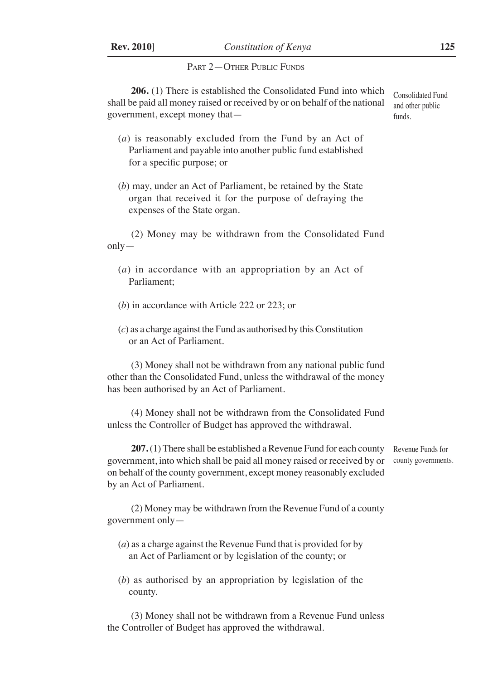## PART 2-OTHER PUBLIC FUNDS

**206.** (1) There is established the Consolidated Fund into which shall be paid all money raised or received by or on behalf of the national government, except money that— Consolidated Fund and other public funds.

- (*a*) is reasonably excluded from the Fund by an Act of Parliament and payable into another public fund established for a specific purpose; or
- (*b*) may, under an Act of Parliament, be retained by the State organ that received it for the purpose of defraying the expenses of the State organ.

(2) Money may be withdrawn from the Consolidated Fund only—

- (*a*) in accordance with an appropriation by an Act of Parliament;
- (*b*) in accordance with Article 222 or 223; or
- (*c*) as a charge against the Fund as authorised by this Constitution or an Act of Parliament.

(3) Money shall not be withdrawn from any national public fund other than the Consolidated Fund, unless the withdrawal of the money has been authorised by an Act of Parliament.

(4) Money shall not be withdrawn from the Consolidated Fund unless the Controller of Budget has approved the withdrawal.

**207.** (1) There shall be established a Revenue Fund for each county government, into which shall be paid all money raised or received by or on behalf of the county government, except money reasonably excluded by an Act of Parliament. Revenue Funds for county governments.

(2) Money may be withdrawn from the Revenue Fund of a county government only—

- (*a*) as a charge against the Revenue Fund that is provided for by an Act of Parliament or by legislation of the county; or
- (*b*) as authorised by an appropriation by legislation of the county.

(3) Money shall not be withdrawn from a Revenue Fund unless the Controller of Budget has approved the withdrawal.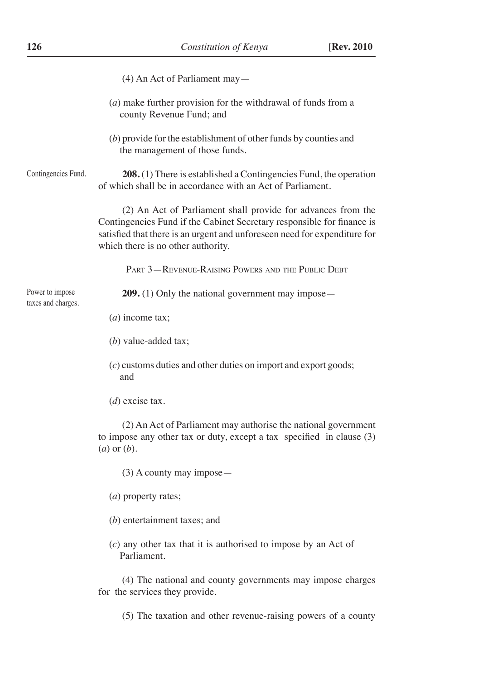|                                       | $(4)$ An Act of Parliament may $-$                                                                                                                                                                                                                        |
|---------------------------------------|-----------------------------------------------------------------------------------------------------------------------------------------------------------------------------------------------------------------------------------------------------------|
|                                       | $(a)$ make further provision for the withdrawal of funds from a<br>county Revenue Fund; and                                                                                                                                                               |
|                                       | $(b)$ provide for the establishment of other funds by counties and<br>the management of those funds.                                                                                                                                                      |
| Contingencies Fund.                   | $208.$ (1) There is established a Contingencies Fund, the operation<br>of which shall be in accordance with an Act of Parliament.                                                                                                                         |
|                                       | (2) An Act of Parliament shall provide for advances from the<br>Contingencies Fund if the Cabinet Secretary responsible for finance is<br>satisfied that there is an urgent and unforeseen need for expenditure for<br>which there is no other authority. |
|                                       | PART 3-REVENUE-RAISING POWERS AND THE PUBLIC DEBT                                                                                                                                                                                                         |
| Power to impose<br>taxes and charges. | <b>209.</b> (1) Only the national government may impose $-$                                                                                                                                                                                               |
|                                       | $(a)$ income tax;                                                                                                                                                                                                                                         |
|                                       | $(b)$ value-added tax;                                                                                                                                                                                                                                    |
|                                       | $(c)$ customs duties and other duties on import and export goods;<br>and                                                                                                                                                                                  |
|                                       | $(d)$ excise tax.                                                                                                                                                                                                                                         |
|                                       | (2) An Act of Parliament may authorise the national government<br>to impose any other tax or duty, except a tax specified in clause (3)<br>$(a)$ or $(b)$ .                                                                                               |
|                                       | $(3)$ A county may impose —                                                                                                                                                                                                                               |
|                                       | ( <i>a</i> ) property rates;                                                                                                                                                                                                                              |
|                                       | $(b)$ entertainment taxes; and                                                                                                                                                                                                                            |
|                                       | $(c)$ any other tax that it is authorised to impose by an Act of<br>Parliament.                                                                                                                                                                           |
|                                       | (4) The national and county governments may impose charges<br>for the services they provide.                                                                                                                                                              |
|                                       | (5) The taxation and other revenue-raising powers of a county                                                                                                                                                                                             |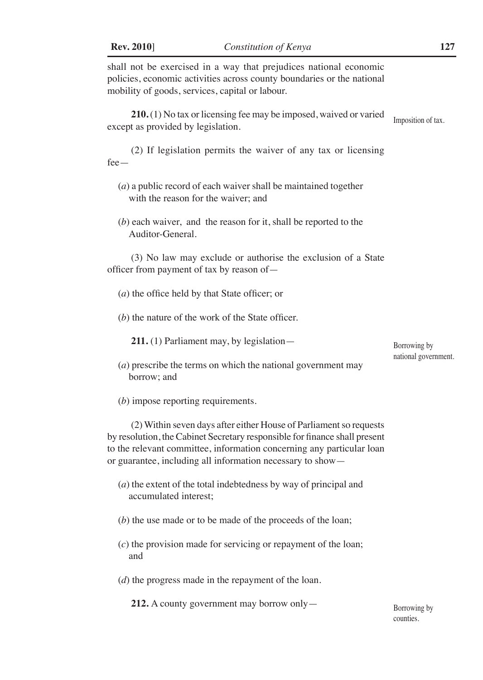shall not be exercised in a way that prejudices national economic policies, economic activities across county boundaries or the national mobility of goods, services, capital or labour.

**210.** (1) No tax or licensing fee may be imposed, waived or varied except as provided by legislation. Imposition of tax.

(2) If legislation permits the waiver of any tax or licensing fee—

- (*a*) a public record of each waiver shall be maintained together with the reason for the waiver; and
- (*b*) each waiver, and the reason for it, shall be reported to the Auditor-General.

(3) No law may exclude or authorise the exclusion of a State officer from payment of tax by reason of—

- (*a*) the office held by that State officer; or
- (*b*) the nature of the work of the State officer.

**211.** (1) Parliament may, by legislation—

Borrowing by national government.

- (*a*) prescribe the terms on which the national government may borrow; and
- (*b*) impose reporting requirements.

(2) Within seven days after either House of Parliament so requests by resolution, the Cabinet Secretary responsible for finance shall present to the relevant committee, information concerning any particular loan or guarantee, including all information necessary to show—

- (*a*) the extent of the total indebtedness by way of principal and accumulated interest;
- (*b*) the use made or to be made of the proceeds of the loan;
- (*c*) the provision made for servicing or repayment of the loan; and
- (*d*) the progress made in the repayment of the loan.

**212.** A county government may borrow only—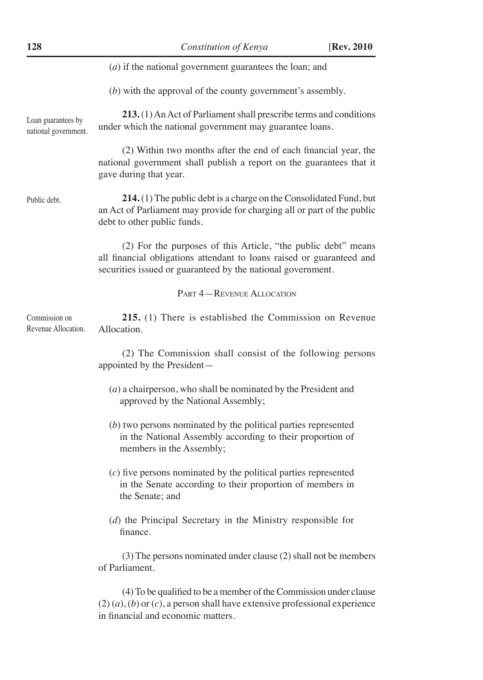| 128                                        | Constitution of Kenya                                                                                                                                                                                 | [Rev. 2010] |
|--------------------------------------------|-------------------------------------------------------------------------------------------------------------------------------------------------------------------------------------------------------|-------------|
|                                            | $(a)$ if the national government guarantees the loan; and                                                                                                                                             |             |
|                                            | $(b)$ with the approval of the county government's assembly.                                                                                                                                          |             |
| Loan guarantees by<br>national government. | 213. (1) An Act of Parliament shall prescribe terms and conditions<br>under which the national government may guarantee loans.                                                                        |             |
|                                            | (2) Within two months after the end of each financial year, the<br>national government shall publish a report on the guarantees that it<br>gave during that year.                                     |             |
| Public debt.                               | $214.$ (1) The public debt is a charge on the Consolidated Fund, but<br>an Act of Parliament may provide for charging all or part of the public<br>debt to other public funds.                        |             |
|                                            | (2) For the purposes of this Article, "the public debt" means<br>all financial obligations attendant to loans raised or guaranteed and<br>securities issued or guaranteed by the national government. |             |
|                                            | <b>PART 4-REVENUE ALLOCATION</b>                                                                                                                                                                      |             |
| Commission on<br>Revenue Allocation.       | 215. (1) There is established the Commission on Revenue<br>Allocation.                                                                                                                                |             |
|                                            | (2) The Commission shall consist of the following persons<br>appointed by the President—                                                                                                              |             |
|                                            | $(a)$ a chairperson, who shall be nominated by the President and<br>approved by the National Assembly;                                                                                                |             |
|                                            | $(b)$ two persons nominated by the political parties represented<br>in the National Assembly according to their proportion of<br>members in the Assembly;                                             |             |
|                                            | $(c)$ five persons nominated by the political parties represented<br>in the Senate according to their proportion of members in<br>the Senate; and                                                     |             |
|                                            | $(d)$ the Principal Secretary in the Ministry responsible for<br>finance.                                                                                                                             |             |
|                                            | (3) The persons nominated under clause (2) shall not be members<br>of Parliament.                                                                                                                     |             |
|                                            | (4) To be qualified to be a member of the Commission under clause<br>$(2)$ $(a)$ , $(b)$ or $(c)$ , a person shall have extensive professional experience<br>in financial and economic matters.       |             |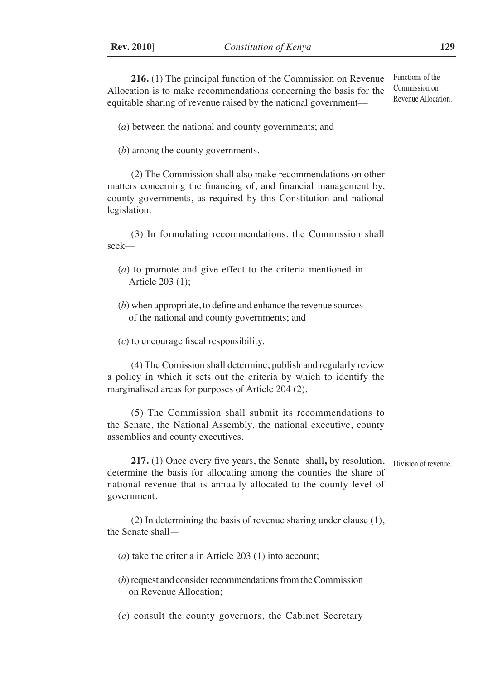**216.** (1) The principal function of the Commission on Revenue Allocation is to make recommendations concerning the basis for the equitable sharing of revenue raised by the national government––

Functions of the Commission on Revenue Allocation.

(*a*) between the national and county governments; and

(*b*) among the county governments.

(2) The Commission shall also make recommendations on other matters concerning the financing of, and financial management by, county governments, as required by this Constitution and national legislation.

(3) In formulating recommendations, the Commission shall seek––

- (*a*) to promote and give effect to the criteria mentioned in Article 203 (1);
- (*b*) when appropriate, to define and enhance the revenue sources of the national and county governments; and
- (*c*) to encourage fiscal responsibility.

(4) The Comission shall determine, publish and regularly review a policy in which it sets out the criteria by which to identify the marginalised areas for purposes of Article 204 (2).

(5) The Commission shall submit its recommendations to the Senate, the National Assembly, the national executive, county assemblies and county executives.

**217.** (1) Once every five years, the Senate shall**,** by resolution, determine the basis for allocating among the counties the share of national revenue that is annually allocated to the county level of government. Division of revenue.

(2) In determining the basis of revenue sharing under clause (1), the Senate shall—

(*a*) take the criteria in Article 203 (1) into account;

(*b*) request and consider recommendations from the Commission on Revenue Allocation;

(*c*) consult the county governors, the Cabinet Secretary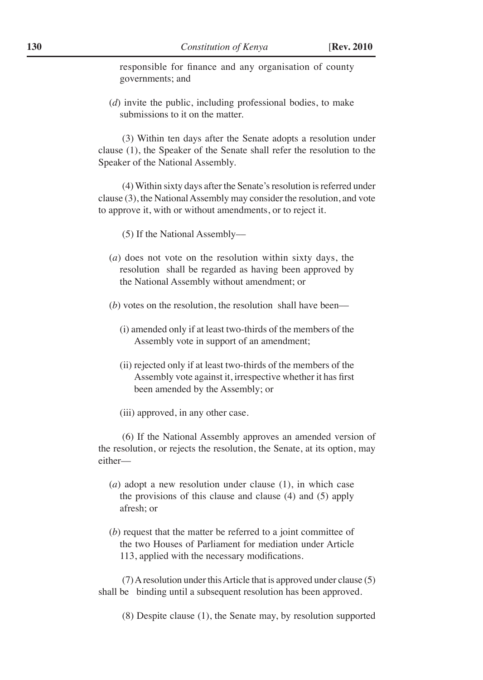responsible for finance and any organisation of county governments; and

(*d*) invite the public, including professional bodies, to make submissions to it on the matter.

(3) Within ten days after the Senate adopts a resolution under clause (1), the Speaker of the Senate shall refer the resolution to the Speaker of the National Assembly.

(4) Within sixty days after the Senate's resolution is referred under clause (3), the National Assembly may consider the resolution, and vote to approve it, with or without amendments, or to reject it.

- (5) If the National Assembly––
- (*a*) does not vote on the resolution within sixty days, the resolution shall be regarded as having been approved by the National Assembly without amendment; or
- (*b*) votes on the resolution, the resolution shall have been––
	- (i) amended only if at least two-thirds of the members of the Assembly vote in support of an amendment;
	- (ii) rejected only if at least two-thirds of the members of the Assembly vote against it, irrespective whether it has first been amended by the Assembly; or
	- (iii) approved, in any other case.

(6) If the National Assembly approves an amended version of the resolution, or rejects the resolution, the Senate, at its option, may either––

- (*a*) adopt a new resolution under clause (1), in which case the provisions of this clause and clause (4) and (5) apply afresh; or
- (*b*) request that the matter be referred to a joint committee of the two Houses of Parliament for mediation under Article 113, applied with the necessary modifications.

(7) A resolution under this Article that is approved under clause (5) shall be binding until a subsequent resolution has been approved.

(8) Despite clause (1), the Senate may, by resolution supported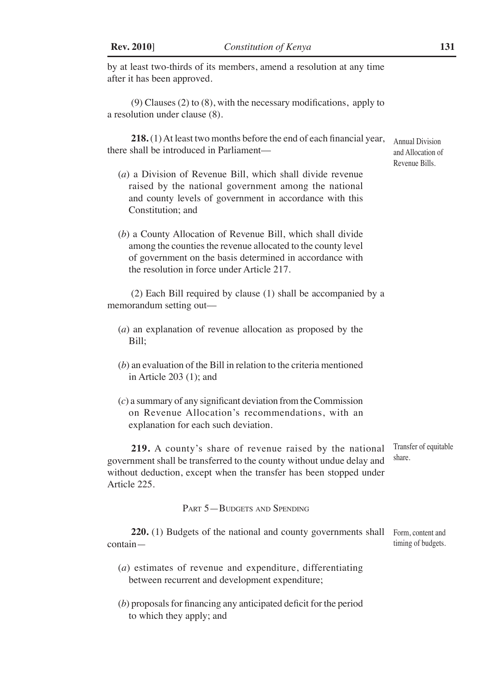by at least two-thirds of its members, amend a resolution at any time after it has been approved.

(9) Clauses (2) to (8), with the necessary modifications, apply to a resolution under clause (8).

**218.** (1) At least two months before the end of each financial year, there shall be introduced in Parliament––

Annual Division and Allocation of Revenue Bills.

- (*a*) a Division of Revenue Bill, which shall divide revenue raised by the national government among the national and county levels of government in accordance with this Constitution; and
- (*b*) a County Allocation of Revenue Bill, which shall divide among the counties the revenue allocated to the county level of government on the basis determined in accordance with the resolution in force under Article 217.

(2) Each Bill required by clause (1) shall be accompanied by a memorandum setting out––

- (*a*) an explanation of revenue allocation as proposed by the Bill;
- (*b*) an evaluation of the Bill in relation to the criteria mentioned in Article 203 (1); and
- (*c*) a summary of any significant deviation from the Commission on Revenue Allocation's recommendations, with an explanation for each such deviation.

**219.** A county's share of revenue raised by the national government shall be transferred to the county without undue delay and without deduction, except when the transfer has been stopped under Article 225. Transfer of equitable share.

## PART 5 - BUDGETS AND SPENDING

220. (1) Budgets of the national and county governments shall Form, content and contain timing of budgets.

- (*a*) estimates of revenue and expenditure, differentiating between recurrent and development expenditure;
- (*b*) proposals for financing any anticipated deficit for the period to which they apply; and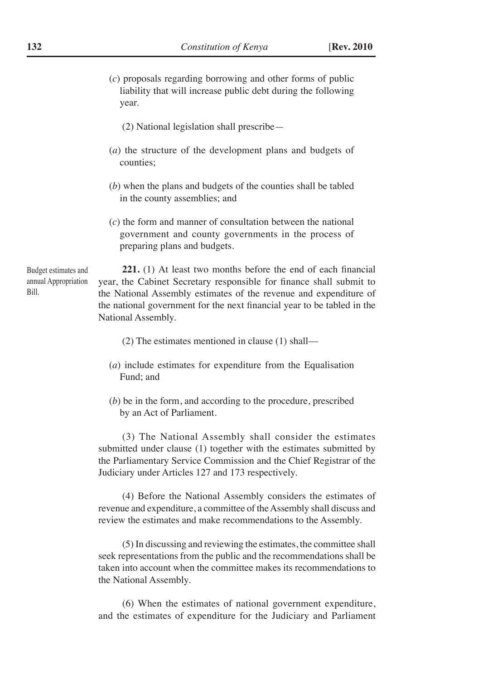- (*c*) proposals regarding borrowing and other forms of public liability that will increase public debt during the following year.
	- (2) National legislation shall prescribe—
- (*a*) the structure of the development plans and budgets of counties;
- (*b*) when the plans and budgets of the counties shall be tabled in the county assemblies; and
- (*c*) the form and manner of consultation between the national government and county governments in the process of preparing plans and budgets.

Budget estimates and annual Appropriation Bill.

**221.** (1) At least two months before the end of each financial year, the Cabinet Secretary responsible for finance shall submit to the National Assembly estimates of the revenue and expenditure of the national government for the next financial year to be tabled in the National Assembly.

- (2) The estimates mentioned in clause (1) shall––
- (*a*) include estimates for expenditure from the Equalisation Fund; and
- (*b*) be in the form, and according to the procedure, prescribed by an Act of Parliament.

(3) The National Assembly shall consider the estimates submitted under clause (1) together with the estimates submitted by the Parliamentary Service Commission and the Chief Registrar of the Judiciary under Articles 127 and 173 respectively.

(4) Before the National Assembly considers the estimates of revenue and expenditure, a committee of the Assembly shall discuss and review the estimates and make recommendations to the Assembly.

(5) In discussing and reviewing the estimates, the committee shall seek representations from the public and the recommendations shall be taken into account when the committee makes its recommendations to the National Assembly.

(6) When the estimates of national government expenditure, and the estimates of expenditure for the Judiciary and Parliament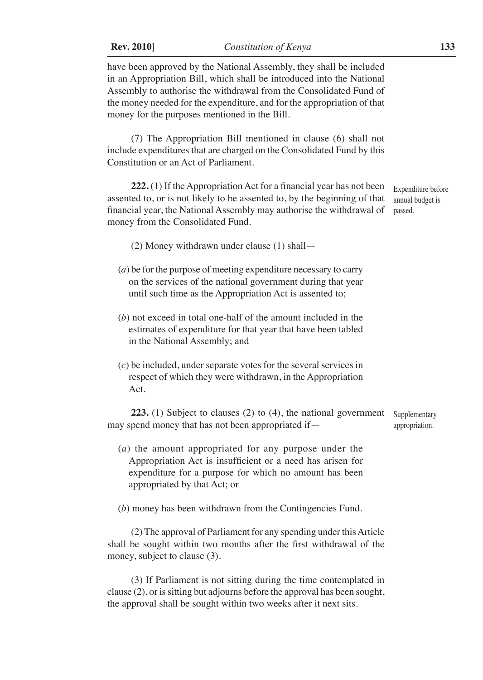have been approved by the National Assembly, they shall be included in an Appropriation Bill, which shall be introduced into the National Assembly to authorise the withdrawal from the Consolidated Fund of the money needed for the expenditure, and for the appropriation of that money for the purposes mentioned in the Bill.

(7) The Appropriation Bill mentioned in clause (6) shall not include expenditures that are charged on the Consolidated Fund by this Constitution or an Act of Parliament.

**222.** (1) If the Appropriation Act for a financial year has not been assented to, or is not likely to be assented to, by the beginning of that financial year, the National Assembly may authorise the withdrawal of money from the Consolidated Fund. passed.

Expenditure before annual budget is

- (2) Money withdrawn under clause (1) shall—
- (*a*) be for the purpose of meeting expenditure necessary to carry on the services of the national government during that year until such time as the Appropriation Act is assented to;
- (*b*) not exceed in total one-half of the amount included in the estimates of expenditure for that year that have been tabled in the National Assembly; and
- (*c*) be included, under separate votes for the several services in respect of which they were withdrawn, in the Appropriation Act.

**223.** (1) Subject to clauses (2) to (4), the national government may spend money that has not been appropriated if— Supplementary appropriation.

- (*a*) the amount appropriated for any purpose under the Appropriation Act is insufficient or a need has arisen for expenditure for a purpose for which no amount has been appropriated by that Act; or
- (*b*) money has been withdrawn from the Contingencies Fund.

(2) The approval of Parliament for any spending under this Article shall be sought within two months after the first withdrawal of the money, subject to clause  $(3)$ .

(3) If Parliament is not sitting during the time contemplated in clause (2), or is sitting but adjourns before the approval has been sought, the approval shall be sought within two weeks after it next sits.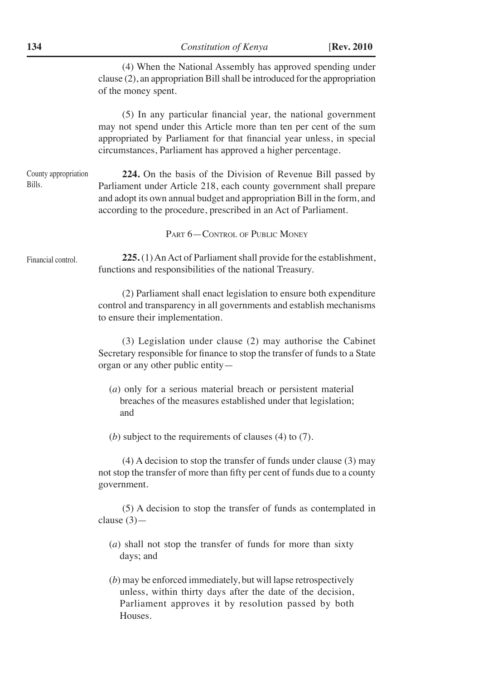|                                | (4) When the National Assembly has approved spending under<br>clause (2), an appropriation Bill shall be introduced for the appropriation<br>of the money spent.                                                                                                                |
|--------------------------------|---------------------------------------------------------------------------------------------------------------------------------------------------------------------------------------------------------------------------------------------------------------------------------|
|                                | (5) In any particular financial year, the national government<br>may not spend under this Article more than ten per cent of the sum<br>appropriated by Parliament for that financial year unless, in special<br>circumstances, Parliament has approved a higher percentage.     |
| County appropriation<br>Bills. | 224. On the basis of the Division of Revenue Bill passed by<br>Parliament under Article 218, each county government shall prepare<br>and adopt its own annual budget and appropriation Bill in the form, and<br>according to the procedure, prescribed in an Act of Parliament. |
|                                | PART 6-CONTROL OF PUBLIC MONEY                                                                                                                                                                                                                                                  |
| Financial control.             | 225. (1) An Act of Parliament shall provide for the establishment,<br>functions and responsibilities of the national Treasury.                                                                                                                                                  |
|                                | (2) Parliament shall enact legislation to ensure both expenditure<br>control and transparency in all governments and establish mechanisms<br>to ensure their implementation.                                                                                                    |
|                                | (3) Legislation under clause (2) may authorise the Cabinet<br>Secretary responsible for finance to stop the transfer of funds to a State<br>organ or any other public entity-                                                                                                   |
|                                | (a) only for a serious material breach or persistent material<br>breaches of the measures established under that legislation;<br>and                                                                                                                                            |
|                                | (b) subject to the requirements of clauses $(4)$ to $(7)$ .                                                                                                                                                                                                                     |
|                                | (4) A decision to stop the transfer of funds under clause (3) may<br>not stop the transfer of more than fifty per cent of funds due to a county<br>government.                                                                                                                  |
|                                | (5) A decision to stop the transfer of funds as contemplated in<br>clause $(3)$ —                                                                                                                                                                                               |
|                                | $(a)$ shall not stop the transfer of funds for more than sixty<br>days; and                                                                                                                                                                                                     |
|                                | $(b)$ may be enforced immediately, but will lapse retrospectively<br>unless, within thirty days after the date of the decision,<br>Parliament approves it by resolution passed by both<br>Houses.                                                                               |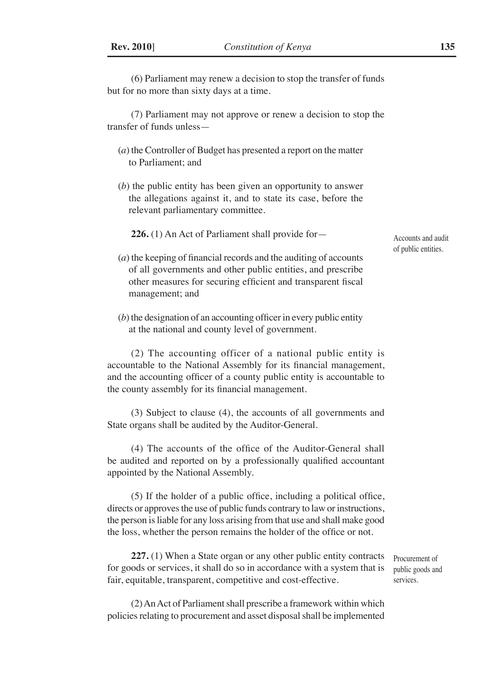(6) Parliament may renew a decision to stop the transfer of funds but for no more than sixty days at a time.

(7) Parliament may not approve or renew a decision to stop the transfer of funds unless—

- (*a*) the Controller of Budget has presented a report on the matter to Parliament; and
- (*b*) the public entity has been given an opportunity to answer the allegations against it, and to state its case, before the relevant parliamentary committee.

**226.** (1) An Act of Parliament shall provide for—

Accounts and audit of public entities.

- (*a*) the keeping of financial records and the auditing of accounts of all governments and other public entities, and prescribe other measures for securing efficient and transparent fiscal management; and
- (*b*) the designation of an accounting officer in every public entity at the national and county level of government.

(2) The accounting officer of a national public entity is accountable to the National Assembly for its financial management, and the accounting officer of a county public entity is accountable to the county assembly for its financial management.

(3) Subject to clause (4), the accounts of all governments and State organs shall be audited by the Auditor-General.

(4) The accounts of the office of the Auditor-General shall be audited and reported on by a professionally qualified accountant appointed by the National Assembly.

(5) If the holder of a public office, including a political office, directs or approves the use of public funds contrary to law or instructions, the person is liable for any loss arising from that use and shall make good the loss, whether the person remains the holder of the office or not.

**227.** (1) When a State organ or any other public entity contracts for goods or services, it shall do so in accordance with a system that is fair, equitable, transparent, competitive and cost-effective.

Procurement of public goods and services.

(2) An Act of Parliament shall prescribe a framework within which policies relating to procurement and asset disposal shall be implemented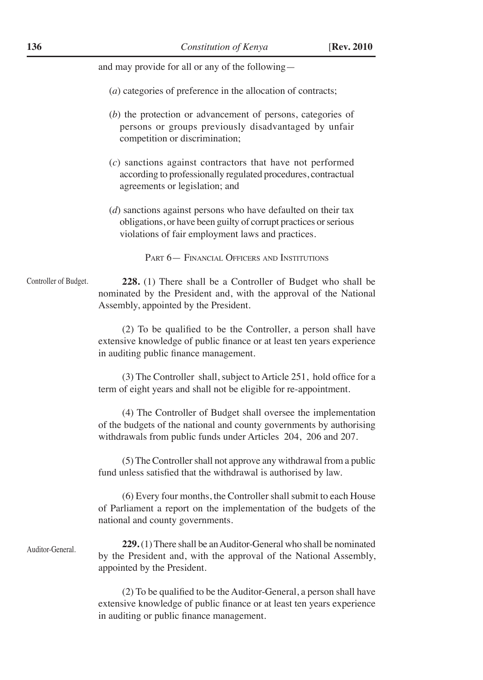and may provide for all or any of the following—

- (*a*) categories of preference in the allocation of contracts;
- (*b*) the protection or advancement of persons, categories of persons or groups previously disadvantaged by unfair competition or discrimination;
- (*c*) sanctions against contractors that have not performed according to professionally regulated procedures, contractual agreements or legislation; and
- (*d*) sanctions against persons who have defaulted on their tax obligations, or have been guilty of corrupt practices or serious violations of fair employment laws and practices.

PART  $6-$  Financial Officers and Institutions

Controller of Budget. **228.** (1) There shall be a Controller of Budget who shall be nominated by the President and, with the approval of the National Assembly, appointed by the President.

> (2) To be qualified to be the Controller, a person shall have extensive knowledge of public finance or at least ten years experience in auditing public finance management.

> (3) The Controller shall, subject to Article 251, hold office for a term of eight years and shall not be eligible for re-appointment.

> (4) The Controller of Budget shall oversee the implementation of the budgets of the national and county governments by authorising withdrawals from public funds under Articles 204, 206 and 207.

> (5) The Controller shall not approve any withdrawal from a public fund unless satisfied that the withdrawal is authorised by law.

> (6) Every four months, the Controller shall submit to each House of Parliament a report on the implementation of the budgets of the national and county governments.

Auditor-General.

**229.** (1) There shall be an Auditor-General who shall be nominated by the President and, with the approval of the National Assembly, appointed by the President.

(2) To be qualified to be the Auditor-General, a person shall have extensive knowledge of public finance or at least ten years experience in auditing or public finance management.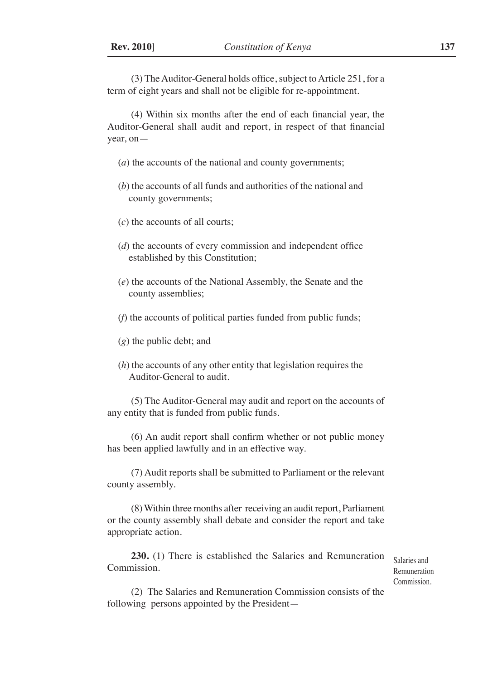(3) The Auditor-General holds office, subject to Article 251, for a term of eight years and shall not be eligible for re-appointment.

(4) Within six months after the end of each financial year, the Auditor-General shall audit and report, in respect of that financial year, on—

- (*a*) the accounts of the national and county governments;
- (*b*) the accounts of all funds and authorities of the national and county governments;
- (*c*) the accounts of all courts;
- (*d*) the accounts of every commission and independent office established by this Constitution;
- (*e*) the accounts of the National Assembly, the Senate and the county assemblies;
- (*f*) the accounts of political parties funded from public funds;
- (*g*) the public debt; and
- (*h*) the accounts of any other entity that legislation requires the Auditor-General to audit.

(5) The Auditor-General may audit and report on the accounts of any entity that is funded from public funds.

(6) An audit report shall confirm whether or not public money has been applied lawfully and in an effective way.

(7) Audit reports shall be submitted to Parliament or the relevant county assembly.

(8) Within three months after receiving an audit report, Parliament or the county assembly shall debate and consider the report and take appropriate action.

**230.** (1) There is established the Salaries and Remuneration Commission.

Salaries and Remuneration Commission.

(2) The Salaries and Remuneration Commission consists of the following persons appointed by the President—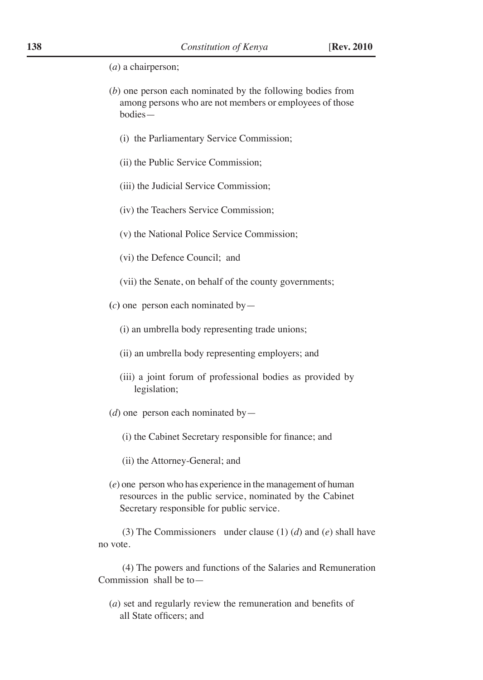|  | $(a)$ a chairperson; |
|--|----------------------|
|  |                      |
|  |                      |

- (*b*) one person each nominated by the following bodies from among persons who are not members or employees of those bodies—
	- (i) the Parliamentary Service Commission;
	- (ii) the Public Service Commission;
	- (iii) the Judicial Service Commission;
	- (iv) the Teachers Service Commission;
	- (v) the National Police Service Commission;
	- (vi) the Defence Council; and
	- (vii) the Senate, on behalf of the county governments;
- $(c)$  one person each nominated by
	- (i) an umbrella body representing trade unions;
	- (ii) an umbrella body representing employers; and
	- (iii) a joint forum of professional bodies as provided by legislation;
- (*d*) one person each nominated by—
	- (i) the Cabinet Secretary responsible for finance; and
	- (ii) the Attorney-General; and
- (*e*) one person who has experience in the management of human resources in the public service, nominated by the Cabinet Secretary responsible for public service.

(3) The Commissioners under clause (1) (*d*) and (*e*) shall have no vote.

(4) The powers and functions of the Salaries and Remuneration Commission shall be to—

(*a*) set and regularly review the remuneration and benefits of all State officers; and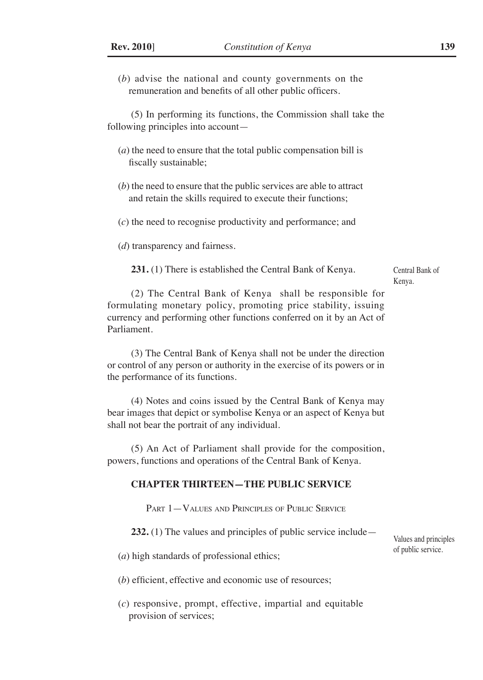(*b*) advise the national and county governments on the remuneration and benefits of all other public officers.

(5) In performing its functions, the Commission shall take the following principles into account—

- (*a*) the need to ensure that the total public compensation bill is fiscally sustainable;
- (*b*) the need to ensure that the public services are able to attract and retain the skills required to execute their functions;
- (*c*) the need to recognise productivity and performance; and
- (*d*) transparency and fairness.

**231.** (1) There is established the Central Bank of Kenya.

Central Bank of Kenya.

(2) The Central Bank of Kenya shall be responsible for formulating monetary policy, promoting price stability, issuing currency and performing other functions conferred on it by an Act of Parliament.

(3) The Central Bank of Kenya shall not be under the direction or control of any person or authority in the exercise of its powers or in the performance of its functions.

(4) Notes and coins issued by the Central Bank of Kenya may bear images that depict or symbolise Kenya or an aspect of Kenya but shall not bear the portrait of any individual.

(5) An Act of Parliament shall provide for the composition, powers, functions and operations of the Central Bank of Kenya.

## **CHAPTER THIRTEEN—THE PUBLIC SERVICE**

Part 1—Values and Principles of Public Service

**232.** (1) The values and principles of public service include—

Values and principles of public service.

(*a*) high standards of professional ethics;

(*b*) efficient, effective and economic use of resources;

(*c*) responsive, prompt, effective, impartial and equitable provision of services;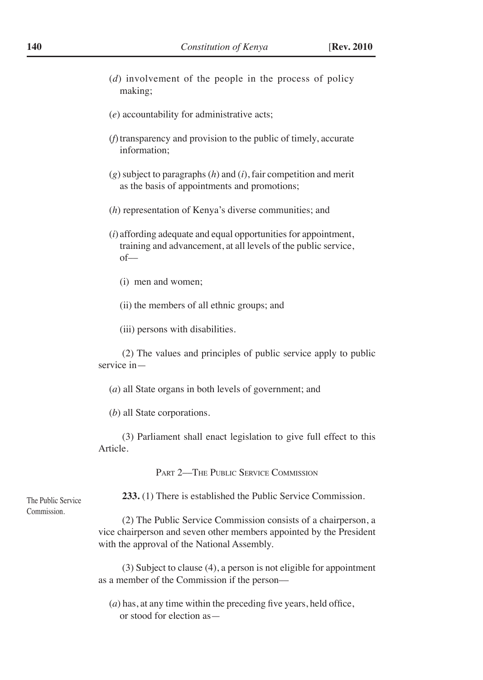- (*d*) involvement of the people in the process of policy making;
- (*e*) accountability for administrative acts;
- (*f*)transparency and provision to the public of timely, accurate information;
- (*g*) subject to paragraphs (*h*) and (*i*), fair competition and merit as the basis of appointments and promotions;
- (*h*) representation of Kenya's diverse communities; and
- (*i*) affording adequate and equal opportunities for appointment, training and advancement, at all levels of the public service, of––
	- (i) men and women;
	- (ii) the members of all ethnic groups; and

(iii) persons with disabilities.

(2) The values and principles of public service apply to public service in—

(*a*) all State organs in both levels of government; and

(*b*) all State corporations.

(3) Parliament shall enact legislation to give full effect to this Article.

PART 2-THE PUBLIC SERVICE COMMISSION

The Public Service Commission.

**233.** (1) There is established the Public Service Commission.

(2) The Public Service Commission consists of a chairperson, a vice chairperson and seven other members appointed by the President with the approval of the National Assembly.

(3) Subject to clause (4), a person is not eligible for appointment as a member of the Commission if the person––

(*a*) has, at any time within the preceding five years, held office, or stood for election as—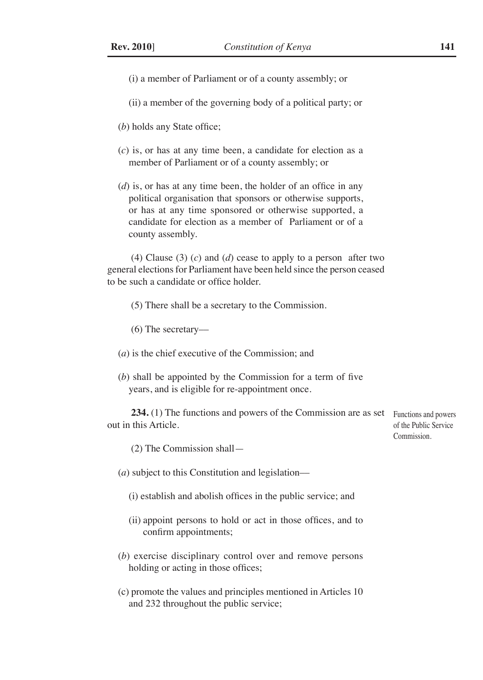- (i) a member of Parliament or of a county assembly; or
- (ii) a member of the governing body of a political party; or
- (*b*) holds any State office;
- (*c*) is, or has at any time been, a candidate for election as a member of Parliament or of a county assembly; or
- (*d*) is, or has at any time been, the holder of an office in any political organisation that sponsors or otherwise supports, or has at any time sponsored or otherwise supported, a candidate for election as a member of Parliament or of a county assembly.

(4) Clause (3) (*c*) and (*d*) cease to apply to a person after two general elections for Parliament have been held since the person ceased to be such a candidate or office holder.

- (5) There shall be a secretary to the Commission.
- (6) The secretary––
- (*a*) is the chief executive of the Commission; and
- (*b*) shall be appointed by the Commission for a term of five years, and is eligible for re-appointment once.

234. (1) The functions and powers of the Commission are as set Functions and powers out in this Article.

(2) The Commission shall—

- (*a*) subject to this Constitution and legislation––
	- (i) establish and abolish offices in the public service; and
	- (ii) appoint persons to hold or act in those offices, and to confirm appointments;
- (*b*) exercise disciplinary control over and remove persons holding or acting in those offices;
- (c) promote the values and principles mentioned in Articles 10 and 232 throughout the public service;

of the Public Service Commission.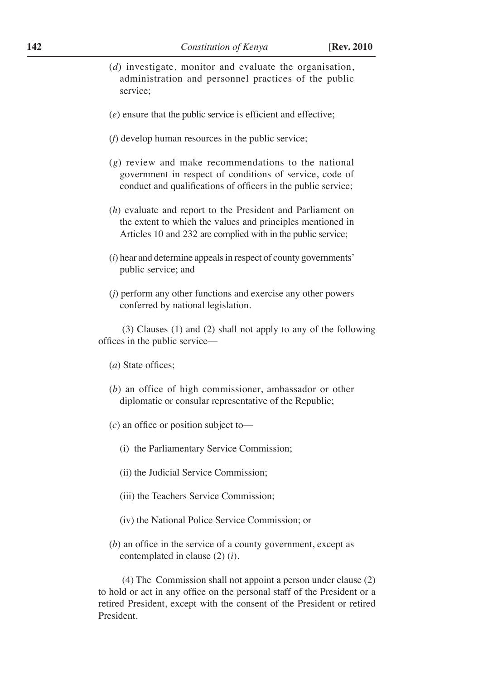- (*d*) investigate, monitor and evaluate the organisation, administration and personnel practices of the public service;
- (*e*) ensure that the public service is efficient and effective;
- (*f*) develop human resources in the public service;
- (*g*) review and make recommendations to the national government in respect of conditions of service, code of conduct and qualifications of officers in the public service;
- (*h*) evaluate and report to the President and Parliament on the extent to which the values and principles mentioned in Articles 10 and 232 are complied with in the public service;
- (*i*) hear and determine appeals in respect of county governments' public service; and
- (*j*) perform any other functions and exercise any other powers conferred by national legislation.

(3) Clauses (1) and (2) shall not apply to any of the following offices in the public service––

- (*a*) State offices;
- (*b*) an office of high commissioner, ambassador or other diplomatic or consular representative of the Republic;
- (*c*) an office or position subject to––
	- (i) the Parliamentary Service Commission;
	- (ii) the Judicial Service Commission;
	- (iii) the Teachers Service Commission;
	- (iv) the National Police Service Commission; or
- (*b*) an office in the service of a county government, except as contemplated in clause (2) (*i*).

(4) The Commission shall not appoint a person under clause (2) to hold or act in any office on the personal staff of the President or a retired President, except with the consent of the President or retired President.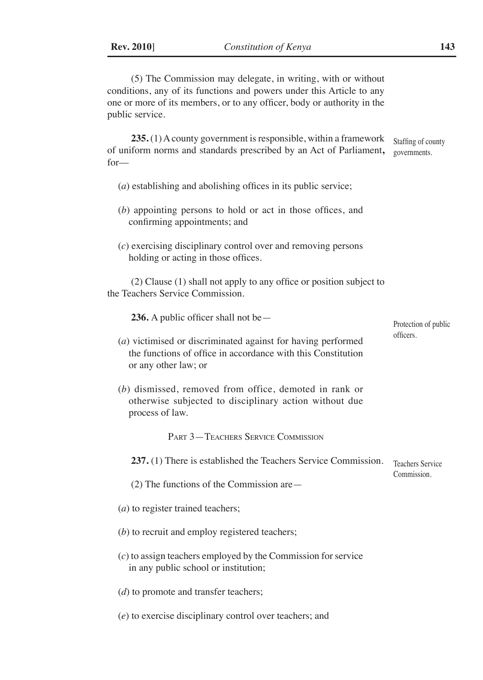(5) The Commission may delegate, in writing, with or without conditions, any of its functions and powers under this Article to any one or more of its members, or to any officer, body or authority in the public service.

**235.** (1) A county government is responsible, within a framework of uniform norms and standards prescribed by an Act of Parliament**,** for–– Staffing of county governments.

- (*a*) establishing and abolishing offices in its public service;
- (*b*) appointing persons to hold or act in those offices, and confirming appointments; and
- (*c*) exercising disciplinary control over and removing persons holding or acting in those offices.

(2) Clause (1) shall not apply to any office or position subject to the Teachers Service Commission.

**236.** A public officer shall not be—

- (*a*) victimised or discriminated against for having performed the functions of office in accordance with this Constitution or any other law; or
- (*b*) dismissed, removed from office, demoted in rank or otherwise subjected to disciplinary action without due process of law.

Part 3—Teachers Service Commission

**237.** (1) There is established the Teachers Service Commission. Teachers Service

Commission.

Protection of public officers.

- (2) The functions of the Commission are—
- (*a*) to register trained teachers;

(*b*) to recruit and employ registered teachers;

- (*c*) to assign teachers employed by the Commission for service in any public school or institution;
- (*d*) to promote and transfer teachers;
- (*e*) to exercise disciplinary control over teachers; and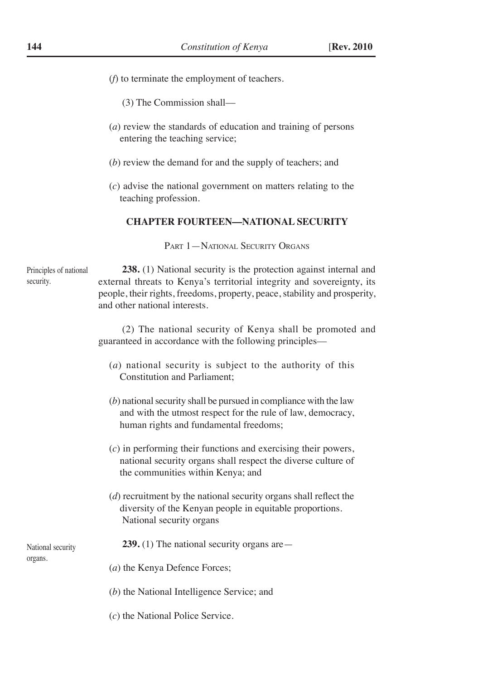(*f*) to terminate the employment of teachers.

(3) The Commission shall––

- (*a*) review the standards of education and training of persons entering the teaching service;
- (*b*) review the demand for and the supply of teachers; and
- (*c*) advise the national government on matters relating to the teaching profession.

## **CHAPTER FOURTEEN––NATIONAL SECURITY**

Part 1—National Security Organs

Principles of national security.

**238.** (1) National security is the protection against internal and external threats to Kenya's territorial integrity and sovereignty, its people, their rights, freedoms, property, peace, stability and prosperity, and other national interests.

(2) The national security of Kenya shall be promoted and guaranteed in accordance with the following principles*––*

- (*a*) national security is subject to the authority of this Constitution and Parliament;
- (*b*) national security shall be pursued in compliance with the law and with the utmost respect for the rule of law, democracy, human rights and fundamental freedoms;
- (*c*) in performing their functions and exercising their powers, national security organs shall respect the diverse culture of the communities within Kenya; and
- (*d*) recruitment by the national security organs shall reflect the diversity of the Kenyan people in equitable proportions. National security organs

National security organs.

- **239.** (1) The national security organs are—
- (*a*) the Kenya Defence Forces;
- (*b*) the National Intelligence Service; and
- (*c*) the National Police Service.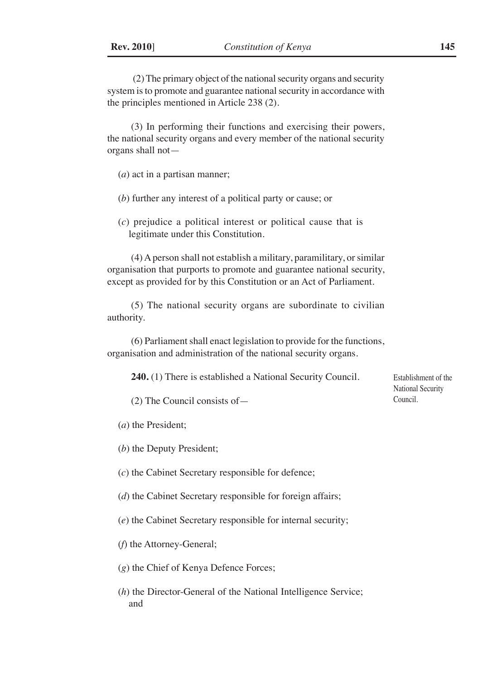(2) The primary object of the national security organs and security system is to promote and guarantee national security in accordance with the principles mentioned in Article 238 (2).

(3) In performing their functions and exercising their powers, the national security organs and every member of the national security organs shall not—

- (*a*) act in a partisan manner;
- (*b*) further any interest of a political party or cause; or
- (*c*) prejudice a political interest or political cause that is legitimate under this Constitution.

(4) A person shall not establish a military, paramilitary, or similar organisation that purports to promote and guarantee national security, except as provided for by this Constitution or an Act of Parliament.

(5) The national security organs are subordinate to civilian authority.

(6) Parliament shall enact legislation to provide for the functions, organisation and administration of the national security organs.

**240.** (1) There is established a National Security Council.

(2) The Council consists of—

Establishment of the National Security Council.

(*a*) the President;

(*b*) the Deputy President;

(*c*) the Cabinet Secretary responsible for defence;

(*d*) the Cabinet Secretary responsible for foreign affairs;

(*e*) the Cabinet Secretary responsible for internal security;

(*f*) the Attorney-General;

(*g*) the Chief of Kenya Defence Forces;

(*h*) the Director-General of the National Intelligence Service; and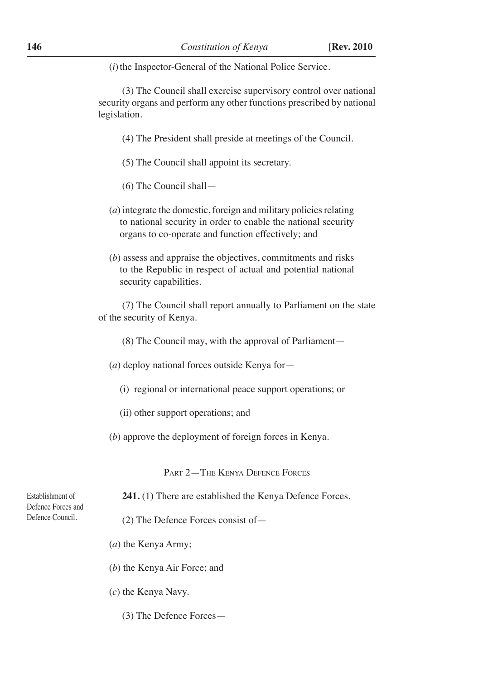(*i*) the Inspector-General of the National Police Service.

(3) The Council shall exercise supervisory control over national security organs and perform any other functions prescribed by national legislation.

- (4) The President shall preside at meetings of the Council.
- (5) The Council shall appoint its secretary.
- (6) The Council shall—
- (*a*) integrate the domestic, foreign and military policies relating to national security in order to enable the national security organs to co-operate and function effectively; and
- (*b*) assess and appraise the objectives, commitments and risks to the Republic in respect of actual and potential national security capabilities.

(7) The Council shall report annually to Parliament on the state of the security of Kenya.

- (8) The Council may, with the approval of Parliament—
- (*a*) deploy national forces outside Kenya for—
	- (i) regional or international peace support operations; or
	- (ii) other support operations; and
- (*b*) approve the deployment of foreign forces in Kenya.

Part 2—The Kenya Defence Forces

**241.** (1) There are established the Kenya Defence Forces.

- (2) The Defence Forces consist of—
- (*a*) the Kenya Army;
- (*b*) the Kenya Air Force; and
- (*c*) the Kenya Navy.
	- (3) The Defence Forces—

Establishment of Defence Forces and Defence Council.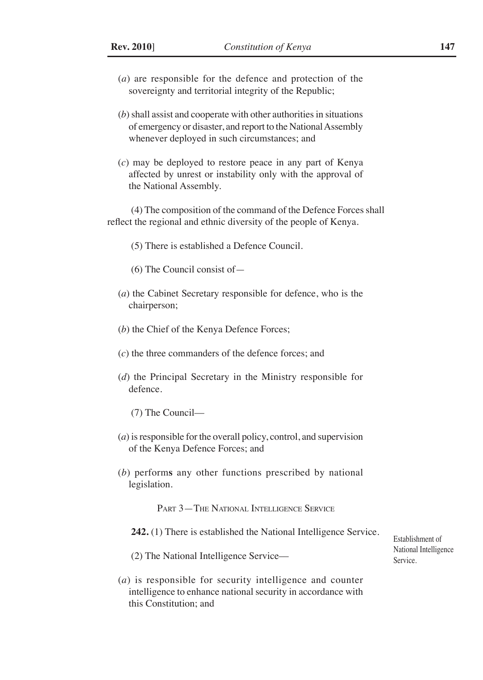- (*a*) are responsible for the defence and protection of the sovereignty and territorial integrity of the Republic;
- (*b*) shall assist and cooperate with other authorities in situations of emergency or disaster, and report to the National Assembly whenever deployed in such circumstances; and
- (*c*) may be deployed to restore peace in any part of Kenya affected by unrest or instability only with the approval of the National Assembly.

(4) The composition of the command of the Defence Forces shall reflect the regional and ethnic diversity of the people of Kenya.

- (5) There is established a Defence Council.
- (6) The Council consist of—
- (*a*) the Cabinet Secretary responsible for defence, who is the chairperson;
- (*b*) the Chief of the Kenya Defence Forces;
- (*c*) the three commanders of the defence forces; and
- (*d*) the Principal Secretary in the Ministry responsible for defence.
	- (7) The Council––
- (*a*) is responsible for the overall policy, control, and supervision of the Kenya Defence Forces; and
- (*b*) perform**s** any other functions prescribed by national legislation.

Part 3—The National Intelligence Service

- **242.** (1) There is established the National Intelligence Service.
- (2) The National Intelligence Service––
- (*a*) is responsible for security intelligence and counter intelligence to enhance national security in accordance with this Constitution; and

Establishment of National Intelligence Service.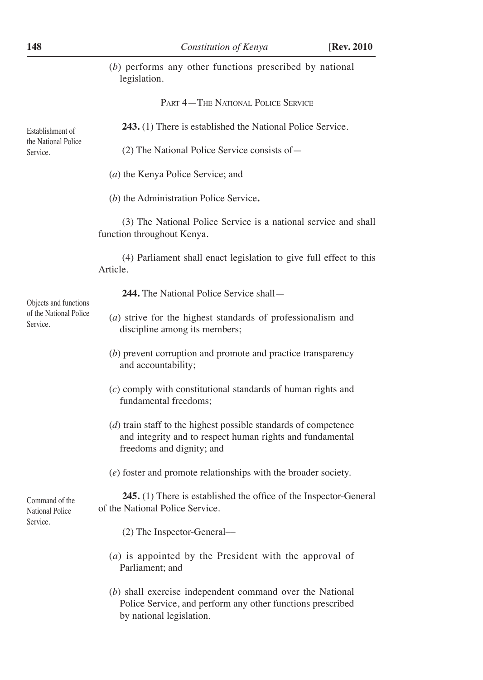| 148                                                                                                                | Constitution of Kenya                                                                                                                                       | [Rev. 2010] |
|--------------------------------------------------------------------------------------------------------------------|-------------------------------------------------------------------------------------------------------------------------------------------------------------|-------------|
|                                                                                                                    | (b) performs any other functions prescribed by national<br>legislation.                                                                                     |             |
| Establishment of<br>the National Police<br>Service.<br>Objects and functions<br>of the National Police<br>Service. | <b>PART 4-THE NATIONAL POLICE SERVICE</b>                                                                                                                   |             |
|                                                                                                                    | 243. (1) There is established the National Police Service.                                                                                                  |             |
|                                                                                                                    | (2) The National Police Service consists of -                                                                                                               |             |
|                                                                                                                    | (a) the Kenya Police Service; and                                                                                                                           |             |
|                                                                                                                    | (b) the Administration Police Service.                                                                                                                      |             |
|                                                                                                                    | (3) The National Police Service is a national service and shall<br>function throughout Kenya.                                                               |             |
|                                                                                                                    | (4) Parliament shall enact legislation to give full effect to this<br>Article.                                                                              |             |
|                                                                                                                    | 244. The National Police Service shall—                                                                                                                     |             |
|                                                                                                                    | (a) strive for the highest standards of professionalism and<br>discipline among its members;                                                                |             |
|                                                                                                                    | (b) prevent corruption and promote and practice transparency<br>and accountability;                                                                         |             |
|                                                                                                                    | $(c)$ comply with constitutional standards of human rights and<br>fundamental freedoms;                                                                     |             |
| Command of the<br><b>National Police</b><br>Service.                                                               | $(d)$ train staff to the highest possible standards of competence<br>and integrity and to respect human rights and fundamental<br>freedoms and dignity; and |             |
|                                                                                                                    | (e) foster and promote relationships with the broader society.                                                                                              |             |
|                                                                                                                    | 245. (1) There is established the office of the Inspector-General<br>of the National Police Service.                                                        |             |
|                                                                                                                    | (2) The Inspector-General—                                                                                                                                  |             |
|                                                                                                                    | $(a)$ is appointed by the President with the approval of<br>Parliament; and                                                                                 |             |
|                                                                                                                    | (b) shall exercise independent command over the National<br>Police Service, and perform any other functions prescribed<br>by national legislation.          |             |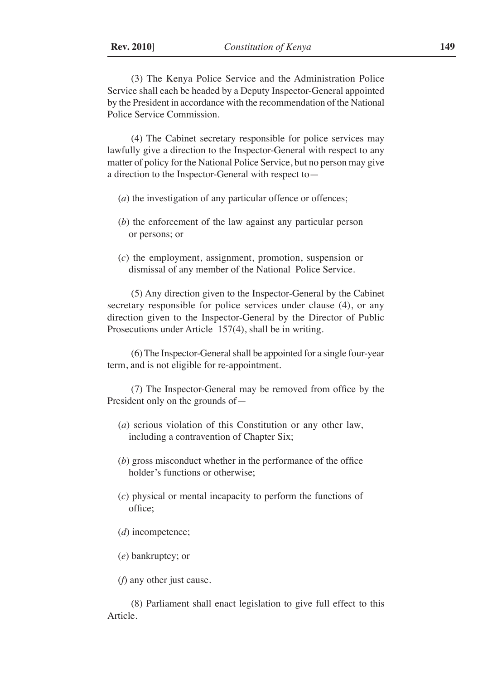(3) The Kenya Police Service and the Administration Police Service shall each be headed by a Deputy Inspector-General appointed by the President in accordance with the recommendation of the National Police Service Commission.

(4) The Cabinet secretary responsible for police services may lawfully give a direction to the Inspector-General with respect to any matter of policy for the National Police Service, but no person may give a direction to the Inspector-General with respect to—

- (*a*) the investigation of any particular offence or offences;
- (*b*) the enforcement of the law against any particular person or persons; or
- (*c*) the employment, assignment, promotion, suspension or dismissal of any member of the National Police Service.

(5) Any direction given to the Inspector-General by the Cabinet secretary responsible for police services under clause (4), or any direction given to the Inspector-General by the Director of Public Prosecutions under Article 157(4), shall be in writing.

(6) The Inspector-General shall be appointed for a single four-year term, and is not eligible for re-appointment.

(7) The Inspector-General may be removed from office by the President only on the grounds of—

- (*a*) serious violation of this Constitution or any other law, including a contravention of Chapter Six;
- (*b*) gross misconduct whether in the performance of the office holder's functions or otherwise;
- (*c*) physical or mental incapacity to perform the functions of office;
- (*d*) incompetence;
- (*e*) bankruptcy; or

(*f*) any other just cause.

(8) Parliament shall enact legislation to give full effect to this Article.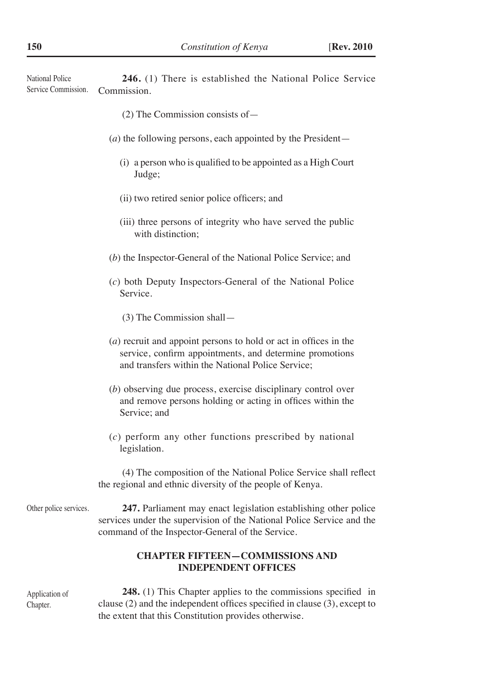**246.** (1) There is established the National Police Service Service Commission. Commission. National Police

- (2) The Commission consists of—
- (*a*) the following persons, each appointed by the President—
	- (i) a person who is qualified to be appointed as a High Court Judge;
	- (ii) two retired senior police officers; and
	- (iii) three persons of integrity who have served the public with distinction:
- (*b*) the Inspector-General of the National Police Service; and
- (*c*) both Deputy Inspectors-General of the National Police Service.
	- (3) The Commission shall—
- (*a*) recruit and appoint persons to hold or act in offices in the service, confirm appointments, and determine promotions and transfers within the National Police Service;
- (*b*) observing due process, exercise disciplinary control over and remove persons holding or acting in offices within the Service; and
- (*c*) perform any other functions prescribed by national legislation.

(4) The composition of the National Police Service shall reflect the regional and ethnic diversity of the people of Kenya.

**247.** Parliament may enact legislation establishing other police services under the supervision of the National Police Service and the command of the Inspector-General of the Service. Other police services.

## **CHAPTER FIFTEEN—COMMISSIONS AND INDEPENDENT OFFICES**

Application of Chapter.

**248.** (1) This Chapter applies to the commissions specified in clause (2) and the independent offices specified in clause (3), except to the extent that this Constitution provides otherwise.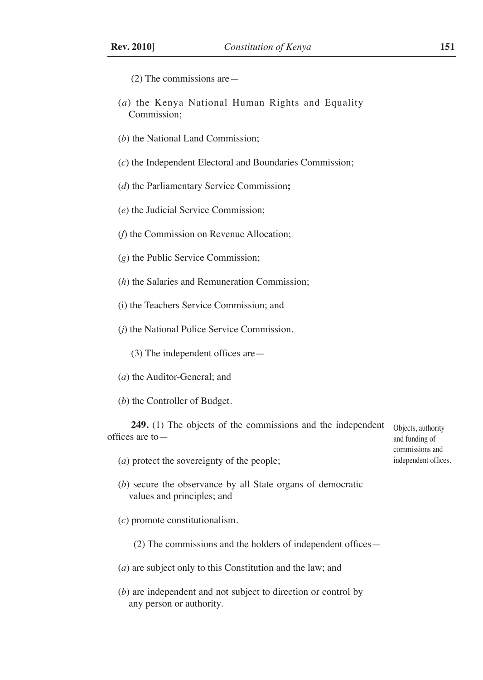- (2) The commissions are—
- (*a*) the Kenya National Human Rights and Equality Commission;
- (*b*) the National Land Commission;
- (*c*) the Independent Electoral and Boundaries Commission;
- (*d*) the Parliamentary Service Commission**;**
- (*e*) the Judicial Service Commission;
- (*f*) the Commission on Revenue Allocation;
- (*g*) the Public Service Commission;
- (*h*) the Salaries and Remuneration Commission;
- (i) the Teachers Service Commission; and
- (*j*) the National Police Service Commission.
	- (3) The independent offices are—
- (*a*) the Auditor-General; and
- (*b*) the Controller of Budget.

**249.** (1) The objects of the commissions and the independent offices are to—

- (*a*) protect the sovereignty of the people;
- (*b*) secure the observance by all State organs of democratic values and principles; and
- (*c*) promote constitutionalism.
	- (2) The commissions and the holders of independent offices—
- (*a*) are subject only to this Constitution and the law; and
- (*b*) are independent and not subject to direction or control by any person or authority.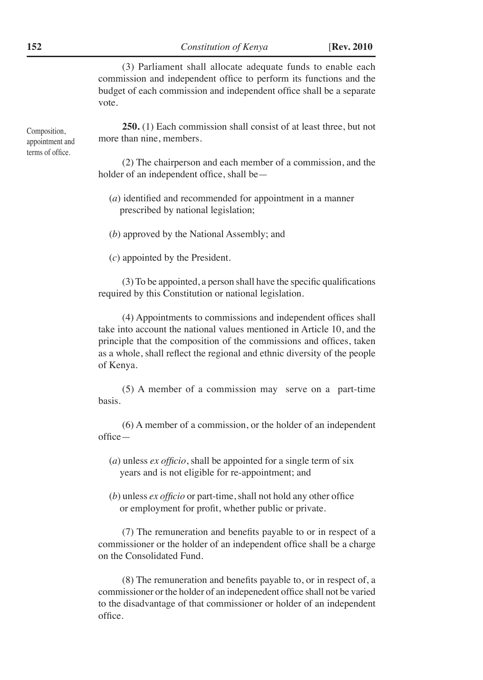(3) Parliament shall allocate adequate funds to enable each commission and independent office to perform its functions and the budget of each commission and independent office shall be a separate vote.

Composition, appointment and terms of office.

**250.** (1) Each commission shall consist of at least three, but not more than nine, members.

(2) The chairperson and each member of a commission, and the holder of an independent office, shall be—

- (*a*) identified and recommended for appointment in a manner prescribed by national legislation;
- (*b*) approved by the National Assembly; and
- (*c*) appointed by the President.

(3) To be appointed, a person shall have the specific qualifications required by this Constitution or national legislation.

(4) Appointments to commissions and independent offices shall take into account the national values mentioned in Article 10, and the principle that the composition of the commissions and offices, taken as a whole, shall reflect the regional and ethnic diversity of the people of Kenya.

(5) A member of a commission may serve on a part-time basis.

(6) A member of a commission, or the holder of an independent office—

- (*a*) unless *ex officio*, shall be appointed for a single term of six years and is not eligible for re-appointment; and
- (*b*) unless *ex officio* or part-time, shall not hold any other office or employment for profit, whether public or private.

(7) The remuneration and benefits payable to or in respect of a commissioner or the holder of an independent office shall be a charge on the Consolidated Fund.

(8) The remuneration and benefits payable to, or in respect of, a commissioner or the holder of an indepenedent office shall not be varied to the disadvantage of that commissioner or holder of an independent office.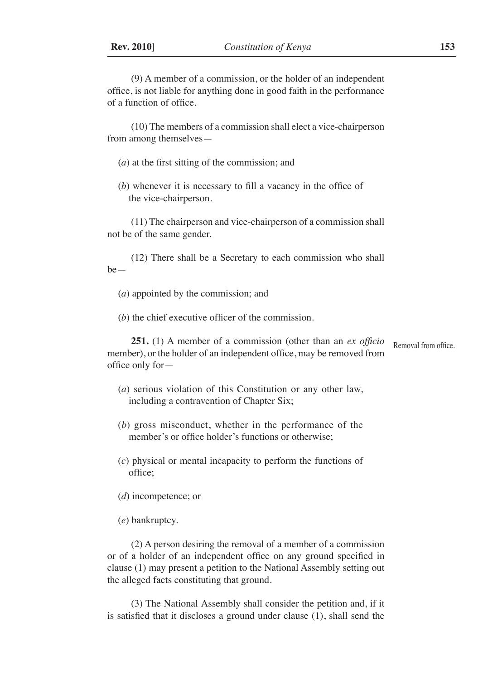(9) A member of a commission, or the holder of an independent office, is not liable for anything done in good faith in the performance of a function of office.

(10) The members of a commission shall elect a vice-chairperson from among themselves—

- (*a*) at the first sitting of the commission; and
- (*b*) whenever it is necessary to fill a vacancy in the office of the vice-chairperson.

(11) The chairperson and vice-chairperson of a commission shall not be of the same gender.

(12) There shall be a Secretary to each commission who shall be—

(*a*) appointed by the commission; and

(*b*) the chief executive officer of the commission.

**251.** (1) A member of a commission (other than an *ex officio*  member), or the holder of an independent office, may be removed from office only for— Removal from office.

- (*a*) serious violation of this Constitution or any other law, including a contravention of Chapter Six;
- (*b*) gross misconduct, whether in the performance of the member's or office holder's functions or otherwise;
- (*c*) physical or mental incapacity to perform the functions of office;
- (*d*) incompetence; or
- (*e*) bankruptcy.

(2) A person desiring the removal of a member of a commission or of a holder of an independent office on any ground specified in clause (1) may present a petition to the National Assembly setting out the alleged facts constituting that ground.

(3) The National Assembly shall consider the petition and, if it is satisfied that it discloses a ground under clause (1), shall send the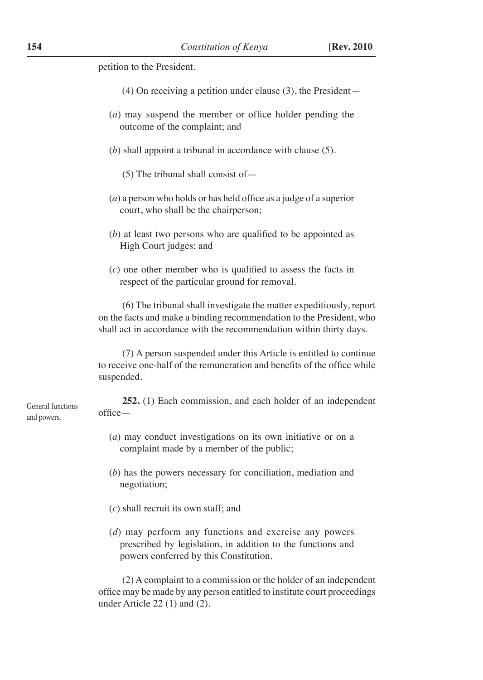petition to the President.

- (4) On receiving a petition under clause (3), the President—
- (*a*) may suspend the member or office holder pending the outcome of the complaint; and
- (*b*) shall appoint a tribunal in accordance with clause (5).
	- (5) The tribunal shall consist of—
- (*a*) a person who holds or has held office as a judge of a superior court, who shall be the chairperson;
- (*b*) at least two persons who are qualified to be appointed as High Court judges; and
- (*c*) one other member who is qualified to assess the facts in respect of the particular ground for removal.

(6) The tribunal shall investigate the matter expeditiously, report on the facts and make a binding recommendation to the President, who shall act in accordance with the recommendation within thirty days.

(7) A person suspended under this Article is entitled to continue to receive one-half of the remuneration and benefits of the office while suspended.

**252.** (1) Each commission, and each holder of an independent office— General functions

- (*a*) may conduct investigations on its own initiative or on a complaint made by a member of the public;
- (*b*) has the powers necessary for conciliation, mediation and negotiation;
- (*c*) shall recruit its own staff; and
- (*d*) may perform any functions and exercise any powers prescribed by legislation, in addition to the functions and powers conferred by this Constitution.

(2) A complaint to a commission or the holder of an independent office may be made by any person entitled to institute court proceedings under Article 22 (1) and (2).

and powers.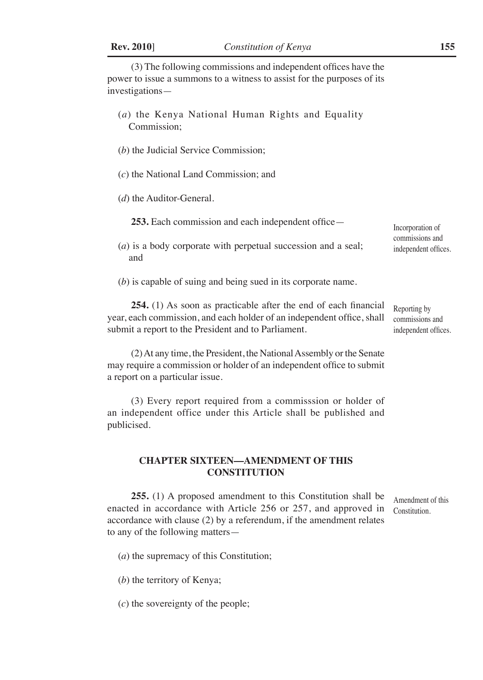(3) The following commissions and independent offices have the power to issue a summons to a witness to assist for the purposes of its investigations—

- (*a*) the Kenya National Human Rights and Equality Commission;
- (*b*) the Judicial Service Commission;
- (*c*) the National Land Commission; and
- (*d*) the Auditor-General.

**253.** Each commission and each independent office—

(*a*) is a body corporate with perpetual succession and a seal; and

(*b*) is capable of suing and being sued in its corporate name.

**254.** (1) As soon as practicable after the end of each financial year, each commission, and each holder of an independent office, shall submit a report to the President and to Parliament.

(2) At any time, the President, the National Assembly or the Senate may require a commission or holder of an independent office to submit a report on a particular issue.

(3) Every report required from a commisssion or holder of an independent office under this Article shall be published and publicised.

### **CHAPTER SIXTEEN––AMENDMENT OF THIS CONSTITUTION**

**255.** (1) A proposed amendment to this Constitution shall be enacted in accordance with Article 256 or 257, and approved in accordance with clause (2) by a referendum, if the amendment relates to any of the following matters—

Amendment of this Constitution.

(*a*) the supremacy of this Constitution;

(*b*) the territory of Kenya;

(*c*) the sovereignty of the people;

Incorporation of commissions and independent offices.

Reporting by commissions and independent offices.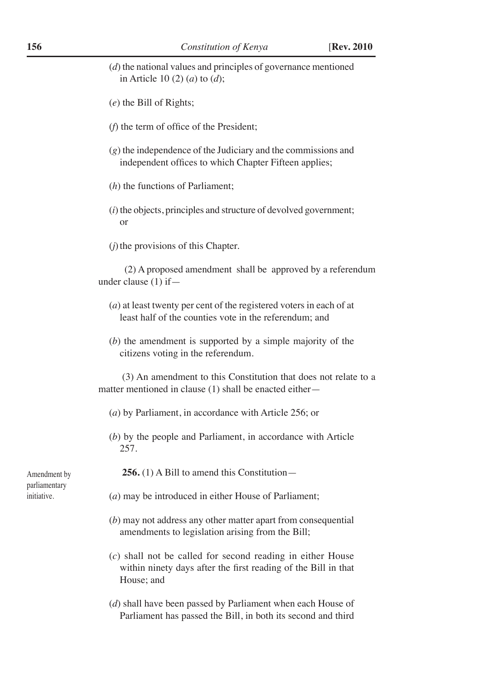- (*d*) the national values and principles of governance mentioned in Article 10 (2) (*a*) to (*d*);
- (*e*) the Bill of Rights;
- (*f*) the term of office of the President;
- (*g*) the independence of the Judiciary and the commissions and independent offices to which Chapter Fifteen applies;
- (*h*) the functions of Parliament;
- (*i*) the objects, principles and structure of devolved government; or
- $(j)$  the provisions of this Chapter.

 (2) A proposed amendment shall be approved by a referendum under clause (1) if—

- (*a*) at least twenty per cent of the registered voters in each of at least half of the counties vote in the referendum; and
- (*b*) the amendment is supported by a simple majority of the citizens voting in the referendum.

(3) An amendment to this Constitution that does not relate to a matter mentioned in clause (1) shall be enacted either—

- (*a*) by Parliament, in accordance with Article 256; or
- (*b*) by the people and Parliament, in accordance with Article 257.

Amendment by parliamentary initiative.

- **256.** (1) A Bill to amend this Constitution—
- (*a*) may be introduced in either House of Parliament;
- (*b*) may not address any other matter apart from consequential amendments to legislation arising from the Bill;
- (*c*) shall not be called for second reading in either House within ninety days after the first reading of the Bill in that House; and
- (*d*) shall have been passed by Parliament when each House of Parliament has passed the Bill, in both its second and third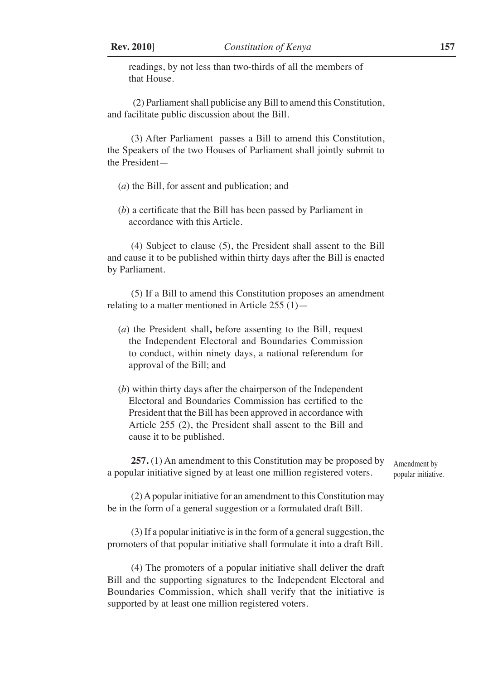readings, by not less than two-thirds of all the members of that House.

 (2) Parliament shall publicise any Bill to amend this Constitution, and facilitate public discussion about the Bill.

(3) After Parliament passes a Bill to amend this Constitution, the Speakers of the two Houses of Parliament shall jointly submit to the President—

- (*a*) the Bill, for assent and publication; and
- (*b*) a certificate that the Bill has been passed by Parliament in accordance with this Article.

(4) Subject to clause (5), the President shall assent to the Bill and cause it to be published within thirty days after the Bill is enacted by Parliament.

(5) If a Bill to amend this Constitution proposes an amendment relating to a matter mentioned in Article  $255(1)$  —

- (*a*) the President shall**,** before assenting to the Bill, request the Independent Electoral and Boundaries Commission to conduct, within ninety days, a national referendum for approval of the Bill; and
- (*b*) within thirty days after the chairperson of the Independent Electoral and Boundaries Commission has certified to the President that the Bill has been approved in accordance with Article 255 (2), the President shall assent to the Bill and cause it to be published.

**257.** (1) An amendment to this Constitution may be proposed by a popular initiative signed by at least one million registered voters.

Amendment by popular initiative.

(2) A popular initiative for an amendment to this Constitution may be in the form of a general suggestion or a formulated draft Bill.

(3) If a popular initiative is in the form of a general suggestion, the promoters of that popular initiative shall formulate it into a draft Bill.

(4) The promoters of a popular initiative shall deliver the draft Bill and the supporting signatures to the Independent Electoral and Boundaries Commission, which shall verify that the initiative is supported by at least one million registered voters.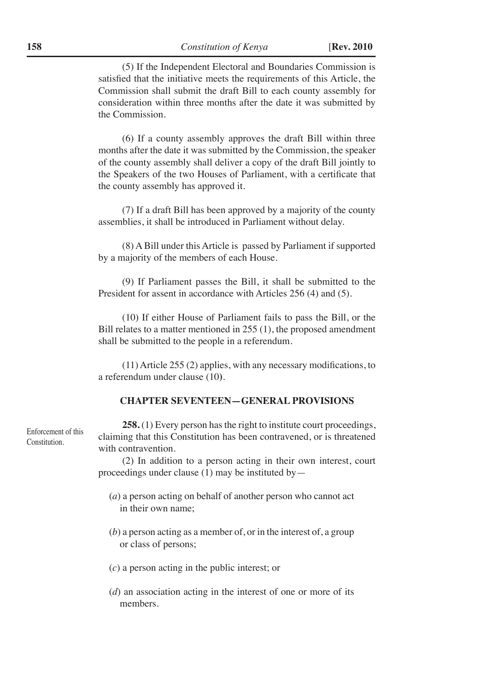(5) If the Independent Electoral and Boundaries Commission is satisfied that the initiative meets the requirements of this Article, the Commission shall submit the draft Bill to each county assembly for consideration within three months after the date it was submitted by the Commission.

(6) If a county assembly approves the draft Bill within three months after the date it was submitted by the Commission, the speaker of the county assembly shall deliver a copy of the draft Bill jointly to the Speakers of the two Houses of Parliament, with a certificate that the county assembly has approved it.

(7) If a draft Bill has been approved by a majority of the county assemblies, it shall be introduced in Parliament without delay.

(8) A Bill under this Article is passed by Parliament if supported by a majority of the members of each House.

(9) If Parliament passes the Bill, it shall be submitted to the President for assent in accordance with Articles 256 (4) and (5).

(10) If either House of Parliament fails to pass the Bill, or the Bill relates to a matter mentioned in 255 (1), the proposed amendment shall be submitted to the people in a referendum.

(11) Article 255 (2) applies, with any necessary modifications, to a referendum under clause (10**)**.

#### **CHAPTER SEVENTEEN—GENERAL PROVISIONS**

**258.** (1) Every person has the right to institute court proceedings, claiming that this Constitution has been contravened, or is threatened with contravention.

(2) In addition to a person acting in their own interest, court proceedings under clause (1) may be instituted by—

- (*a*) a person acting on behalf of another person who cannot act in their own name;
- (*b*) a person acting as a member of, or in the interest of, a group or class of persons;
- (*c*) a person acting in the public interest; or
- (*d*) an association acting in the interest of one or more of its members.

Enforcement of this Constitution.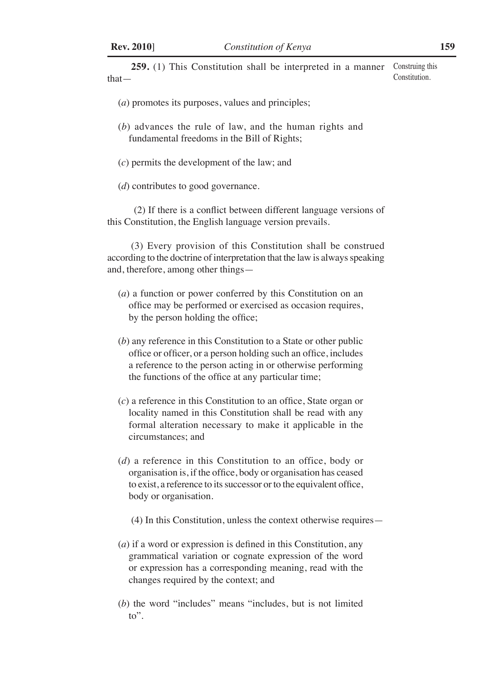259. (1) This Constitution shall be interpreted in a manner Construing this that— Constitution.

- (*a*) promotes its purposes, values and principles;
- (*b*) advances the rule of law, and the human rights and fundamental freedoms in the Bill of Rights;
- (*c*) permits the development of the law; and
- (*d*) contributes to good governance.

 (2) If there is a conflict between different language versions of this Constitution, the English language version prevails.

(3) Every provision of this Constitution shall be construed according to the doctrine of interpretation that the law is always speaking and, therefore, among other things—

- (*a*) a function or power conferred by this Constitution on an office may be performed or exercised as occasion requires, by the person holding the office;
- (*b*) any reference in this Constitution to a State or other public office or officer, or a person holding such an office, includes a reference to the person acting in or otherwise performing the functions of the office at any particular time;
- (*c*) a reference in this Constitution to an office, State organ or locality named in this Constitution shall be read with any formal alteration necessary to make it applicable in the circumstances; and
- (*d*) a reference in this Constitution to an office, body or organisation is, if the office, body or organisation has ceased to exist, a reference to its successor or to the equivalent office, body or organisation.
	- (4) In this Constitution, unless the context otherwise requires—
- (*a*) if a word or expression is defined in this Constitution, any grammatical variation or cognate expression of the word or expression has a corresponding meaning, read with the changes required by the context; and
- (*b*) the word "includes" means "includes, but is not limited to".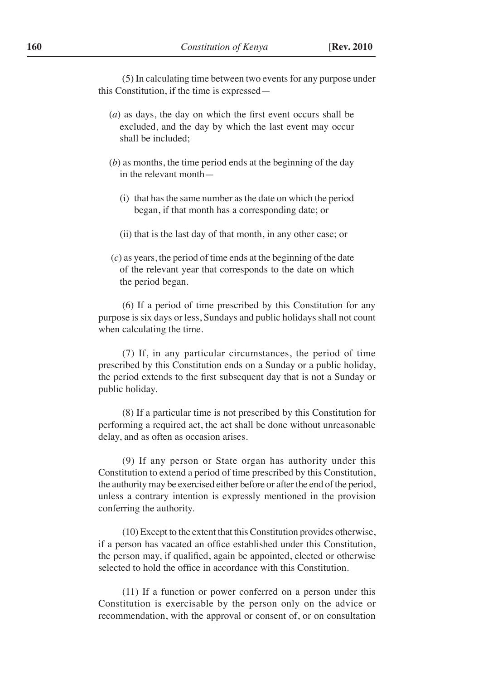(5) In calculating time between two events for any purpose under this Constitution, if the time is expressed—

- (*a*) as days, the day on which the first event occurs shall be excluded, and the day by which the last event may occur shall be included;
- (*b*) as months, the time period ends at the beginning of the day in the relevant month—
	- (i) that has the same number as the date on which the period began, if that month has a corresponding date; or
	- (ii) that is the last day of that month, in any other case; or
- (*c*) as years, the period of time ends at the beginning of the date of the relevant year that corresponds to the date on which the period began.

(6) If a period of time prescribed by this Constitution for any purpose is six days or less, Sundays and public holidays shall not count when calculating the time.

(7) If, in any particular circumstances, the period of time prescribed by this Constitution ends on a Sunday or a public holiday, the period extends to the first subsequent day that is not a Sunday or public holiday.

(8) If a particular time is not prescribed by this Constitution for performing a required act, the act shall be done without unreasonable delay, and as often as occasion arises.

(9) If any person or State organ has authority under this Constitution to extend a period of time prescribed by this Constitution, the authority may be exercised either before or after the end of the period, unless a contrary intention is expressly mentioned in the provision conferring the authority.

(10) Except to the extent that this Constitution provides otherwise, if a person has vacated an office established under this Constitution, the person may, if qualified, again be appointed, elected or otherwise selected to hold the office in accordance with this Constitution.

(11) If a function or power conferred on a person under this Constitution is exercisable by the person only on the advice or recommendation, with the approval or consent of, or on consultation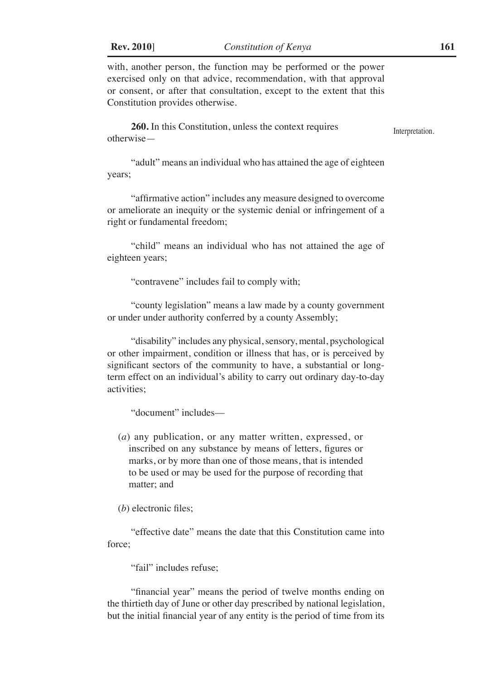with, another person, the function may be performed or the power exercised only on that advice, recommendation, with that approval or consent, or after that consultation, except to the extent that this Constitution provides otherwise.

**260.** In this Constitution, unless the context requires otherwise—

"adult" means an individual who has attained the age of eighteen years;

"affirmative action" includes any measure designed to overcome or ameliorate an inequity or the systemic denial or infringement of a right or fundamental freedom;

"child" means an individual who has not attained the age of eighteen years;

"contravene" includes fail to comply with;

"county legislation" means a law made by a county government or under under authority conferred by a county Assembly;

"disability" includes any physical, sensory, mental, psychological or other impairment, condition or illness that has, or is perceived by significant sectors of the community to have, a substantial or longterm effect on an individual's ability to carry out ordinary day-to-day activities;

"document" includes––

(*a*) any publication, or any matter written, expressed, or inscribed on any substance by means of letters, figures or marks, or by more than one of those means, that is intended to be used or may be used for the purpose of recording that matter; and

(*b*) electronic files;

"effective date" means the date that this Constitution came into force;

"fail" includes refuse;

"financial year" means the period of twelve months ending on the thirtieth day of June or other day prescribed by national legislation, but the initial financial year of any entity is the period of time from its

Interpretation.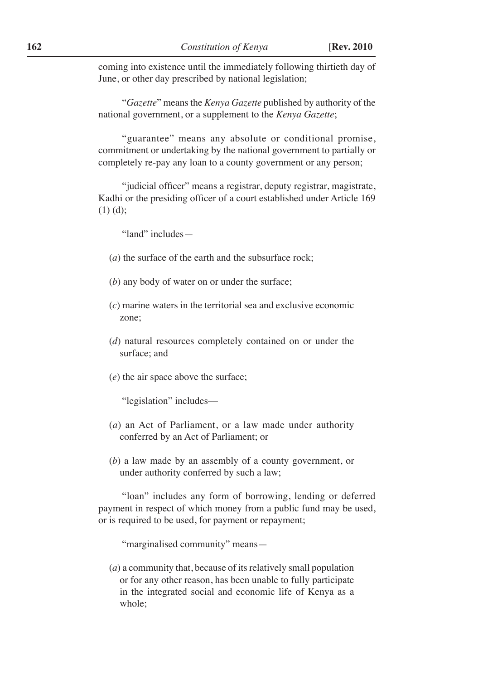coming into existence until the immediately following thirtieth day of June, or other day prescribed by national legislation;

"*Gazette*" means the *Kenya Gazette* published by authority of the national government, or a supplement to the *Kenya Gazette*;

"guarantee" means any absolute or conditional promise, commitment or undertaking by the national government to partially or completely re-pay any loan to a county government or any person;

"judicial officer" means a registrar, deputy registrar, magistrate, Kadhi or the presiding officer of a court established under Article 169 (1) (d);

"land" includes—

- (*a*) the surface of the earth and the subsurface rock;
- (*b*) any body of water on or under the surface;
- (*c*) marine waters in the territorial sea and exclusive economic zone;
- (*d*) natural resources completely contained on or under the surface; and
- (*e*) the air space above the surface;

"legislation" includes––

- (*a*) an Act of Parliament, or a law made under authority conferred by an Act of Parliament; or
- (*b*) a law made by an assembly of a county government, or under authority conferred by such a law;

"loan" includes any form of borrowing, lending or deferred payment in respect of which money from a public fund may be used, or is required to be used, for payment or repayment;

"marginalised community" means—

(*a*) a community that, because of its relatively small population or for any other reason, has been unable to fully participate in the integrated social and economic life of Kenya as a whole;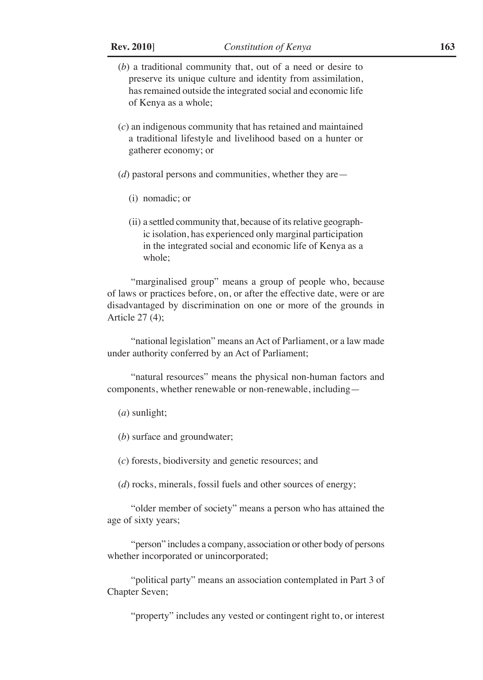| <b>Rev. 2010</b> |  |
|------------------|--|
|                  |  |

- (*b*) a traditional community that, out of a need or desire to preserve its unique culture and identity from assimilation, has remained outside the integrated social and economic life of Kenya as a whole;
- (*c*) an indigenous community that has retained and maintained a traditional lifestyle and livelihood based on a hunter or gatherer economy; or
- (*d*) pastoral persons and communities, whether they are—
	- (i) nomadic; or
	- (ii) a settled community that, because of its relative geographic isolation, has experienced only marginal participation in the integrated social and economic life of Kenya as a whole;

"marginalised group" means a group of people who, because of laws or practices before, on, or after the effective date, were or are disadvantaged by discrimination on one or more of the grounds in Article 27 (4);

"national legislation" means an Act of Parliament, or a law made under authority conferred by an Act of Parliament;

"natural resources" means the physical non-human factors and components, whether renewable or non-renewable, including—

(*a*) sunlight;

(*b*) surface and groundwater;

(*c*) forests, biodiversity and genetic resources; and

(*d*) rocks, minerals, fossil fuels and other sources of energy;

"older member of society" means a person who has attained the age of sixty years;

"person" includes a company, association or other body of persons whether incorporated or unincorporated;

"political party" means an association contemplated in Part 3 of Chapter Seven;

"property" includes any vested or contingent right to, or interest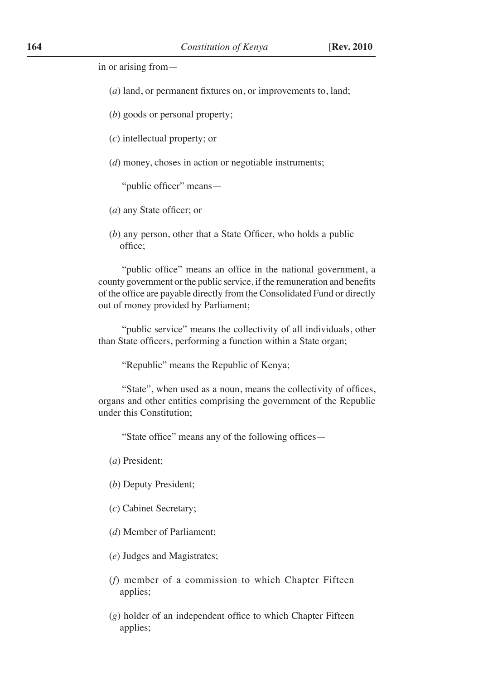in or arising from—

- (*a*) land, or permanent fixtures on, or improvements to, land;
- (*b*) goods or personal property;
- (*c*) intellectual property; or
- (*d*) money, choses in action or negotiable instruments;

"public officer" means—

- (*a*) any State officer; or
- (*b*) any person, other that a State Officer, who holds a public office;

"public office" means an office in the national government, a county government or the public service, if the remuneration and benefits of the office are payable directly from the Consolidated Fund or directly out of money provided by Parliament;

"public service" means the collectivity of all individuals, other than State officers, performing a function within a State organ;

"Republic" means the Republic of Kenya;

"State", when used as a noun, means the collectivity of offices, organs and other entities comprising the government of the Republic under this Constitution;

"State office" means any of the following offices—

(*a*) President;

(*b*) Deputy President;

(*c*) Cabinet Secretary;

(*d*) Member of Parliament;

(*e*) Judges and Magistrates;

- (*f*) member of a commission to which Chapter Fifteen applies;
- (*g*) holder of an independent office to which Chapter Fifteen applies;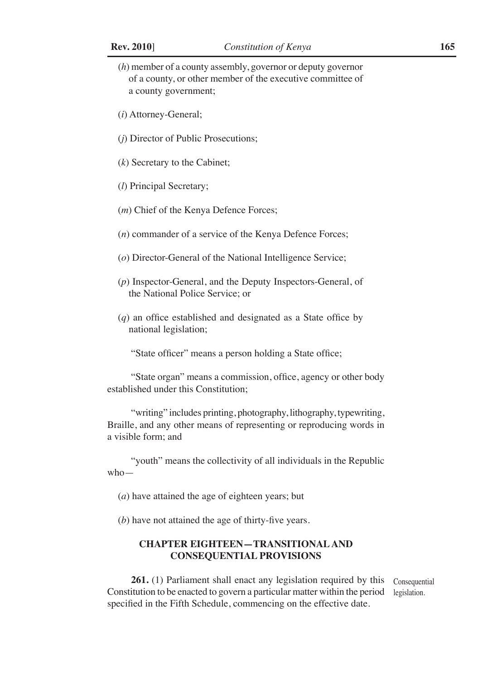- (*h*) member of a county assembly, governor or deputy governor of a county, or other member of the executive committee of a county government;
- (*i*) Attorney-General;
- (*j*) Director of Public Prosecutions;
- (*k*) Secretary to the Cabinet;
- (*l*) Principal Secretary;
- (*m*) Chief of the Kenya Defence Forces;
- (*n*) commander of a service of the Kenya Defence Forces;
- (*o*) Director-General of the National Intelligence Service;
- (*p*) Inspector-General, and the Deputy Inspectors-General, of the National Police Service; or
- (*q*) an office established and designated as a State office by national legislation;

"State officer" means a person holding a State office;

"State organ" means a commission, office, agency or other body established under this Constitution;

"writing" includes printing, photography, lithography, typewriting, Braille, and any other means of representing or reproducing words in a visible form; and

"youth" means the collectivity of all individuals in the Republic who—

- (*a*) have attained the age of eighteen years; but
- (*b*) have not attained the age of thirty-five years.

## **CHAPTER EIGHTEEN—TRANSITIONAL AND CONSEQUENTIAL PROVISIONS**

**261.** (1) Parliament shall enact any legislation required by this Consequential Constitution to be enacted to govern a particular matter within the period legislation.specified in the Fifth Schedule, commencing on the effective date.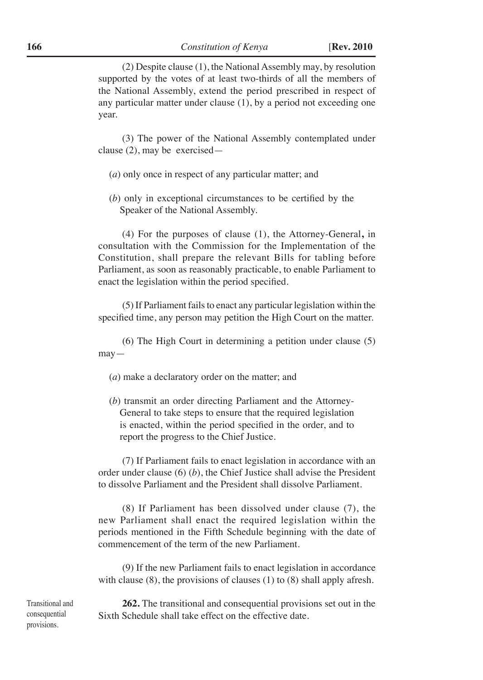(2) Despite clause (1), the National Assembly may, by resolution supported by the votes of at least two-thirds of all the members of the National Assembly, extend the period prescribed in respect of any particular matter under clause (1), by a period not exceeding one year.

(3) The power of the National Assembly contemplated under clause (2), may be exercised—

- (*a*) only once in respect of any particular matter; and
- (*b*) only in exceptional circumstances to be certified by the Speaker of the National Assembly.

(4) For the purposes of clause (1), the Attorney-General**,** in consultation with the Commission for the Implementation of the Constitution, shall prepare the relevant Bills for tabling before Parliament, as soon as reasonably practicable, to enable Parliament to enact the legislation within the period specified.

(5) If Parliament fails to enact any particular legislation within the specified time, any person may petition the High Court on the matter.

(6) The High Court in determining a petition under clause (5) may—

- (*a*) make a declaratory order on the matter; and
- (*b*) transmit an order directing Parliament and the Attorney-General to take steps to ensure that the required legislation is enacted, within the period specified in the order, and to report the progress to the Chief Justice.

(7) If Parliament fails to enact legislation in accordance with an order under clause (6) (*b*), the Chief Justice shall advise the President to dissolve Parliament and the President shall dissolve Parliament.

(8) If Parliament has been dissolved under clause (7), the new Parliament shall enact the required legislation within the periods mentioned in the Fifth Schedule beginning with the date of commencement of the term of the new Parliament.

(9) If the new Parliament fails to enact legislation in accordance with clause (8), the provisions of clauses (1) to (8) shall apply afresh.

**262.** The transitional and consequential provisions set out in the Sixth Schedule shall take effect on the effective date.

Transitional and consequential provisions.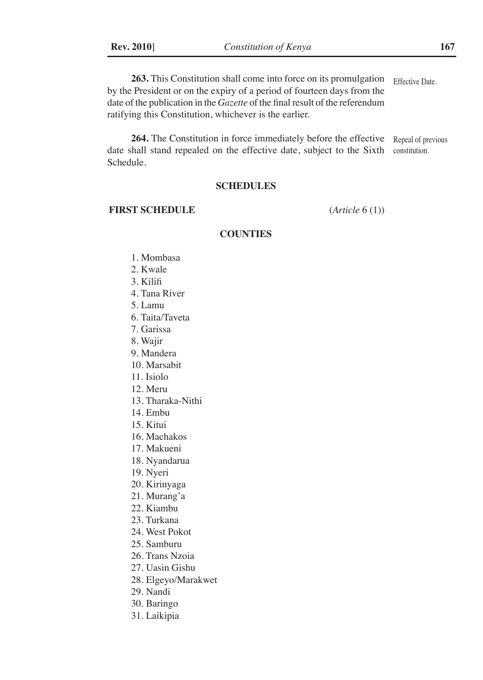263. This Constitution shall come into force on its promulgation Effective Date. by the President or on the expiry of a period of fourteen days from the date of the publication in the *Gazette* of the final result of the referendum ratifying this Constitution, whichever is the earlier.

264. The Constitution in force immediately before the effective Repeal of previous date shall stand repealed on the effective date, subject to the Sixth constitution.Schedule.

#### **SCHEDULES**

## **FIRST SCHEDULE** (*Article* 6 (1))

#### **COUNTIES**

- 1. Mombasa
- 2. Kwale
- 3. Kilifi
- 4. Tana River
- 5. Lamu
- 6. Taita/Taveta
- 7. Garissa
- 8. Wajir
- 9. Mandera
- 10. Marsabit
- 11. Isiolo
- 12. Meru
- 13. Tharaka-Nithi
- 14. Embu
- 15. Kitui
- 16. Machakos
- 17. Makueni
- 18. Nyandarua
- 19. Nyeri
- 20. Kirinyaga
- 21. Murang'a
- 22. Kiambu
- 23. Turkana
- 24. West Pokot
- 25. Samburu
- 26. Trans Nzoia
- 27. Uasin Gishu
- 28. Elgeyo/Marakwet
- 29. Nandi
- 30. Baringo
- 31. Laikipia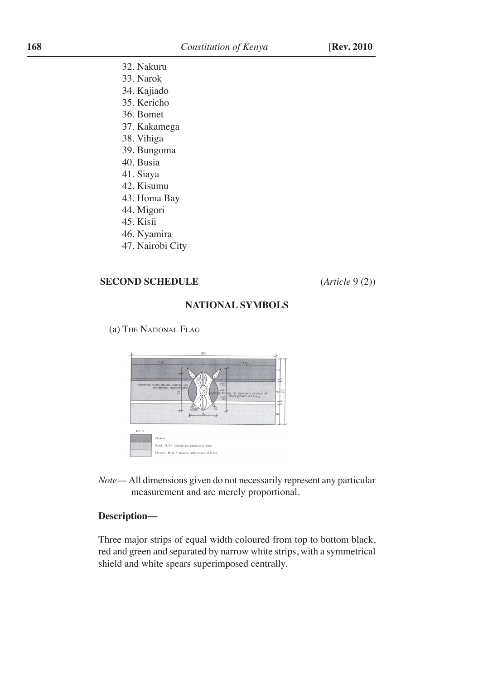- 32. Nakuru
- 33. Narok
- 34. Kajiado
- 35. Kericho
- 36. Bomet
- 37. Kakamega
- 38. Vihiga
- 39. Bungoma
- 40. Busia
- 41. Siaya
- 42. Kisumu
- 43. Homa Bay
- 44. Migori
- 45. Kisii
- 46. Nyamira
- 47. Nairobi City

## **SECOND SCHEDULE** (*Article* 9 (2))

## **NATIONAL SYMBOLS**

(a) The National Flag



*Note––* All dimensions given do not necessarily represent any particular measurement and are merely proportional.

## **Description***––*

Three major strips of equal width coloured from top to bottom black, red and green and separated by narrow white strips, with a symmetrical shield and white spears superimposed centrally.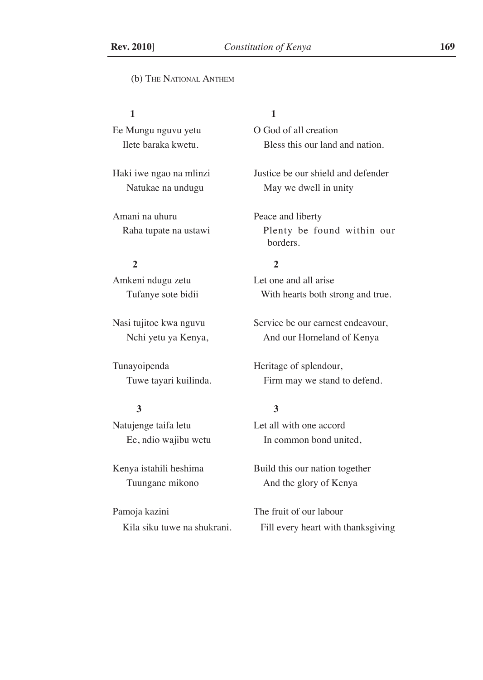(b) The National Anthem

Ee Mungu nguvu yetu O God of all creation

Amani na uhuru Peace and liberty

### **2** 2

Amkeni ndugu zetu Let one and all arise

Tunayoipenda Heritage of splendour,

### **3 3**

Natujenge taifa letu Let all with one accord

Pamoja kazini The fruit of our labour

## **1** 1

Ilete baraka kwetu. Bless this our land and nation.

Haki iwe ngao na mlinzi Justice be our shield and defender Natukae na undugu May we dwell in unity

 Raha tupate na ustawi Plenty be found within our borders.

Tufanye sote bidii With hearts both strong and true.

Nasi tujitoe kwa nguvu Service be our earnest endeavour, Nchi yetu ya Kenya, And our Homeland of Kenya

Tuwe tayari kuilinda. Firm may we stand to defend.

Ee, ndio wajibu wetu In common bond united,

Kenya istahili heshima Build this our nation together Tuungane mikono And the glory of Kenya

Kila siku tuwe na shukrani. Fill every heart with thanksgiving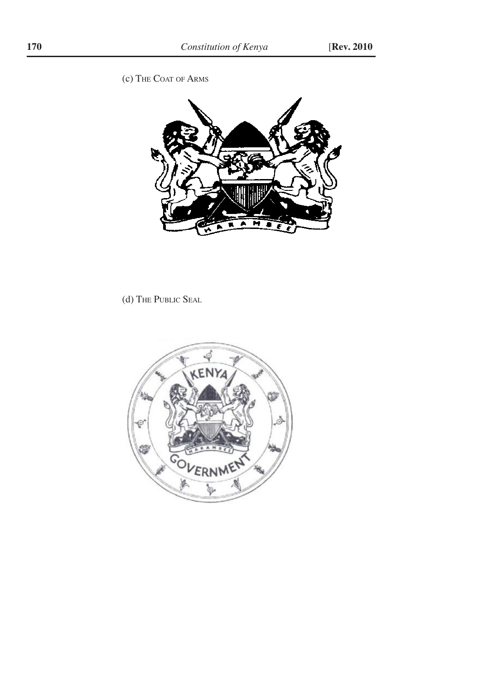# (c) The Coat of Arms



(d) The Public Seal

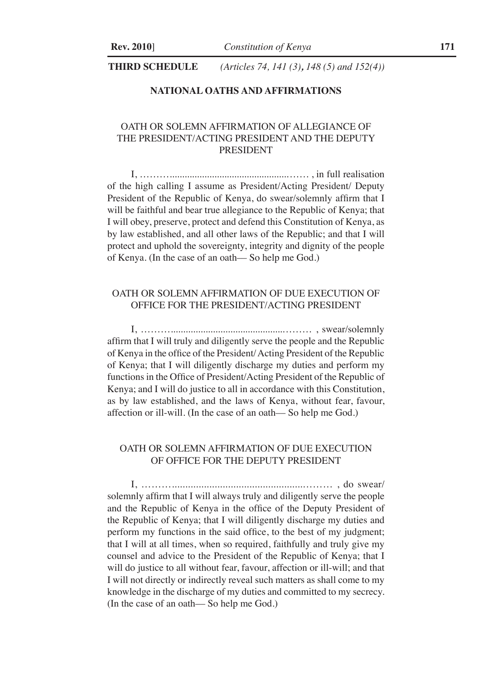#### **THIRD SCHEDULE** *(Articles 74, 141 (3), 148 (5) and 152(4))*

#### **NATIONAL OATHS AND AFFIRMATIONS**

## OATH OR SOLEMN AFFIRMATION OF ALLEGIANCE OF THE PRESIDENT/ACTING PRESIDENT AND THE DEPUTY PRESIDENT

I, ………...............................................……. , in full realisation of the high calling I assume as President/Acting President/ Deputy President of the Republic of Kenya, do swear/solemnly affirm that I will be faithful and bear true allegiance to the Republic of Kenya; that I will obey, preserve, protect and defend this Constitution of Kenya, as by law established, and all other laws of the Republic; and that I will protect and uphold the sovereignty, integrity and dignity of the people of Kenya. (In the case of an oath*––* So help me God.)

## OATH OR SOLEMN AFFIRMATION OF DUE EXECUTION OF OFFICE FOR THE PRESIDENT/ACTING PRESIDENT

I, ……….............................................……… , swear/solemnly affirm that I will truly and diligently serve the people and the Republic of Kenya in the office of the President/ Acting President of the Republic of Kenya; that I will diligently discharge my duties and perform my functions in the Office of President/Acting President of the Republic of Kenya; and I will do justice to all in accordance with this Constitution, as by law established, and the laws of Kenya, without fear, favour, affection or ill-will. (In the case of an oath*––* So help me God.)

## OATH OR SOLEMN AFFIRMATION OF DUE EXECUTION OF OFFICE FOR THE DEPUTY PRESIDENT

I, ……….................................................……… , do swear/ solemnly affirm that I will always truly and diligently serve the people and the Republic of Kenya in the office of the Deputy President of the Republic of Kenya; that I will diligently discharge my duties and perform my functions in the said office, to the best of my judgment; that I will at all times, when so required, faithfully and truly give my counsel and advice to the President of the Republic of Kenya; that I will do justice to all without fear, favour, affection or ill-will; and that I will not directly or indirectly reveal such matters as shall come to my knowledge in the discharge of my duties and committed to my secrecy. (In the case of an oath*––* So help me God.)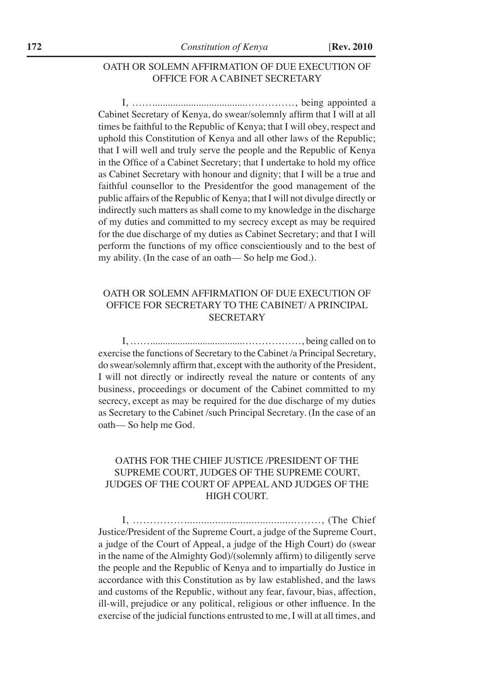## OATH OR SOLEMN AFFIRMATION OF DUE EXECUTION OF OFFICE FOR A CABINET SECRETARY

I, ……....................................……………, being appointed a Cabinet Secretary of Kenya, do swear/solemnly affirm that I will at all times be faithful to the Republic of Kenya; that I will obey, respect and uphold this Constitution of Kenya and all other laws of the Republic; that I will well and truly serve the people and the Republic of Kenya in the Office of a Cabinet Secretary; that I undertake to hold my office as Cabinet Secretary with honour and dignity; that I will be a true and faithful counsellor to the Presidentfor the good management of the public affairs of the Republic of Kenya; that I will not divulge directly or indirectly such matters as shall come to my knowledge in the discharge of my duties and committed to my secrecy except as may be required for the due discharge of my duties as Cabinet Secretary; and that I will perform the functions of my office conscientiously and to the best of my ability. (In the case of an oath*––* So help me God.).

## OATH OR SOLEMN AFFIRMATION OF DUE EXECUTION OF OFFICE FOR SECRETARY TO THE CABINET/ A PRINCIPAL SECRETARY

I, …….....................................………………, being called on to exercise the functions of Secretary to the Cabinet /a Principal Secretary, do swear/solemnly affirm that, except with the authority of the President, I will not directly or indirectly reveal the nature or contents of any business, proceedings or document of the Cabinet committed to my secrecy, except as may be required for the due discharge of my duties as Secretary to the Cabinet /such Principal Secretary. (In the case of an oath*––* So help me God.

## OATHS FOR THE CHIEF JUSTICE /PRESIDENT OF THE SUPREME COURT, JUDGES OF THE SUPREME COURT, JUDGES OF THE COURT OF APPEAL AND JUDGES OF THE HIGH COURT.

I, ……………......................................………, (The Chief Justice/President of the Supreme Court, a judge of the Supreme Court, a judge of the Court of Appeal, a judge of the High Court) do (swear in the name of the Almighty God)/(solemnly affirm) to diligently serve the people and the Republic of Kenya and to impartially do Justice in accordance with this Constitution as by law established, and the laws and customs of the Republic, without any fear, favour, bias, affection, ill-will, prejudice or any political, religious or other influence. In the exercise of the judicial functions entrusted to me, I will at all times, and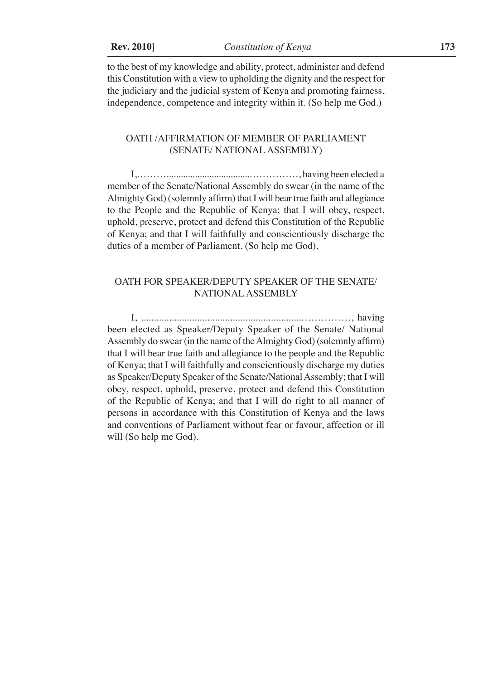to the best of my knowledge and ability, protect, administer and defend this Constitution with a view to upholding the dignity and the respect for the judiciary and the judicial system of Kenya and promoting fairness, independence, competence and integrity within it. (So help me God.)

## OATH /AFFIRMATION OF MEMBER OF PARLIAMENT (SENATE/ NATIONAL ASSEMBLY)

I,………...................................……………, having been elected a member of the Senate/National Assembly do swear (in the name of the Almighty God) (solemnly affirm) that I will bear true faith and allegiance to the People and the Republic of Kenya; that I will obey, respect, uphold, preserve, protect and defend this Constitution of the Republic of Kenya; and that I will faithfully and conscientiously discharge the duties of a member of Parliament. (So help me God).

## OATH FOR SPEAKER/DEPUTY SPEAKER OF THE SENATE/ NATIONAL ASSEMBLY

I, ...............................................................……………, having been elected as Speaker/Deputy Speaker of the Senate/ National Assembly do swear (in the name of the Almighty God) (solemnly affirm) that I will bear true faith and allegiance to the people and the Republic of Kenya; that I will faithfully and conscientiously discharge my duties as Speaker/Deputy Speaker of the Senate/National Assembly; that I will obey, respect, uphold, preserve, protect and defend this Constitution of the Republic of Kenya; and that I will do right to all manner of persons in accordance with this Constitution of Kenya and the laws and conventions of Parliament without fear or favour, affection or ill will (So help me God).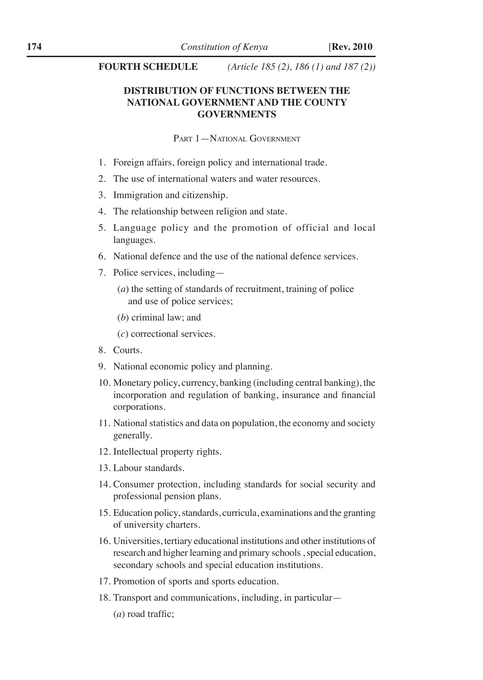**FOURTH SCHEDULE** *(Article 185 (2), 186 (1) and 187 (2))*

## **DISTRIBUTION OF FUNCTIONS BETWEEN THE NATIONAL GOVERNMENT AND THE COUNTY GOVERNMENTS**

PART 1-NATIONAL GOVERNMENT

- 1. Foreign affairs, foreign policy and international trade.
- 2. The use of international waters and water resources.
- 3. Immigration and citizenship.
- 4. The relationship between religion and state.
- 5. Language policy and the promotion of official and local languages.
- 6. National defence and the use of the national defence services.
- 7. Police services, including—
	- (*a*) the setting of standards of recruitment, training of police and use of police services;
	- (*b*) criminal law; and

(*c*) correctional services.

- 8. Courts.
- 9. National economic policy and planning.
- 10. Monetary policy, currency, banking (including central banking), the incorporation and regulation of banking, insurance and financial corporations.
- 11. National statistics and data on population, the economy and society generally.
- 12. Intellectual property rights.
- 13. Labour standards.
- 14. Consumer protection, including standards for social security and professional pension plans.
- 15. Education policy, standards, curricula, examinations and the granting of university charters.
- 16. Universities, tertiary educational institutions and other institutions of research and higher learning and primary schools , special education, secondary schools and special education institutions.
- 17. Promotion of sports and sports education.
- 18. Transport and communications, including, in particular—
	- (*a*) road traffic;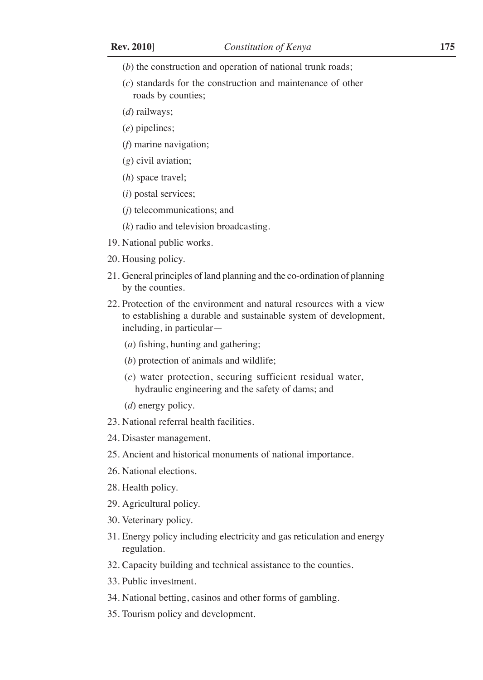- (*b*) the construction and operation of national trunk roads;
- (*c*) standards for the construction and maintenance of other roads by counties;
- (*d*) railways;
- (*e*) pipelines;
- (*f*) marine navigation;
- (*g*) civil aviation;
- (*h*) space travel;
- (*i*) postal services;
- (*j*) telecommunications; and
- (*k*) radio and television broadcasting.
- 19. National public works.
- 20. Housing policy.
- 21. General principles of land planning and the co-ordination of planning by the counties.
- 22. Protection of the environment and natural resources with a view to establishing a durable and sustainable system of development, including, in particular—
	- (*a*) fishing, hunting and gathering;
	- (*b*) protection of animals and wildlife;
	- (*c*) water protection, securing sufficient residual water, hydraulic engineering and the safety of dams; and
	- (*d*) energy policy.
- 23. National referral health facilities.
- 24. Disaster management.
- 25. Ancient and historical monuments of national importance.
- 26. National elections.
- 28. Health policy.
- 29. Agricultural policy.
- 30. Veterinary policy.
- 31. Energy policy including electricity and gas reticulation and energy regulation.
- 32. Capacity building and technical assistance to the counties.
- 33. Public investment.
- 34. National betting, casinos and other forms of gambling.
- 35. Tourism policy and development.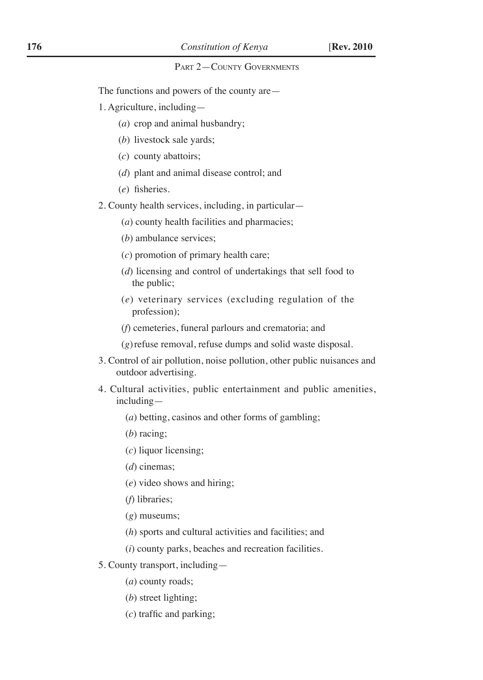#### PART 2-COUNTY GOVERNMENTS

The functions and powers of the county are—

- 1. Agriculture, including—
	- (*a*) crop and animal husbandry;
	- (*b*) livestock sale yards;
	- (*c*) county abattoirs;
	- (*d*) plant and animal disease control; and
	- (*e*) fisheries.
- 2. County health services, including, in particular—
	- (*a*) county health facilities and pharmacies;
	- (*b*) ambulance services;
	- (*c*) promotion of primary health care;
	- (*d*) licensing and control of undertakings that sell food to the public;
	- (*e*) veterinary services (excluding regulation of the profession);
	- (*f*) cemeteries, funeral parlours and crematoria; and
	- (*g*)refuse removal, refuse dumps and solid waste disposal.
- 3. Control of air pollution, noise pollution, other public nuisances and outdoor advertising.
- 4. Cultural activities, public entertainment and public amenities, including—
	- (*a*) betting, casinos and other forms of gambling;
	- (*b*) racing;
	- (*c*) liquor licensing;
	- (*d*) cinemas;
	- (*e*) video shows and hiring;
	- (*f*) libraries;
	- (*g*) museums;
	- (*h*) sports and cultural activities and facilities; and
	- (*i*) county parks, beaches and recreation facilities.
- 5. County transport, including—
	- (*a*) county roads;
	- (*b*) street lighting;
	- (*c*) traffic and parking;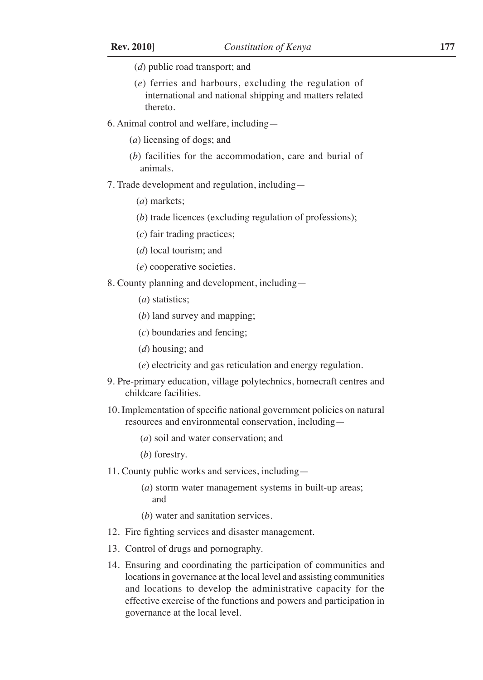- (*d*) public road transport; and
- (*e*) ferries and harbours, excluding the regulation of international and national shipping and matters related thereto.
- 6. Animal control and welfare, including—
	- (*a*) licensing of dogs; and
	- (*b*) facilities for the accommodation, care and burial of animals.
- 7. Trade development and regulation, including—
	- (*a*) markets;
	- (*b*) trade licences (excluding regulation of professions);
	- (*c*) fair trading practices;
	- (*d*) local tourism; and
	- (*e*) cooperative societies.
- 8. County planning and development, including—
	- (*a*) statistics;
	- (*b*) land survey and mapping;
	- (*c*) boundaries and fencing;
	- (*d*) housing; and
	- (*e*) electricity and gas reticulation and energy regulation.
- 9. Pre-primary education, village polytechnics, homecraft centres and childcare facilities.
- 10. Implementation of specific national government policies on natural resources and environmental conservation, including—
	- (*a*) soil and water conservation; and
	- (*b*) forestry.
- 11. County public works and services, including—
	- (*a*) storm water management systems in built-up areas; and
	- (*b*) water and sanitation services.
- 12. Fire fighting services and disaster management.
- 13. Control of drugs and pornography.
- 14. Ensuring and coordinating the participation of communities and locations in governance at the local level and assisting communities and locations to develop the administrative capacity for the effective exercise of the functions and powers and participation in governance at the local level.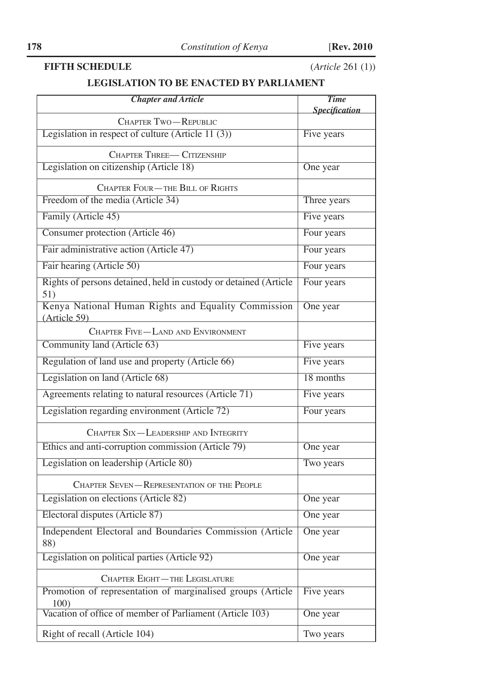# **FIFTH SCHEDULE** (*Article* 261 (1))

| <b>Chapter and Article</b>                                                           | Time          |
|--------------------------------------------------------------------------------------|---------------|
|                                                                                      | Specification |
| <b>CHAPTER TWO-REPUBLIC</b><br>Legislation in respect of culture (Article 11 $(3)$ ) | Five years    |
|                                                                                      |               |
| <b>CHAPTER THREE- CITIZENSHIP</b>                                                    |               |
| Legislation on citizenship (Article 18)                                              | One year      |
| <b>CHAPTER FOUR-THE BILL OF RIGHTS</b>                                               |               |
| Freedom of the media (Article 34)                                                    | Three years   |
| Family (Article 45)                                                                  | Five years    |
| Consumer protection (Article 46)                                                     | Four years    |
| Fair administrative action (Article 47)                                              | Four years    |
| Fair hearing (Article 50)                                                            | Four years    |
| Rights of persons detained, held in custody or detained (Article<br>51)              | Four years    |
| Kenya National Human Rights and Equality Commission<br>(Article 59)                  | One year      |
| <b>CHAPTER FIVE—LAND AND ENVIRONMENT</b>                                             |               |
| Community land (Article 63)                                                          | Five years    |
| Regulation of land use and property (Article 66)                                     | Five years    |
| Legislation on land (Article 68)                                                     | 18 months     |
| Agreements relating to natural resources (Article 71)                                | Five years    |
| Legislation regarding environment (Article 72)                                       | Four years    |
| CHAPTER SIX - LEADERSHIP AND INTEGRITY                                               |               |
| Ethics and anti-corruption commission (Article 79)                                   | One year      |
| Legislation on leadership (Article 80)                                               | Two years     |
| <b>CHAPTER SEVEN-REPRESENTATION OF THE PEOPLE</b>                                    |               |
| Legislation on elections (Article 82)                                                | One year      |
| Electoral disputes (Article 87)                                                      | One year      |
| Independent Electoral and Boundaries Commission (Article<br>88)                      | One year      |
| Legislation on political parties (Article 92)                                        | One year      |
| <b>CHAPTER EIGHT-THE LEGISLATURE</b>                                                 |               |
| Promotion of representation of marginalised groups (Article<br>100)                  | Five years    |
| Vacation of office of member of Parliament (Article 103)                             | One year      |
| Right of recall (Article 104)                                                        | Two years     |

# **LEGISLATION TO BE ENACTED BY PARLIAMENT**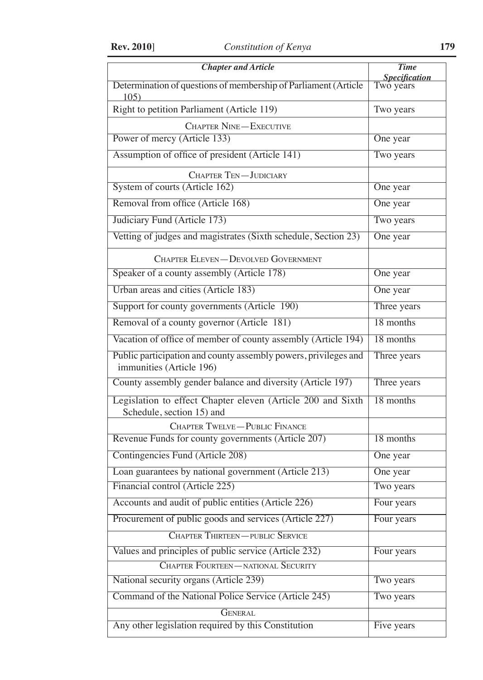| <b>Chapter and Article</b>                                                                  | <b>Time</b>                       |
|---------------------------------------------------------------------------------------------|-----------------------------------|
|                                                                                             | <b>Specification</b><br>Two years |
| Determination of questions of membership of Parliament (Article                             |                                   |
| 105)                                                                                        |                                   |
| Right to petition Parliament (Article 119)                                                  | Two years                         |
| <b>CHAPTER NINE-EXECUTIVE</b>                                                               |                                   |
| Power of mercy (Article 133)                                                                | One year                          |
| Assumption of office of president (Article 141)                                             | Two years                         |
| <b>CHAPTER TEN-JUDICIARY</b>                                                                |                                   |
| System of courts (Article 162)                                                              | One year                          |
| Removal from office (Article 168)                                                           | One year                          |
| Judiciary Fund (Article 173)                                                                | Two years                         |
| Vetting of judges and magistrates (Sixth schedule, Section 23)                              | One year                          |
| <b>CHAPTER ELEVEN-DEVOLVED GOVERNMENT</b>                                                   |                                   |
| Speaker of a county assembly (Article 178)                                                  | One year                          |
| Urban areas and cities (Article 183)                                                        | One year                          |
| Support for county governments (Article 190)                                                | Three years                       |
| Removal of a county governor (Article 181)                                                  | 18 months                         |
| Vacation of office of member of county assembly (Article 194)                               | 18 months                         |
| Public participation and county assembly powers, privileges and<br>immunities (Article 196) | Three years                       |
| County assembly gender balance and diversity (Article 197)                                  | Three years                       |
| Legislation to effect Chapter eleven (Article 200 and Sixth<br>Schedule, section 15) and    | 18 months                         |
| <b>CHAPTER TWELVE-PUBLIC FINANCE</b>                                                        |                                   |
| Revenue Funds for county governments (Article 207)                                          | 18 months                         |
| Contingencies Fund (Article 208)                                                            | One year                          |
| Loan guarantees by national government (Article 213)                                        | One year                          |
| Financial control (Article 225)                                                             | Two years                         |
| Accounts and audit of public entities (Article 226)                                         | Four years                        |
| Procurement of public goods and services (Article 227)                                      | Four years                        |
| <b>CHAPTER THIRTEEN-PUBLIC SERVICE</b>                                                      |                                   |
| Values and principles of public service (Article 232)                                       | Four years                        |
| <b>CHAPTER FOURTEEN-NATIONAL SECURITY</b>                                                   |                                   |
| National security organs (Article 239)                                                      | Two years                         |
| Command of the National Police Service (Article 245)                                        | Two years                         |
| <b>GENERAL</b>                                                                              |                                   |
| Any other legislation required by this Constitution                                         | Five years                        |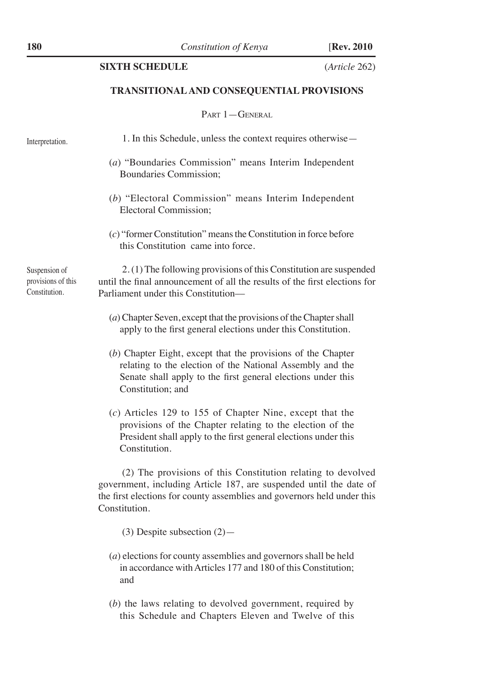### **SIXTH SCHEDULE** (*Article* 262)

# **TRANSITIONAL AND CONSEQUENTIAL PROVISIONS**

PART 1-GENERAL

| Interpretation.                                      | 1. In this Schedule, unless the context requires otherwise—                                                                                                                                                                    |
|------------------------------------------------------|--------------------------------------------------------------------------------------------------------------------------------------------------------------------------------------------------------------------------------|
|                                                      | (a) "Boundaries Commission" means Interim Independent<br>Boundaries Commission;                                                                                                                                                |
|                                                      | (b) "Electoral Commission" means Interim Independent<br>Electoral Commission;                                                                                                                                                  |
|                                                      | $(c)$ "former Constitution" means the Constitution in force before<br>this Constitution came into force.                                                                                                                       |
| Suspension of<br>provisions of this<br>Constitution. | 2. (1) The following provisions of this Constitution are suspended<br>until the final announcement of all the results of the first elections for<br>Parliament under this Constitution-                                        |
|                                                      | (a) Chapter Seven, except that the provisions of the Chapter shall<br>apply to the first general elections under this Constitution.                                                                                            |
|                                                      | $(b)$ Chapter Eight, except that the provisions of the Chapter<br>relating to the election of the National Assembly and the<br>Senate shall apply to the first general elections under this<br>Constitution; and               |
|                                                      | $(c)$ Articles 129 to 155 of Chapter Nine, except that the<br>provisions of the Chapter relating to the election of the<br>President shall apply to the first general elections under this<br>Constitution.                    |
|                                                      | (2) The provisions of this Constitution relating to devolved<br>government, including Article 187, are suspended until the date of<br>the first elections for county assemblies and governors held under this<br>Constitution. |
|                                                      | $(3)$ Despite subsection $(2)$ —                                                                                                                                                                                               |
|                                                      | $(a)$ elections for county assemblies and governors shall be held<br>in accordance with Articles 177 and 180 of this Constitution;                                                                                             |

(*b*) the laws relating to devolved government, required by this Schedule and Chapters Eleven and Twelve of this

and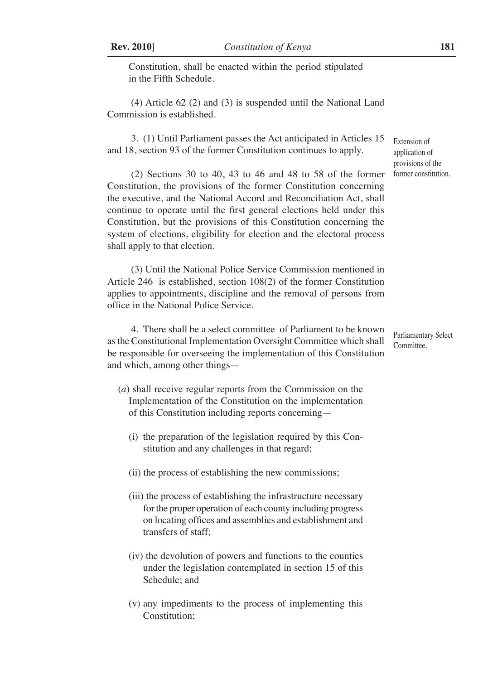Constitution, shall be enacted within the period stipulated in the Fifth Schedule.

(4) Article 62 (2) and (3) is suspended until the National Land Commission is established.

3. (1) Until Parliament passes the Act anticipated in Articles 15 and 18, section 93 of the former Constitution continues to apply.

(2) Sections 30 to 40, 43 to 46 and 48 to 58 of the former Constitution, the provisions of the former Constitution concerning the executive, and the National Accord and Reconciliation Act, shall continue to operate until the first general elections held under this Constitution, but the provisions of this Constitution concerning the system of elections, eligibility for election and the electoral process shall apply to that election.

(3) Until the National Police Service Commission mentioned in Article 246 is established, section 108(2) of the former Constitution applies to appointments, discipline and the removal of persons from office in the National Police Service.

4. There shall be a select committee of Parliament to be known as the Constitutional Implementation Oversight Committee which shall be responsible for overseeing the implementation of this Constitution and which, among other things—

- (*a*) shall receive regular reports from the Commission on the Implementation of the Constitution on the implementation of this Constitution including reports concerning—
	- (i) the preparation of the legislation required by this Constitution and any challenges in that regard;
	- (ii) the process of establishing the new commissions;
	- (iii) the process of establishing the infrastructure necessary for the proper operation of each county including progress on locating offices and assemblies and establishment and transfers of staff;
	- (iv) the devolution of powers and functions to the counties under the legislation contemplated in section 15 of this Schedule; and
	- (v) any impediments to the process of implementing this Constitution;

Extension of application of provisions of the former constitution.

Parliamentary Select Committee.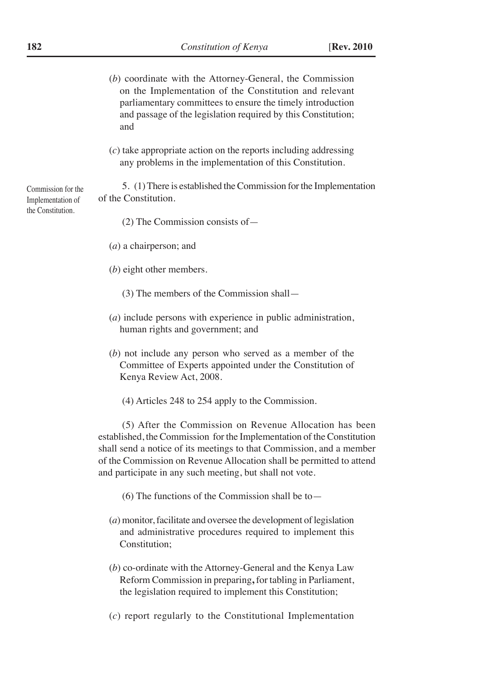- (*b*) coordinate with the Attorney-General, the Commission on the Implementation of the Constitution and relevant parliamentary committees to ensure the timely introduction and passage of the legislation required by this Constitution; and
- (*c*) take appropriate action on the reports including addressing any problems in the implementation of this Constitution.

5. (1) There is established the Commission for the Implementation of the Constitution.

(2) The Commission consists of—

- (*a*) a chairperson; and
- (*b*) eight other members.
	- (3) The members of the Commission shall—
- (*a*) include persons with experience in public administration, human rights and government; and
- (*b*) not include any person who served as a member of the Committee of Experts appointed under the Constitution of Kenya Review Act, 2008.
	- (4) Articles 248 to 254 apply to the Commission.

(5) After the Commission on Revenue Allocation has been established, the Commission for the Implementation of the Constitution shall send a notice of its meetings to that Commission, and a member of the Commission on Revenue Allocation shall be permitted to attend and participate in any such meeting, but shall not vote.

- (6) The functions of the Commission shall be to—
- (*a*) monitor, facilitate and oversee the development of legislation and administrative procedures required to implement this Constitution;
- (*b*) co-ordinate with the Attorney-General and the Kenya Law Reform Commission in preparing**,** for tabling in Parliament, the legislation required to implement this Constitution;
- (*c*) report regularly to the Constitutional Implementation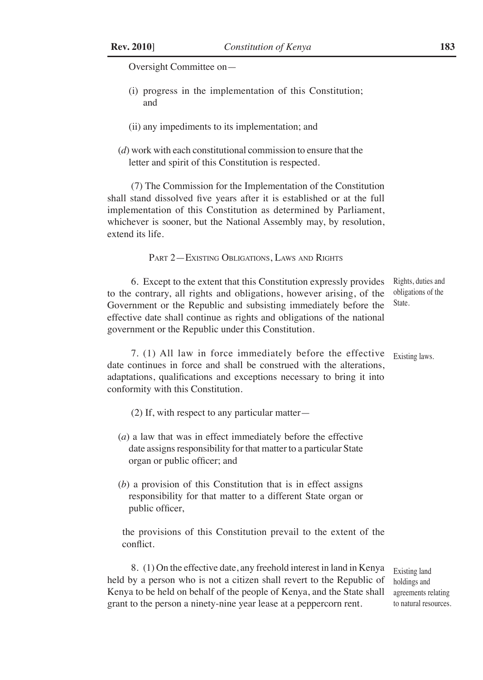Oversight Committee on—

- (i) progress in the implementation of this Constitution; and
- (ii) any impediments to its implementation; and
- (*d*) work with each constitutional commission to ensure that the letter and spirit of this Constitution is respected.

(7) The Commission for the Implementation of the Constitution shall stand dissolved five years after it is established or at the full implementation of this Constitution as determined by Parliament, whichever is sooner, but the National Assembly may, by resolution, extend its life.

PART 2-EXISTING OBLIGATIONS, LAWS AND RIGHTS

6. Except to the extent that this Constitution expressly provides to the contrary, all rights and obligations, however arising, of the Government or the Republic and subsisting immediately before the effective date shall continue as rights and obligations of the national government or the Republic under this Constitution. State.

Rights, duties and obligations of the

Existing laws.

7. (1) All law in force immediately before the effective date continues in force and shall be construed with the alterations, adaptations, qualifications and exceptions necessary to bring it into conformity with this Constitution.

(2) If, with respect to any particular matter—

- (*a*) a law that was in effect immediately before the effective date assigns responsibility for that matter to a particular State organ or public officer; and
- (*b*) a provision of this Constitution that is in effect assigns responsibility for that matter to a different State organ or public officer,

the provisions of this Constitution prevail to the extent of the conflict.

8. (1) On the effective date, any freehold interest in land in Kenya held by a person who is not a citizen shall revert to the Republic of Kenya to be held on behalf of the people of Kenya, and the State shall grant to the person a ninety-nine year lease at a peppercorn rent.

Existing land holdings and agreements relating to natural resources.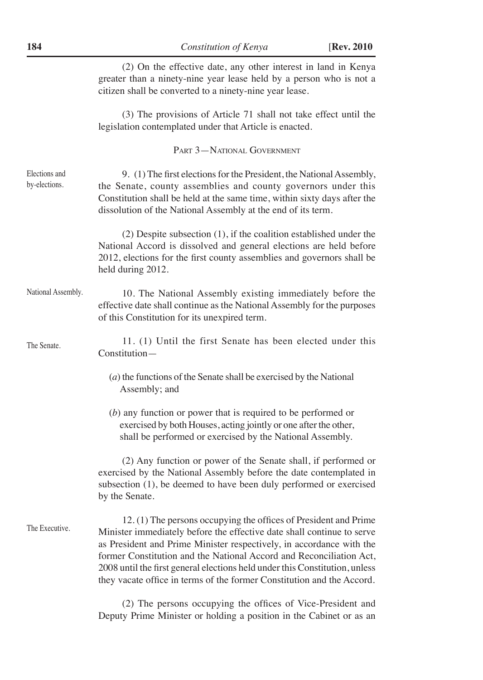|                                | (2) On the effective date, any other interest in land in Kenya<br>greater than a ninety-nine year lease held by a person who is not a<br>citizen shall be converted to a ninety-nine year lease.                                                                                                                                                                                                                                                   |
|--------------------------------|----------------------------------------------------------------------------------------------------------------------------------------------------------------------------------------------------------------------------------------------------------------------------------------------------------------------------------------------------------------------------------------------------------------------------------------------------|
|                                | (3) The provisions of Article 71 shall not take effect until the<br>legislation contemplated under that Article is enacted.                                                                                                                                                                                                                                                                                                                        |
|                                | PART 3-NATIONAL GOVERNMENT                                                                                                                                                                                                                                                                                                                                                                                                                         |
| Elections and<br>by-elections. | 9. (1) The first elections for the President, the National Assembly,<br>the Senate, county assemblies and county governors under this<br>Constitution shall be held at the same time, within sixty days after the<br>dissolution of the National Assembly at the end of its term.                                                                                                                                                                  |
|                                | $(2)$ Despite subsection $(1)$ , if the coalition established under the<br>National Accord is dissolved and general elections are held before<br>2012, elections for the first county assemblies and governors shall be<br>held during 2012.                                                                                                                                                                                                       |
| National Assembly.             | 10. The National Assembly existing immediately before the<br>effective date shall continue as the National Assembly for the purposes<br>of this Constitution for its unexpired term.                                                                                                                                                                                                                                                               |
| The Senate.                    | 11. (1) Until the first Senate has been elected under this<br>Constitution-                                                                                                                                                                                                                                                                                                                                                                        |
|                                | $(a)$ the functions of the Senate shall be exercised by the National<br>Assembly; and                                                                                                                                                                                                                                                                                                                                                              |
|                                | $(b)$ any function or power that is required to be performed or<br>exercised by both Houses, acting jointly or one after the other,<br>shall be performed or exercised by the National Assembly.                                                                                                                                                                                                                                                   |
|                                | (2) Any function or power of the Senate shall, if performed or<br>exercised by the National Assembly before the date contemplated in<br>subsection (1), be deemed to have been duly performed or exercised<br>by the Senate.                                                                                                                                                                                                                       |
| The Executive.                 | 12. (1) The persons occupying the offices of President and Prime<br>Minister immediately before the effective date shall continue to serve<br>as President and Prime Minister respectively, in accordance with the<br>former Constitution and the National Accord and Reconciliation Act,<br>2008 until the first general elections held under this Constitution, unless<br>they vacate office in terms of the former Constitution and the Accord. |
|                                |                                                                                                                                                                                                                                                                                                                                                                                                                                                    |

(2) The persons occupying the offices of Vice-President and Deputy Prime Minister or holding a position in the Cabinet or as an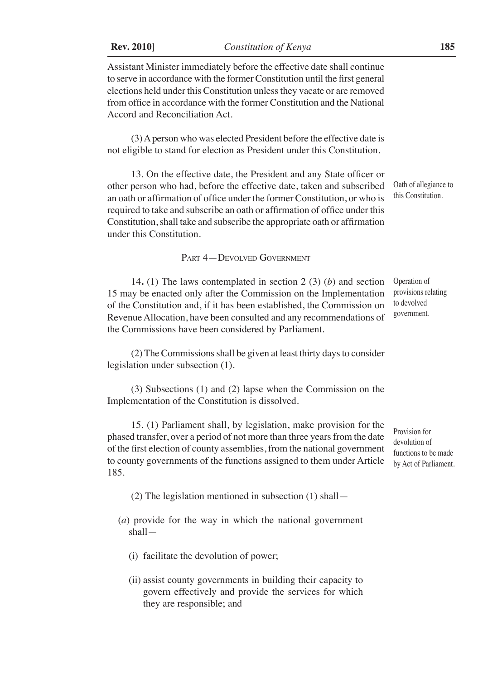Assistant Minister immediately before the effective date shall continue to serve in accordance with the former Constitution until the first general elections held under this Constitution unless they vacate or are removed from office in accordance with the former Constitution and the National Accord and Reconciliation Act.

(3) A person who was elected President before the effective date is not eligible to stand for election as President under this Constitution.

13. On the effective date, the President and any State officer or other person who had, before the effective date, taken and subscribed an oath or affirmation of office under the former Constitution, or who is required to take and subscribe an oath or affirmation of office under this Constitution, shall take and subscribe the appropriate oath or affirmation under this Constitution.

Oath of allegiance to this Constitution.

PART 4-DEVOLVED GOVERNMENT

14**.** (1) The laws contemplated in section 2 (3) (*b*) and section 15 may be enacted only after the Commission on the Implementation of the Constitution and, if it has been established, the Commission on Revenue Allocation, have been consulted and any recommendations of the Commissions have been considered by Parliament.

Operation of provisions relating to devolved government.

(2) The Commissions shall be given at least thirty days to consider legislation under subsection (1).

(3) Subsections (1) and (2) lapse when the Commission on the Implementation of the Constitution is dissolved.

15. (1) Parliament shall, by legislation, make provision for the phased transfer, over a period of not more than three years from the date of the first election of county assemblies, from the national government to county governments of the functions assigned to them under Article 185.

Provision for devolution of functions to be made by Act of Parliament.

(2) The legislation mentioned in subsection (1) shall—

- (*a*) provide for the way in which the national government shall—
	- (i) facilitate the devolution of power;
	- (ii) assist county governments in building their capacity to govern effectively and provide the services for which they are responsible; and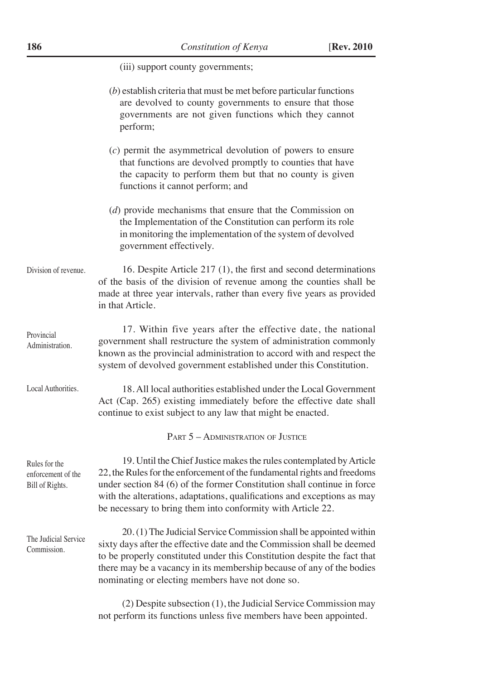(iii) support county governments;

|                                                        | $(b)$ establish criteria that must be met before particular functions<br>are devolved to county governments to ensure that those<br>governments are not given functions which they cannot<br>perform;                                                                                                                                                                |
|--------------------------------------------------------|----------------------------------------------------------------------------------------------------------------------------------------------------------------------------------------------------------------------------------------------------------------------------------------------------------------------------------------------------------------------|
|                                                        | $(c)$ permit the asymmetrical devolution of powers to ensure<br>that functions are devolved promptly to counties that have<br>the capacity to perform them but that no county is given<br>functions it cannot perform; and                                                                                                                                           |
|                                                        | $(d)$ provide mechanisms that ensure that the Commission on<br>the Implementation of the Constitution can perform its role<br>in monitoring the implementation of the system of devolved<br>government effectively.                                                                                                                                                  |
| Division of revenue.                                   | 16. Despite Article 217 (1), the first and second determinations<br>of the basis of the division of revenue among the counties shall be<br>made at three year intervals, rather than every five years as provided<br>in that Article.                                                                                                                                |
| Provincial<br>Administration.                          | 17. Within five years after the effective date, the national<br>government shall restructure the system of administration commonly<br>known as the provincial administration to accord with and respect the<br>system of devolved government established under this Constitution.                                                                                    |
| Local Authorities.                                     | 18. All local authorities established under the Local Government<br>Act (Cap. 265) existing immediately before the effective date shall<br>continue to exist subject to any law that might be enacted.                                                                                                                                                               |
|                                                        | PART 5 - ADMINISTRATION OF JUSTICE                                                                                                                                                                                                                                                                                                                                   |
| Rules for the<br>enforcement of the<br>Bill of Rights. | 19. Until the Chief Justice makes the rules contemplated by Article<br>22, the Rules for the enforcement of the fundamental rights and freedoms<br>under section 84 (6) of the former Constitution shall continue in force<br>with the alterations, adaptations, qualifications and exceptions as may<br>be necessary to bring them into conformity with Article 22. |
| The Judicial Service<br>Commission.                    | 20. (1) The Judicial Service Commission shall be appointed within<br>sixty days after the effective date and the Commission shall be deemed<br>to be properly constituted under this Constitution despite the fact that<br>there may be a vacancy in its membership because of any of the bodies<br>nominating or electing members have not done so.                 |
|                                                        | .                                                                                                                                                                                                                                                                                                                                                                    |

(2) Despite subsection (1), the Judicial Service Commission may not perform its functions unless five members have been appointed.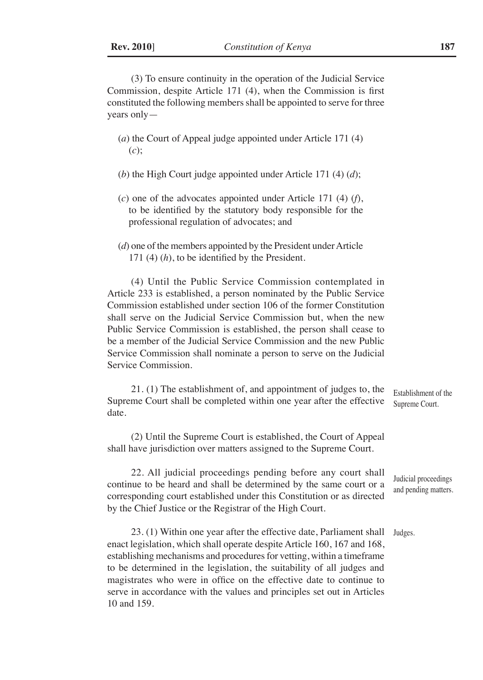(3) To ensure continuity in the operation of the Judicial Service Commission, despite Article 171 (4), when the Commission is first constituted the following members shall be appointed to serve for three years only—

- (*a*) the Court of Appeal judge appointed under Article 171 (4) (*c*);
- (*b*) the High Court judge appointed under Article 171 (4) (*d*);
- (*c*) one of the advocates appointed under Article 171 (4) (*f*), to be identified by the statutory body responsible for the professional regulation of advocates; and
- (*d*) one of the members appointed by the President under Article 171 (4) (*h*), to be identified by the President.

(4) Until the Public Service Commission contemplated in Article 233 is established, a person nominated by the Public Service Commission established under section 106 of the former Constitution shall serve on the Judicial Service Commission but, when the new Public Service Commission is established, the person shall cease to be a member of the Judicial Service Commission and the new Public Service Commission shall nominate a person to serve on the Judicial Service Commission.

21. (1) The establishment of, and appointment of judges to, the Supreme Court shall be completed within one year after the effective date.

(2) Until the Supreme Court is established, the Court of Appeal shall have jurisdiction over matters assigned to the Supreme Court.

22. All judicial proceedings pending before any court shall continue to be heard and shall be determined by the same court or a corresponding court established under this Constitution or as directed by the Chief Justice or the Registrar of the High Court.

23. (1) Within one year after the effective date, Parliament shall enact legislation, which shall operate despite Article 160, 167 and 168, establishing mechanisms and procedures for vetting, within a timeframe to be determined in the legislation, the suitability of all judges and magistrates who were in office on the effective date to continue to serve in accordance with the values and principles set out in Articles 10 and 159. Judges.

Establishment of the Supreme Court.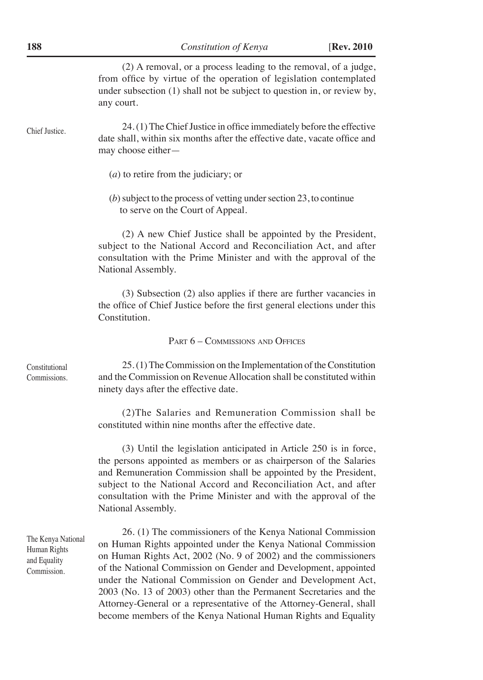(2) A removal, or a process leading to the removal, of a judge, from office by virtue of the operation of legislation contemplated under subsection (1) shall not be subject to question in, or review by, any court.

24. (1) The Chief Justice in office immediately before the effective date shall, within six months after the effective date, vacate office and may choose either—

- (*a*) to retire from the judiciary; or
- (*b*) subject to the process of vetting under section 23, to continue to serve on the Court of Appeal.

(2) A new Chief Justice shall be appointed by the President, subject to the National Accord and Reconciliation Act, and after consultation with the Prime Minister and with the approval of the National Assembly.

(3) Subsection (2) also applies if there are further vacancies in the office of Chief Justice before the first general elections under this Constitution.

PART  $6 -$  COMMISSIONS AND OFFICES

25. (1) The Commission on the Implementation of the Constitution and the Commission on Revenue Allocation shall be constituted within ninety days after the effective date.

(2)The Salaries and Remuneration Commission shall be constituted within nine months after the effective date.

(3) Until the legislation anticipated in Article 250 is in force, the persons appointed as members or as chairperson of the Salaries and Remuneration Commission shall be appointed by the President, subject to the National Accord and Reconciliation Act, and after consultation with the Prime Minister and with the approval of the National Assembly.

26. (1) The commissioners of the Kenya National Commission on Human Rights appointed under the Kenya National Commission on Human Rights Act, 2002 (No. 9 of 2002) and the commissioners of the National Commission on Gender and Development, appointed under the National Commission on Gender and Development Act, 2003 (No. 13 of 2003) other than the Permanent Secretaries and the Attorney-General or a representative of the Attorney-General, shall become members of the Kenya National Human Rights and Equality

The Kenya National Human Rights and Equality Commission.

Constitutional Commissions.

Chief Instice.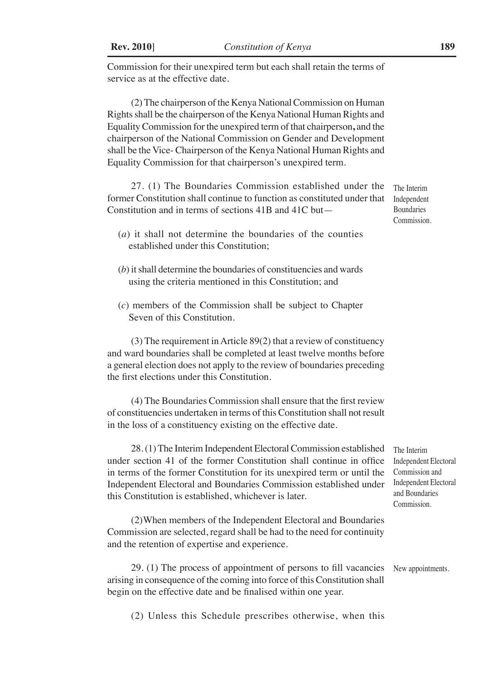Commission for their unexpired term but each shall retain the terms of service as at the effective date.

(2) The chairperson of the Kenya National Commission on Human Rights shall be the chairperson of the Kenya National Human Rights and Equality Commission for the unexpired term of that chairperson**,** and the chairperson of the National Commission on Gender and Development shall be the Vice- Chairperson of the Kenya National Human Rights and Equality Commission for that chairperson's unexpired term.

27. (1) The Boundaries Commission established under the former Constitution shall continue to function as constituted under that Constitution and in terms of sections 41B and 41C but—

- (*a*) it shall not determine the boundaries of the counties established under this Constitution;
- (*b*) it shall determine the boundaries of constituencies and wards using the criteria mentioned in this Constitution; and
- (*c*) members of the Commission shall be subject to Chapter Seven of this Constitution.

(3) The requirement in Article 89(2) that a review of constituency and ward boundaries shall be completed at least twelve months before a general election does not apply to the review of boundaries preceding the first elections under this Constitution.

(4) The Boundaries Commission shall ensure that the first review of constituencies undertaken in terms of this Constitution shall not result in the loss of a constituency existing on the effective date.

28. (1) The Interim Independent Electoral Commission established under section 41 of the former Constitution shall continue in office in terms of the former Constitution for its unexpired term or until the Independent Electoral and Boundaries Commission established under this Constitution is established, whichever is later.

(2)When members of the Independent Electoral and Boundaries Commission are selected, regard shall be had to the need for continuity and the retention of expertise and experience.

29. (1) The process of appointment of persons to fill vacancies New appointments.arising in consequence of the coming into force of this Constitution shall begin on the effective date and be finalised within one year.

(2) Unless this Schedule prescribes otherwise, when this

The Interim Independent Electoral Commission and Independent Electoral and Boundaries Commission.

The Interim Independent **Boundaries** Commission.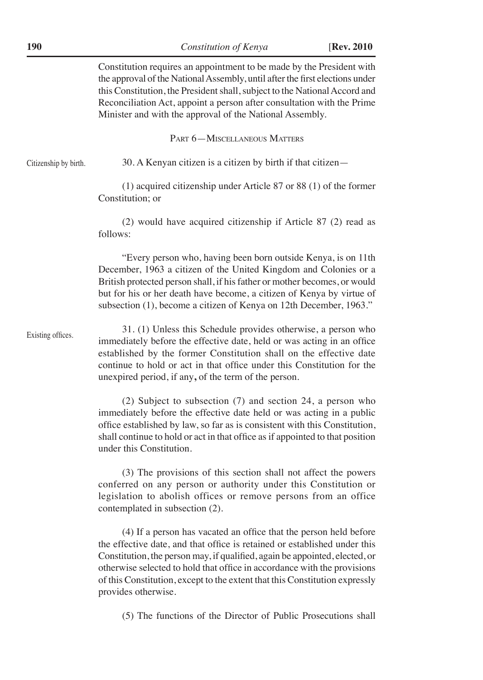Constitution requires an appointment to be made by the President with the approval of the National Assembly, until after the first elections under this Constitution, the President shall, subject to the National Accord and Reconciliation Act, appoint a person after consultation with the Prime Minister and with the approval of the National Assembly.

Part 6—Miscellaneous Matters

Citizenship by birth.

30. A Kenyan citizen is a citizen by birth if that citizen—

(1) acquired citizenship under Article 87 or 88 (1) of the former Constitution; or

(2) would have acquired citizenship if Article 87 (2) read as follows:

"Every person who, having been born outside Kenya, is on 11th December, 1963 a citizen of the United Kingdom and Colonies or a British protected person shall, if his father or mother becomes, or would but for his or her death have become, a citizen of Kenya by virtue of subsection (1), become a citizen of Kenya on 12th December, 1963."

Existing offices.

31. (1) Unless this Schedule provides otherwise, a person who immediately before the effective date, held or was acting in an office established by the former Constitution shall on the effective date continue to hold or act in that office under this Constitution for the unexpired period, if any**,** of the term of the person.

(2) Subject to subsection (7) and section 24, a person who immediately before the effective date held or was acting in a public office established by law, so far as is consistent with this Constitution, shall continue to hold or act in that office as if appointed to that position under this Constitution.

(3) The provisions of this section shall not affect the powers conferred on any person or authority under this Constitution or legislation to abolish offices or remove persons from an office contemplated in subsection (2).

(4) If a person has vacated an office that the person held before the effective date, and that office is retained or established under this Constitution, the person may, if qualified, again be appointed, elected, or otherwise selected to hold that office in accordance with the provisions of this Constitution, except to the extent that this Constitution expressly provides otherwise.

(5) The functions of the Director of Public Prosecutions shall